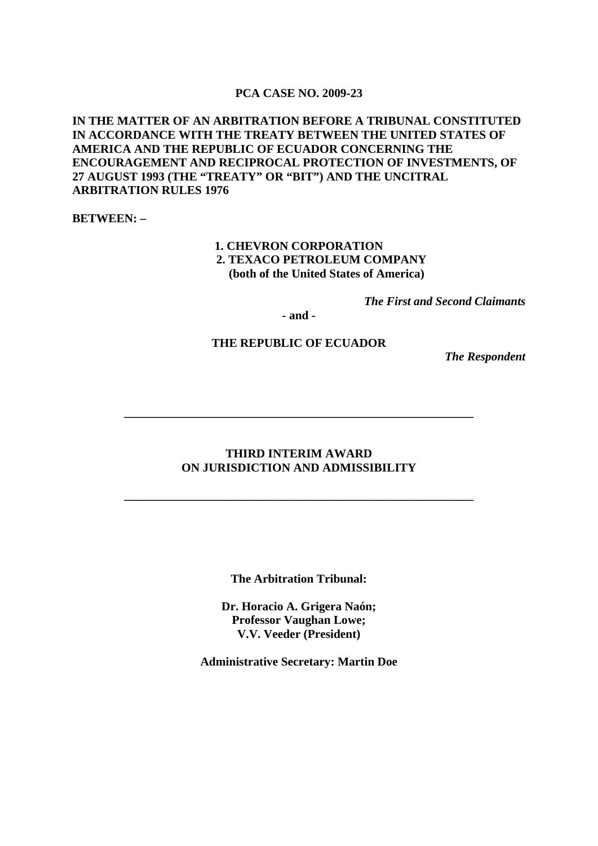## **PCA CASE NO. 2009-23**

# **IN THE MATTER OF AN ARBITRATION BEFORE A TRIBUNAL CONSTITUTED IN ACCORDANCE WITH THE TREATY BETWEEN THE UNITED STATES OF AMERICA AND THE REPUBLIC OF ECUADOR CONCERNING THE ENCOURAGEMENT AND RECIPROCAL PROTECTION OF INVESTMENTS, OF 27 AUGUST 1993 (THE "TREATY" OR "BIT") AND THE UNCITRAL ARBITRATION RULES 1976**

**BETWEEN: –**

## **1. CHEVRON CORPORATION 2. TEXACO PETROLEUM COMPANY (both of the United States of America)**

*The First and Second Claimants*

**- and -**

## **THE REPUBLIC OF ECUADOR**

*The Respondent*

## **THIRD INTERIM AWARD ON JURISDICTION AND ADMISSIBILITY**

**\_\_\_\_\_\_\_\_\_\_\_\_\_\_\_\_\_\_\_\_\_\_\_\_\_\_\_\_\_\_\_\_\_\_\_\_\_\_\_\_\_\_\_\_\_\_\_\_\_\_\_\_\_\_\_\_\_\_**

**\_\_\_\_\_\_\_\_\_\_\_\_\_\_\_\_\_\_\_\_\_\_\_\_\_\_\_\_\_\_\_\_\_\_\_\_\_\_\_\_\_\_\_\_\_\_\_\_\_\_\_\_\_\_\_\_\_\_**

**The Arbitration Tribunal:**

**Dr. Horacio A. Grigera Naón; Professor Vaughan Lowe; V.V. Veeder (President)**

**Administrative Secretary: Martin Doe**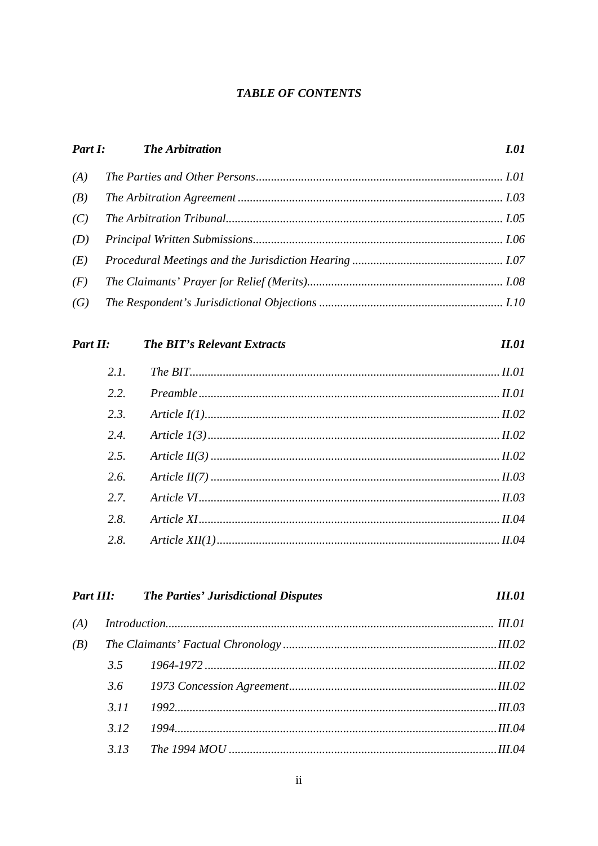## **TABLE OF CONTENTS**

|     | <b>Part I:</b> The Arbitration | <i><b>I.01</b></i> |
|-----|--------------------------------|--------------------|
| (A) |                                |                    |
| (B) |                                |                    |
| (C) |                                |                    |
| (D) |                                |                    |
| (E) |                                |                    |
| (F) |                                |                    |
| (G) |                                |                    |

#### Part II: **The BIT's Relevant Extracts**

 $2.1.$  $2.2.$  $2.3.$  $2.4.$  $2.5.$  $2.6.$  $2.7.$  $2.8.$  $2.8.$ 

 $II.01$ 

|     |      | <b>Part III:</b> The Parties' Jurisdictional Disputes | <b>III.01</b> |
|-----|------|-------------------------------------------------------|---------------|
| (A) |      |                                                       |               |
| (B) |      |                                                       |               |
|     |      |                                                       |               |
|     |      |                                                       |               |
|     |      |                                                       |               |
|     | 3.12 |                                                       |               |
|     |      |                                                       |               |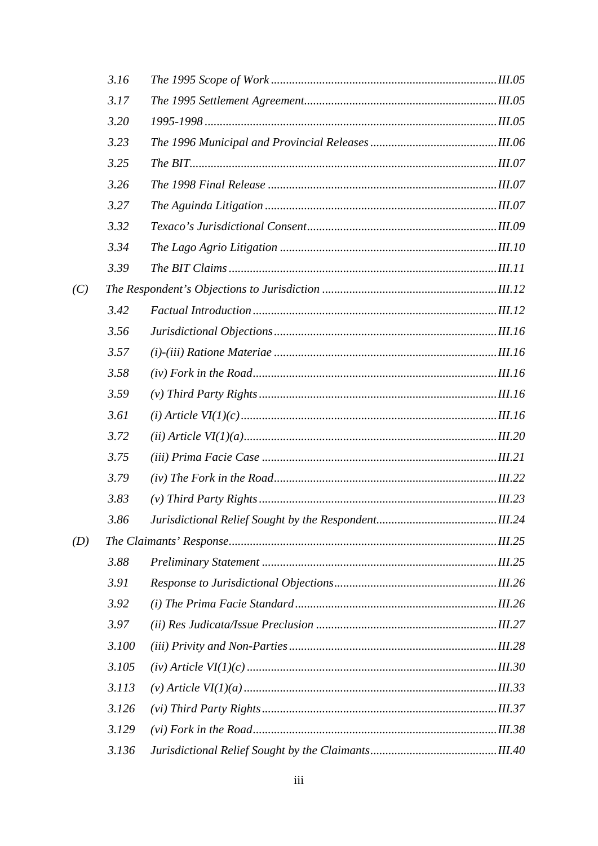|     | 3.16  |  |
|-----|-------|--|
|     | 3.17  |  |
|     | 3.20  |  |
|     | 3.23  |  |
|     | 3.25  |  |
|     | 3.26  |  |
|     | 3.27  |  |
|     | 3.32  |  |
|     | 3.34  |  |
|     | 3.39  |  |
| (C) |       |  |
|     | 3.42  |  |
|     | 3.56  |  |
|     | 3.57  |  |
|     | 3.58  |  |
|     | 3.59  |  |
|     | 3.61  |  |
|     | 3.72  |  |
|     | 3.75  |  |
|     | 3.79  |  |
|     | 3.83  |  |
|     | 3.86  |  |
| (D) |       |  |
|     | 3.88  |  |
|     | 3.91  |  |
|     | 3.92  |  |
|     | 3.97  |  |
|     | 3.100 |  |
|     | 3.105 |  |
|     | 3.113 |  |
|     | 3.126 |  |
|     | 3.129 |  |
|     | 3.136 |  |
|     |       |  |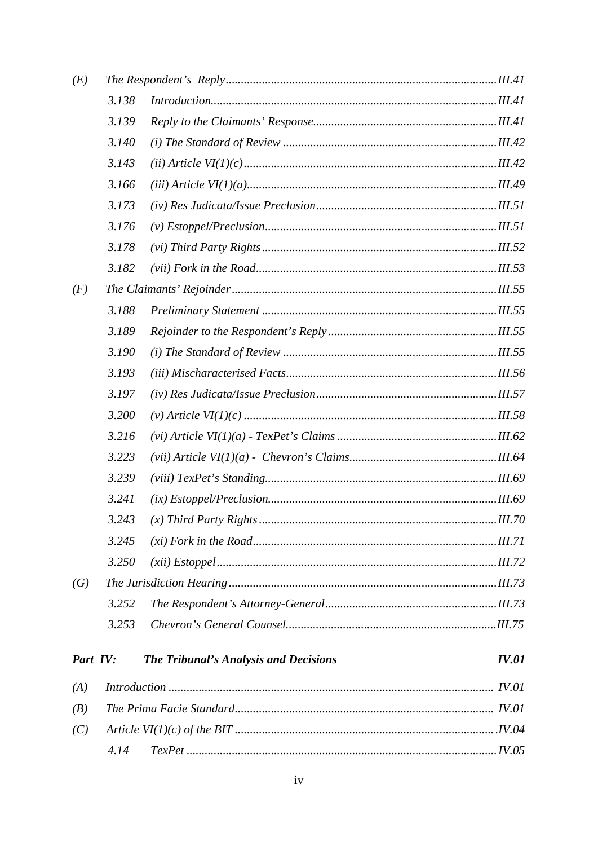| (E)      |       |                                       |              |
|----------|-------|---------------------------------------|--------------|
|          | 3.138 |                                       |              |
|          | 3.139 |                                       |              |
|          | 3.140 |                                       |              |
|          | 3.143 |                                       |              |
|          | 3.166 |                                       |              |
|          | 3.173 |                                       |              |
|          | 3.176 |                                       |              |
|          | 3.178 |                                       |              |
|          | 3.182 |                                       |              |
| (F)      |       |                                       |              |
|          | 3.188 |                                       |              |
|          | 3.189 |                                       |              |
|          | 3.190 |                                       |              |
|          | 3.193 |                                       |              |
|          | 3.197 |                                       |              |
|          | 3.200 |                                       |              |
|          | 3.216 |                                       |              |
|          | 3.223 |                                       |              |
|          | 3.239 |                                       |              |
|          | 3.241 |                                       |              |
|          | 3.243 |                                       |              |
|          | 3.245 |                                       |              |
|          | 3.250 |                                       |              |
| (G)      |       |                                       |              |
|          | 3.252 |                                       |              |
|          | 3.253 |                                       |              |
| Part IV: |       | The Tribunal's Analysis and Decisions | <b>IV.01</b> |
| (A)      |       |                                       |              |
| (B)      |       |                                       |              |
| (C)      |       |                                       |              |
|          | 4.14  |                                       |              |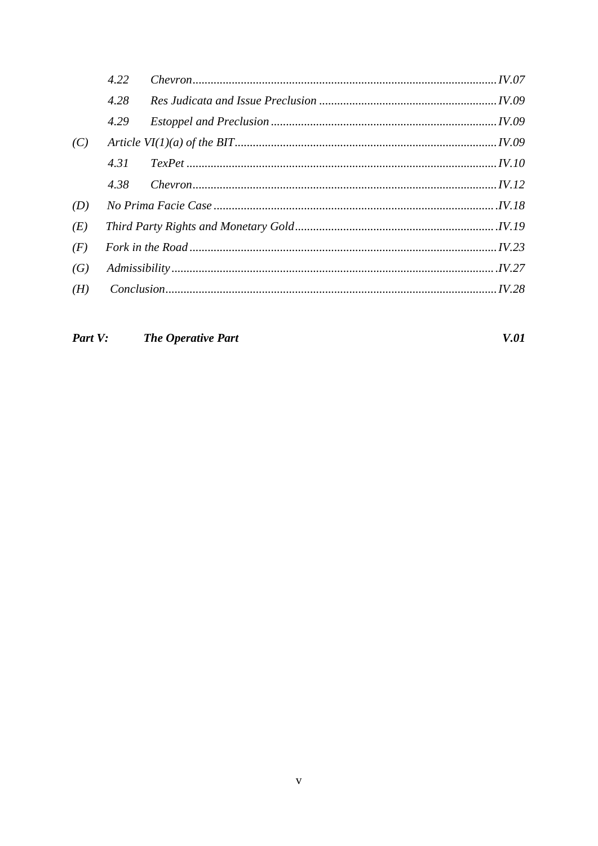|     | 4.22 |  |
|-----|------|--|
|     | 4.28 |  |
|     | 4.29 |  |
| (C) |      |  |
|     | 4.31 |  |
|     | 4.38 |  |
| (D) |      |  |
| (E) |      |  |
| (F) |      |  |
| (G) |      |  |
| (H) |      |  |

| Part V: | <b>The Operative Part</b> |
|---------|---------------------------|
|---------|---------------------------|

 $V.01$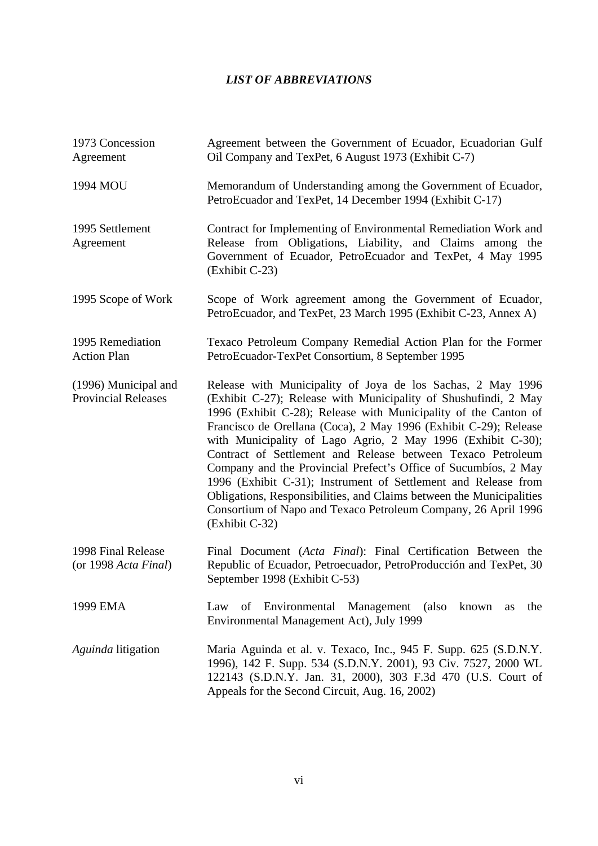# *LIST OF ABBREVIATIONS*

| 1973 Concession<br>Agreement                       | Agreement between the Government of Ecuador, Ecuadorian Gulf<br>Oil Company and TexPet, 6 August 1973 (Exhibit C-7)                                                                                                                                                                                                                                                                                                                                                                                                                                                                                                                                                                                  |
|----------------------------------------------------|------------------------------------------------------------------------------------------------------------------------------------------------------------------------------------------------------------------------------------------------------------------------------------------------------------------------------------------------------------------------------------------------------------------------------------------------------------------------------------------------------------------------------------------------------------------------------------------------------------------------------------------------------------------------------------------------------|
| 1994 MOU                                           | Memorandum of Understanding among the Government of Ecuador,<br>PetroEcuador and TexPet, 14 December 1994 (Exhibit C-17)                                                                                                                                                                                                                                                                                                                                                                                                                                                                                                                                                                             |
| 1995 Settlement<br>Agreement                       | Contract for Implementing of Environmental Remediation Work and<br>Release from Obligations, Liability, and Claims among the<br>Government of Ecuador, PetroEcuador and TexPet, 4 May 1995<br>(Exhibit C-23)                                                                                                                                                                                                                                                                                                                                                                                                                                                                                         |
| 1995 Scope of Work                                 | Scope of Work agreement among the Government of Ecuador,<br>PetroEcuador, and TexPet, 23 March 1995 (Exhibit C-23, Annex A)                                                                                                                                                                                                                                                                                                                                                                                                                                                                                                                                                                          |
| 1995 Remediation<br><b>Action Plan</b>             | Texaco Petroleum Company Remedial Action Plan for the Former<br>PetroEcuador-TexPet Consortium, 8 September 1995                                                                                                                                                                                                                                                                                                                                                                                                                                                                                                                                                                                     |
| (1996) Municipal and<br><b>Provincial Releases</b> | Release with Municipality of Joya de los Sachas, 2 May 1996<br>(Exhibit C-27); Release with Municipality of Shushufindi, 2 May<br>1996 (Exhibit C-28); Release with Municipality of the Canton of<br>Francisco de Orellana (Coca), 2 May 1996 (Exhibit C-29); Release<br>with Municipality of Lago Agrio, 2 May 1996 (Exhibit C-30);<br>Contract of Settlement and Release between Texaco Petroleum<br>Company and the Provincial Prefect's Office of Sucumbios, 2 May<br>1996 (Exhibit C-31); Instrument of Settlement and Release from<br>Obligations, Responsibilities, and Claims between the Municipalities<br>Consortium of Napo and Texaco Petroleum Company, 26 April 1996<br>(Exhibit C-32) |
| 1998 Final Release<br>(or 1998 Acta Final)         | Final Document (Acta Final): Final Certification Between the<br>Republic of Ecuador, Petroecuador, PetroProducción and TexPet, 30<br>September 1998 (Exhibit C-53)                                                                                                                                                                                                                                                                                                                                                                                                                                                                                                                                   |
| 1999 EMA                                           | of Environmental Management (also known<br>the<br>Law<br>as<br>Environmental Management Act), July 1999                                                                                                                                                                                                                                                                                                                                                                                                                                                                                                                                                                                              |
| Aguinda litigation                                 | Maria Aguinda et al. v. Texaco, Inc., 945 F. Supp. 625 (S.D.N.Y.<br>1996), 142 F. Supp. 534 (S.D.N.Y. 2001), 93 Civ. 7527, 2000 WL<br>122143 (S.D.N.Y. Jan. 31, 2000), 303 F.3d 470 (U.S. Court of<br>Appeals for the Second Circuit, Aug. 16, 2002)                                                                                                                                                                                                                                                                                                                                                                                                                                                 |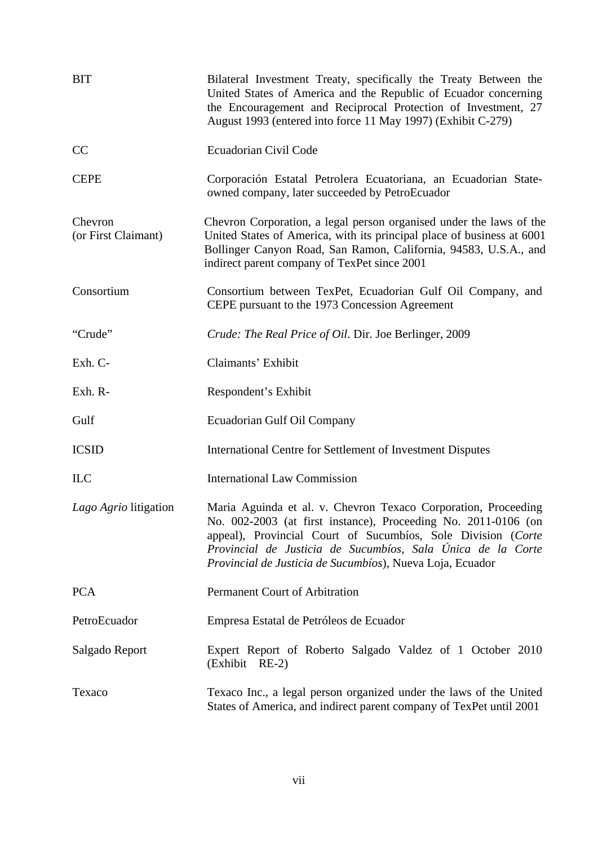| <b>BIT</b>                     | Bilateral Investment Treaty, specifically the Treaty Between the<br>United States of America and the Republic of Ecuador concerning<br>the Encouragement and Reciprocal Protection of Investment, 27<br>August 1993 (entered into force 11 May 1997) (Exhibit C-279)                                                         |
|--------------------------------|------------------------------------------------------------------------------------------------------------------------------------------------------------------------------------------------------------------------------------------------------------------------------------------------------------------------------|
| CC                             | Ecuadorian Civil Code                                                                                                                                                                                                                                                                                                        |
| <b>CEPE</b>                    | Corporación Estatal Petrolera Ecuatoriana, an Ecuadorian State-<br>owned company, later succeeded by PetroEcuador                                                                                                                                                                                                            |
| Chevron<br>(or First Claimant) | Chevron Corporation, a legal person organised under the laws of the<br>United States of America, with its principal place of business at 6001<br>Bollinger Canyon Road, San Ramon, California, 94583, U.S.A., and<br>indirect parent company of TexPet since 2001                                                            |
| Consortium                     | Consortium between TexPet, Ecuadorian Gulf Oil Company, and<br>CEPE pursuant to the 1973 Concession Agreement                                                                                                                                                                                                                |
| "Crude"                        | Crude: The Real Price of Oil. Dir. Joe Berlinger, 2009                                                                                                                                                                                                                                                                       |
| Exh. C-                        | Claimants' Exhibit                                                                                                                                                                                                                                                                                                           |
| Exh. R-                        | Respondent's Exhibit                                                                                                                                                                                                                                                                                                         |
| Gulf                           | Ecuadorian Gulf Oil Company                                                                                                                                                                                                                                                                                                  |
| <b>ICSID</b>                   | International Centre for Settlement of Investment Disputes                                                                                                                                                                                                                                                                   |
| <b>ILC</b>                     | <b>International Law Commission</b>                                                                                                                                                                                                                                                                                          |
| Lago Agrio litigation          | Maria Aguinda et al. v. Chevron Texaco Corporation, Proceeding<br>No. 002-2003 (at first instance), Proceeding No. 2011-0106 (on<br>appeal), Provincial Court of Sucumbíos, Sole Division (Corte<br>Provincial de Justicia de Sucumbíos, Sala Única de la Corte<br>Provincial de Justicia de Sucumbíos), Nueva Loja, Ecuador |
| <b>PCA</b>                     | Permanent Court of Arbitration                                                                                                                                                                                                                                                                                               |
| PetroEcuador                   | Empresa Estatal de Petróleos de Ecuador                                                                                                                                                                                                                                                                                      |
| Salgado Report                 | Expert Report of Roberto Salgado Valdez of 1 October 2010<br>(Exhibit RE-2)                                                                                                                                                                                                                                                  |
| Texaco                         | Texaco Inc., a legal person organized under the laws of the United<br>States of America, and indirect parent company of TexPet until 2001                                                                                                                                                                                    |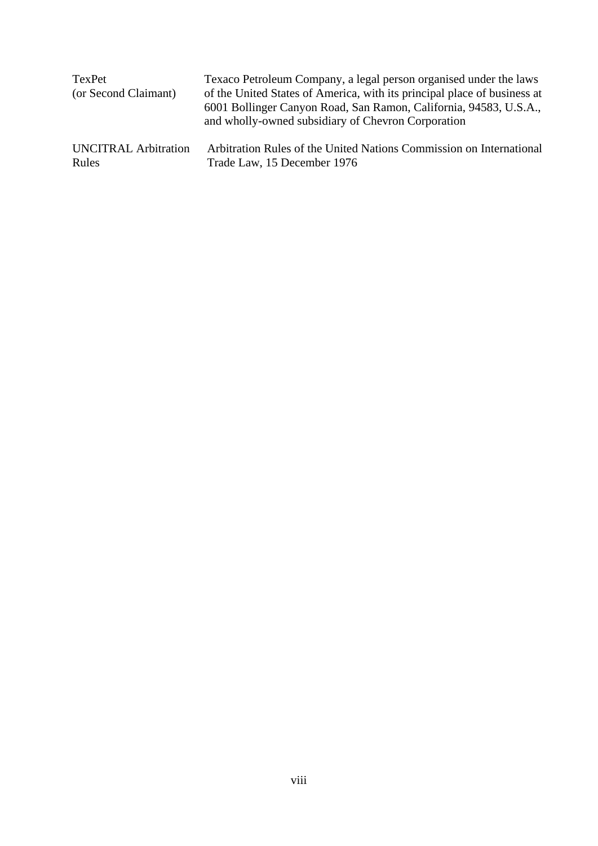| TexPet<br>(or Second Claimant) | Texaco Petroleum Company, a legal person organised under the laws<br>of the United States of America, with its principal place of business at<br>6001 Bollinger Canyon Road, San Ramon, California, 94583, U.S.A.,<br>and wholly-owned subsidiary of Chevron Corporation |
|--------------------------------|--------------------------------------------------------------------------------------------------------------------------------------------------------------------------------------------------------------------------------------------------------------------------|
| <b>UNCITRAL Arbitration</b>    | Arbitration Rules of the United Nations Commission on International                                                                                                                                                                                                      |
| <b>Rules</b>                   | Trade Law, 15 December 1976                                                                                                                                                                                                                                              |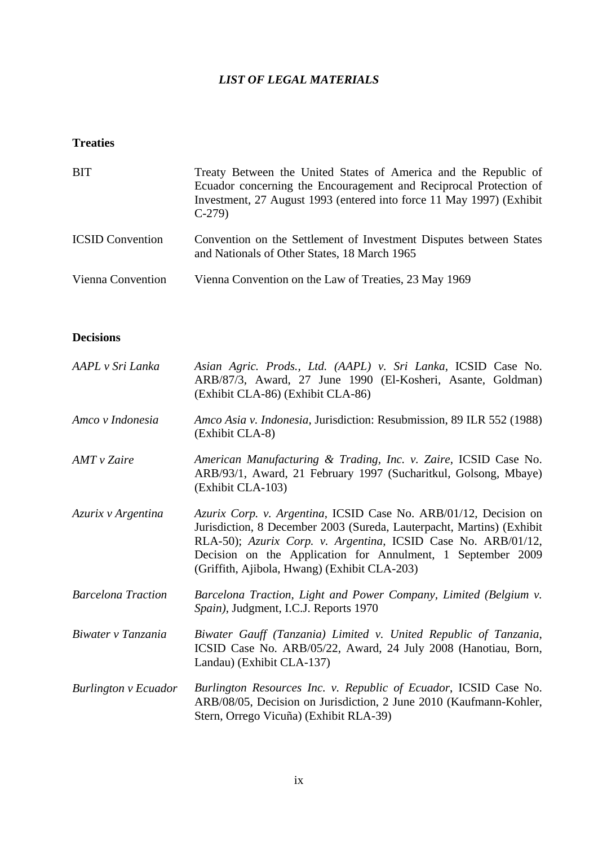# *LIST OF LEGAL MATERIALS*

# **Treaties**

| <b>BIT</b>              | Treaty Between the United States of America and the Republic of<br>Ecuador concerning the Encouragement and Reciprocal Protection of<br>Investment, 27 August 1993 (entered into force 11 May 1997) (Exhibit<br>$C-279$ |
|-------------------------|-------------------------------------------------------------------------------------------------------------------------------------------------------------------------------------------------------------------------|
| <b>ICSID Convention</b> | Convention on the Settlement of Investment Disputes between States<br>and Nationals of Other States, 18 March 1965                                                                                                      |
| Vienna Convention       | Vienna Convention on the Law of Treaties, 23 May 1969                                                                                                                                                                   |

# **Decisions**

| AAPL v Sri Lanka            | Asian Agric. Prods., Ltd. (AAPL) v. Sri Lanka, ICSID Case No.<br>ARB/87/3, Award, 27 June 1990 (El-Kosheri, Asante, Goldman)<br>(Exhibit CLA-86) (Exhibit CLA-86)                                                                                                                                                         |
|-----------------------------|---------------------------------------------------------------------------------------------------------------------------------------------------------------------------------------------------------------------------------------------------------------------------------------------------------------------------|
| Amco v Indonesia            | Amco Asia v. Indonesia, Jurisdiction: Resubmission, 89 ILR 552 (1988)<br>(Exhibit CLA-8)                                                                                                                                                                                                                                  |
| AMT v Zaire                 | American Manufacturing & Trading, Inc. v. Zaire, ICSID Case No.<br>ARB/93/1, Award, 21 February 1997 (Sucharitkul, Golsong, Mbaye)<br>(Exhibit CLA-103)                                                                                                                                                                   |
| Azurix v Argentina          | Azurix Corp. v. Argentina, ICSID Case No. ARB/01/12, Decision on<br>Jurisdiction, 8 December 2003 (Sureda, Lauterpacht, Martins) (Exhibit<br>RLA-50); Azurix Corp. v. Argentina, ICSID Case No. ARB/01/12,<br>Decision on the Application for Annulment, 1 September 2009<br>(Griffith, Ajibola, Hwang) (Exhibit CLA-203) |
| <b>Barcelona Traction</b>   | Barcelona Traction, Light and Power Company, Limited (Belgium v.<br>Spain), Judgment, I.C.J. Reports 1970                                                                                                                                                                                                                 |
| Biwater v Tanzania          | Biwater Gauff (Tanzania) Limited v. United Republic of Tanzania,<br>ICSID Case No. ARB/05/22, Award, 24 July 2008 (Hanotiau, Born,<br>Landau) (Exhibit CLA-137)                                                                                                                                                           |
| <b>Burlington v Ecuador</b> | Burlington Resources Inc. v. Republic of Ecuador, ICSID Case No.<br>ARB/08/05, Decision on Jurisdiction, 2 June 2010 (Kaufmann-Kohler,<br>Stern, Orrego Vicuña) (Exhibit RLA-39)                                                                                                                                          |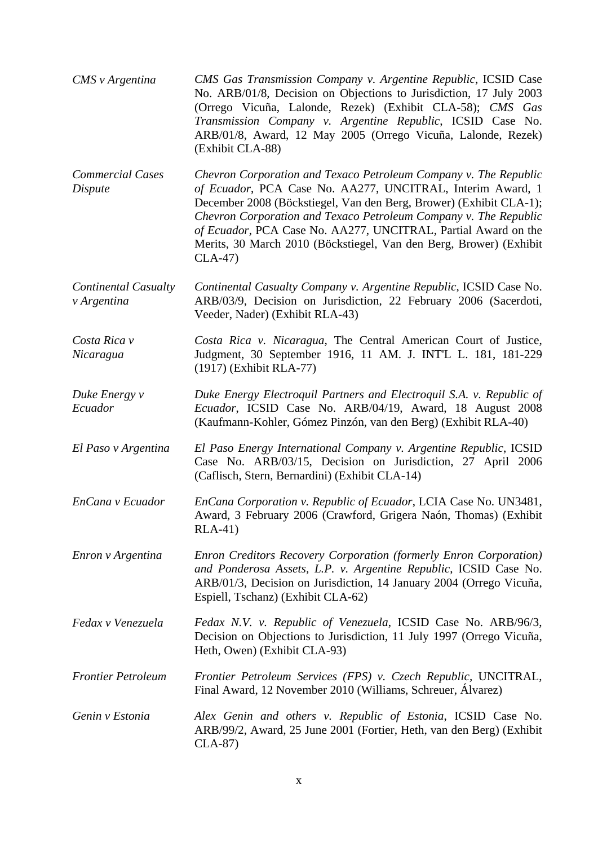- *CMS v Argentina CMS Gas Transmission Company v. Argentine Republic*, ICSID Case No. ARB/01/8, Decision on Objections to Jurisdiction, 17 July 2003 (Orrego Vicuña, Lalonde, Rezek) (Exhibit CLA-58); *CMS Gas Transmission Company v. Argentine Republic*, ICSID Case No. ARB/01/8, Award, 12 May 2005 (Orrego Vicuña, Lalonde, Rezek) (Exhibit CLA-88)
- *Commercial Cases Dispute Chevron Corporation and Texaco Petroleum Company v. The Republic of Ecuador*, PCA Case No. AA277, UNCITRAL, Interim Award, 1 December 2008 (Böckstiegel, Van den Berg, Brower) (Exhibit CLA-1); *Chevron Corporation and Texaco Petroleum Company v. The Republic of Ecuador*, PCA Case No. AA277, UNCITRAL, Partial Award on the Merits, 30 March 2010 (Böckstiegel, Van den Berg, Brower) (Exhibit CLA-47)
- *Continental Casualty v Argentina Continental Casualty Company v. Argentine Republic*, ICSID Case No. ARB/03/9, Decision on Jurisdiction, 22 February 2006 (Sacerdoti, Veeder, Nader) (Exhibit RLA-43)
- *Costa Rica v Nicaragua Costa Rica v. Nicaragua*, The Central American Court of Justice, Judgment, 30 September 1916, 11 AM. J. INT'L L. 181, 181-229 (1917) (Exhibit RLA-77)
- *Duke Energy v Ecuador Duke Energy Electroquil Partners and Electroquil S.A. v. Republic of Ecuador*, ICSID Case No. ARB/04/19, Award, 18 August 2008 (Kaufmann-Kohler, Gómez Pinzón, van den Berg) (Exhibit RLA-40)
- *El Paso v Argentina El Paso Energy International Company v. Argentine Republic*, ICSID Case No. ARB/03/15, Decision on Jurisdiction, 27 April 2006 (Caflisch, Stern, Bernardini) (Exhibit CLA-14)
- *EnCana v Ecuador EnCana Corporation v. Republic of Ecuador*, LCIA Case No. UN3481, Award, 3 February 2006 (Crawford, Grigera Naón, Thomas) (Exhibit RLA-41)

*Enron v Argentina Enron Creditors Recovery Corporation (formerly Enron Corporation) and Ponderosa Assets, L.P. v. Argentine Republic*, ICSID Case No. ARB/01/3, Decision on Jurisdiction, 14 January 2004 (Orrego Vicuña, Espiell, Tschanz) (Exhibit CLA-62)

*Fedax v Venezuela Fedax N.V. v. Republic of Venezuela*, ICSID Case No. ARB/96/3, Decision on Objections to Jurisdiction, 11 July 1997 (Orrego Vicuña, Heth, Owen) (Exhibit CLA-93)

*Frontier Petroleum Frontier Petroleum Services (FPS) v. Czech Republic,* UNCITRAL, Final Award, 12 November 2010 (Williams, Schreuer, Álvarez)

*Genin v Estonia Alex Genin and others v. Republic of Estonia*, ICSID Case No. ARB/99/2, Award, 25 June 2001 (Fortier, Heth, van den Berg) (Exhibit CLA-87)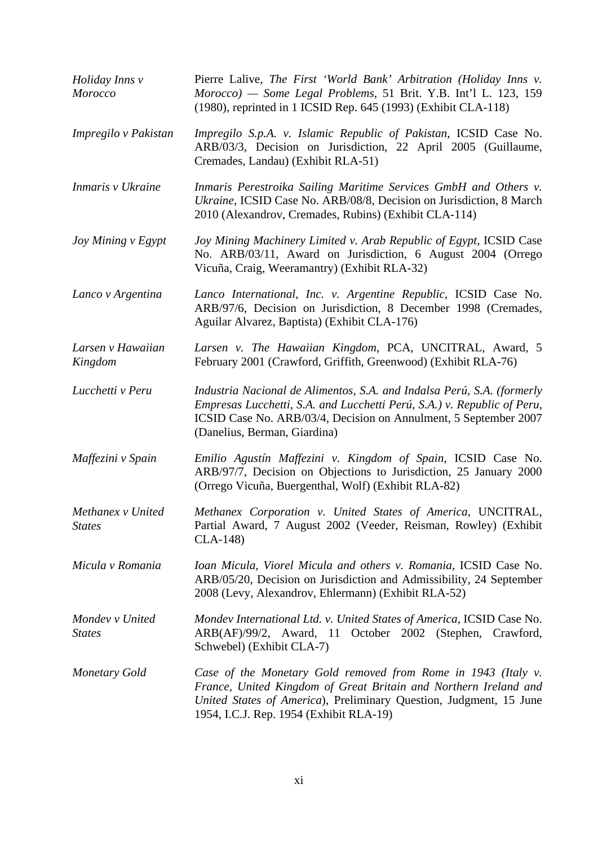| Holiday Inns v<br><b>Morocco</b>   | Pierre Lalive, The First 'World Bank' Arbitration (Holiday Inns v.<br>Morocco) - Some Legal Problems, 51 Brit. Y.B. Int'l L. 123, 159<br>(1980), reprinted in 1 ICSID Rep. 645 (1993) (Exhibit CLA-118)                                               |
|------------------------------------|-------------------------------------------------------------------------------------------------------------------------------------------------------------------------------------------------------------------------------------------------------|
| Impregilo v Pakistan               | Impregilo S.p.A. v. Islamic Republic of Pakistan, ICSID Case No.<br>ARB/03/3, Decision on Jurisdiction, 22 April 2005 (Guillaume,<br>Cremades, Landau) (Exhibit RLA-51)                                                                               |
| Inmaris v Ukraine                  | Inmaris Perestroika Sailing Maritime Services GmbH and Others v.<br>Ukraine, ICSID Case No. ARB/08/8, Decision on Jurisdiction, 8 March<br>2010 (Alexandrov, Cremades, Rubins) (Exhibit CLA-114)                                                      |
| Joy Mining v Egypt                 | Joy Mining Machinery Limited v. Arab Republic of Egypt, ICSID Case<br>No. ARB/03/11, Award on Jurisdiction, 6 August 2004 (Orrego<br>Vicuña, Craig, Weeramantry) (Exhibit RLA-32)                                                                     |
| Lanco v Argentina                  | Lanco International, Inc. v. Argentine Republic, ICSID Case No.<br>ARB/97/6, Decision on Jurisdiction, 8 December 1998 (Cremades,<br>Aguilar Alvarez, Baptista) (Exhibit CLA-176)                                                                     |
| Larsen v Hawaiian<br>Kingdom       | Larsen v. The Hawaiian Kingdom, PCA, UNCITRAL, Award, 5<br>February 2001 (Crawford, Griffith, Greenwood) (Exhibit RLA-76)                                                                                                                             |
| Lucchetti v Peru                   | Industria Nacional de Alimentos, S.A. and Indalsa Perú, S.A. (formerly<br>Empresas Lucchetti, S.A. and Lucchetti Perú, S.A.) v. Republic of Peru,<br>ICSID Case No. ARB/03/4, Decision on Annulment, 5 September 2007<br>(Danelius, Berman, Giardina) |
| Maffezini v Spain                  | Emilio Agustín Maffezini v. Kingdom of Spain, ICSID Case No.<br>ARB/97/7, Decision on Objections to Jurisdiction, 25 January 2000<br>(Orrego Vicuña, Buergenthal, Wolf) (Exhibit RLA-82)                                                              |
| Methanex v United<br><b>States</b> | Methanex Corporation v. United States of America, UNCITRAL,<br>Partial Award, 7 August 2002 (Veeder, Reisman, Rowley) (Exhibit<br>$CLA-148)$                                                                                                          |
| Micula v Romania                   | Ioan Micula, Viorel Micula and others v. Romania, ICSID Case No.<br>ARB/05/20, Decision on Jurisdiction and Admissibility, 24 September<br>2008 (Levy, Alexandrov, Ehlermann) (Exhibit RLA-52)                                                        |
| Mondev v United<br><b>States</b>   | Mondev International Ltd. v. United States of America, ICSID Case No.<br>ARB(AF)/99/2, Award, 11 October 2002 (Stephen, Crawford,<br>Schwebel) (Exhibit CLA-7)                                                                                        |
| Monetary Gold                      | Case of the Monetary Gold removed from Rome in 1943 (Italy v.<br>France, United Kingdom of Great Britain and Northern Ireland and<br>United States of America), Preliminary Question, Judgment, 15 June<br>1954, I.C.J. Rep. 1954 (Exhibit RLA-19)    |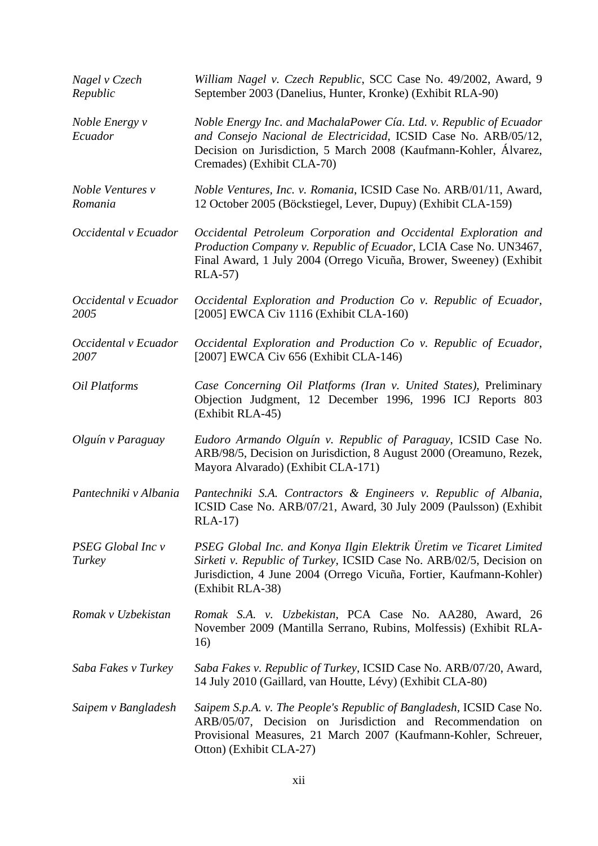| Nagel v Czech<br>Republic          | William Nagel v. Czech Republic, SCC Case No. 49/2002, Award, 9<br>September 2003 (Danelius, Hunter, Kronke) (Exhibit RLA-90)                                                                                                             |
|------------------------------------|-------------------------------------------------------------------------------------------------------------------------------------------------------------------------------------------------------------------------------------------|
| Noble Energy v<br>Ecuador          | Noble Energy Inc. and MachalaPower Cía. Ltd. v. Republic of Ecuador<br>and Consejo Nacional de Electricidad, ICSID Case No. ARB/05/12,<br>Decision on Jurisdiction, 5 March 2008 (Kaufmann-Kohler, Álvarez,<br>Cremades) (Exhibit CLA-70) |
| <i>Noble Ventures v</i><br>Romania | Noble Ventures, Inc. v. Romania, ICSID Case No. ARB/01/11, Award,<br>12 October 2005 (Böckstiegel, Lever, Dupuy) (Exhibit CLA-159)                                                                                                        |
| Occidental v Ecuador               | Occidental Petroleum Corporation and Occidental Exploration and<br>Production Company v. Republic of Ecuador, LCIA Case No. UN3467,<br>Final Award, 1 July 2004 (Orrego Vicuña, Brower, Sweeney) (Exhibit<br><b>RLA-57)</b>               |
| Occidental v Ecuador<br>2005       | Occidental Exploration and Production Co v. Republic of Ecuador,<br>[2005] EWCA Civ 1116 (Exhibit CLA-160)                                                                                                                                |
| Occidental v Ecuador<br>2007       | Occidental Exploration and Production Co v. Republic of Ecuador,<br>[2007] EWCA Civ 656 (Exhibit CLA-146)                                                                                                                                 |
| Oil Platforms                      | Case Concerning Oil Platforms (Iran v. United States), Preliminary<br>Objection Judgment, 12 December 1996, 1996 ICJ Reports 803<br>(Exhibit RLA-45)                                                                                      |
| Olguín v Paraguay                  | Eudoro Armando Olguín v. Republic of Paraguay, ICSID Case No.<br>ARB/98/5, Decision on Jurisdiction, 8 August 2000 (Oreamuno, Rezek,<br>Mayora Alvarado) (Exhibit CLA-171)                                                                |
| Pantechniki v Albania              | Pantechniki S.A. Contractors & Engineers v. Republic of Albania,<br>ICSID Case No. ARB/07/21, Award, 30 July 2009 (Paulsson) (Exhibit<br>$RLA-17$                                                                                         |
| <b>PSEG Global Inc v</b><br>Turkey | PSEG Global Inc. and Konya Ilgin Elektrik Üretim ve Ticaret Limited<br>Sirketi v. Republic of Turkey, ICSID Case No. ARB/02/5, Decision on<br>Jurisdiction, 4 June 2004 (Orrego Vicuña, Fortier, Kaufmann-Kohler)<br>(Exhibit RLA-38)     |
| Romak v Uzbekistan                 | Romak S.A. v. Uzbekistan, PCA Case No. AA280, Award, 26<br>November 2009 (Mantilla Serrano, Rubins, Molfessis) (Exhibit RLA-<br>16)                                                                                                       |
| Saba Fakes v Turkey                | Saba Fakes v. Republic of Turkey, ICSID Case No. ARB/07/20, Award,<br>14 July 2010 (Gaillard, van Houtte, Lévy) (Exhibit CLA-80)                                                                                                          |
| Saipem v Bangladesh                | Saipem S.p.A. v. The People's Republic of Bangladesh, ICSID Case No.<br>ARB/05/07, Decision on Jurisdiction and Recommendation on<br>Provisional Measures, 21 March 2007 (Kaufmann-Kohler, Schreuer,<br>Otton) (Exhibit CLA-27)           |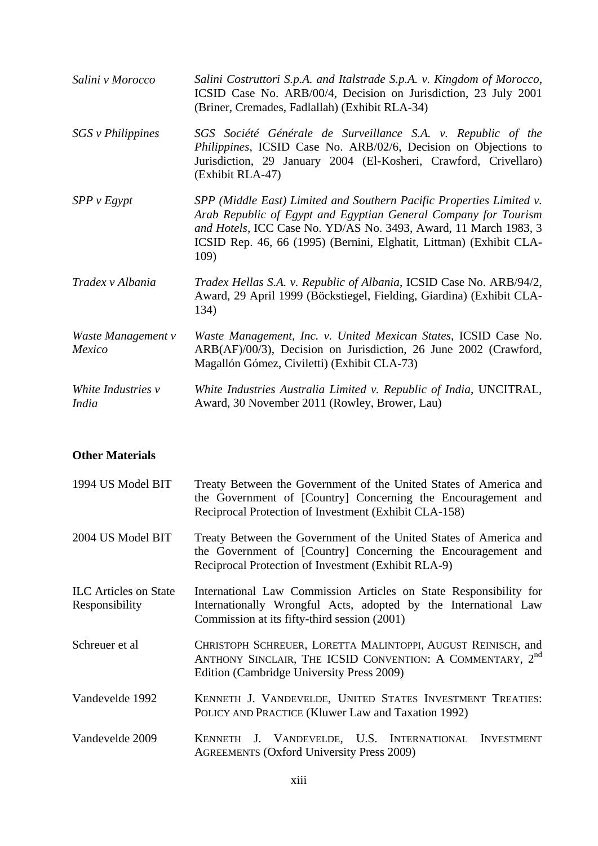| Salini v Morocco             | Salini Costruttori S.p.A. and Italstrade S.p.A. v. Kingdom of Morocco,<br>ICSID Case No. ARB/00/4, Decision on Jurisdiction, 23 July 2001<br>(Briner, Cremades, Fadlallah) (Exhibit RLA-34)                                                                                                |
|------------------------------|--------------------------------------------------------------------------------------------------------------------------------------------------------------------------------------------------------------------------------------------------------------------------------------------|
| SGS v Philippines            | SGS Société Générale de Surveillance S.A. v. Republic of the<br><i>Philippines</i> , ICSID Case No. ARB/02/6, Decision on Objections to<br>Jurisdiction, 29 January 2004 (El-Kosheri, Crawford, Crivellaro)<br>(Exhibit RLA-47)                                                            |
| $SPP$ v Egypt                | SPP (Middle East) Limited and Southern Pacific Properties Limited v.<br>Arab Republic of Egypt and Egyptian General Company for Tourism<br>and Hotels, ICC Case No. YD/AS No. 3493, Award, 11 March 1983, 3<br>ICSID Rep. 46, 66 (1995) (Bernini, Elghatit, Littman) (Exhibit CLA-<br>109) |
| Tradex v Albania             | Tradex Hellas S.A. v. Republic of Albania, ICSID Case No. ARB/94/2,<br>Award, 29 April 1999 (Böckstiegel, Fielding, Giardina) (Exhibit CLA-<br>134)                                                                                                                                        |
| Waste Management v<br>Mexico | Waste Management, Inc. v. United Mexican States, ICSID Case No.<br>ARB(AF)/00/3), Decision on Jurisdiction, 26 June 2002 (Crawford,<br>Magallón Gómez, Civiletti) (Exhibit CLA-73)                                                                                                         |
| White Industries v<br>India  | White Industries Australia Limited v. Republic of India, UNCITRAL,<br>Award, 30 November 2011 (Rowley, Brower, Lau)                                                                                                                                                                        |

# **Other Materials**

| 1994 US Model BIT                              | Treaty Between the Government of the United States of America and<br>the Government of [Country] Concerning the Encouragement and<br>Reciprocal Protection of Investment (Exhibit CLA-158) |
|------------------------------------------------|--------------------------------------------------------------------------------------------------------------------------------------------------------------------------------------------|
| 2004 US Model BIT                              | Treaty Between the Government of the United States of America and<br>the Government of [Country] Concerning the Encouragement and<br>Reciprocal Protection of Investment (Exhibit RLA-9)   |
| <b>ILC</b> Articles on State<br>Responsibility | International Law Commission Articles on State Responsibility for<br>Internationally Wrongful Acts, adopted by the International Law<br>Commission at its fifty-third session (2001)       |
| Schreuer et al                                 | CHRISTOPH SCHREUER, LORETTA MALINTOPPI, AUGUST REINISCH, and<br>ANTHONY SINCLAIR, THE ICSID CONVENTION: A COMMENTARY, 2 <sup>nd</sup><br>Edition (Cambridge University Press 2009)         |
| Vandevelde 1992                                | KENNETH J. VANDEVELDE, UNITED STATES INVESTMENT TREATIES:<br>POLICY AND PRACTICE (Kluwer Law and Taxation 1992)                                                                            |
| Vandevelde 2009                                | KENNETH J. VANDEVELDE, U.S. INTERNATIONAL<br><b>INVESTMENT</b><br><b>AGREEMENTS (Oxford University Press 2009)</b>                                                                         |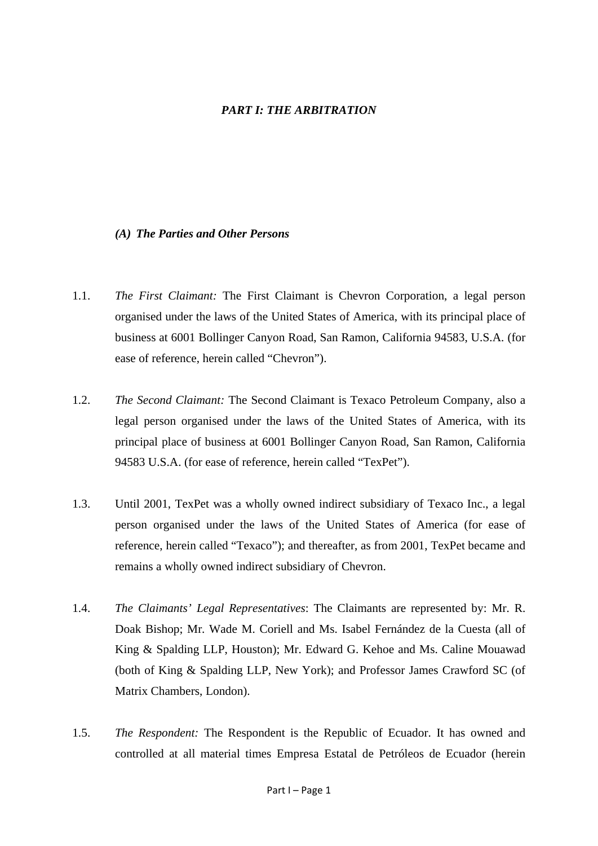# *PART I: THE ARBITRATION*

## *(A) The Parties and Other Persons*

- 1.1. *The First Claimant:* The First Claimant is Chevron Corporation, a legal person organised under the laws of the United States of America, with its principal place of business at 6001 Bollinger Canyon Road, San Ramon, California 94583, U.S.A. (for ease of reference, herein called "Chevron").
- 1.2. *The Second Claimant:* The Second Claimant is Texaco Petroleum Company, also a legal person organised under the laws of the United States of America, with its principal place of business at 6001 Bollinger Canyon Road, San Ramon, California 94583 U.S.A. (for ease of reference, herein called "TexPet").
- 1.3. Until 2001, TexPet was a wholly owned indirect subsidiary of Texaco Inc., a legal person organised under the laws of the United States of America (for ease of reference, herein called "Texaco"); and thereafter, as from 2001, TexPet became and remains a wholly owned indirect subsidiary of Chevron.
- 1.4. *The Claimants' Legal Representatives*: The Claimants are represented by: Mr. R. Doak Bishop; Mr. Wade M. Coriell and Ms. Isabel Fernández de la Cuesta (all of King & Spalding LLP, Houston); Mr. Edward G. Kehoe and Ms. Caline Mouawad (both of King & Spalding LLP, New York); and Professor James Crawford SC (of Matrix Chambers, London).
- 1.5. *The Respondent:* The Respondent is the Republic of Ecuador. It has owned and controlled at all material times Empresa Estatal de Petróleos de Ecuador (herein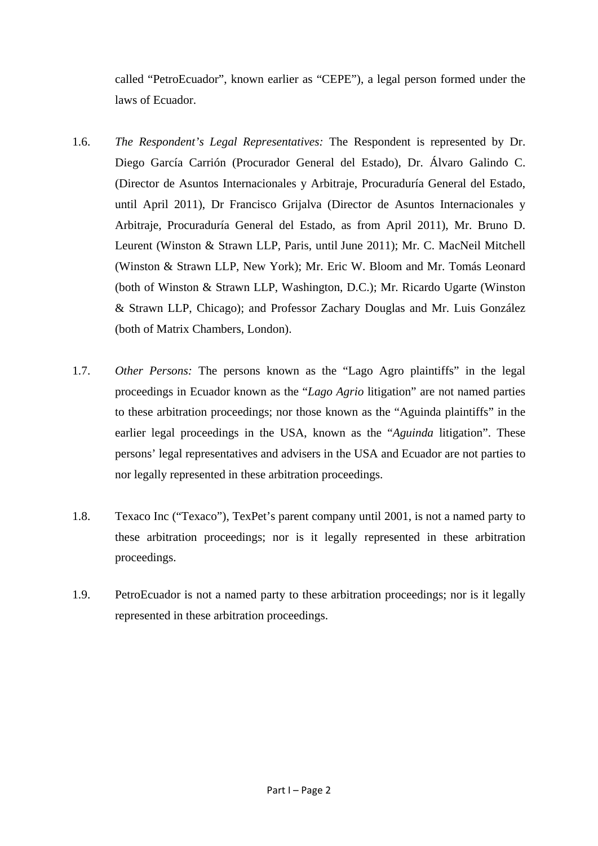called "PetroEcuador", known earlier as "CEPE"), a legal person formed under the laws of Ecuador.

- 1.6. *The Respondent's Legal Representatives:* The Respondent is represented by Dr. Diego García Carrión (Procurador General del Estado), Dr. Álvaro Galindo C. (Director de Asuntos Internacionales y Arbitraje, Procuraduría General del Estado, until April 2011), Dr Francisco Grijalva (Director de Asuntos Internacionales y Arbitraje, Procuraduría General del Estado, as from April 2011), Mr. Bruno D. Leurent (Winston & Strawn LLP, Paris, until June 2011); Mr. C. MacNeil Mitchell (Winston & Strawn LLP, New York); Mr. Eric W. Bloom and Mr. Tomás Leonard (both of Winston & Strawn LLP, Washington, D.C.); Mr. Ricardo Ugarte (Winston & Strawn LLP, Chicago); and Professor Zachary Douglas and Mr. Luis González (both of Matrix Chambers, London).
- 1.7. *Other Persons:* The persons known as the "Lago Agro plaintiffs" in the legal proceedings in Ecuador known as the "*Lago Agrio* litigation" are not named parties to these arbitration proceedings; nor those known as the "Aguinda plaintiffs" in the earlier legal proceedings in the USA, known as the "*Aguinda* litigation". These persons' legal representatives and advisers in the USA and Ecuador are not parties to nor legally represented in these arbitration proceedings.
- 1.8. Texaco Inc ("Texaco"), TexPet's parent company until 2001, is not a named party to these arbitration proceedings; nor is it legally represented in these arbitration proceedings.
- 1.9. PetroEcuador is not a named party to these arbitration proceedings; nor is it legally represented in these arbitration proceedings.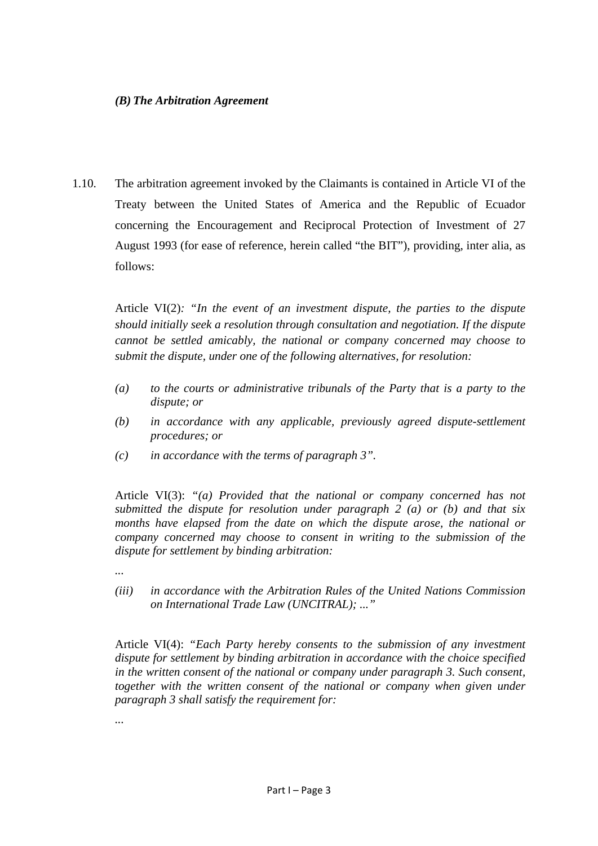# *(B) The Arbitration Agreement*

1.10. The arbitration agreement invoked by the Claimants is contained in Article VI of the Treaty between the United States of America and the Republic of Ecuador concerning the Encouragement and Reciprocal Protection of Investment of 27 August 1993 (for ease of reference, herein called "the BIT"), providing, inter alia, as follows:

Article VI(2)*: "In the event of an investment dispute, the parties to the dispute should initially seek a resolution through consultation and negotiation. If the dispute cannot be settled amicably, the national or company concerned may choose to submit the dispute, under one of the following alternatives, for resolution:*

- *(a) to the courts or administrative tribunals of the Party that is a party to the dispute; or*
- *(b) in accordance with any applicable, previously agreed dispute-settlement procedures; or*
- *(c) in accordance with the terms of paragraph 3".*

Article VI(3): *"(a) Provided that the national or company concerned has not submitted the dispute for resolution under paragraph 2 (a) or (b) and that six months have elapsed from the date on which the dispute arose, the national or company concerned may choose to consent in writing to the submission of the dispute for settlement by binding arbitration:*

- *...*
- *(iii) in accordance with the Arbitration Rules of the United Nations Commission on International Trade Law (UNCITRAL); ..."*

Article VI(4): *"Each Party hereby consents to the submission of any investment dispute for settlement by binding arbitration in accordance with the choice specified in the written consent of the national or company under paragraph 3. Such consent, together with the written consent of the national or company when given under paragraph 3 shall satisfy the requirement for:*

*...*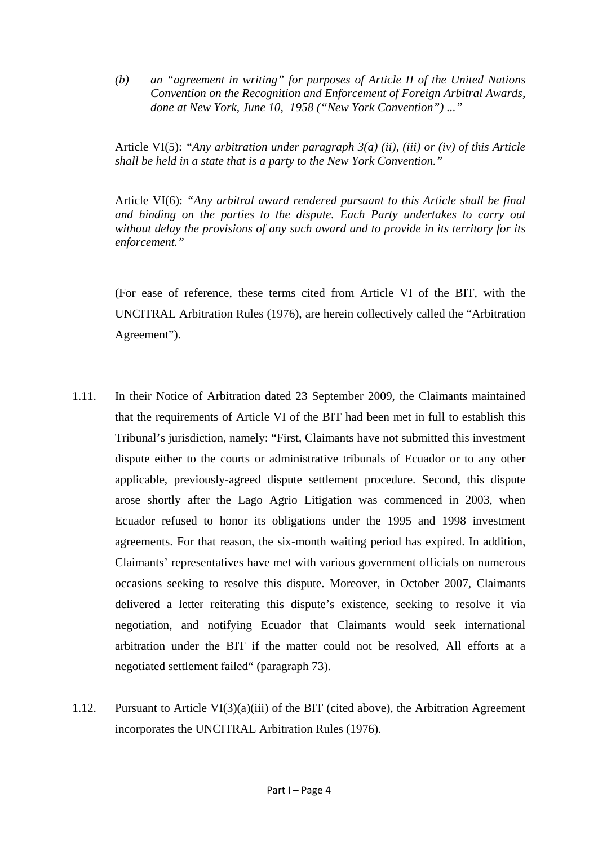*(b) an "agreement in writing" for purposes of Article II of the United Nations Convention on the Recognition and Enforcement of Foreign Arbitral Awards, done at New York, June 10, 1958 ("New York Convention") ..."*

Article VI(5): *"Any arbitration under paragraph 3(a) (ii), (iii) or (iv) of this Article shall be held in a state that is a party to the New York Convention."*

Article VI(6): *"Any arbitral award rendered pursuant to this Article shall be final and binding on the parties to the dispute. Each Party undertakes to carry out without delay the provisions of any such award and to provide in its territory for its enforcement."*

(For ease of reference, these terms cited from Article VI of the BIT, with the UNCITRAL Arbitration Rules (1976), are herein collectively called the "Arbitration Agreement").

- 1.11. In their Notice of Arbitration dated 23 September 2009, the Claimants maintained that the requirements of Article VI of the BIT had been met in full to establish this Tribunal's jurisdiction, namely: "First, Claimants have not submitted this investment dispute either to the courts or administrative tribunals of Ecuador or to any other applicable, previously-agreed dispute settlement procedure. Second, this dispute arose shortly after the Lago Agrio Litigation was commenced in 2003, when Ecuador refused to honor its obligations under the 1995 and 1998 investment agreements. For that reason, the six-month waiting period has expired. In addition, Claimants' representatives have met with various government officials on numerous occasions seeking to resolve this dispute. Moreover, in October 2007, Claimants delivered a letter reiterating this dispute's existence, seeking to resolve it via negotiation, and notifying Ecuador that Claimants would seek international arbitration under the BIT if the matter could not be resolved, All efforts at a negotiated settlement failed" (paragraph 73).
- 1.12. Pursuant to Article VI(3)(a)(iii) of the BIT (cited above), the Arbitration Agreement incorporates the UNCITRAL Arbitration Rules (1976).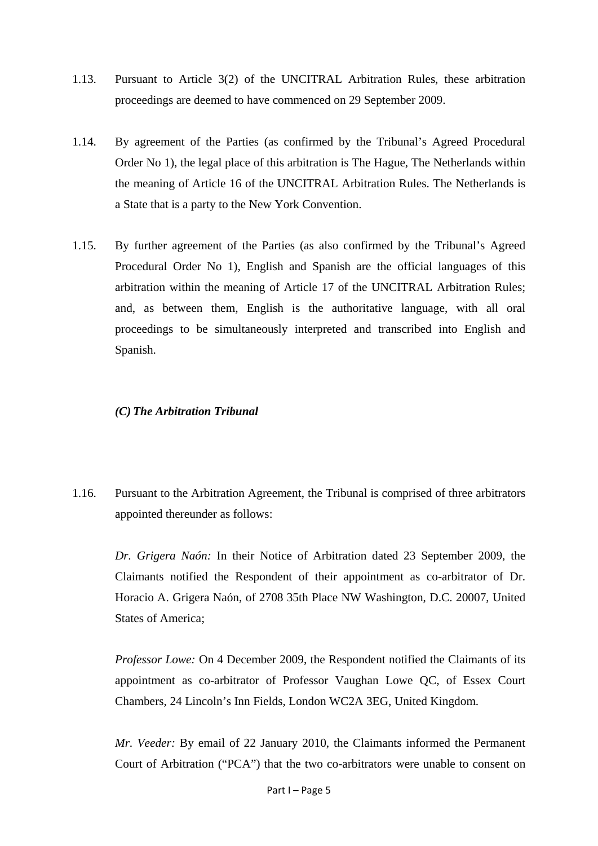- 1.13. Pursuant to Article 3(2) of the UNCITRAL Arbitration Rules, these arbitration proceedings are deemed to have commenced on 29 September 2009.
- 1.14. By agreement of the Parties (as confirmed by the Tribunal's Agreed Procedural Order No 1), the legal place of this arbitration is The Hague, The Netherlands within the meaning of Article 16 of the UNCITRAL Arbitration Rules. The Netherlands is a State that is a party to the New York Convention.
- 1.15. By further agreement of the Parties (as also confirmed by the Tribunal's Agreed Procedural Order No 1), English and Spanish are the official languages of this arbitration within the meaning of Article 17 of the UNCITRAL Arbitration Rules; and, as between them, English is the authoritative language, with all oral proceedings to be simultaneously interpreted and transcribed into English and Spanish.

# *(C) The Arbitration Tribunal*

1.16. Pursuant to the Arbitration Agreement, the Tribunal is comprised of three arbitrators appointed thereunder as follows:

*Dr. Grigera Naón:* In their Notice of Arbitration dated 23 September 2009, the Claimants notified the Respondent of their appointment as co-arbitrator of Dr. Horacio A. Grigera Naón, of 2708 35th Place NW Washington, D.C. 20007, United States of America;

*Professor Lowe:* On 4 December 2009, the Respondent notified the Claimants of its appointment as co-arbitrator of Professor Vaughan Lowe QC, of Essex Court Chambers, 24 Lincoln's Inn Fields, London WC2A 3EG, United Kingdom.

*Mr. Veeder:* By email of 22 January 2010, the Claimants informed the Permanent Court of Arbitration ("PCA") that the two co-arbitrators were unable to consent on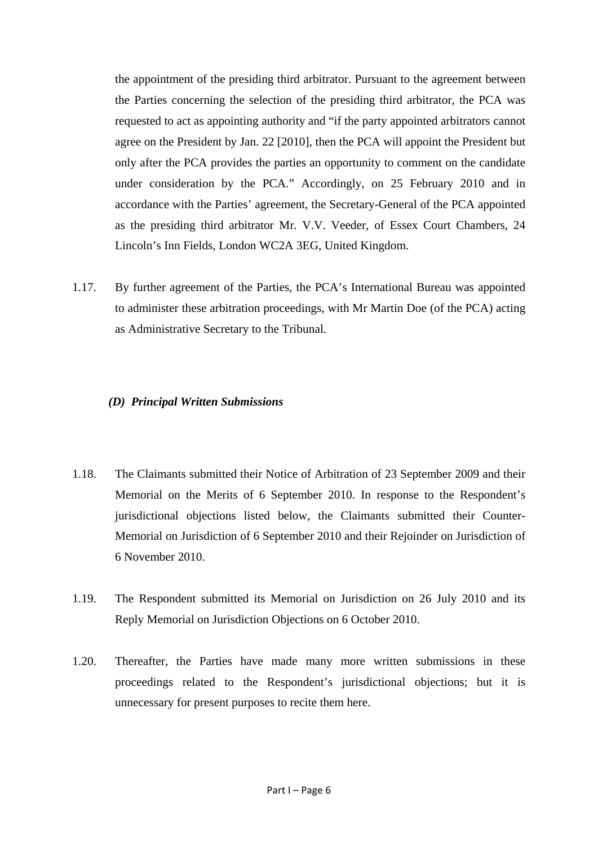the appointment of the presiding third arbitrator. Pursuant to the agreement between the Parties concerning the selection of the presiding third arbitrator, the PCA was requested to act as appointing authority and "if the party appointed arbitrators cannot agree on the President by Jan. 22 [2010], then the PCA will appoint the President but only after the PCA provides the parties an opportunity to comment on the candidate under consideration by the PCA." Accordingly, on 25 February 2010 and in accordance with the Parties' agreement, the Secretary-General of the PCA appointed as the presiding third arbitrator Mr. V.V. Veeder, of Essex Court Chambers, 24 Lincoln's Inn Fields, London WC2A 3EG, United Kingdom.

1.17. By further agreement of the Parties, the PCA's International Bureau was appointed to administer these arbitration proceedings, with Mr Martin Doe (of the PCA) acting as Administrative Secretary to the Tribunal.

## *(D) Principal Written Submissions*

- 1.18. The Claimants submitted their Notice of Arbitration of 23 September 2009 and their Memorial on the Merits of 6 September 2010. In response to the Respondent's jurisdictional objections listed below, the Claimants submitted their Counter-Memorial on Jurisdiction of 6 September 2010 and their Rejoinder on Jurisdiction of 6 November 2010.
- 1.19. The Respondent submitted its Memorial on Jurisdiction on 26 July 2010 and its Reply Memorial on Jurisdiction Objections on 6 October 2010.
- 1.20. Thereafter, the Parties have made many more written submissions in these proceedings related to the Respondent's jurisdictional objections; but it is unnecessary for present purposes to recite them here.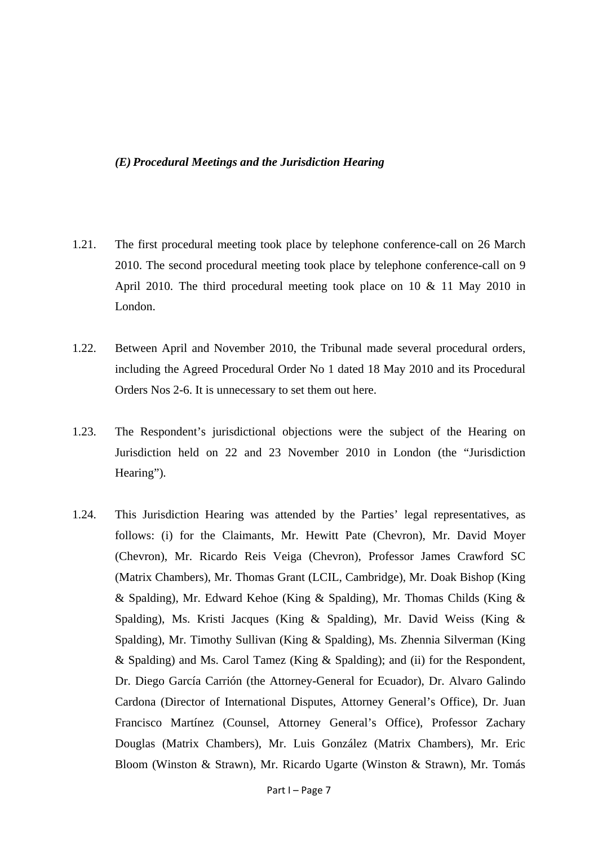## *(E) Procedural Meetings and the Jurisdiction Hearing*

- 1.21. The first procedural meeting took place by telephone conference-call on 26 March 2010. The second procedural meeting took place by telephone conference-call on 9 April 2010. The third procedural meeting took place on 10 & 11 May 2010 in London.
- 1.22. Between April and November 2010, the Tribunal made several procedural orders, including the Agreed Procedural Order No 1 dated 18 May 2010 and its Procedural Orders Nos 2-6. It is unnecessary to set them out here.
- 1.23. The Respondent's jurisdictional objections were the subject of the Hearing on Jurisdiction held on 22 and 23 November 2010 in London (the "Jurisdiction Hearing").
- 1.24. This Jurisdiction Hearing was attended by the Parties' legal representatives, as follows: (i) for the Claimants, Mr. Hewitt Pate (Chevron), Mr. David Moyer (Chevron), Mr. Ricardo Reis Veiga (Chevron), Professor James Crawford SC (Matrix Chambers), Mr. Thomas Grant (LCIL, Cambridge), Mr. Doak Bishop (King & Spalding), Mr. Edward Kehoe (King & Spalding), Mr. Thomas Childs (King & Spalding), Ms. Kristi Jacques (King & Spalding), Mr. David Weiss (King & Spalding), Mr. Timothy Sullivan (King & Spalding), Ms. Zhennia Silverman (King & Spalding) and Ms. Carol Tamez (King & Spalding); and (ii) for the Respondent, Dr. Diego García Carrión (the Attorney-General for Ecuador), Dr. Alvaro Galindo Cardona (Director of International Disputes, Attorney General's Office), Dr. Juan Francisco Martínez (Counsel, Attorney General's Office), Professor Zachary Douglas (Matrix Chambers), Mr. Luis González (Matrix Chambers), Mr. Eric Bloom (Winston & Strawn), Mr. Ricardo Ugarte (Winston & Strawn), Mr. Tomás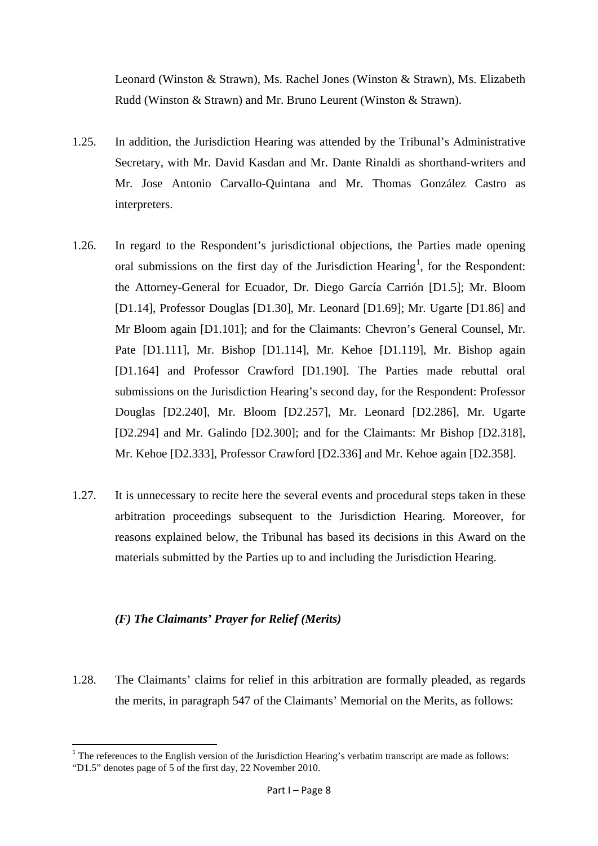Leonard (Winston & Strawn), Ms. Rachel Jones (Winston & Strawn), Ms. Elizabeth Rudd (Winston & Strawn) and Mr. Bruno Leurent (Winston & Strawn).

- 1.25. In addition, the Jurisdiction Hearing was attended by the Tribunal's Administrative Secretary, with Mr. David Kasdan and Mr. Dante Rinaldi as shorthand-writers and Mr. Jose Antonio Carvallo-Quintana and Mr. Thomas González Castro as interpreters.
- 1.26. In regard to the Respondent's jurisdictional objections, the Parties made opening oral submissions on the first day of the Jurisdiction Hearing<sup>[1](#page-20-0)</sup>, for the Respondent: the Attorney-General for Ecuador, Dr. Diego García Carrión [D1.5]; Mr. Bloom [D1.14], Professor Douglas [D1.30], Mr. Leonard [D1.69]; Mr. Ugarte [D1.86] and Mr Bloom again [D1.101]; and for the Claimants: Chevron's General Counsel, Mr. Pate [D1.111], Mr. Bishop [D1.114], Mr. Kehoe [D1.119], Mr. Bishop again [D1.164] and Professor Crawford [D1.190]. The Parties made rebuttal oral submissions on the Jurisdiction Hearing's second day, for the Respondent: Professor Douglas [D2.240], Mr. Bloom [D2.257], Mr. Leonard [D2.286], Mr. Ugarte [D2.294] and Mr. Galindo [D2.300]; and for the Claimants: Mr Bishop [D2.318], Mr. Kehoe [D2.333], Professor Crawford [D2.336] and Mr. Kehoe again [D2.358].
- 1.27. It is unnecessary to recite here the several events and procedural steps taken in these arbitration proceedings subsequent to the Jurisdiction Hearing. Moreover, for reasons explained below, the Tribunal has based its decisions in this Award on the materials submitted by the Parties up to and including the Jurisdiction Hearing.

# *(F) The Claimants' Prayer for Relief (Merits)*

1.28. The Claimants' claims for relief in this arbitration are formally pleaded, as regards the merits, in paragraph 547 of the Claimants' Memorial on the Merits, as follows:

<span id="page-20-0"></span><sup>&</sup>lt;sup>1</sup> The references to the English version of the Jurisdiction Hearing's verbatim transcript are made as follows: "D1.5" denotes page of 5 of the first day, 22 November 2010.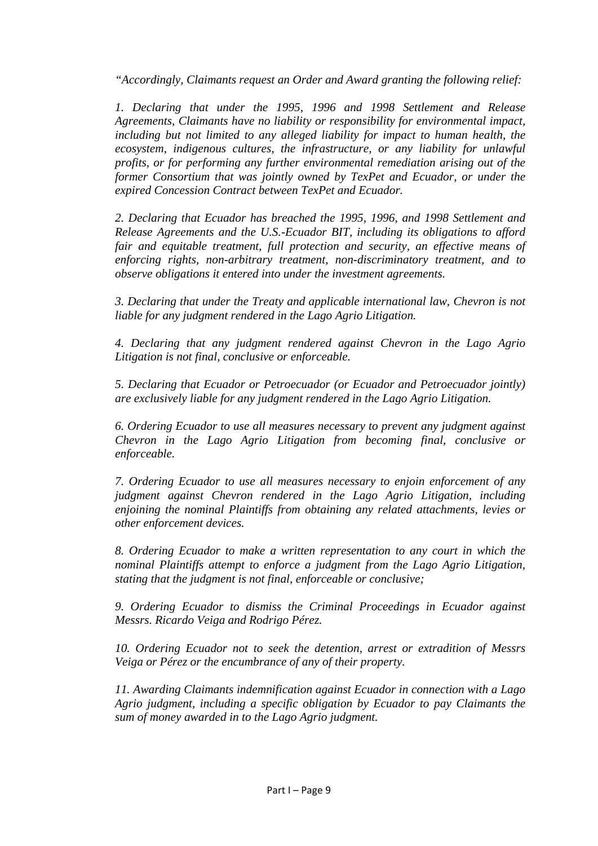*"Accordingly, Claimants request an Order and Award granting the following relief:*

*1. Declaring that under the 1995, 1996 and 1998 Settlement and Release Agreements, Claimants have no liability or responsibility for environmental impact, including but not limited to any alleged liability for impact to human health, the ecosystem, indigenous cultures, the infrastructure, or any liability for unlawful profits, or for performing any further environmental remediation arising out of the former Consortium that was jointly owned by TexPet and Ecuador, or under the expired Concession Contract between TexPet and Ecuador.*

*2. Declaring that Ecuador has breached the 1995, 1996, and 1998 Settlement and Release Agreements and the U.S.-Ecuador BIT, including its obligations to afford*  fair and equitable treatment, full protection and security, an effective means of *enforcing rights, non-arbitrary treatment, non-discriminatory treatment, and to observe obligations it entered into under the investment agreements.*

*3. Declaring that under the Treaty and applicable international law, Chevron is not liable for any judgment rendered in the Lago Agrio Litigation.*

*4. Declaring that any judgment rendered against Chevron in the Lago Agrio Litigation is not final, conclusive or enforceable.*

*5. Declaring that Ecuador or Petroecuador (or Ecuador and Petroecuador jointly) are exclusively liable for any judgment rendered in the Lago Agrio Litigation.*

*6. Ordering Ecuador to use all measures necessary to prevent any judgment against Chevron in the Lago Agrio Litigation from becoming final, conclusive or enforceable.*

*7. Ordering Ecuador to use all measures necessary to enjoin enforcement of any judgment against Chevron rendered in the Lago Agrio Litigation, including enjoining the nominal Plaintiffs from obtaining any related attachments, levies or other enforcement devices.*

*8. Ordering Ecuador to make a written representation to any court in which the nominal Plaintiffs attempt to enforce a judgment from the Lago Agrio Litigation, stating that the judgment is not final, enforceable or conclusive;*

*9. Ordering Ecuador to dismiss the Criminal Proceedings in Ecuador against Messrs. Ricardo Veiga and Rodrigo Pérez.*

*10. Ordering Ecuador not to seek the detention, arrest or extradition of Messrs Veiga or Pérez or the encumbrance of any of their property.*

*11. Awarding Claimants indemnification against Ecuador in connection with a Lago Agrio judgment, including a specific obligation by Ecuador to pay Claimants the sum of money awarded in to the Lago Agrio judgment.*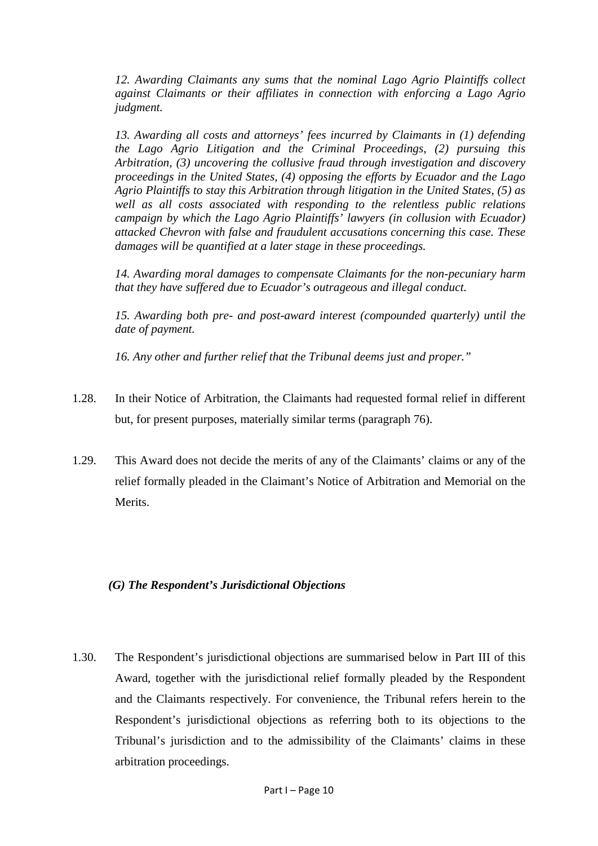*12. Awarding Claimants any sums that the nominal Lago Agrio Plaintiffs collect against Claimants or their affiliates in connection with enforcing a Lago Agrio judgment.*

*13. Awarding all costs and attorneys' fees incurred by Claimants in (1) defending the Lago Agrio Litigation and the Criminal Proceedings, (2) pursuing this Arbitration, (3) uncovering the collusive fraud through investigation and discovery proceedings in the United States, (4) opposing the efforts by Ecuador and the Lago Agrio Plaintiffs to stay this Arbitration through litigation in the United States, (5) as well as all costs associated with responding to the relentless public relations campaign by which the Lago Agrio Plaintiffs' lawyers (in collusion with Ecuador) attacked Chevron with false and fraudulent accusations concerning this case. These damages will be quantified at a later stage in these proceedings.*

*14. Awarding moral damages to compensate Claimants for the non-pecuniary harm that they have suffered due to Ecuador's outrageous and illegal conduct.*

*15. Awarding both pre- and post-award interest (compounded quarterly) until the date of payment.*

*16. Any other and further relief that the Tribunal deems just and proper."*

- 1.28. In their Notice of Arbitration, the Claimants had requested formal relief in different but, for present purposes, materially similar terms (paragraph 76).
- 1.29. This Award does not decide the merits of any of the Claimants' claims or any of the relief formally pleaded in the Claimant's Notice of Arbitration and Memorial on the Merits.

# *(G) The Respondent's Jurisdictional Objections*

1.30. The Respondent's jurisdictional objections are summarised below in Part III of this Award, together with the jurisdictional relief formally pleaded by the Respondent and the Claimants respectively. For convenience, the Tribunal refers herein to the Respondent's jurisdictional objections as referring both to its objections to the Tribunal's jurisdiction and to the admissibility of the Claimants' claims in these arbitration proceedings.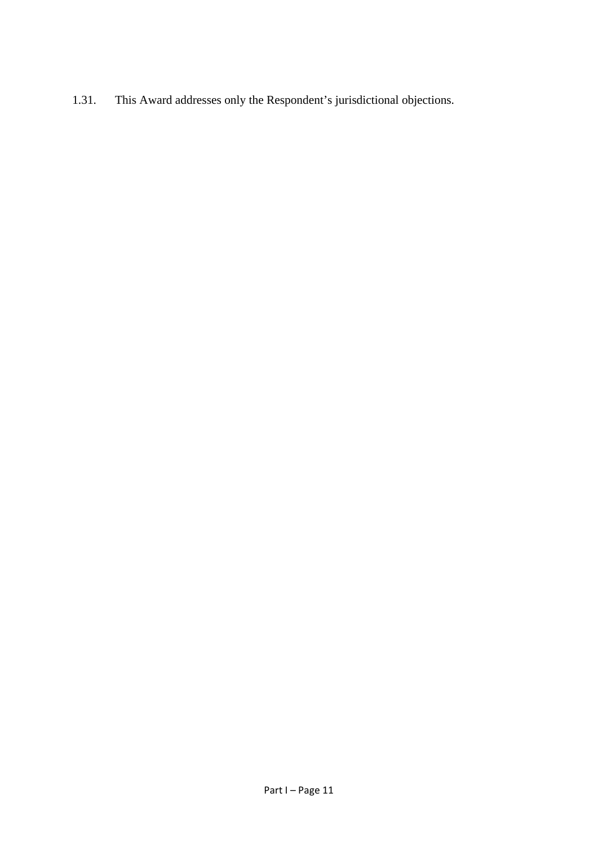1.31. This Award addresses only the Respondent's jurisdictional objections.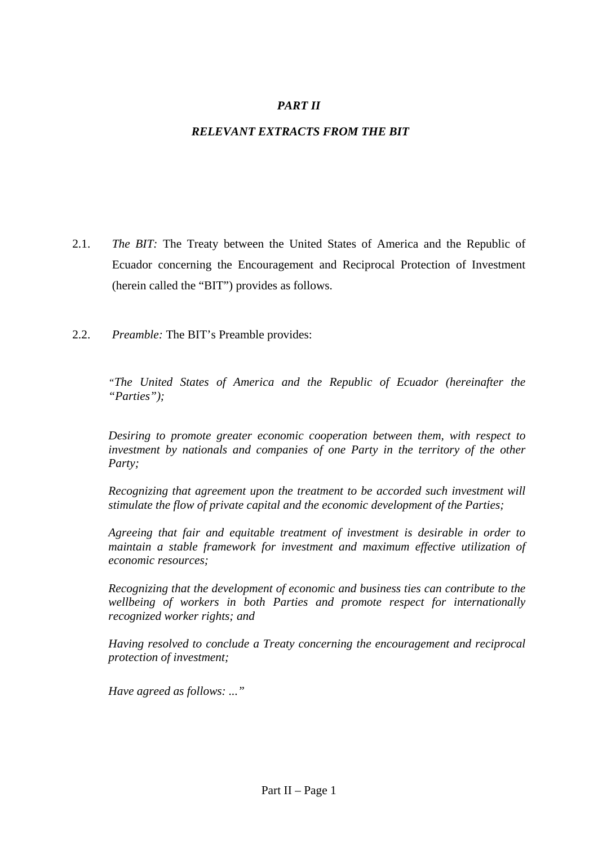# *PART II*

## *RELEVANT EXTRACTS FROM THE BIT*

- 2.1. *The BIT:* The Treaty between the United States of America and the Republic of Ecuador concerning the Encouragement and Reciprocal Protection of Investment (herein called the "BIT") provides as follows.
- 2.2. *Preamble:* The BIT's Preamble provides:

*"The United States of America and the Republic of Ecuador (hereinafter the "Parties");*

*Desiring to promote greater economic cooperation between them, with respect to investment by nationals and companies of one Party in the territory of the other Party;*

*Recognizing that agreement upon the treatment to be accorded such investment will stimulate the flow of private capital and the economic development of the Parties;*

*Agreeing that fair and equitable treatment of investment is desirable in order to maintain a stable framework for investment and maximum effective utilization of economic resources;*

*Recognizing that the development of economic and business ties can contribute to the wellbeing of workers in both Parties and promote respect for internationally recognized worker rights; and*

*Having resolved to conclude a Treaty concerning the encouragement and reciprocal protection of investment;*

*Have agreed as follows: ..."*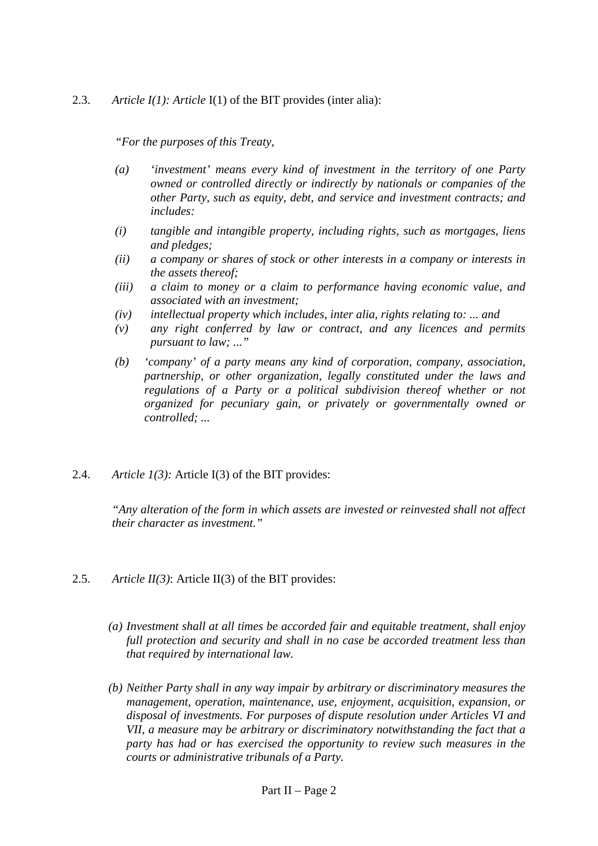# 2.3. *Article I(1): Article* I(1) of the BIT provides (inter alia):

# *"For the purposes of this Treaty,*

- *(a) 'investment' means every kind of investment in the territory of one Party owned or controlled directly or indirectly by nationals or companies of the other Party, such as equity, debt, and service and investment contracts; and includes:*
- *(i) tangible and intangible property, including rights, such as mortgages, liens and pledges;*
- *(ii) a company or shares of stock or other interests in a company or interests in the assets thereof;*
- *(iii) a claim to money or a claim to performance having economic value, and associated with an investment;*
- *(iv) intellectual property which includes, inter alia, rights relating to: ... and*
- *(v) any right conferred by law or contract, and any licences and permits pursuant to law; ..."*
- *(b) 'company' of a party means any kind of corporation, company, association, partnership, or other organization, legally constituted under the laws and regulations of a Party or a political subdivision thereof whether or not organized for pecuniary gain, or privately or governmentally owned or controlled; ...*
- 2.4. *Article 1(3):* Article I(3) of the BIT provides:

*"Any alteration of the form in which assets are invested or reinvested shall not affect their character as investment."*

- 2.5. *Article II(3)*: Article II(3) of the BIT provides:
	- *(a) Investment shall at all times be accorded fair and equitable treatment, shall enjoy full protection and security and shall in no case be accorded treatment less than that required by international law.*
	- *(b) Neither Party shall in any way impair by arbitrary or discriminatory measures the management, operation, maintenance, use, enjoyment, acquisition, expansion, or disposal of investments. For purposes of dispute resolution under Articles VI and VII, a measure may be arbitrary or discriminatory notwithstanding the fact that a party has had or has exercised the opportunity to review such measures in the courts or administrative tribunals of a Party.*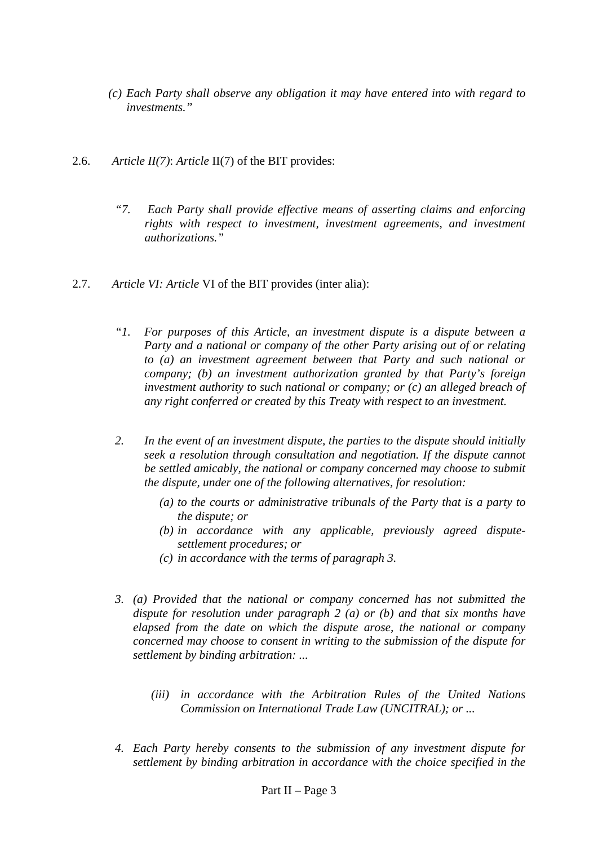- *(c) Each Party shall observe any obligation it may have entered into with regard to investments."*
- 2.6. *Article II(7)*: *Article* II(7) of the BIT provides:
	- *"7. Each Party shall provide effective means of asserting claims and enforcing rights with respect to investment, investment agreements, and investment authorizations."*
- 2.7. *Article VI: Article* VI of the BIT provides (inter alia):
	- *"1. For purposes of this Article, an investment dispute is a dispute between a Party and a national or company of the other Party arising out of or relating to (a) an investment agreement between that Party and such national or company; (b) an investment authorization granted by that Party's foreign investment authority to such national or company; or (c) an alleged breach of any right conferred or created by this Treaty with respect to an investment.*
	- *2. In the event of an investment dispute, the parties to the dispute should initially seek a resolution through consultation and negotiation. If the dispute cannot be settled amicably, the national or company concerned may choose to submit the dispute, under one of the following alternatives, for resolution:*
		- *(a) to the courts or administrative tribunals of the Party that is a party to the dispute; or*
		- *(b) in accordance with any applicable, previously agreed disputesettlement procedures; or*
		- *(c) in accordance with the terms of paragraph 3.*
	- *3. (a) Provided that the national or company concerned has not submitted the dispute for resolution under paragraph 2 (a) or (b) and that six months have elapsed from the date on which the dispute arose, the national or company concerned may choose to consent in writing to the submission of the dispute for settlement by binding arbitration: ...*
		- *(iii) in accordance with the Arbitration Rules of the United Nations Commission on International Trade Law (UNCITRAL); or ...*
	- *4. Each Party hereby consents to the submission of any investment dispute for settlement by binding arbitration in accordance with the choice specified in the*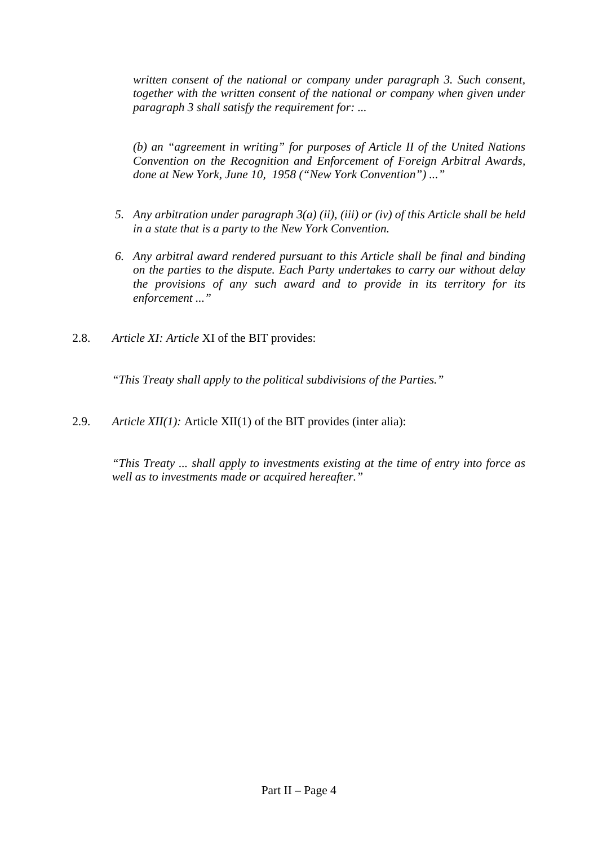*written consent of the national or company under paragraph 3. Such consent,*  together with the written consent of the national or company when given under *paragraph 3 shall satisfy the requirement for: ...*

*(b) an "agreement in writing" for purposes of Article II of the United Nations Convention on the Recognition and Enforcement of Foreign Arbitral Awards, done at New York, June 10, 1958 ("New York Convention") ..."* 

- *5. Any arbitration under paragraph 3(a) (ii), (iii) or (iv) of this Article shall be held in a state that is a party to the New York Convention.*
- *6. Any arbitral award rendered pursuant to this Article shall be final and binding on the parties to the dispute. Each Party undertakes to carry our without delay the provisions of any such award and to provide in its territory for its enforcement ..."*
- 2.8. *Article XI: Article* XI of the BIT provides:

*"This Treaty shall apply to the political subdivisions of the Parties."*

2.9. *Article XII(1):* Article XII(1) of the BIT provides (inter alia):

*"This Treaty ... shall apply to investments existing at the time of entry into force as well as to investments made or acquired hereafter."*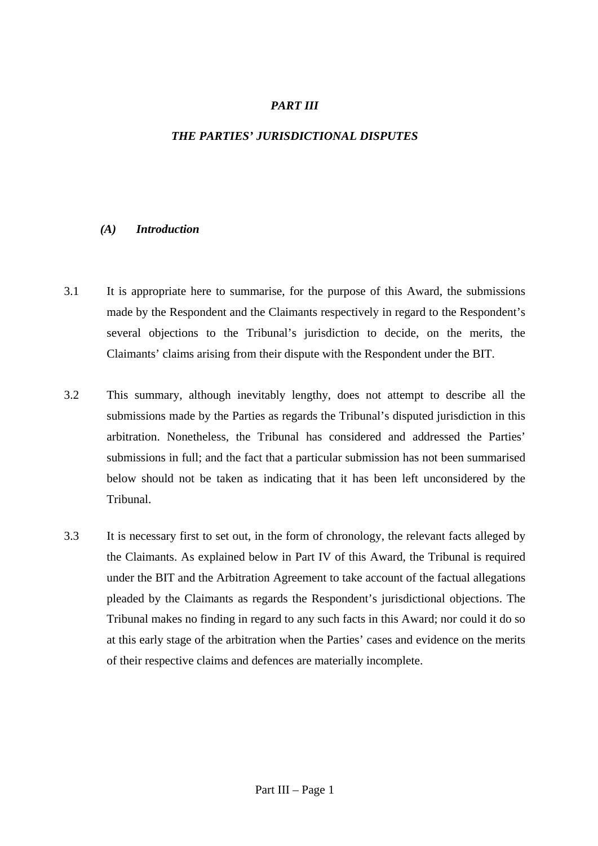# *PART III*

# *THE PARTIES' JURISDICTIONAL DISPUTES*

## *(A) Introduction*

- 3.1 It is appropriate here to summarise, for the purpose of this Award, the submissions made by the Respondent and the Claimants respectively in regard to the Respondent's several objections to the Tribunal's jurisdiction to decide, on the merits, the Claimants' claims arising from their dispute with the Respondent under the BIT.
- 3.2 This summary, although inevitably lengthy, does not attempt to describe all the submissions made by the Parties as regards the Tribunal's disputed jurisdiction in this arbitration. Nonetheless, the Tribunal has considered and addressed the Parties' submissions in full; and the fact that a particular submission has not been summarised below should not be taken as indicating that it has been left unconsidered by the Tribunal.
- 3.3 It is necessary first to set out, in the form of chronology, the relevant facts alleged by the Claimants. As explained below in Part IV of this Award, the Tribunal is required under the BIT and the Arbitration Agreement to take account of the factual allegations pleaded by the Claimants as regards the Respondent's jurisdictional objections. The Tribunal makes no finding in regard to any such facts in this Award; nor could it do so at this early stage of the arbitration when the Parties' cases and evidence on the merits of their respective claims and defences are materially incomplete.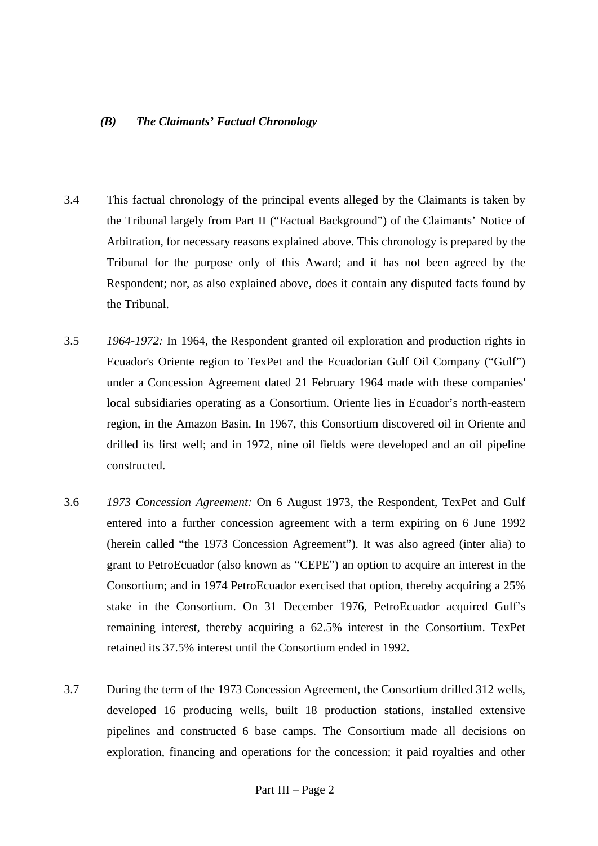## *(B) The Claimants' Factual Chronology*

- 3.4 This factual chronology of the principal events alleged by the Claimants is taken by the Tribunal largely from Part II ("Factual Background") of the Claimants' Notice of Arbitration, for necessary reasons explained above. This chronology is prepared by the Tribunal for the purpose only of this Award; and it has not been agreed by the Respondent; nor, as also explained above, does it contain any disputed facts found by the Tribunal.
- 3.5 *1964-1972:* In 1964, the Respondent granted oil exploration and production rights in Ecuador's Oriente region to TexPet and the Ecuadorian Gulf Oil Company ("Gulf") under a Concession Agreement dated 21 February 1964 made with these companies' local subsidiaries operating as a Consortium. Oriente lies in Ecuador's north-eastern region, in the Amazon Basin. In 1967, this Consortium discovered oil in Oriente and drilled its first well; and in 1972, nine oil fields were developed and an oil pipeline constructed.
- 3.6 *1973 Concession Agreement:* On 6 August 1973, the Respondent, TexPet and Gulf entered into a further concession agreement with a term expiring on 6 June 1992 (herein called "the 1973 Concession Agreement"). It was also agreed (inter alia) to grant to PetroEcuador (also known as "CEPE") an option to acquire an interest in the Consortium; and in 1974 PetroEcuador exercised that option, thereby acquiring a 25% stake in the Consortium. On 31 December 1976, PetroEcuador acquired Gulf's remaining interest, thereby acquiring a 62.5% interest in the Consortium. TexPet retained its 37.5% interest until the Consortium ended in 1992.
- 3.7 During the term of the 1973 Concession Agreement, the Consortium drilled 312 wells, developed 16 producing wells, built 18 production stations, installed extensive pipelines and constructed 6 base camps. The Consortium made all decisions on exploration, financing and operations for the concession; it paid royalties and other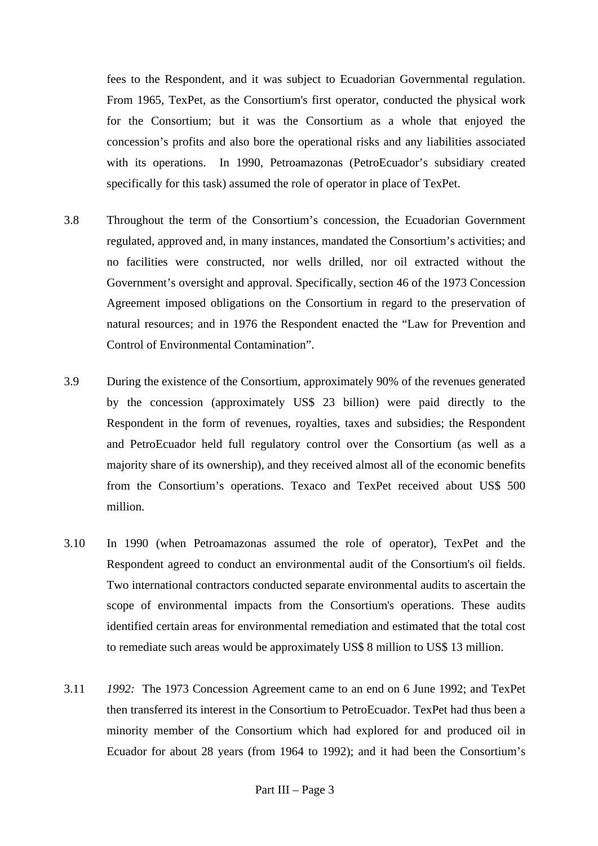fees to the Respondent, and it was subject to Ecuadorian Governmental regulation. From 1965, TexPet, as the Consortium's first operator, conducted the physical work for the Consortium; but it was the Consortium as a whole that enjoyed the concession's profits and also bore the operational risks and any liabilities associated with its operations. In 1990, Petroamazonas (PetroEcuador's subsidiary created specifically for this task) assumed the role of operator in place of TexPet.

- 3.8 Throughout the term of the Consortium's concession, the Ecuadorian Government regulated, approved and, in many instances, mandated the Consortium's activities; and no facilities were constructed, nor wells drilled, nor oil extracted without the Government's oversight and approval. Specifically, section 46 of the 1973 Concession Agreement imposed obligations on the Consortium in regard to the preservation of natural resources; and in 1976 the Respondent enacted the "Law for Prevention and Control of Environmental Contamination".
- 3.9 During the existence of the Consortium, approximately 90% of the revenues generated by the concession (approximately US\$ 23 billion) were paid directly to the Respondent in the form of revenues, royalties, taxes and subsidies; the Respondent and PetroEcuador held full regulatory control over the Consortium (as well as a majority share of its ownership), and they received almost all of the economic benefits from the Consortium's operations. Texaco and TexPet received about US\$ 500 million.
- 3.10 In 1990 (when Petroamazonas assumed the role of operator), TexPet and the Respondent agreed to conduct an environmental audit of the Consortium's oil fields. Two international contractors conducted separate environmental audits to ascertain the scope of environmental impacts from the Consortium's operations. These audits identified certain areas for environmental remediation and estimated that the total cost to remediate such areas would be approximately US\$ 8 million to US\$ 13 million.
- 3.11 *1992:* The 1973 Concession Agreement came to an end on 6 June 1992; and TexPet then transferred its interest in the Consortium to PetroEcuador. TexPet had thus been a minority member of the Consortium which had explored for and produced oil in Ecuador for about 28 years (from 1964 to 1992); and it had been the Consortium's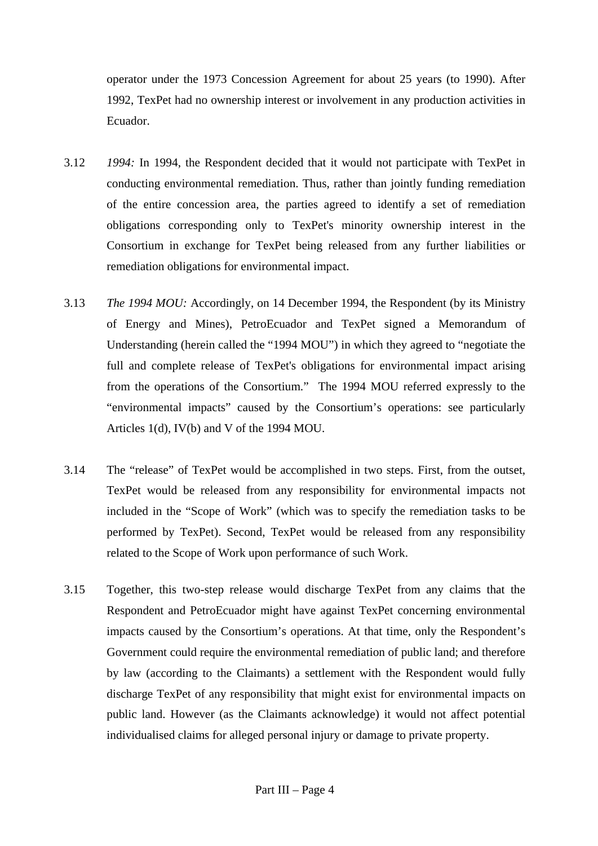operator under the 1973 Concession Agreement for about 25 years (to 1990). After 1992, TexPet had no ownership interest or involvement in any production activities in Ecuador.

- 3.12 *1994:* In 1994, the Respondent decided that it would not participate with TexPet in conducting environmental remediation. Thus, rather than jointly funding remediation of the entire concession area, the parties agreed to identify a set of remediation obligations corresponding only to TexPet's minority ownership interest in the Consortium in exchange for TexPet being released from any further liabilities or remediation obligations for environmental impact.
- 3.13 *The 1994 MOU:* Accordingly, on 14 December 1994, the Respondent (by its Ministry of Energy and Mines), PetroEcuador and TexPet signed a Memorandum of Understanding (herein called the "1994 MOU") in which they agreed to "negotiate the full and complete release of TexPet's obligations for environmental impact arising from the operations of the Consortium." The 1994 MOU referred expressly to the "environmental impacts" caused by the Consortium's operations: see particularly Articles 1(d), IV(b) and V of the 1994 MOU.
- 3.14 The "release" of TexPet would be accomplished in two steps. First, from the outset, TexPet would be released from any responsibility for environmental impacts not included in the "Scope of Work" (which was to specify the remediation tasks to be performed by TexPet). Second, TexPet would be released from any responsibility related to the Scope of Work upon performance of such Work.
- 3.15 Together, this two-step release would discharge TexPet from any claims that the Respondent and PetroEcuador might have against TexPet concerning environmental impacts caused by the Consortium's operations. At that time, only the Respondent's Government could require the environmental remediation of public land; and therefore by law (according to the Claimants) a settlement with the Respondent would fully discharge TexPet of any responsibility that might exist for environmental impacts on public land. However (as the Claimants acknowledge) it would not affect potential individualised claims for alleged personal injury or damage to private property.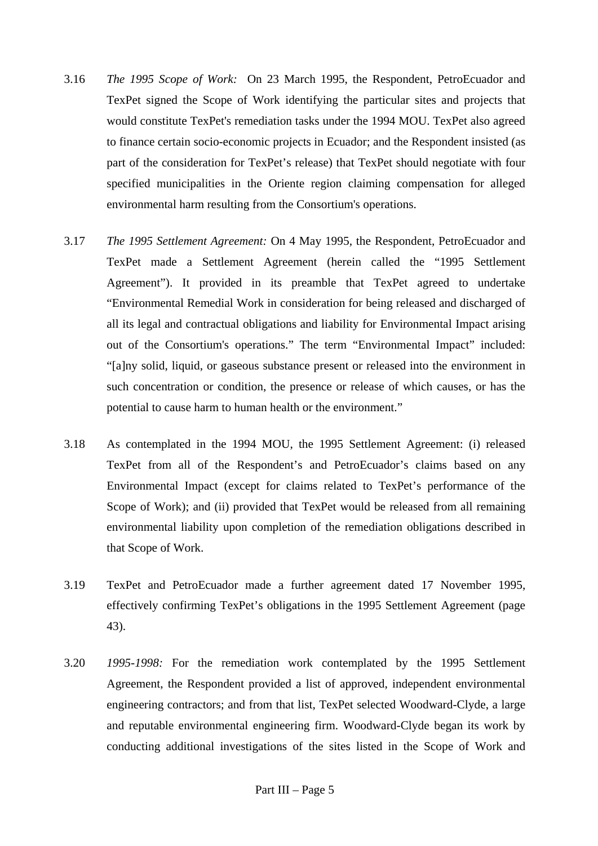- 3.16 *The 1995 Scope of Work:* On 23 March 1995, the Respondent, PetroEcuador and TexPet signed the Scope of Work identifying the particular sites and projects that would constitute TexPet's remediation tasks under the 1994 MOU. TexPet also agreed to finance certain socio-economic projects in Ecuador; and the Respondent insisted (as part of the consideration for TexPet's release) that TexPet should negotiate with four specified municipalities in the Oriente region claiming compensation for alleged environmental harm resulting from the Consortium's operations.
- 3.17 *The 1995 Settlement Agreement:* On 4 May 1995, the Respondent, PetroEcuador and TexPet made a Settlement Agreement (herein called the "1995 Settlement Agreement"). It provided in its preamble that TexPet agreed to undertake "Environmental Remedial Work in consideration for being released and discharged of all its legal and contractual obligations and liability for Environmental Impact arising out of the Consortium's operations." The term "Environmental Impact" included: "[a]ny solid, liquid, or gaseous substance present or released into the environment in such concentration or condition, the presence or release of which causes, or has the potential to cause harm to human health or the environment."
- 3.18 As contemplated in the 1994 MOU, the 1995 Settlement Agreement: (i) released TexPet from all of the Respondent's and PetroEcuador's claims based on any Environmental Impact (except for claims related to TexPet's performance of the Scope of Work); and (ii) provided that TexPet would be released from all remaining environmental liability upon completion of the remediation obligations described in that Scope of Work.
- 3.19 TexPet and PetroEcuador made a further agreement dated 17 November 1995, effectively confirming TexPet's obligations in the 1995 Settlement Agreement (page 43).
- 3.20 *1995-1998:* For the remediation work contemplated by the 1995 Settlement Agreement, the Respondent provided a list of approved, independent environmental engineering contractors; and from that list, TexPet selected Woodward-Clyde, a large and reputable environmental engineering firm. Woodward-Clyde began its work by conducting additional investigations of the sites listed in the Scope of Work and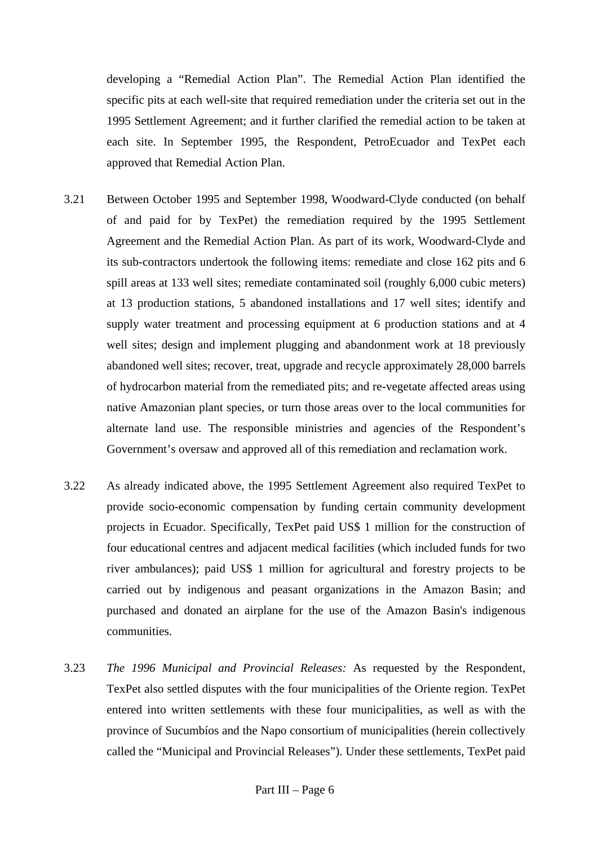developing a "Remedial Action Plan". The Remedial Action Plan identified the specific pits at each well-site that required remediation under the criteria set out in the 1995 Settlement Agreement; and it further clarified the remedial action to be taken at each site. In September 1995, the Respondent, PetroEcuador and TexPet each approved that Remedial Action Plan.

- 3.21 Between October 1995 and September 1998, Woodward-Clyde conducted (on behalf of and paid for by TexPet) the remediation required by the 1995 Settlement Agreement and the Remedial Action Plan. As part of its work, Woodward-Clyde and its sub-contractors undertook the following items: remediate and close 162 pits and 6 spill areas at 133 well sites; remediate contaminated soil (roughly 6,000 cubic meters) at 13 production stations, 5 abandoned installations and 17 well sites; identify and supply water treatment and processing equipment at 6 production stations and at 4 well sites; design and implement plugging and abandonment work at 18 previously abandoned well sites; recover, treat, upgrade and recycle approximately 28,000 barrels of hydrocarbon material from the remediated pits; and re-vegetate affected areas using native Amazonian plant species, or turn those areas over to the local communities for alternate land use. The responsible ministries and agencies of the Respondent's Government's oversaw and approved all of this remediation and reclamation work.
- 3.22 As already indicated above, the 1995 Settlement Agreement also required TexPet to provide socio-economic compensation by funding certain community development projects in Ecuador. Specifically, TexPet paid US\$ 1 million for the construction of four educational centres and adjacent medical facilities (which included funds for two river ambulances); paid US\$ 1 million for agricultural and forestry projects to be carried out by indigenous and peasant organizations in the Amazon Basin; and purchased and donated an airplane for the use of the Amazon Basin's indigenous communities.
- 3.23 *The 1996 Municipal and Provincial Releases:* As requested by the Respondent, TexPet also settled disputes with the four municipalities of the Oriente region. TexPet entered into written settlements with these four municipalities, as well as with the province of Sucumbíos and the Napo consortium of municipalities (herein collectively called the "Municipal and Provincial Releases"). Under these settlements, TexPet paid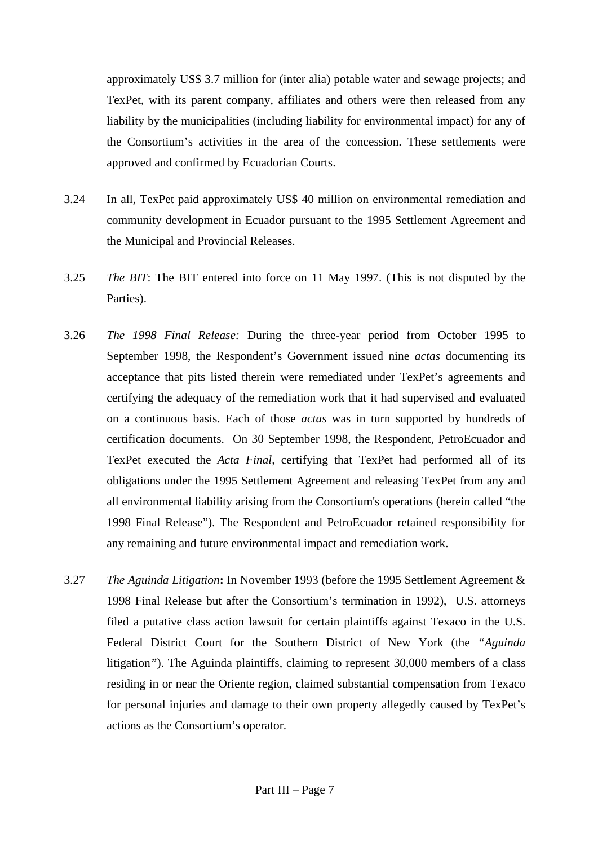approximately US\$ 3.7 million for (inter alia) potable water and sewage projects; and TexPet, with its parent company, affiliates and others were then released from any liability by the municipalities (including liability for environmental impact) for any of the Consortium's activities in the area of the concession. These settlements were approved and confirmed by Ecuadorian Courts.

- 3.24 In all, TexPet paid approximately US\$ 40 million on environmental remediation and community development in Ecuador pursuant to the 1995 Settlement Agreement and the Municipal and Provincial Releases.
- 3.25 *The BIT*: The BIT entered into force on 11 May 1997. (This is not disputed by the Parties).
- 3.26 *The 1998 Final Release:* During the three-year period from October 1995 to September 1998, the Respondent's Government issued nine *actas* documenting its acceptance that pits listed therein were remediated under TexPet's agreements and certifying the adequacy of the remediation work that it had supervised and evaluated on a continuous basis. Each of those *actas* was in turn supported by hundreds of certification documents. On 30 September 1998, the Respondent, PetroEcuador and TexPet executed the *Acta Final,* certifying that TexPet had performed all of its obligations under the 1995 Settlement Agreement and releasing TexPet from any and all environmental liability arising from the Consortium's operations (herein called "the 1998 Final Release"). The Respondent and PetroEcuador retained responsibility for any remaining and future environmental impact and remediation work.
- 3.27 *The Aguinda Litigation***:** In November 1993 (before the 1995 Settlement Agreement & 1998 Final Release but after the Consortium's termination in 1992), U.S. attorneys filed a putative class action lawsuit for certain plaintiffs against Texaco in the U.S. Federal District Court for the Southern District of New York (the *"Aguinda*  litigation*"*). The Aguinda plaintiffs, claiming to represent 30,000 members of a class residing in or near the Oriente region, claimed substantial compensation from Texaco for personal injuries and damage to their own property allegedly caused by TexPet's actions as the Consortium's operator.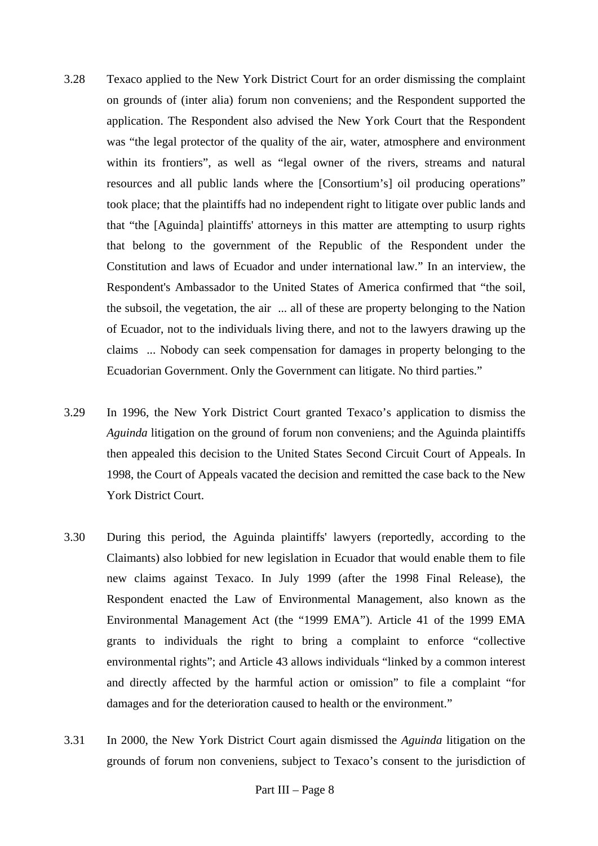- 3.28 Texaco applied to the New York District Court for an order dismissing the complaint on grounds of (inter alia) forum non conveniens; and the Respondent supported the application. The Respondent also advised the New York Court that the Respondent was "the legal protector of the quality of the air, water, atmosphere and environment within its frontiers", as well as "legal owner of the rivers, streams and natural resources and all public lands where the [Consortium's] oil producing operations" took place; that the plaintiffs had no independent right to litigate over public lands and that "the [Aguinda] plaintiffs' attorneys in this matter are attempting to usurp rights that belong to the government of the Republic of the Respondent under the Constitution and laws of Ecuador and under international law." In an interview, the Respondent's Ambassador to the United States of America confirmed that "the soil, the subsoil, the vegetation, the air ... all of these are property belonging to the Nation of Ecuador, not to the individuals living there, and not to the lawyers drawing up the claims ... Nobody can seek compensation for damages in property belonging to the Ecuadorian Government. Only the Government can litigate. No third parties."
- 3.29 In 1996, the New York District Court granted Texaco's application to dismiss the *Aguinda* litigation on the ground of forum non conveniens; and the Aguinda plaintiffs then appealed this decision to the United States Second Circuit Court of Appeals. In 1998, the Court of Appeals vacated the decision and remitted the case back to the New York District Court.
- 3.30 During this period, the Aguinda plaintiffs' lawyers (reportedly, according to the Claimants) also lobbied for new legislation in Ecuador that would enable them to file new claims against Texaco. In July 1999 (after the 1998 Final Release), the Respondent enacted the Law of Environmental Management, also known as the Environmental Management Act (the "1999 EMA"). Article 41 of the 1999 EMA grants to individuals the right to bring a complaint to enforce "collective environmental rights"; and Article 43 allows individuals "linked by a common interest and directly affected by the harmful action or omission" to file a complaint "for damages and for the deterioration caused to health or the environment."
- 3.31 In 2000, the New York District Court again dismissed the *Aguinda* litigation on the grounds of forum non conveniens, subject to Texaco's consent to the jurisdiction of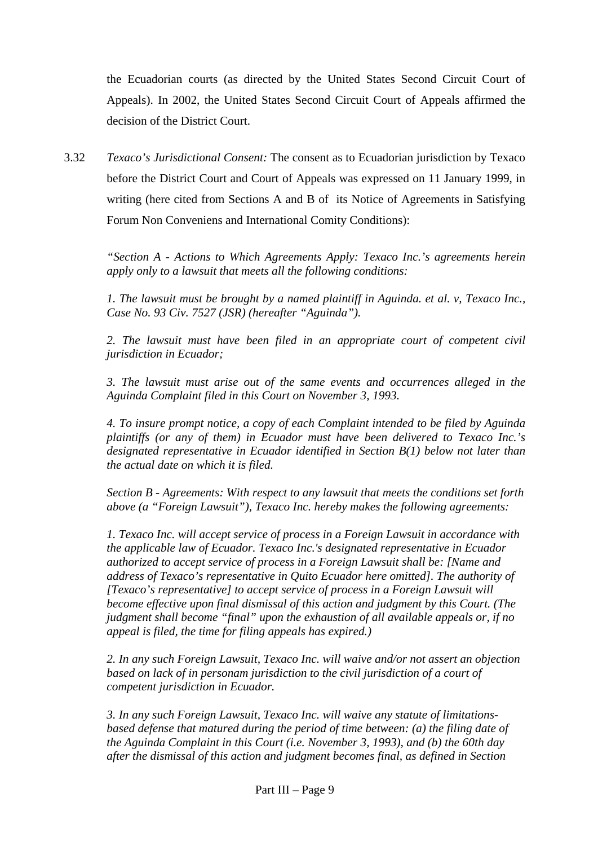the Ecuadorian courts (as directed by the United States Second Circuit Court of Appeals). In 2002, the United States Second Circuit Court of Appeals affirmed the decision of the District Court.

3.32 *Texaco's Jurisdictional Consent:* The consent as to Ecuadorian jurisdiction by Texaco before the District Court and Court of Appeals was expressed on 11 January 1999, in writing (here cited from Sections A and B of its Notice of Agreements in Satisfying Forum Non Conveniens and International Comity Conditions):

*"Section A - Actions to Which Agreements Apply: Texaco Inc.'s agreements herein apply only to a lawsuit that meets all the following conditions:*

*1. The lawsuit must be brought by a named plaintiff in Aguinda. et al. v, Texaco Inc., Case No. 93 Civ. 7527 (JSR) (hereafter "Aguinda").*

*2. The lawsuit must have been filed in an appropriate court of competent civil jurisdiction in Ecuador;*

*3. The lawsuit must arise out of the same events and occurrences alleged in the Aguinda Complaint filed in this Court on November 3, 1993.*

*4. To insure prompt notice, a copy of each Complaint intended to be filed by Aguinda plaintiffs (or any of them) in Ecuador must have been delivered to Texaco Inc.'s designated representative in Ecuador identified in Section B(1) below not later than the actual date on which it is filed.*

*Section B - Agreements: With respect to any lawsuit that meets the conditions set forth above (a "Foreign Lawsuit"), Texaco Inc. hereby makes the following agreements:* 

*1. Texaco Inc. will accept service of process in a Foreign Lawsuit in accordance with the applicable law of Ecuador. Texaco Inc.'s designated representative in Ecuador authorized to accept service of process in a Foreign Lawsuit shall be: [Name and address of Texaco's representative in Quito Ecuador here omitted]. The authority of [Texaco's representative] to accept service of process in a Foreign Lawsuit will become effective upon final dismissal of this action and judgment by this Court. (The judgment shall become "final" upon the exhaustion of all available appeals or, if no appeal is filed, the time for filing appeals has expired.)* 

*2. In any such Foreign Lawsuit, Texaco Inc. will waive and/or not assert an objection based on lack of in personam jurisdiction to the civil jurisdiction of a court of competent jurisdiction in Ecuador.* 

*3. In any such Foreign Lawsuit, Texaco Inc. will waive any statute of limitationsbased defense that matured during the period of time between: (a) the filing date of the Aguinda Complaint in this Court (i.e. November 3, 1993), and (b) the 60th day after the dismissal of this action and judgment becomes final, as defined in Section*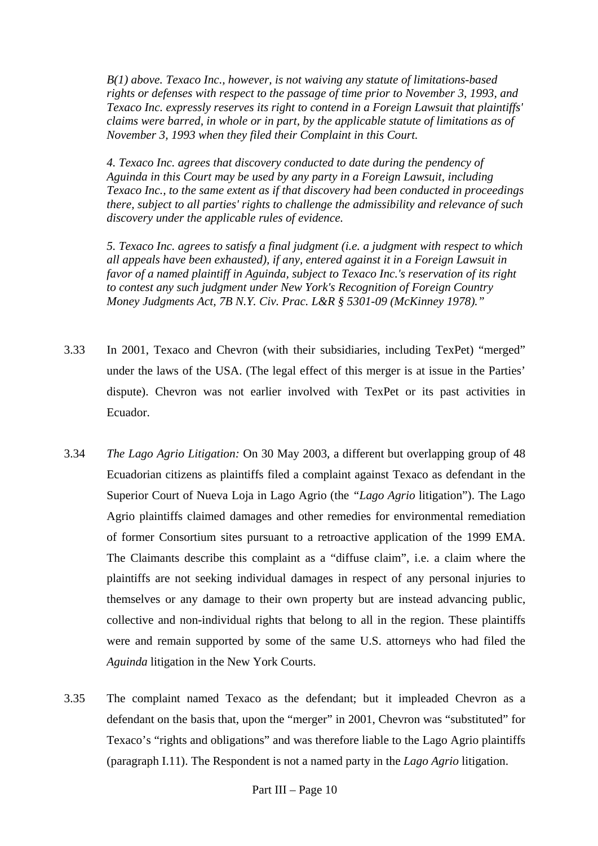*B(1) above. Texaco Inc., however, is not waiving any statute of limitations-based rights or defenses with respect to the passage of time prior to November 3, 1993, and Texaco Inc. expressly reserves its right to contend in a Foreign Lawsuit that plaintiffs' claims were barred, in whole or in part, by the applicable statute of limitations as of November 3, 1993 when they filed their Complaint in this Court.* 

*4. Texaco Inc. agrees that discovery conducted to date during the pendency of Aguinda in this Court may be used by any party in a Foreign Lawsuit, including Texaco Inc., to the same extent as if that discovery had been conducted in proceedings there, subject to all parties' rights to challenge the admissibility and relevance of such discovery under the applicable rules of evidence.* 

*5. Texaco Inc. agrees to satisfy a final judgment (i.e. a judgment with respect to which all appeals have been exhausted), if any, entered against it in a Foreign Lawsuit in favor of a named plaintiff in Aguinda, subject to Texaco Inc.'s reservation of its right to contest any such judgment under New York's Recognition of Foreign Country Money Judgments Act, 7B N.Y. Civ. Prac. L&R § 5301-09 (McKinney 1978)."*

- 3.33 In 2001, Texaco and Chevron (with their subsidiaries, including TexPet) "merged" under the laws of the USA. (The legal effect of this merger is at issue in the Parties' dispute). Chevron was not earlier involved with TexPet or its past activities in Ecuador.
- 3.34 *The Lago Agrio Litigation:* On 30 May 2003, a different but overlapping group of 48 Ecuadorian citizens as plaintiffs filed a complaint against Texaco as defendant in the Superior Court of Nueva Loja in Lago Agrio (the *"Lago Agrio* litigation"). The Lago Agrio plaintiffs claimed damages and other remedies for environmental remediation of former Consortium sites pursuant to a retroactive application of the 1999 EMA. The Claimants describe this complaint as a "diffuse claim", i.e. a claim where the plaintiffs are not seeking individual damages in respect of any personal injuries to themselves or any damage to their own property but are instead advancing public, collective and non-individual rights that belong to all in the region. These plaintiffs were and remain supported by some of the same U.S. attorneys who had filed the *Aguinda* litigation in the New York Courts.
- 3.35 The complaint named Texaco as the defendant; but it impleaded Chevron as a defendant on the basis that, upon the "merger" in 2001, Chevron was "substituted" for Texaco's "rights and obligations" and was therefore liable to the Lago Agrio plaintiffs (paragraph I.11). The Respondent is not a named party in the *Lago Agrio* litigation.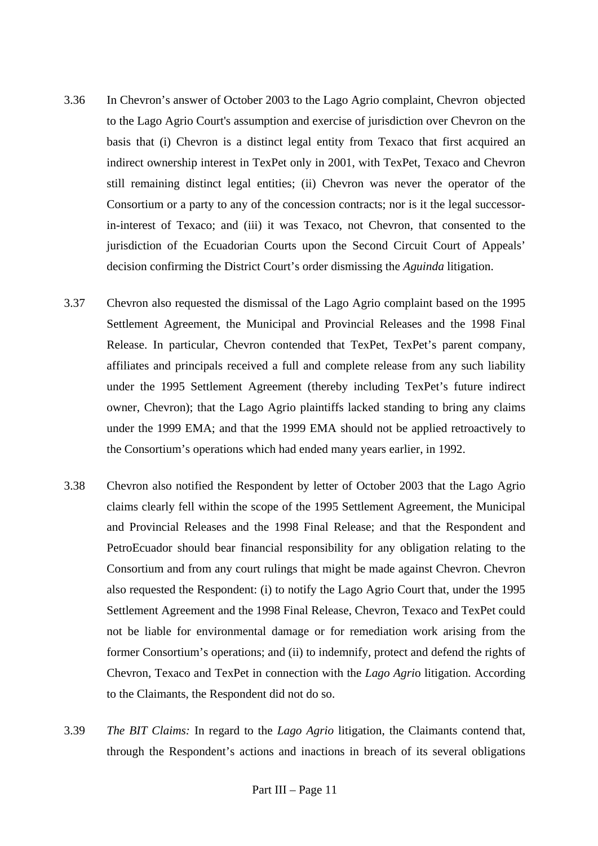- 3.36 In Chevron's answer of October 2003 to the Lago Agrio complaint, Chevron objected to the Lago Agrio Court's assumption and exercise of jurisdiction over Chevron on the basis that (i) Chevron is a distinct legal entity from Texaco that first acquired an indirect ownership interest in TexPet only in 2001, with TexPet, Texaco and Chevron still remaining distinct legal entities; (ii) Chevron was never the operator of the Consortium or a party to any of the concession contracts; nor is it the legal successorin-interest of Texaco; and (iii) it was Texaco, not Chevron, that consented to the jurisdiction of the Ecuadorian Courts upon the Second Circuit Court of Appeals' decision confirming the District Court's order dismissing the *Aguinda* litigation.
- 3.37 Chevron also requested the dismissal of the Lago Agrio complaint based on the 1995 Settlement Agreement, the Municipal and Provincial Releases and the 1998 Final Release. In particular, Chevron contended that TexPet, TexPet's parent company, affiliates and principals received a full and complete release from any such liability under the 1995 Settlement Agreement (thereby including TexPet's future indirect owner, Chevron); that the Lago Agrio plaintiffs lacked standing to bring any claims under the 1999 EMA; and that the 1999 EMA should not be applied retroactively to the Consortium's operations which had ended many years earlier, in 1992.
- 3.38 Chevron also notified the Respondent by letter of October 2003 that the Lago Agrio claims clearly fell within the scope of the 1995 Settlement Agreement, the Municipal and Provincial Releases and the 1998 Final Release; and that the Respondent and PetroEcuador should bear financial responsibility for any obligation relating to the Consortium and from any court rulings that might be made against Chevron. Chevron also requested the Respondent: (i) to notify the Lago Agrio Court that, under the 1995 Settlement Agreement and the 1998 Final Release, Chevron, Texaco and TexPet could not be liable for environmental damage or for remediation work arising from the former Consortium's operations; and (ii) to indemnify, protect and defend the rights of Chevron, Texaco and TexPet in connection with the *Lago Agri*o litigation. According to the Claimants, the Respondent did not do so.
- 3.39 *The BIT Claims:* In regard to the *Lago Agrio* litigation, the Claimants contend that, through the Respondent's actions and inactions in breach of its several obligations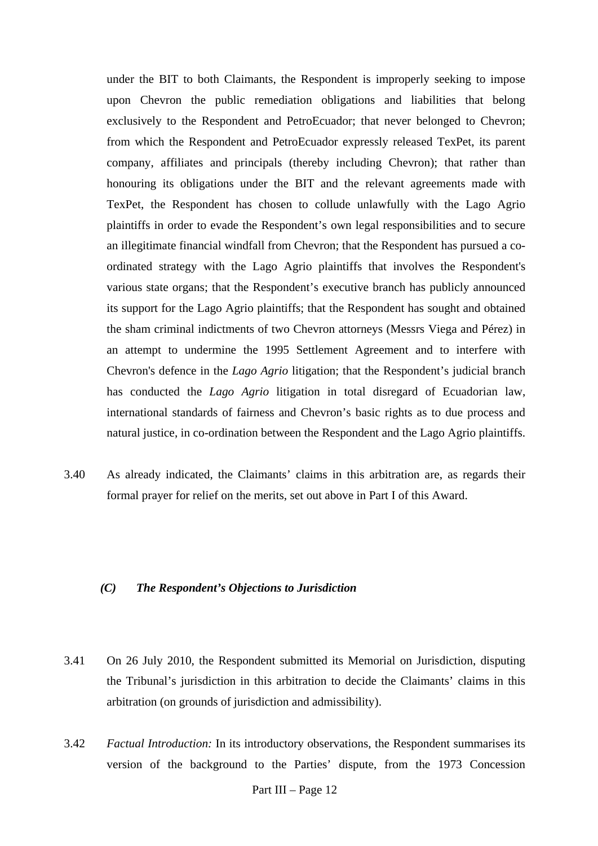under the BIT to both Claimants, the Respondent is improperly seeking to impose upon Chevron the public remediation obligations and liabilities that belong exclusively to the Respondent and PetroEcuador; that never belonged to Chevron; from which the Respondent and PetroEcuador expressly released TexPet, its parent company, affiliates and principals (thereby including Chevron); that rather than honouring its obligations under the BIT and the relevant agreements made with TexPet, the Respondent has chosen to collude unlawfully with the Lago Agrio plaintiffs in order to evade the Respondent's own legal responsibilities and to secure an illegitimate financial windfall from Chevron; that the Respondent has pursued a coordinated strategy with the Lago Agrio plaintiffs that involves the Respondent's various state organs; that the Respondent's executive branch has publicly announced its support for the Lago Agrio plaintiffs; that the Respondent has sought and obtained the sham criminal indictments of two Chevron attorneys (Messrs Viega and Pérez) in an attempt to undermine the 1995 Settlement Agreement and to interfere with Chevron's defence in the *Lago Agrio* litigation; that the Respondent's judicial branch has conducted the *Lago Agrio* litigation in total disregard of Ecuadorian law, international standards of fairness and Chevron's basic rights as to due process and natural justice, in co-ordination between the Respondent and the Lago Agrio plaintiffs.

3.40 As already indicated, the Claimants' claims in this arbitration are, as regards their formal prayer for relief on the merits, set out above in Part I of this Award.

## *(C) The Respondent's Objections to Jurisdiction*

- 3.41 On 26 July 2010, the Respondent submitted its Memorial on Jurisdiction, disputing the Tribunal's jurisdiction in this arbitration to decide the Claimants' claims in this arbitration (on grounds of jurisdiction and admissibility).
- 3.42 *Factual Introduction:* In its introductory observations, the Respondent summarises its version of the background to the Parties' dispute, from the 1973 Concession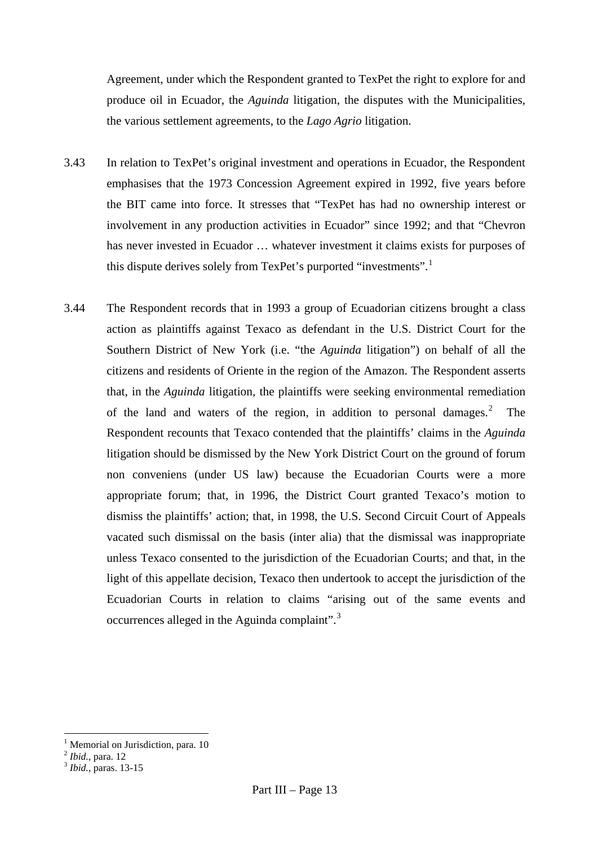Agreement, under which the Respondent granted to TexPet the right to explore for and produce oil in Ecuador, the *Aguinda* litigation, the disputes with the Municipalities, the various settlement agreements, to the *Lago Agrio* litigation.

- 3.43 In relation to TexPet's original investment and operations in Ecuador, the Respondent emphasises that the 1973 Concession Agreement expired in 1992, five years before the BIT came into force. It stresses that "TexPet has had no ownership interest or involvement in any production activities in Ecuador" since 1992; and that "Chevron has never invested in Ecuador … whatever investment it claims exists for purposes of this dispute derives solely from TexPet's purported "investments".<sup>[1](#page-40-0)</sup>
- 3.44 The Respondent records that in 1993 a group of Ecuadorian citizens brought a class action as plaintiffs against Texaco as defendant in the U.S. District Court for the Southern District of New York (i.e. "the *Aguinda* litigation") on behalf of all the citizens and residents of Oriente in the region of the Amazon. The Respondent asserts that, in the *Aguinda* litigation, the plaintiffs were seeking environmental remediation of the land and waters of the region, in addition to personal damages.<sup>[2](#page-40-1)</sup> The Respondent recounts that Texaco contended that the plaintiffs' claims in the *Aguinda* litigation should be dismissed by the New York District Court on the ground of forum non conveniens (under US law) because the Ecuadorian Courts were a more appropriate forum; that, in 1996, the District Court granted Texaco's motion to dismiss the plaintiffs' action; that, in 1998, the U.S. Second Circuit Court of Appeals vacated such dismissal on the basis (inter alia) that the dismissal was inappropriate unless Texaco consented to the jurisdiction of the Ecuadorian Courts; and that, in the light of this appellate decision, Texaco then undertook to accept the jurisdiction of the Ecuadorian Courts in relation to claims "arising out of the same events and occurrences alleged in the Aguinda complaint".<sup>[3](#page-40-2)</sup>

<span id="page-40-0"></span> $^{\rm 1}$  Memorial on Jurisdiction, para. 10  $^{\rm 2}$  Ibid., para. 12

<span id="page-40-2"></span><span id="page-40-1"></span><sup>&</sup>lt;sup>3</sup> *Ibid.*, paras. 13-15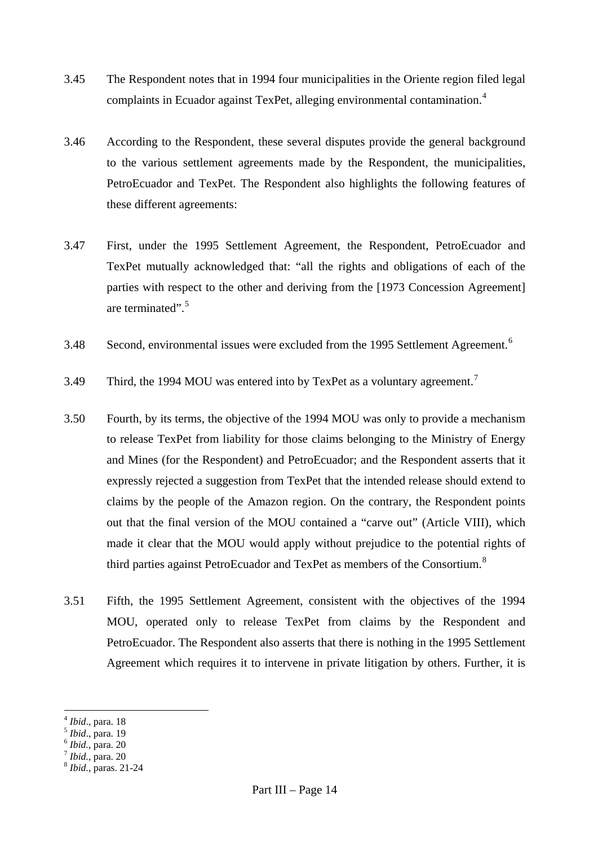- 3.45 The Respondent notes that in 1994 four municipalities in the Oriente region filed legal complaints in Ecuador against TexPet, alleging environmental contamination.[4](#page-41-0)
- 3.46 According to the Respondent, these several disputes provide the general background to the various settlement agreements made by the Respondent, the municipalities, PetroEcuador and TexPet. The Respondent also highlights the following features of these different agreements:
- 3.47 First, under the 1995 Settlement Agreement, the Respondent, PetroEcuador and TexPet mutually acknowledged that: "all the rights and obligations of each of the parties with respect to the other and deriving from the [1973 Concession Agreement] are terminated". [5](#page-41-1)
- 3.48 Second, environmental issues were excluded from the 1995 Settlement Agreement.<sup>[6](#page-41-2)</sup>
- 3.49 Third, the 1994 MOU was entered into by TexPet as a voluntary agreement.<sup>[7](#page-41-3)</sup>
- 3.50 Fourth, by its terms, the objective of the 1994 MOU was only to provide a mechanism to release TexPet from liability for those claims belonging to the Ministry of Energy and Mines (for the Respondent) and PetroEcuador; and the Respondent asserts that it expressly rejected a suggestion from TexPet that the intended release should extend to claims by the people of the Amazon region. On the contrary, the Respondent points out that the final version of the MOU contained a "carve out" (Article VIII), which made it clear that the MOU would apply without prejudice to the potential rights of third parties against PetroEcuador and TexPet as members of the Consortium.<sup>[8](#page-41-4)</sup>
- 3.51 Fifth, the 1995 Settlement Agreement, consistent with the objectives of the 1994 MOU, operated only to release TexPet from claims by the Respondent and PetroEcuador. The Respondent also asserts that there is nothing in the 1995 Settlement Agreement which requires it to intervene in private litigation by others. Further, it is
- <span id="page-41-0"></span>

<sup>4</sup> *Ibid*., para. 18 <sup>5</sup> *Ibid*., para. 19 <sup>6</sup> *Ibid.,* para. 20 <sup>7</sup> *Ibid.*, para. 20 <sup>8</sup> *Ibid.*, paras. 21-24

<span id="page-41-1"></span>

<span id="page-41-3"></span><span id="page-41-2"></span>

<span id="page-41-4"></span>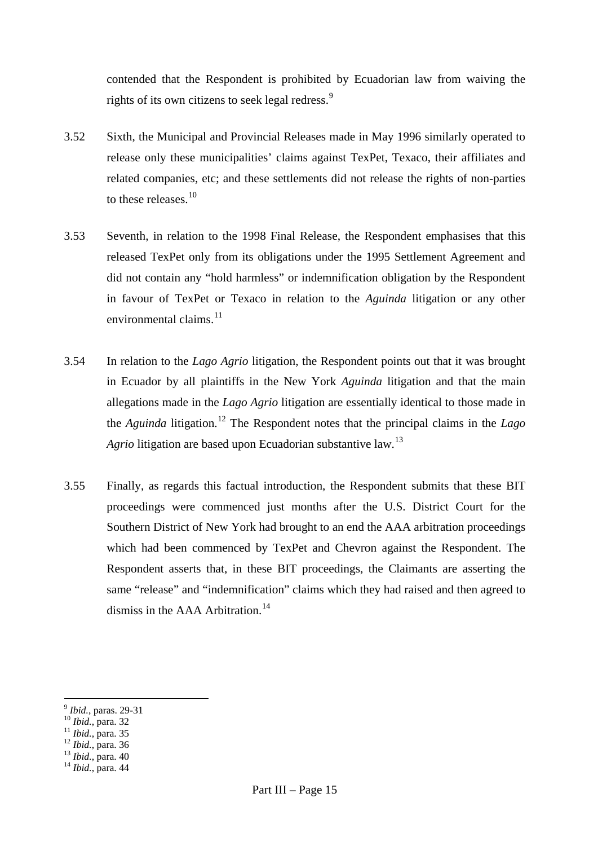contended that the Respondent is prohibited by Ecuadorian law from waiving the rights of its own citizens to seek legal redress.<sup>[9](#page-42-0)</sup>

- 3.52 Sixth, the Municipal and Provincial Releases made in May 1996 similarly operated to release only these municipalities' claims against TexPet, Texaco, their affiliates and related companies, etc; and these settlements did not release the rights of non-parties to these releases.<sup>[10](#page-42-1)</sup>
- 3.53 Seventh, in relation to the 1998 Final Release, the Respondent emphasises that this released TexPet only from its obligations under the 1995 Settlement Agreement and did not contain any "hold harmless" or indemnification obligation by the Respondent in favour of TexPet or Texaco in relation to the *Aguinda* litigation or any other environmental claims.<sup>[11](#page-42-2)</sup>
- 3.54 In relation to the *Lago Agrio* litigation, the Respondent points out that it was brought in Ecuador by all plaintiffs in the New York *Aguinda* litigation and that the main allegations made in the *Lago Agrio* litigation are essentially identical to those made in the *Aguinda* litigation. [12](#page-42-3) The Respondent notes that the principal claims in the *Lago Agrio* litigation are based upon Ecuadorian substantive law.<sup>[13](#page-42-4)</sup>
- 3.55 Finally, as regards this factual introduction, the Respondent submits that these BIT proceedings were commenced just months after the U.S. District Court for the Southern District of New York had brought to an end the AAA arbitration proceedings which had been commenced by TexPet and Chevron against the Respondent. The Respondent asserts that, in these BIT proceedings, the Claimants are asserting the same "release" and "indemnification" claims which they had raised and then agreed to dismiss in the AAA Arbitration.<sup>[14](#page-42-5)</sup>

- <span id="page-42-2"></span>
- <span id="page-42-3"></span>
- <span id="page-42-4"></span>

<span id="page-42-0"></span><sup>&</sup>lt;sup>9</sup> *Ibid.*, paras. 29-31<br><sup>10</sup> *Ibid.*, para. 32<br><sup>11</sup> *Ibid.*, para. 36<br><sup>13</sup> *Ibid.*, para. 40<br><sup>14</sup> *Ibid.*, para. 44

<span id="page-42-1"></span>

<span id="page-42-5"></span>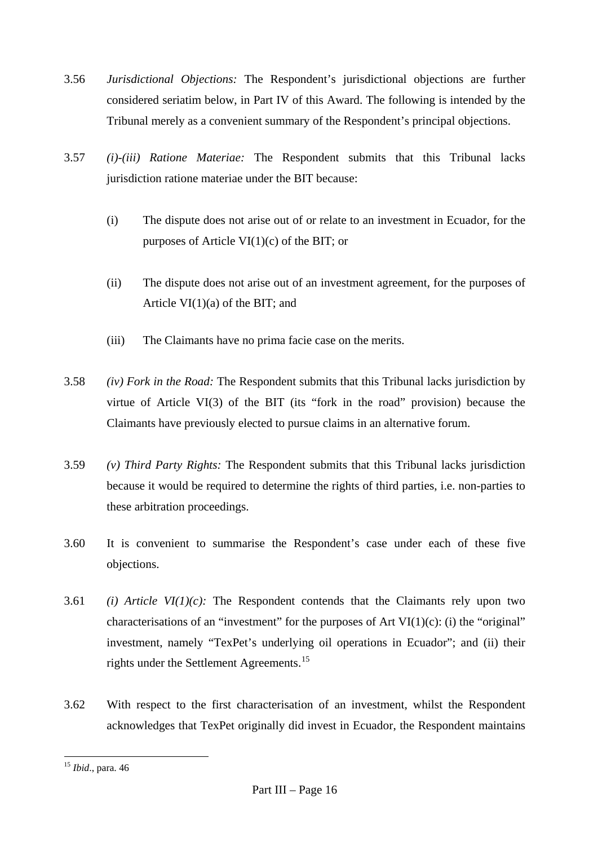- 3.56 *Jurisdictional Objections:* The Respondent's jurisdictional objections are further considered seriatim below, in Part IV of this Award. The following is intended by the Tribunal merely as a convenient summary of the Respondent's principal objections.
- 3.57 *(i)-(iii) Ratione Materiae:* The Respondent submits that this Tribunal lacks jurisdiction ratione materiae under the BIT because:
	- (i) The dispute does not arise out of or relate to an investment in Ecuador, for the purposes of Article VI(1)(c) of the BIT; or
	- (ii) The dispute does not arise out of an investment agreement, for the purposes of Article VI(1)(a) of the BIT; and
	- (iii) The Claimants have no prima facie case on the merits.
- 3.58 *(iv) Fork in the Road:* The Respondent submits that this Tribunal lacks jurisdiction by virtue of Article VI(3) of the BIT (its "fork in the road" provision) because the Claimants have previously elected to pursue claims in an alternative forum.
- 3.59 *(v) Third Party Rights:* The Respondent submits that this Tribunal lacks jurisdiction because it would be required to determine the rights of third parties, i.e. non-parties to these arbitration proceedings.
- 3.60 It is convenient to summarise the Respondent's case under each of these five objections.
- 3.61 *(i) Article VI(1)(c)*: The Respondent contends that the Claimants rely upon two characterisations of an "investment" for the purposes of Art VI $(1)(c)$ : (i) the "original" investment, namely "TexPet's underlying oil operations in Ecuador"; and (ii) their rights under the Settlement Agreements.[15](#page-43-0)
- 3.62 With respect to the first characterisation of an investment, whilst the Respondent acknowledges that TexPet originally did invest in Ecuador, the Respondent maintains

<span id="page-43-0"></span> <sup>15</sup> *Ibid*., para. 46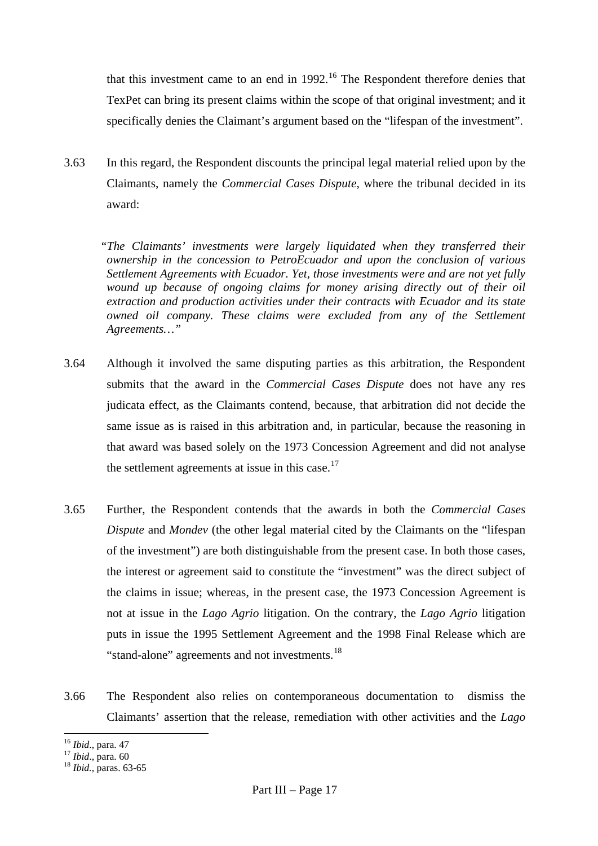that this investment came to an end in  $1992$ .<sup>[16](#page-44-0)</sup> The Respondent therefore denies that TexPet can bring its present claims within the scope of that original investment; and it specifically denies the Claimant's argument based on the "lifespan of the investment".

3.63 In this regard, the Respondent discounts the principal legal material relied upon by the Claimants, namely the *Commercial Cases Dispute,* where the tribunal decided in its award:

*"The Claimants' investments were largely liquidated when they transferred their ownership in the concession to PetroEcuador and upon the conclusion of various Settlement Agreements with Ecuador. Yet, those investments were and are not yet fully wound up because of ongoing claims for money arising directly out of their oil extraction and production activities under their contracts with Ecuador and its state owned oil company. These claims were excluded from any of the Settlement Agreements…"*

- 3.64 Although it involved the same disputing parties as this arbitration, the Respondent submits that the award in the *Commercial Cases Dispute* does not have any res judicata effect, as the Claimants contend, because, that arbitration did not decide the same issue as is raised in this arbitration and, in particular, because the reasoning in that award was based solely on the 1973 Concession Agreement and did not analyse the settlement agreements at issue in this case. $17$
- 3.65 Further, the Respondent contends that the awards in both the *Commercial Cases Dispute* and *Mondev* (the other legal material cited by the Claimants on the "lifespan of the investment") are both distinguishable from the present case. In both those cases, the interest or agreement said to constitute the "investment" was the direct subject of the claims in issue; whereas, in the present case, the 1973 Concession Agreement is not at issue in the *Lago Agrio* litigation. On the contrary, the *Lago Agrio* litigation puts in issue the 1995 Settlement Agreement and the 1998 Final Release which are "stand-alone" agreements and not investments.<sup>[18](#page-44-2)</sup>
- 3.66 The Respondent also relies on contemporaneous documentation to dismiss the Claimants' assertion that the release, remediation with other activities and the *Lago*

<span id="page-44-2"></span>

<span id="page-44-1"></span><span id="page-44-0"></span><sup>16</sup> *Ibid*., para. 47 <sup>17</sup> *Ibid*., para. 60 <sup>18</sup> *Ibid.*, paras. 63-65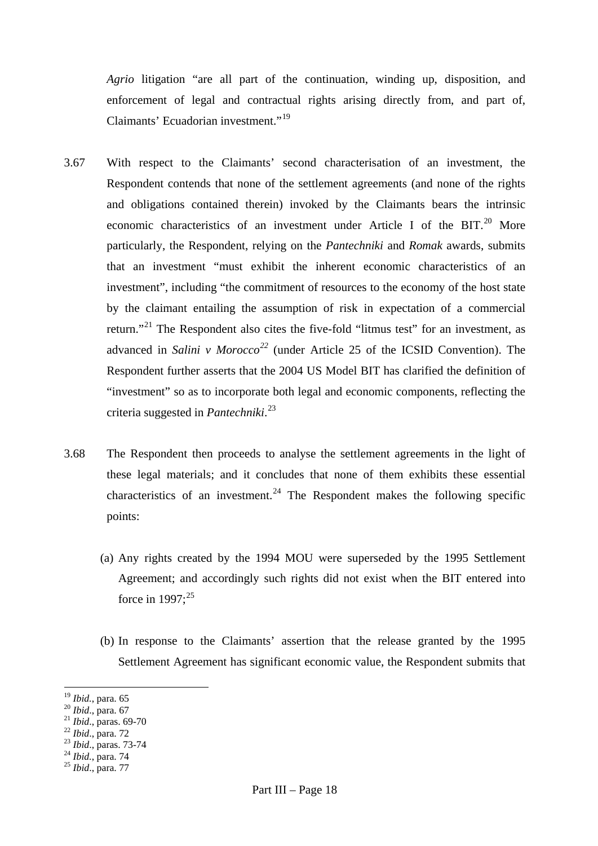*Agrio* litigation "are all part of the continuation, winding up, disposition, and enforcement of legal and contractual rights arising directly from, and part of, Claimants' Ecuadorian investment."[19](#page-45-0)

- 3.67 With respect to the Claimants' second characterisation of an investment, the Respondent contends that none of the settlement agreements (and none of the rights and obligations contained therein) invoked by the Claimants bears the intrinsic economic characteristics of an investment under Article I of the BIT. $^{20}$  $^{20}$  $^{20}$  More particularly, the Respondent, relying on the *Pantechniki* and *Romak* awards, submits that an investment "must exhibit the inherent economic characteristics of an investment", including "the commitment of resources to the economy of the host state by the claimant entailing the assumption of risk in expectation of a commercial return."<sup>[21](#page-45-2)</sup> The Respondent also cites the five-fold "litmus test" for an investment, as advanced in *Salini v Morocco [22](#page-45-3)* (under Article 25 of the ICSID Convention). The Respondent further asserts that the 2004 US Model BIT has clarified the definition of "investment" so as to incorporate both legal and economic components, reflecting the criteria suggested in *Pantechniki*. [23](#page-45-4)
- 3.68 The Respondent then proceeds to analyse the settlement agreements in the light of these legal materials; and it concludes that none of them exhibits these essential characteristics of an investment.<sup>[24](#page-45-5)</sup> The Respondent makes the following specific points:
	- (a) Any rights created by the 1994 MOU were superseded by the 1995 Settlement Agreement; and accordingly such rights did not exist when the BIT entered into force in  $1997; ^{25}$  $1997; ^{25}$  $1997; ^{25}$
	- (b) In response to the Claimants' assertion that the release granted by the 1995 Settlement Agreement has significant economic value, the Respondent submits that

- <span id="page-45-4"></span><span id="page-45-3"></span>
- <span id="page-45-0"></span>19 *Ibid.*, para. 65 20 *Ibid*., para. 67 21 *Ibid*., paras. 69-70 22 *Ibid*., para. 72 23 *Ibid*., paras. 73-74 24 *Ibid.*, para. 74 25 *Ibid*., para. 77
- <span id="page-45-6"></span><span id="page-45-5"></span>

<span id="page-45-1"></span>

<span id="page-45-2"></span>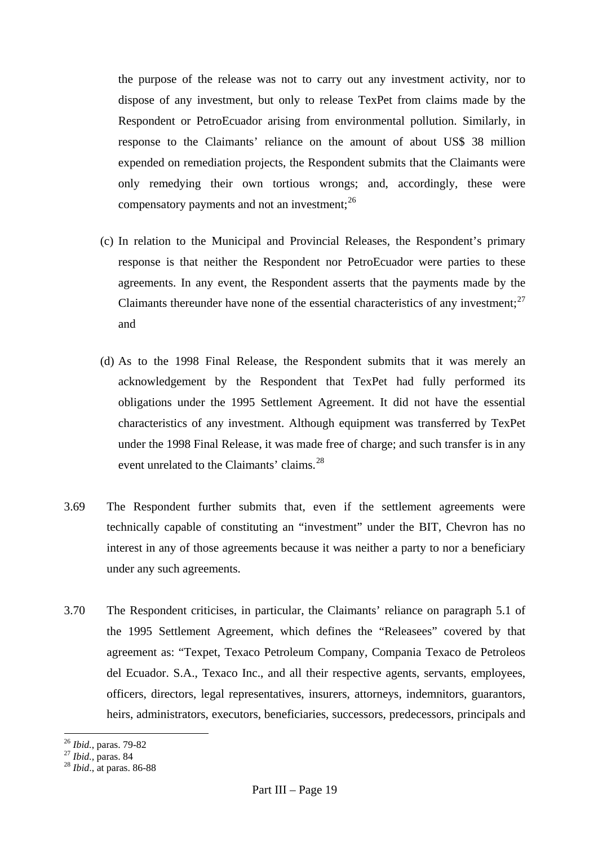the purpose of the release was not to carry out any investment activity, nor to dispose of any investment, but only to release TexPet from claims made by the Respondent or PetroEcuador arising from environmental pollution. Similarly, in response to the Claimants' reliance on the amount of about US\$ 38 million expended on remediation projects, the Respondent submits that the Claimants were only remedying their own tortious wrongs; and, accordingly, these were compensatory payments and not an investment;<sup>[26](#page-46-0)</sup>

- (c) In relation to the Municipal and Provincial Releases, the Respondent's primary response is that neither the Respondent nor PetroEcuador were parties to these agreements. In any event, the Respondent asserts that the payments made by the Claimants thereunder have none of the essential characteristics of any investment; $^{27}$  $^{27}$  $^{27}$ and
- (d) As to the 1998 Final Release, the Respondent submits that it was merely an acknowledgement by the Respondent that TexPet had fully performed its obligations under the 1995 Settlement Agreement. It did not have the essential characteristics of any investment. Although equipment was transferred by TexPet under the 1998 Final Release, it was made free of charge; and such transfer is in any event unrelated to the Claimants' claims.<sup>[28](#page-46-2)</sup>
- 3.69 The Respondent further submits that, even if the settlement agreements were technically capable of constituting an "investment" under the BIT, Chevron has no interest in any of those agreements because it was neither a party to nor a beneficiary under any such agreements.
- 3.70 The Respondent criticises, in particular, the Claimants' reliance on paragraph 5.1 of the 1995 Settlement Agreement, which defines the "Releasees" covered by that agreement as: "Texpet, Texaco Petroleum Company, Compania Texaco de Petroleos del Ecuador. S.A., Texaco Inc., and all their respective agents, servants, employees, officers, directors, legal representatives, insurers, attorneys, indemnitors, guarantors, heirs, administrators, executors, beneficiaries, successors, predecessors, principals and

<span id="page-46-2"></span>

<span id="page-46-1"></span><span id="page-46-0"></span><sup>26</sup> *Ibid.*, paras. 79-82 <sup>27</sup> *Ibid.,* paras. 84 <sup>28</sup> *Ibid*., at paras. 86-88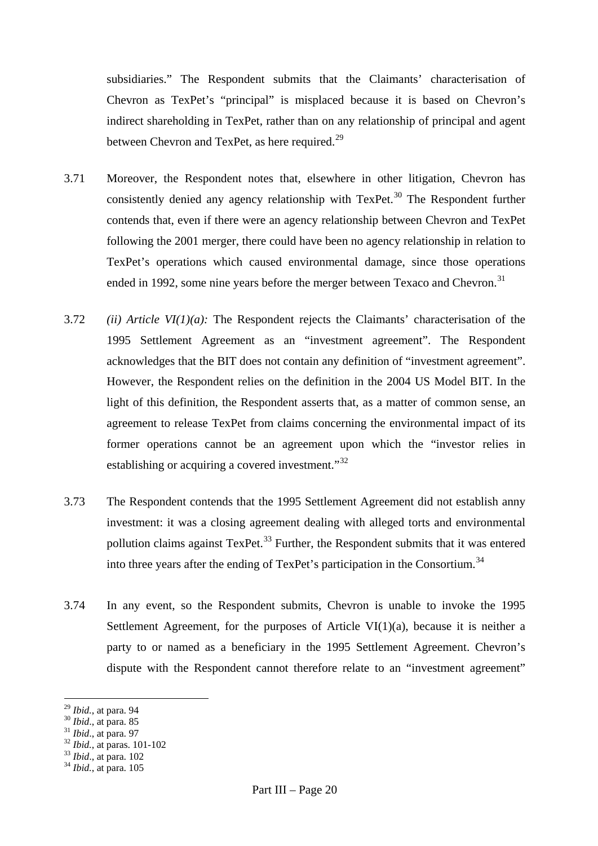subsidiaries." The Respondent submits that the Claimants' characterisation of Chevron as TexPet's "principal" is misplaced because it is based on Chevron's indirect shareholding in TexPet, rather than on any relationship of principal and agent between Chevron and TexPet, as here required.<sup>[29](#page-47-0)</sup>

- 3.71 Moreover, the Respondent notes that, elsewhere in other litigation, Chevron has consistently denied any agency relationship with TexPet.<sup>[30](#page-47-1)</sup> The Respondent further contends that, even if there were an agency relationship between Chevron and TexPet following the 2001 merger, there could have been no agency relationship in relation to TexPet's operations which caused environmental damage, since those operations ended in 1992, some nine years before the merger between Texaco and Chevron.<sup>[31](#page-47-2)</sup>
- 3.72 *(ii) Article VI(1)(a):* The Respondent rejects the Claimants' characterisation of the 1995 Settlement Agreement as an "investment agreement". The Respondent acknowledges that the BIT does not contain any definition of "investment agreement". However, the Respondent relies on the definition in the 2004 US Model BIT. In the light of this definition, the Respondent asserts that, as a matter of common sense, an agreement to release TexPet from claims concerning the environmental impact of its former operations cannot be an agreement upon which the "investor relies in establishing or acquiring a covered investment."<sup>[32](#page-47-3)</sup>
- 3.73 The Respondent contends that the 1995 Settlement Agreement did not establish anny investment: it was a closing agreement dealing with alleged torts and environmental pollution claims against TexPet.<sup>[33](#page-47-4)</sup> Further, the Respondent submits that it was entered into three years after the ending of TexPet's participation in the Consortium.<sup>[34](#page-47-5)</sup>
- 3.74 In any event, so the Respondent submits, Chevron is unable to invoke the 1995 Settlement Agreement, for the purposes of Article VI $(1)(a)$ , because it is neither a party to or named as a beneficiary in the 1995 Settlement Agreement. Chevron's dispute with the Respondent cannot therefore relate to an "investment agreement"

<span id="page-47-0"></span><sup>29</sup> *Ibid.*, at para. 94<br><sup>30</sup> *Ibid.*, at para. 85<br><sup>31</sup> *Ibid.*, at paras. 101-102<br><sup>33</sup> *Ibid.*, at para. 102<br><sup>34</sup> *Ibid.*, at para. 105

<span id="page-47-1"></span>

<span id="page-47-3"></span><span id="page-47-2"></span>

<span id="page-47-4"></span>

<span id="page-47-5"></span>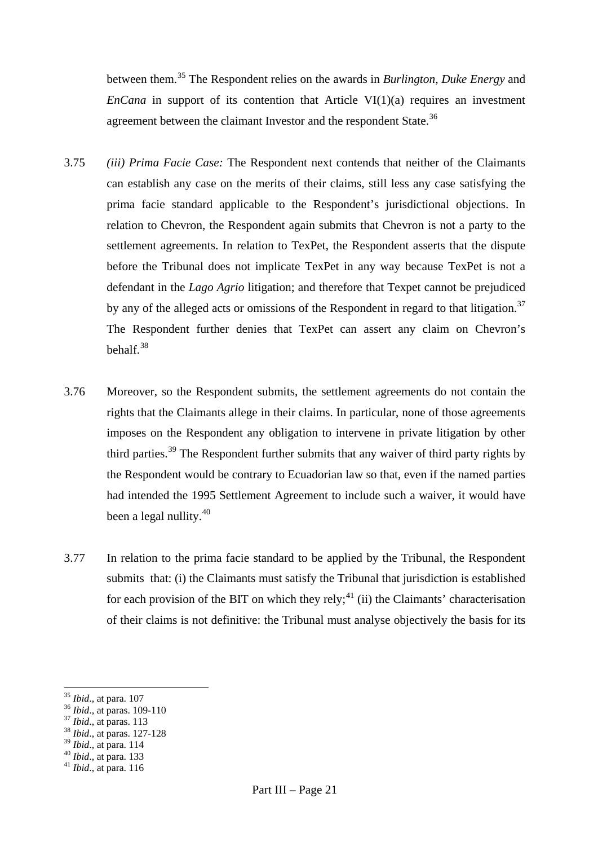between them. [35](#page-48-0) The Respondent relies on the awards in *Burlington*, *Duke Energy* and *EnCana* in support of its contention that Article VI(1)(a) requires an investment agreement between the claimant Investor and the respondent State.<sup>[36](#page-48-1)</sup>

- 3.75 *(iii) Prima Facie Case:* The Respondent next contends that neither of the Claimants can establish any case on the merits of their claims, still less any case satisfying the prima facie standard applicable to the Respondent's jurisdictional objections. In relation to Chevron, the Respondent again submits that Chevron is not a party to the settlement agreements. In relation to TexPet, the Respondent asserts that the dispute before the Tribunal does not implicate TexPet in any way because TexPet is not a defendant in the *Lago Agrio* litigation; and therefore that Texpet cannot be prejudiced by any of the alleged acts or omissions of the Respondent in regard to that litigation.<sup>[37](#page-48-2)</sup> The Respondent further denies that TexPet can assert any claim on Chevron's behalf. [38](#page-48-3)
- 3.76 Moreover, so the Respondent submits, the settlement agreements do not contain the rights that the Claimants allege in their claims. In particular, none of those agreements imposes on the Respondent any obligation to intervene in private litigation by other third parties.<sup>[39](#page-48-4)</sup> The Respondent further submits that any waiver of third party rights by the Respondent would be contrary to Ecuadorian law so that, even if the named parties had intended the 1995 Settlement Agreement to include such a waiver, it would have been a legal nullity.<sup>[40](#page-48-5)</sup>
- 3.77 In relation to the prima facie standard to be applied by the Tribunal, the Respondent submits that: (i) the Claimants must satisfy the Tribunal that jurisdiction is established for each provision of the BIT on which they rely;<sup>[41](#page-48-6)</sup> (ii) the Claimants' characterisation of their claims is not definitive: the Tribunal must analyse objectively the basis for its

- <span id="page-48-3"></span><span id="page-48-2"></span><span id="page-48-1"></span><sup>37</sup> *Ibid.*, at paras. 113<br><sup>38</sup> *Ibid.*, at paras. 127-128<br><sup>39</sup> *Ibid.*, at para. 114
- 

<span id="page-48-0"></span><sup>&</sup>lt;sup>35</sup> *Ibid.*, at para. 107<br><sup>36</sup> *Ibid.*, at paras. 109-110

<span id="page-48-6"></span><span id="page-48-5"></span><span id="page-48-4"></span><sup>39</sup> *Ibid*., at para. 114 <sup>40</sup> *Ibid*., at para. 133 <sup>41</sup> *Ibid*., at para. 116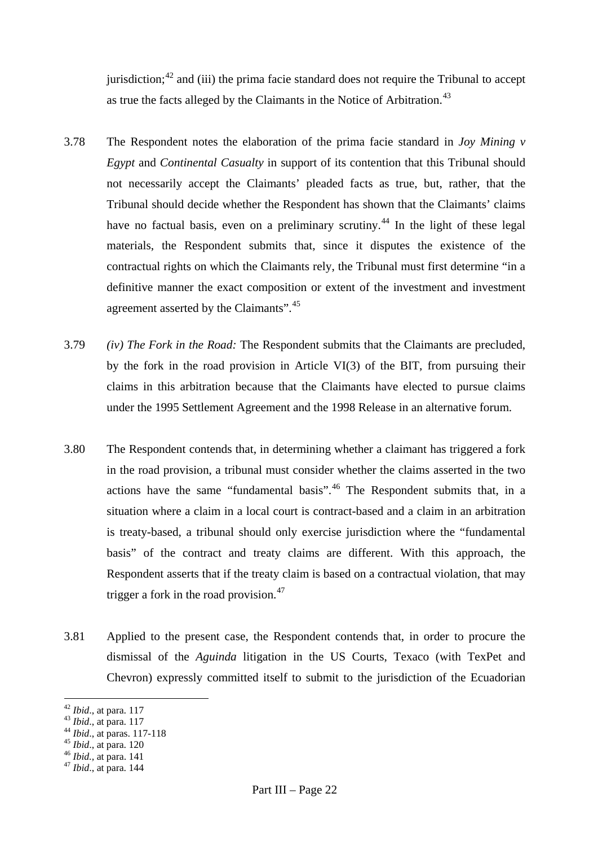jurisdiction;<sup>[42](#page-49-0)</sup> and (iii) the prima facie standard does not require the Tribunal to accept as true the facts alleged by the Claimants in the Notice of Arbitration.<sup>[43](#page-49-1)</sup>

- 3.78 The Respondent notes the elaboration of the prima facie standard in *Joy Mining v Egypt* and *Continental Casualty* in support of its contention that this Tribunal should not necessarily accept the Claimants' pleaded facts as true, but, rather, that the Tribunal should decide whether the Respondent has shown that the Claimants' claims have no factual basis, even on a preliminary scrutiny.<sup>[44](#page-49-2)</sup> In the light of these legal materials, the Respondent submits that, since it disputes the existence of the contractual rights on which the Claimants rely, the Tribunal must first determine "in a definitive manner the exact composition or extent of the investment and investment agreement asserted by the Claimants".[45](#page-49-3)
- 3.79 *(iv) The Fork in the Road:* The Respondent submits that the Claimants are precluded, by the fork in the road provision in Article VI(3) of the BIT, from pursuing their claims in this arbitration because that the Claimants have elected to pursue claims under the 1995 Settlement Agreement and the 1998 Release in an alternative forum.
- 3.80 The Respondent contends that, in determining whether a claimant has triggered a fork in the road provision, a tribunal must consider whether the claims asserted in the two actions have the same "fundamental basis".  $46$  The Respondent submits that, in a situation where a claim in a local court is contract-based and a claim in an arbitration is treaty-based, a tribunal should only exercise jurisdiction where the "fundamental basis" of the contract and treaty claims are different. With this approach, the Respondent asserts that if the treaty claim is based on a contractual violation, that may trigger a fork in the road provision. $47$
- 3.81 Applied to the present case, the Respondent contends that, in order to procure the dismissal of the *Aguinda* litigation in the US Courts, Texaco (with TexPet and Chevron) expressly committed itself to submit to the jurisdiction of the Ecuadorian

<span id="page-49-2"></span><span id="page-49-1"></span>

<span id="page-49-0"></span><sup>42</sup> *Ibid*., at para. 117 <sup>43</sup> *Ibid*., at para. 117 <sup>44</sup> *Ibid*., at paras. 117-118 <sup>45</sup> *Ibid*., at para. 120 <sup>46</sup> *Ibid.,* at para. 141 <sup>47</sup> *Ibid*., at para. 144

<span id="page-49-3"></span>

<span id="page-49-4"></span>

<span id="page-49-5"></span>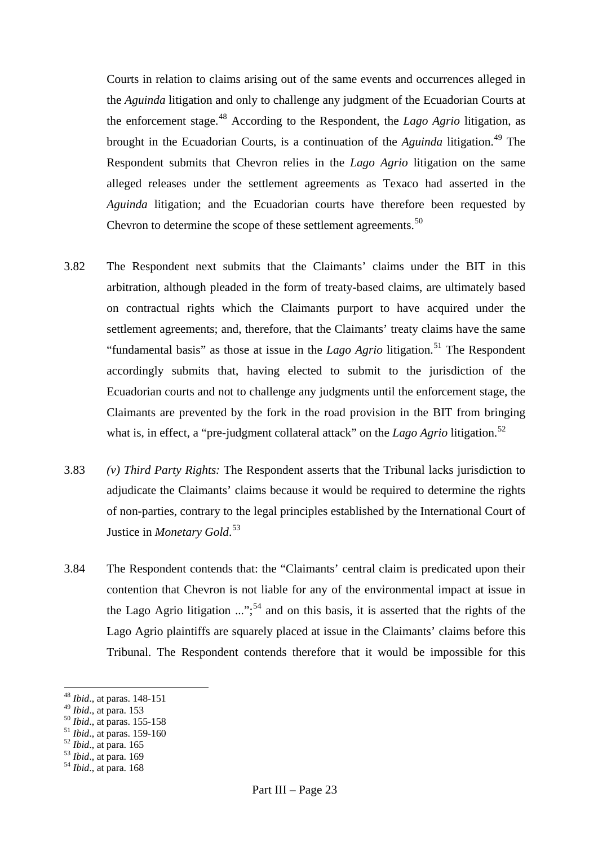Courts in relation to claims arising out of the same events and occurrences alleged in the *Aguinda* litigation and only to challenge any judgment of the Ecuadorian Courts at the enforcement stage. [48](#page-50-0) According to the Respondent, the *Lago Agrio* litigation, as brought in the Ecuadorian Courts, is a continuation of the *Aguinda* litigation. [49](#page-50-1) The Respondent submits that Chevron relies in the *Lago Agrio* litigation on the same alleged releases under the settlement agreements as Texaco had asserted in the *Aguinda* litigation; and the Ecuadorian courts have therefore been requested by Chevron to determine the scope of these settlement agreements.<sup>[50](#page-50-2)</sup>

- 3.82 The Respondent next submits that the Claimants' claims under the BIT in this arbitration, although pleaded in the form of treaty-based claims, are ultimately based on contractual rights which the Claimants purport to have acquired under the settlement agreements; and, therefore, that the Claimants' treaty claims have the same "fundamental basis" as those at issue in the *Lago Agrio* litigation.<sup>[51](#page-50-3)</sup> The Respondent accordingly submits that, having elected to submit to the jurisdiction of the Ecuadorian courts and not to challenge any judgments until the enforcement stage, the Claimants are prevented by the fork in the road provision in the BIT from bringing what is, in effect, a "pre-judgment collateral attack" on the *Lago Agrio* litigation.<sup>[52](#page-50-4)</sup>
- 3.83 *(v) Third Party Rights:* The Respondent asserts that the Tribunal lacks jurisdiction to adjudicate the Claimants' claims because it would be required to determine the rights of non-parties, contrary to the legal principles established by the International Court of Justice in *Monetary Gold*. [53](#page-50-5)
- 3.84 The Respondent contends that: the "Claimants' central claim is predicated upon their contention that Chevron is not liable for any of the environmental impact at issue in the Lago Agrio litigation  $\ldots$ ";<sup>[54](#page-50-6)</sup> and on this basis, it is asserted that the rights of the Lago Agrio plaintiffs are squarely placed at issue in the Claimants' claims before this Tribunal. The Respondent contends therefore that it would be impossible for this

<span id="page-50-0"></span><sup>&</sup>lt;sup>48</sup> *Ibid.*, at paras. 148-151<br><sup>49</sup> *Ibid.*, at para. 153

<span id="page-50-2"></span><span id="page-50-1"></span><sup>&</sup>lt;sup>50</sup> *Ibid.*, at paras. 155-158<br><sup>51</sup> *Ibid.*, at paras. 159-160<br><sup>52</sup> *Ibid.*, at para. 165<br><sup>53</sup> *Ibid.*, at para. 169<br><sup>54</sup> *Ibid.*, at para. 168

<span id="page-50-3"></span>

<span id="page-50-4"></span>

<span id="page-50-5"></span>

<span id="page-50-6"></span>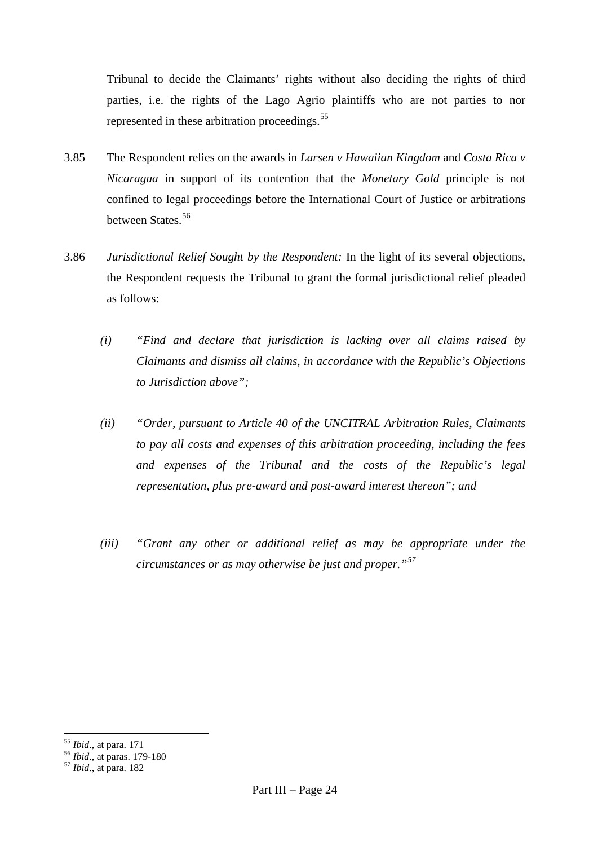Tribunal to decide the Claimants' rights without also deciding the rights of third parties, i.e. the rights of the Lago Agrio plaintiffs who are not parties to nor represented in these arbitration proceedings.<sup>[55](#page-51-0)</sup>

- 3.85 The Respondent relies on the awards in *Larsen v Hawaiian Kingdom* and *Costa Rica v Nicaragua* in support of its contention that the *Monetary Gold* principle is not confined to legal proceedings before the International Court of Justice or arbitrations between States. [56](#page-51-1)
- 3.86 *Jurisdictional Relief Sought by the Respondent:* In the light of its several objections, the Respondent requests the Tribunal to grant the formal jurisdictional relief pleaded as follows:
	- *(i) "Find and declare that jurisdiction is lacking over all claims raised by Claimants and dismiss all claims, in accordance with the Republic's Objections to Jurisdiction above";*
	- *(ii) "Order, pursuant to Article 40 of the UNCITRAL Arbitration Rules, Claimants to pay all costs and expenses of this arbitration proceeding, including the fees and expenses of the Tribunal and the costs of the Republic's legal representation, plus pre-award and post-award interest thereon"; and*
	- *(iii) "Grant any other or additional relief as may be appropriate under the circumstances or as may otherwise be just and proper."[57](#page-51-2)*

<span id="page-51-1"></span><span id="page-51-0"></span><sup>55</sup> *Ibid*., at para. 171 <sup>56</sup> *Ibid*., at paras. 179-180 <sup>57</sup> *Ibid*., at para. 182

<span id="page-51-2"></span>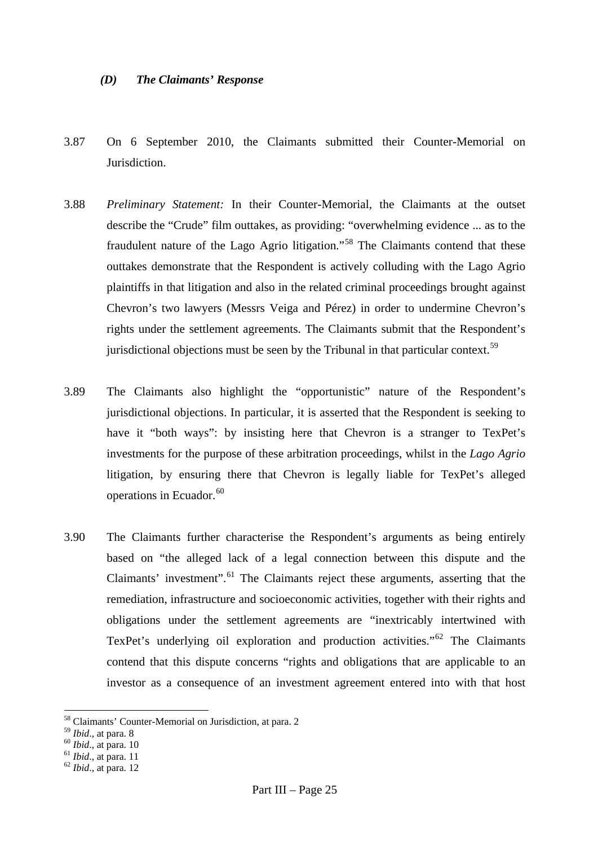## *(D) The Claimants' Response*

- 3.87 On 6 September 2010, the Claimants submitted their Counter-Memorial on Jurisdiction.
- 3.88 *Preliminary Statement:* In their Counter-Memorial, the Claimants at the outset describe the "Crude" film outtakes, as providing: "overwhelming evidence ... as to the fraudulent nature of the Lago Agrio litigation."[58](#page-52-0) The Claimants contend that these outtakes demonstrate that the Respondent is actively colluding with the Lago Agrio plaintiffs in that litigation and also in the related criminal proceedings brought against Chevron's two lawyers (Messrs Veiga and Pérez) in order to undermine Chevron's rights under the settlement agreements. The Claimants submit that the Respondent's jurisdictional objections must be seen by the Tribunal in that particular context.<sup>[59](#page-52-1)</sup>
- 3.89 The Claimants also highlight the "opportunistic" nature of the Respondent's jurisdictional objections. In particular, it is asserted that the Respondent is seeking to have it "both ways": by insisting here that Chevron is a stranger to TexPet's investments for the purpose of these arbitration proceedings, whilst in the *Lago Agrio* litigation, by ensuring there that Chevron is legally liable for TexPet's alleged operations in Ecuador. [60](#page-52-2)
- 3.90 The Claimants further characterise the Respondent's arguments as being entirely based on "the alleged lack of a legal connection between this dispute and the Claimants' investment".<sup>[61](#page-52-3)</sup> The Claimants reject these arguments, asserting that the remediation, infrastructure and socioeconomic activities, together with their rights and obligations under the settlement agreements are "inextricably intertwined with TexPet's underlying oil exploration and production activities."<sup>[62](#page-52-4)</sup> The Claimants contend that this dispute concerns "rights and obligations that are applicable to an investor as a consequence of an investment agreement entered into with that host

<span id="page-52-0"></span><sup>&</sup>lt;sup>58</sup> Claimants' Counter-Memorial on Jurisdiction, at para. 2<sup>59</sup> *Ibid.*. at para. 8

<span id="page-52-2"></span><span id="page-52-1"></span><sup>59</sup> *Ibid*., at para. 8 <sup>60</sup> *Ibid*., at para. 10 <sup>61</sup> *Ibid*., at para. 11 <sup>62</sup> *Ibid*., at para. 12

<span id="page-52-3"></span>

<span id="page-52-4"></span>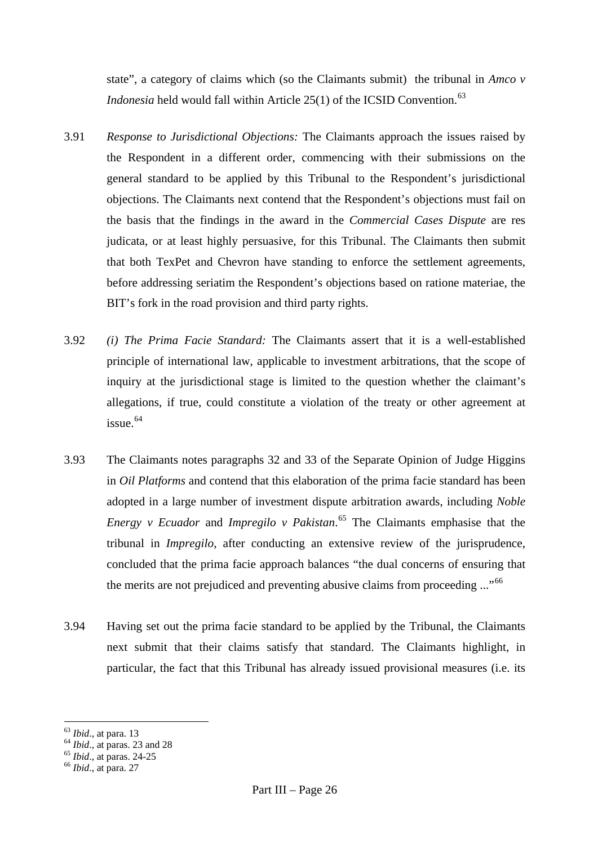state", a category of claims which (so the Claimants submit) the tribunal in *Amco v Indonesia* held would fall within Article  $25(1)$  of the ICSID Convention.<sup>[63](#page-53-0)</sup>

- 3.91 *Response to Jurisdictional Objections:* The Claimants approach the issues raised by the Respondent in a different order, commencing with their submissions on the general standard to be applied by this Tribunal to the Respondent's jurisdictional objections. The Claimants next contend that the Respondent's objections must fail on the basis that the findings in the award in the *Commercial Cases Dispute* are res judicata, or at least highly persuasive, for this Tribunal. The Claimants then submit that both TexPet and Chevron have standing to enforce the settlement agreements, before addressing seriatim the Respondent's objections based on ratione materiae, the BIT's fork in the road provision and third party rights.
- 3.92 *(i) The Prima Facie Standard:* The Claimants assert that it is a well-established principle of international law, applicable to investment arbitrations, that the scope of inquiry at the jurisdictional stage is limited to the question whether the claimant's allegations, if true, could constitute a violation of the treaty or other agreement at issue. [64](#page-53-1)
- 3.93 The Claimants notes paragraphs 32 and 33 of the Separate Opinion of Judge Higgins in *Oil Platforms* and contend that this elaboration of the prima facie standard has been adopted in a large number of investment dispute arbitration awards, including *Noble Energy v Ecuador* and *Impregilo v Pakistan*. [65](#page-53-2) The Claimants emphasise that the tribunal in *Impregilo*, after conducting an extensive review of the jurisprudence, concluded that the prima facie approach balances "the dual concerns of ensuring that the merits are not prejudiced and preventing abusive claims from proceeding ..."<sup>[66](#page-53-3)</sup>
- 3.94 Having set out the prima facie standard to be applied by the Tribunal, the Claimants next submit that their claims satisfy that standard. The Claimants highlight, in particular, the fact that this Tribunal has already issued provisional measures (i.e. its

<span id="page-53-1"></span>

<span id="page-53-0"></span><sup>63</sup> *Ibid*., at para. 13 <sup>64</sup> *Ibid*., at paras. 23 and 28 <sup>65</sup> *Ibid*., at paras. 24-25 <sup>66</sup> *Ibid*., at para. 27

<span id="page-53-2"></span>

<span id="page-53-3"></span>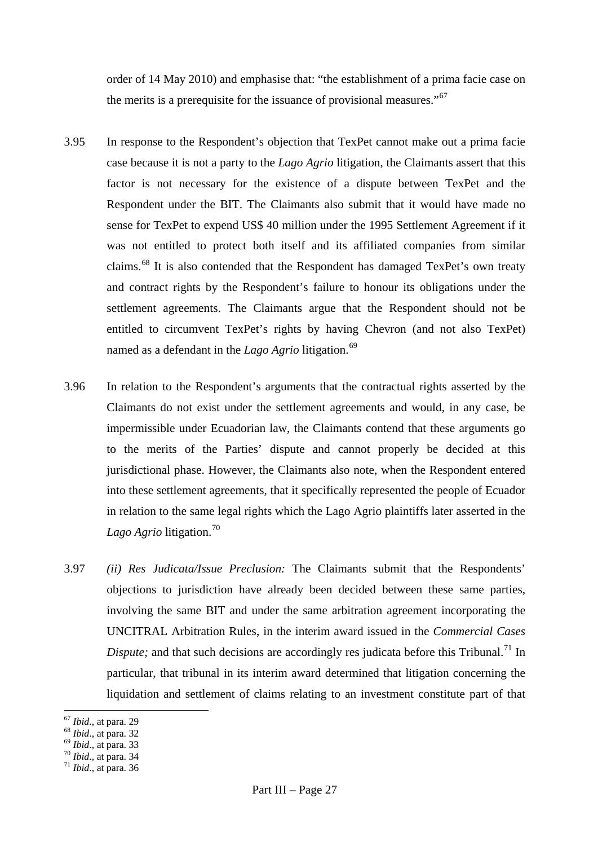order of 14 May 2010) and emphasise that: "the establishment of a prima facie case on the merits is a prerequisite for the issuance of provisional measures."[67](#page-54-0)

- 3.95 In response to the Respondent's objection that TexPet cannot make out a prima facie case because it is not a party to the *Lago Agrio* litigation, the Claimants assert that this factor is not necessary for the existence of a dispute between TexPet and the Respondent under the BIT. The Claimants also submit that it would have made no sense for TexPet to expend US\$ 40 million under the 1995 Settlement Agreement if it was not entitled to protect both itself and its affiliated companies from similar claims.<sup>[68](#page-54-1)</sup> It is also contended that the Respondent has damaged TexPet's own treaty and contract rights by the Respondent's failure to honour its obligations under the settlement agreements. The Claimants argue that the Respondent should not be entitled to circumvent TexPet's rights by having Chevron (and not also TexPet) named as a defendant in the *Lago Agrio* litigation.<sup>[69](#page-54-2)</sup>
- 3.96 In relation to the Respondent's arguments that the contractual rights asserted by the Claimants do not exist under the settlement agreements and would, in any case, be impermissible under Ecuadorian law, the Claimants contend that these arguments go to the merits of the Parties' dispute and cannot properly be decided at this jurisdictional phase. However, the Claimants also note, when the Respondent entered into these settlement agreements, that it specifically represented the people of Ecuador in relation to the same legal rights which the Lago Agrio plaintiffs later asserted in the *Lago Agrio* litigation. [70](#page-54-3)
- 3.97 *(ii) Res Judicata/Issue Preclusion:* The Claimants submit that the Respondents' objections to jurisdiction have already been decided between these same parties, involving the same BIT and under the same arbitration agreement incorporating the UNCITRAL Arbitration Rules, in the interim award issued in the *Commercial Cases*  Dispute; and that such decisions are accordingly res judicata before this Tribunal.<sup>[71](#page-54-4)</sup> In particular, that tribunal in its interim award determined that litigation concerning the liquidation and settlement of claims relating to an investment constitute part of that

<span id="page-54-0"></span><sup>&</sup>lt;sup>67</sup> *Ibid.*, at para. 29<br><sup>68</sup> *Ibid.*, at para. 32

<span id="page-54-2"></span><span id="page-54-1"></span><sup>68</sup> *Ibid*., at para. 32 <sup>69</sup> *Ibid*., at para. 33 <sup>70</sup> *Ibid*., at para. 34 <sup>71</sup> *Ibid*., at para. 36

<span id="page-54-4"></span><span id="page-54-3"></span>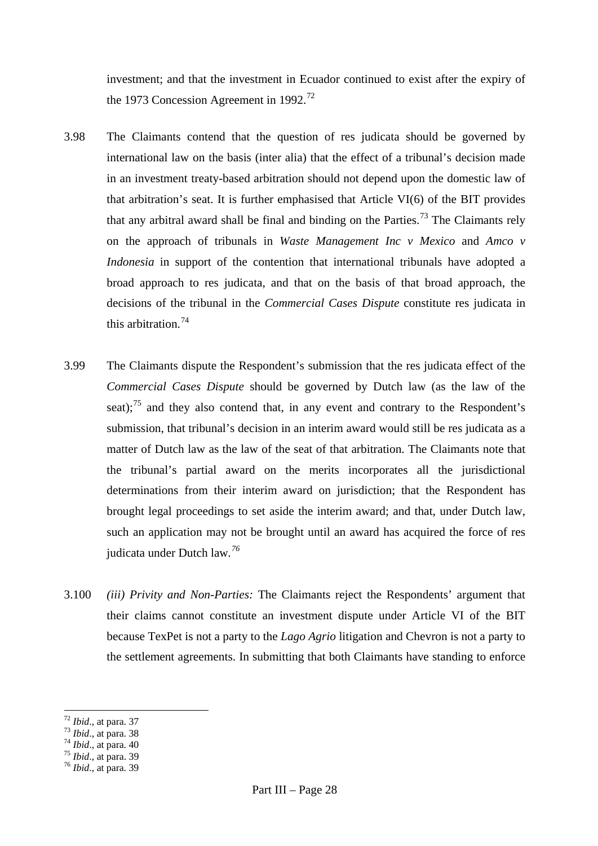investment; and that the investment in Ecuador continued to exist after the expiry of the 1973 Concession Agreement in 1992.<sup>[72](#page-55-0)</sup>

- 3.98 The Claimants contend that the question of res judicata should be governed by international law on the basis (inter alia) that the effect of a tribunal's decision made in an investment treaty-based arbitration should not depend upon the domestic law of that arbitration's seat. It is further emphasised that Article VI(6) of the BIT provides that any arbitral award shall be final and binding on the Parties.<sup>[73](#page-55-1)</sup> The Claimants rely on the approach of tribunals in *Waste Management Inc v Mexico* and *Amco v Indonesia* in support of the contention that international tribunals have adopted a broad approach to res judicata, and that on the basis of that broad approach, the decisions of the tribunal in the *Commercial Cases Dispute* constitute res judicata in this arbitration. [74](#page-55-2)
- 3.99 The Claimants dispute the Respondent's submission that the res judicata effect of the *Commercial Cases Dispute* should be governed by Dutch law (as the law of the seat);  $^{75}$  $^{75}$  $^{75}$  and they also contend that, in any event and contrary to the Respondent's submission, that tribunal's decision in an interim award would still be res judicata as a matter of Dutch law as the law of the seat of that arbitration. The Claimants note that the tribunal's partial award on the merits incorporates all the jurisdictional determinations from their interim award on jurisdiction; that the Respondent has brought legal proceedings to set aside the interim award; and that, under Dutch law, such an application may not be brought until an award has acquired the force of res judicata under Dutch law*. [76](#page-55-4)*
- 3.100 *(iii) Privity and Non-Parties:* The Claimants reject the Respondents' argument that their claims cannot constitute an investment dispute under Article VI of the BIT because TexPet is not a party to the *Lago Agrio* litigation and Chevron is not a party to the settlement agreements. In submitting that both Claimants have standing to enforce

<span id="page-55-1"></span>

<span id="page-55-2"></span>

<span id="page-55-0"></span><sup>72</sup> *Ibid*., at para. 37 <sup>73</sup> *Ibid*., at para. 38 <sup>74</sup> *Ibid*., at para. 40 <sup>75</sup> *Ibid*., at para. 39 <sup>76</sup> *Ibid*., at para. 39

<span id="page-55-4"></span><span id="page-55-3"></span>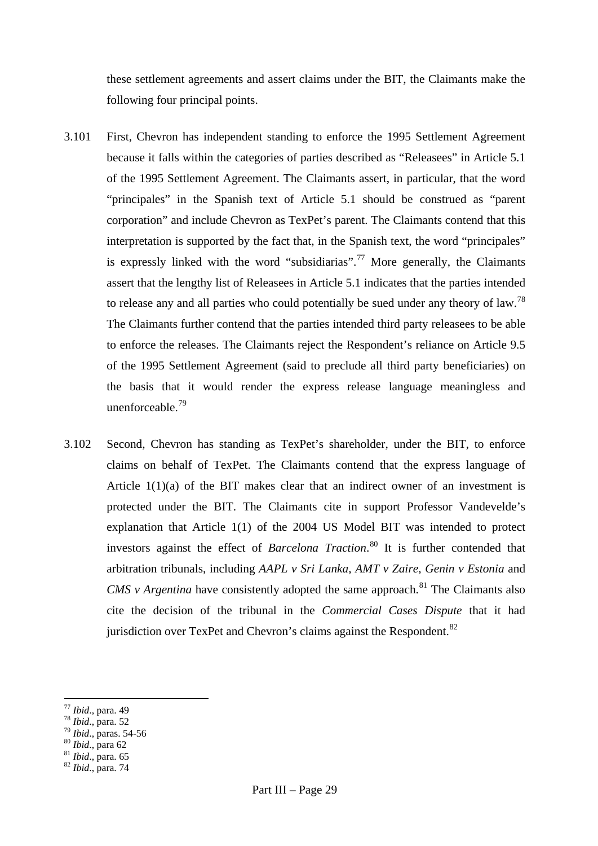these settlement agreements and assert claims under the BIT, the Claimants make the following four principal points.

- 3.101 First, Chevron has independent standing to enforce the 1995 Settlement Agreement because it falls within the categories of parties described as "Releasees" in Article 5.1 of the 1995 Settlement Agreement. The Claimants assert, in particular, that the word "principales" in the Spanish text of Article 5.1 should be construed as "parent corporation" and include Chevron as TexPet's parent. The Claimants contend that this interpretation is supported by the fact that, in the Spanish text, the word "principales" is expressly linked with the word "subsidiarias".<sup>[77](#page-56-0)</sup> More generally, the Claimants assert that the lengthy list of Releasees in Article 5.1 indicates that the parties intended to release any and all parties who could potentially be sued under any theory of law.<sup>[78](#page-56-1)</sup> The Claimants further contend that the parties intended third party releasees to be able to enforce the releases. The Claimants reject the Respondent's reliance on Article 9.5 of the 1995 Settlement Agreement (said to preclude all third party beneficiaries) on the basis that it would render the express release language meaningless and unenforceable.[79](#page-56-2)
- 3.102 Second, Chevron has standing as TexPet's shareholder, under the BIT, to enforce claims on behalf of TexPet. The Claimants contend that the express language of Article  $1(1)(a)$  of the BIT makes clear that an indirect owner of an investment is protected under the BIT. The Claimants cite in support Professor Vandevelde's explanation that Article 1(1) of the 2004 US Model BIT was intended to protect investors against the effect of *Barcelona Traction*. [80](#page-56-3) It is further contended that arbitration tribunals, including *AAPL v Sri Lanka, AMT v Zaire, Genin v Estonia* and *CMS v Argentina* have consistently adopted the same approach.<sup>[81](#page-56-4)</sup> The Claimants also cite the decision of the tribunal in the *Commercial Cases Dispute* that it had jurisdiction over TexPet and Chevron's claims against the Respondent. <sup>[82](#page-56-5)</sup>

- <span id="page-56-0"></span><sup>77</sup> *Ibid*., para. 49 <sup>78</sup> *Ibid*., para. 52 <sup>79</sup> *Ibid*., paras. 54-56 <sup>80</sup> *Ibid*., para 62 <sup>81</sup> *Ibid*., para. 65 <sup>82</sup> *Ibid*., para. 74
- <span id="page-56-3"></span>
- <span id="page-56-4"></span>

<span id="page-56-2"></span><span id="page-56-1"></span>

<span id="page-56-5"></span>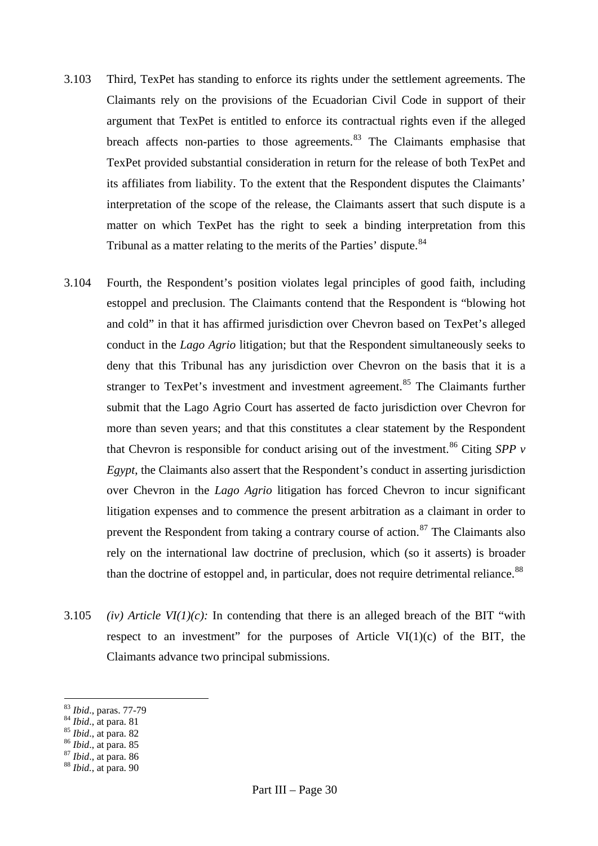- 3.103 Third, TexPet has standing to enforce its rights under the settlement agreements. The Claimants rely on the provisions of the Ecuadorian Civil Code in support of their argument that TexPet is entitled to enforce its contractual rights even if the alleged breach affects non-parties to those agreements.<sup>[83](#page-57-0)</sup> The Claimants emphasise that TexPet provided substantial consideration in return for the release of both TexPet and its affiliates from liability. To the extent that the Respondent disputes the Claimants' interpretation of the scope of the release, the Claimants assert that such dispute is a matter on which TexPet has the right to seek a binding interpretation from this Tribunal as a matter relating to the merits of the Parties' dispute.<sup>[84](#page-57-1)</sup>
- 3.104 Fourth, the Respondent's position violates legal principles of good faith, including estoppel and preclusion. The Claimants contend that the Respondent is "blowing hot and cold" in that it has affirmed jurisdiction over Chevron based on TexPet's alleged conduct in the *Lago Agrio* litigation; but that the Respondent simultaneously seeks to deny that this Tribunal has any jurisdiction over Chevron on the basis that it is a stranger to TexPet's investment and investment agreement.<sup>[85](#page-57-2)</sup> The Claimants further submit that the Lago Agrio Court has asserted de facto jurisdiction over Chevron for more than seven years; and that this constitutes a clear statement by the Respondent that Chevron is responsible for conduct arising out of the investment.<sup>[86](#page-57-3)</sup> Citing *SPP v Egypt*, the Claimants also assert that the Respondent's conduct in asserting jurisdiction over Chevron in the *Lago Agrio* litigation has forced Chevron to incur significant litigation expenses and to commence the present arbitration as a claimant in order to prevent the Respondent from taking a contrary course of action.<sup>[87](#page-57-4)</sup> The Claimants also rely on the international law doctrine of preclusion, which (so it asserts) is broader than the doctrine of estoppel and, in particular, does not require detrimental reliance.<sup>[88](#page-57-5)</sup>
- 3.105 *(iv) Article VI(1)(c)*: In contending that there is an alleged breach of the BIT "with" respect to an investment" for the purposes of Article VI $(1)(c)$  of the BIT, the Claimants advance two principal submissions.

- <span id="page-57-3"></span>
- <span id="page-57-4"></span>

<span id="page-57-0"></span><sup>&</sup>lt;sup>83</sup> *Ibid.*, paras. 77-79<br><sup>84</sup> *Ibid.*, at para. 81<br><sup>85</sup> *Ibid.*, at para. 85<br><sup>87</sup> *Ibid.*, at para. 86<br><sup>88</sup> *Ibid.*, at para. 90

<span id="page-57-1"></span>

<span id="page-57-2"></span>

<span id="page-57-5"></span>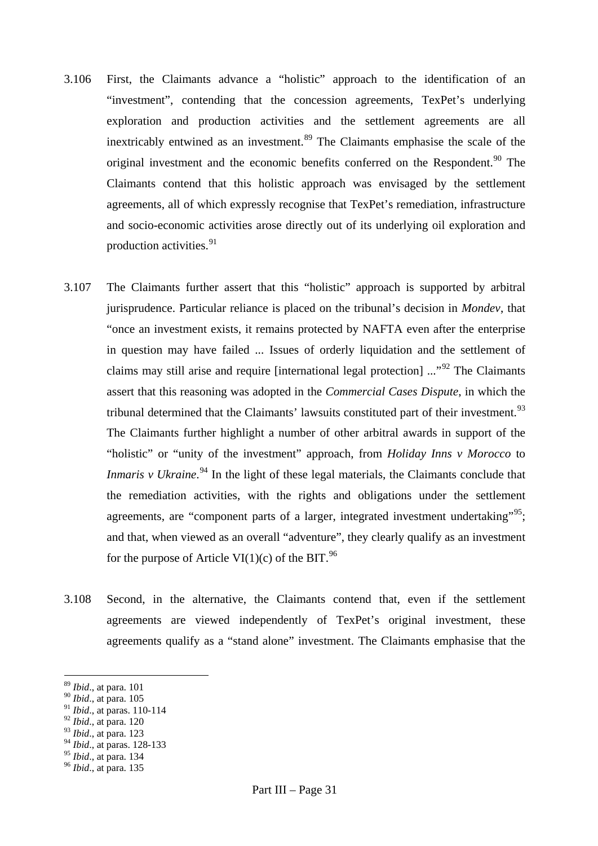- 3.106 First, the Claimants advance a "holistic" approach to the identification of an "investment", contending that the concession agreements, TexPet's underlying exploration and production activities and the settlement agreements are all inextricably entwined as an investment. [89](#page-58-0) The Claimants emphasise the scale of the original investment and the economic benefits conferred on the Respondent. [90](#page-58-1) The Claimants contend that this holistic approach was envisaged by the settlement agreements, all of which expressly recognise that TexPet's remediation, infrastructure and socio-economic activities arose directly out of its underlying oil exploration and production activities.<sup>[91](#page-58-2)</sup>
- 3.107 The Claimants further assert that this "holistic" approach is supported by arbitral jurisprudence. Particular reliance is placed on the tribunal's decision in *Mondev*, that "once an investment exists, it remains protected by NAFTA even after the enterprise in question may have failed ... Issues of orderly liquidation and the settlement of claims may still arise and require [international legal protection]  $\ldots$ <sup>[92](#page-58-3)</sup> The Claimants assert that this reasoning was adopted in the *Commercial Cases Dispute*, in which the tribunal determined that the Claimants' lawsuits constituted part of their investment.<sup>[93](#page-58-4)</sup> The Claimants further highlight a number of other arbitral awards in support of the "holistic" or "unity of the investment" approach, from *Holiday Inns v Morocco* to *Inmaris v Ukraine*.<sup>[94](#page-58-5)</sup> In the light of these legal materials, the Claimants conclude that the remediation activities, with the rights and obligations under the settlement agreements, are "component parts of a larger, integrated investment undertaking"<sup>95</sup>; and that, when viewed as an overall "adventure", they clearly qualify as an investment for the purpose of Article VI $(1)(c)$  of the BIT.<sup>[96](#page-58-7)</sup>
- 3.108 Second, in the alternative, the Claimants contend that, even if the settlement agreements are viewed independently of TexPet's original investment, these agreements qualify as a "stand alone" investment. The Claimants emphasise that the

- <span id="page-58-2"></span><sup>91</sup> *Ibid*., at paras. 110-114
- <span id="page-58-3"></span><sup>92</sup> *Ibid*., at para. 120
- <span id="page-58-4"></span><sup>93</sup> *Ibid*., at para. 123
- <span id="page-58-5"></span><sup>94</sup> *Ibid.*, at paras. 128-133<br><sup>95</sup> *Ibid.*, at para. 134

<span id="page-58-0"></span> <sup>89</sup> *Ibid*., at para. 101

<span id="page-58-1"></span><sup>90</sup> *Ibid*., at para. 105

<span id="page-58-7"></span><span id="page-58-6"></span><sup>95</sup> *Ibid*., at para. 134 <sup>96</sup> *Ibid*., at para. 135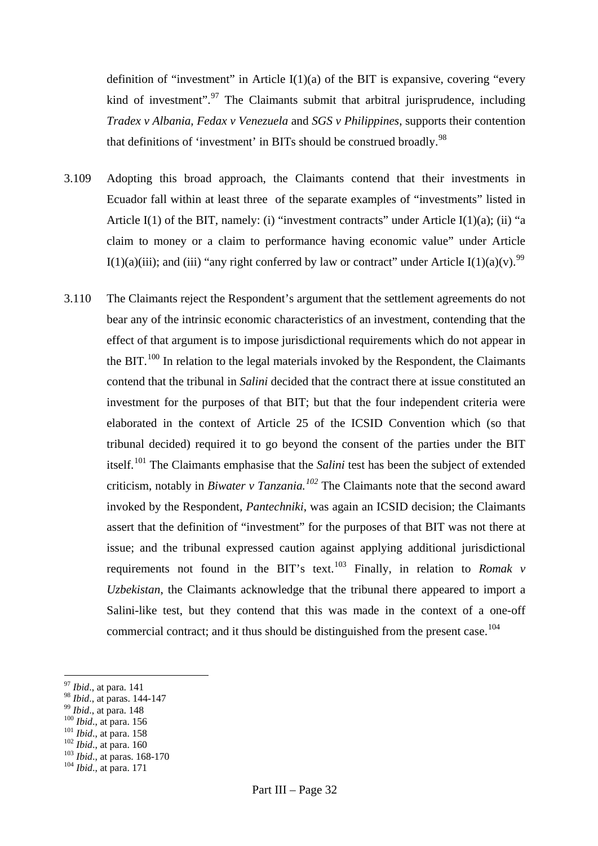definition of "investment" in Article  $I(1)(a)$  of the BIT is expansive, covering "every kind of investment".<sup>[97](#page-59-0)</sup> The Claimants submit that arbitral jurisprudence, including *Tradex v Albania, Fedax v Venezuela* and *SGS v Philippines*, supports their contention that definitions of 'investment' in BITs should be construed broadly.<sup>[98](#page-59-1)</sup>

- 3.109 Adopting this broad approach, the Claimants contend that their investments in Ecuador fall within at least three of the separate examples of "investments" listed in Article I(1) of the BIT, namely: (i) "investment contracts" under Article I(1)(a); (ii) "a claim to money or a claim to performance having economic value" under Article I(1)(a)(iii); and (iii) "any right conferred by law or contract" under Article I(1)(a)(v). <sup>[99](#page-59-2)</sup>
- 3.110 The Claimants reject the Respondent's argument that the settlement agreements do not bear any of the intrinsic economic characteristics of an investment, contending that the effect of that argument is to impose jurisdictional requirements which do not appear in the BIT.<sup>[100](#page-59-3)</sup> In relation to the legal materials invoked by the Respondent, the Claimants contend that the tribunal in *Salini* decided that the contract there at issue constituted an investment for the purposes of that BIT; but that the four independent criteria were elaborated in the context of Article 25 of the ICSID Convention which (so that tribunal decided) required it to go beyond the consent of the parties under the BIT itself. [101](#page-59-4) The Claimants emphasise that the *Salini* test has been the subject of extended criticism, notably in *Biwater v Tanzania.[102](#page-59-5)* The Claimants note that the second award invoked by the Respondent, *Pantechniki*, was again an ICSID decision; the Claimants assert that the definition of "investment" for the purposes of that BIT was not there at issue; and the tribunal expressed caution against applying additional jurisdictional requirements not found in the BIT's text. [103](#page-59-6) Finally, in relation to *Romak v Uzbekistan*, the Claimants acknowledge that the tribunal there appeared to import a Salini-like test, but they contend that this was made in the context of a one-off commercial contract; and it thus should be distinguished from the present case.<sup>[104](#page-59-7)</sup>

<span id="page-59-0"></span><sup>&</sup>lt;sup>97</sup> *Ibid.*, at para. 141<br><sup>98</sup> *Ibid.*, at paras. 144-147

<span id="page-59-5"></span><span id="page-59-4"></span>

<span id="page-59-6"></span>

<span id="page-59-3"></span><span id="page-59-2"></span><span id="page-59-1"></span><sup>&</sup>lt;sup>99</sup> *Ibid.*, at para. 148<br><sup>100</sup> *Ibid.*, at para. 156<br><sup>101</sup> *Ibid.*, at para. 160<br><sup>103</sup> *Ibid.*, at paras. 168-170<br><sup>104</sup> *Ibid.*, at para. 171

<span id="page-59-7"></span>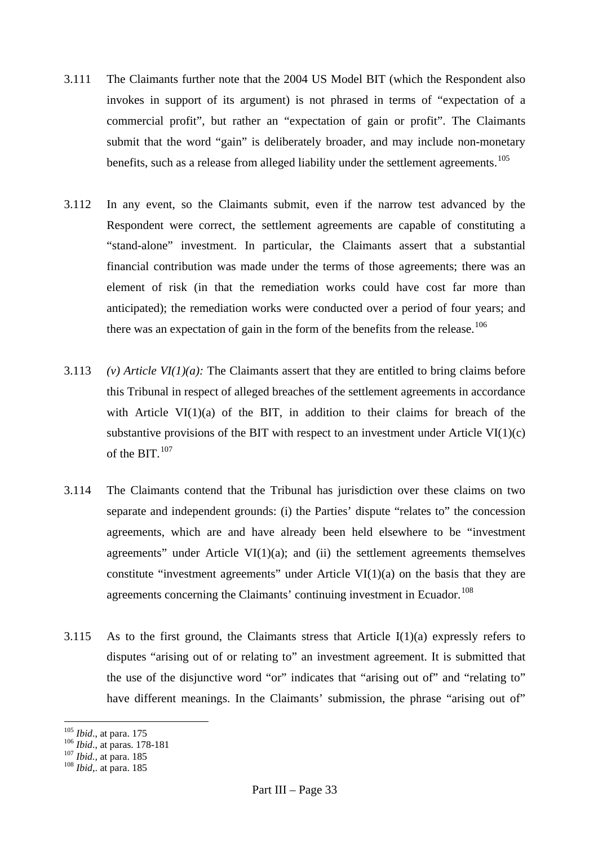- 3.111 The Claimants further note that the 2004 US Model BIT (which the Respondent also invokes in support of its argument) is not phrased in terms of "expectation of a commercial profit", but rather an "expectation of gain or profit". The Claimants submit that the word "gain" is deliberately broader, and may include non-monetary benefits, such as a release from alleged liability under the settlement agreements.<sup>[105](#page-60-0)</sup>
- 3.112 In any event, so the Claimants submit, even if the narrow test advanced by the Respondent were correct, the settlement agreements are capable of constituting a "stand-alone" investment. In particular, the Claimants assert that a substantial financial contribution was made under the terms of those agreements; there was an element of risk (in that the remediation works could have cost far more than anticipated); the remediation works were conducted over a period of four years; and there was an expectation of gain in the form of the benefits from the release.<sup>[106](#page-60-1)</sup>
- 3.113 *(v) Article VI(1)(a)*: The Claimants assert that they are entitled to bring claims before this Tribunal in respect of alleged breaches of the settlement agreements in accordance with Article VI $(1)(a)$  of the BIT, in addition to their claims for breach of the substantive provisions of the BIT with respect to an investment under Article  $VI(1)(c)$ of the BIT. $^{107}$  $^{107}$  $^{107}$
- 3.114 The Claimants contend that the Tribunal has jurisdiction over these claims on two separate and independent grounds: (i) the Parties' dispute "relates to" the concession agreements, which are and have already been held elsewhere to be "investment agreements" under Article VI $(1)(a)$ ; and  $(ii)$  the settlement agreements themselves constitute "investment agreements" under Article VI $(1)(a)$  on the basis that they are agreements concerning the Claimants' continuing investment in Ecuador.<sup>[108](#page-60-3)</sup>
- 3.115 As to the first ground, the Claimants stress that Article  $I(1)(a)$  expressly refers to disputes "arising out of or relating to" an investment agreement. It is submitted that the use of the disjunctive word "or" indicates that "arising out of" and "relating to" have different meanings. In the Claimants' submission, the phrase "arising out of"

<span id="page-60-1"></span><span id="page-60-0"></span><sup>105</sup> *Ibid.*, at para. 175<br><sup>106</sup> *Ibid.*, at paras. 178-181<br><sup>107</sup> *Ibid.*, at para. 185<br><sup>108</sup> *Ibid.*, at para. 185

<span id="page-60-2"></span>

<span id="page-60-3"></span>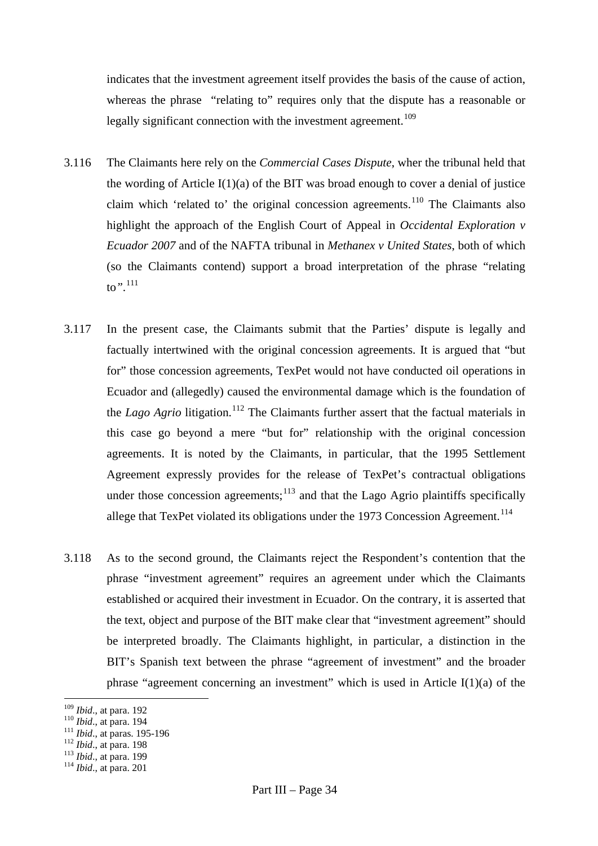indicates that the investment agreement itself provides the basis of the cause of action, whereas the phrase "relating to" requires only that the dispute has a reasonable or legally significant connection with the investment agreement.<sup>[109](#page-61-0)</sup>

- 3.116 The Claimants here rely on the *Commercial Cases Dispute*, wher the tribunal held that the wording of Article  $I(1)(a)$  of the BIT was broad enough to cover a denial of justice claim which 'related to' the original concession agreements.<sup>[110](#page-61-1)</sup> The Claimants also highlight the approach of the English Court of Appeal in *Occidental Exploration v Ecuador 2007* and of the NAFTA tribunal in *Methanex v United States*, both of which (so the Claimants contend) support a broad interpretation of the phrase "relating to*"*. [111](#page-61-2)
- 3.117 In the present case, the Claimants submit that the Parties' dispute is legally and factually intertwined with the original concession agreements. It is argued that "but for" those concession agreements, TexPet would not have conducted oil operations in Ecuador and (allegedly) caused the environmental damage which is the foundation of the *Lago Agrio* litigation.<sup>[112](#page-61-3)</sup> The Claimants further assert that the factual materials in this case go beyond a mere "but for" relationship with the original concession agreements. It is noted by the Claimants, in particular, that the 1995 Settlement Agreement expressly provides for the release of TexPet's contractual obligations under those concession agreements; $113$  and that the Lago Agrio plaintiffs specifically allege that TexPet violated its obligations under the 1973 Concession Agreement.<sup>[114](#page-61-5)</sup>
- 3.118 As to the second ground, the Claimants reject the Respondent's contention that the phrase "investment agreement" requires an agreement under which the Claimants established or acquired their investment in Ecuador. On the contrary, it is asserted that the text, object and purpose of the BIT make clear that "investment agreement" should be interpreted broadly. The Claimants highlight, in particular, a distinction in the BIT's Spanish text between the phrase "agreement of investment" and the broader phrase "agreement concerning an investment" which is used in Article I(1)(a) of the

<span id="page-61-2"></span><span id="page-61-1"></span>

<span id="page-61-0"></span><sup>109</sup> *Ibid.*, at para. 192<br>
<sup>110</sup> *Ibid.*, at para. 194<br>
<sup>111</sup> *Ibid.*, at para. 198<br>
<sup>113</sup> *Ibid.*, at para. 199<br>
<sup>114</sup> *Ibid.*, at para. 201

<span id="page-61-3"></span>

<span id="page-61-4"></span>

<span id="page-61-5"></span>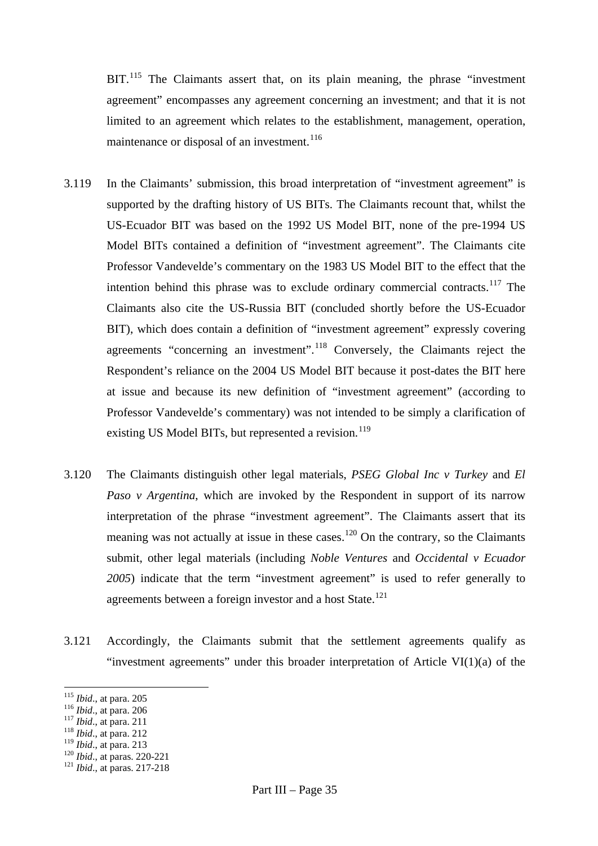BIT.<sup>[115](#page-62-0)</sup> The Claimants assert that, on its plain meaning, the phrase "investment agreement" encompasses any agreement concerning an investment; and that it is not limited to an agreement which relates to the establishment, management, operation, maintenance or disposal of an investment.<sup>[116](#page-62-1)</sup>

- 3.119 In the Claimants' submission, this broad interpretation of "investment agreement" is supported by the drafting history of US BITs. The Claimants recount that, whilst the US-Ecuador BIT was based on the 1992 US Model BIT, none of the pre-1994 US Model BITs contained a definition of "investment agreement". The Claimants cite Professor Vandevelde's commentary on the 1983 US Model BIT to the effect that the intention behind this phrase was to exclude ordinary commercial contracts.<sup>[117](#page-62-2)</sup> The Claimants also cite the US-Russia BIT (concluded shortly before the US-Ecuador BIT), which does contain a definition of "investment agreement" expressly covering agreements "concerning an investment".[118](#page-62-3) Conversely, the Claimants reject the Respondent's reliance on the 2004 US Model BIT because it post-dates the BIT here at issue and because its new definition of "investment agreement" (according to Professor Vandevelde's commentary) was not intended to be simply a clarification of existing US Model BITs, but represented a revision.<sup>[119](#page-62-4)</sup>
- 3.120 The Claimants distinguish other legal materials, *PSEG Global Inc v Turkey* and *El Paso v Argentina*, which are invoked by the Respondent in support of its narrow interpretation of the phrase "investment agreement". The Claimants assert that its meaning was not actually at issue in these cases.<sup>[120](#page-62-5)</sup> On the contrary, so the Claimants submit, other legal materials (including *Noble Ventures* and *Occidental v Ecuador 2005*) indicate that the term "investment agreement" is used to refer generally to agreements between a foreign investor and a host State.<sup>[121](#page-62-6)</sup>
- 3.121 Accordingly, the Claimants submit that the settlement agreements qualify as "investment agreements" under this broader interpretation of Article VI(1)(a) of the

<span id="page-62-0"></span>115 *Ibid.*, at para. 205<br>
<sup>117</sup> *Ibid.*, at para. 211<br>
<sup>117</sup> *Ibid.*, at para. 212<br>
<sup>119</sup> *Ibid.*, at para. 213

<span id="page-62-1"></span>

<span id="page-62-2"></span>

<span id="page-62-3"></span>

<span id="page-62-5"></span><span id="page-62-4"></span><sup>120</sup> *Ibid.*, at paras. 220-221<br><sup>121</sup> *Ibid.*, at paras. 217-218

<span id="page-62-6"></span>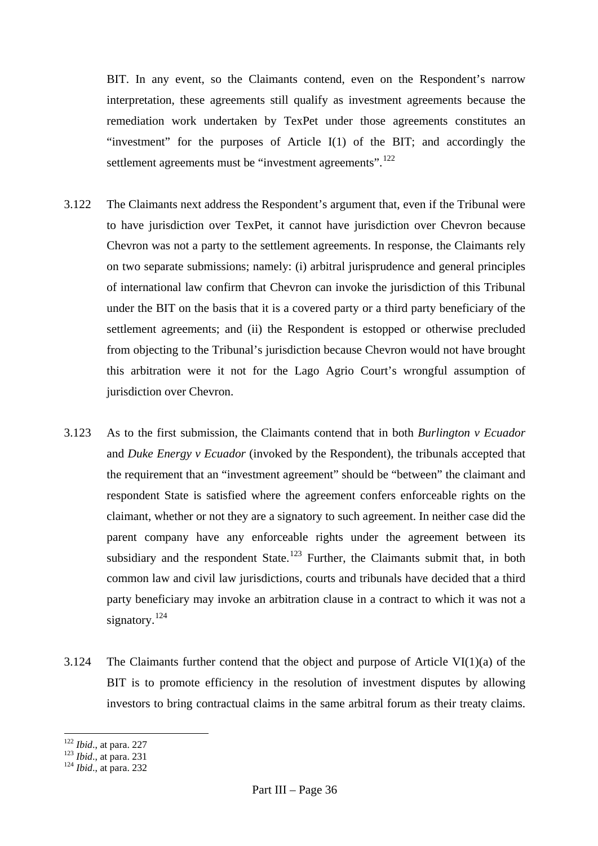BIT. In any event, so the Claimants contend, even on the Respondent's narrow interpretation, these agreements still qualify as investment agreements because the remediation work undertaken by TexPet under those agreements constitutes an "investment" for the purposes of Article I(1) of the BIT; and accordingly the settlement agreements must be "investment agreements".<sup>[122](#page-63-0)</sup>

- 3.122 The Claimants next address the Respondent's argument that, even if the Tribunal were to have jurisdiction over TexPet, it cannot have jurisdiction over Chevron because Chevron was not a party to the settlement agreements. In response, the Claimants rely on two separate submissions; namely: (i) arbitral jurisprudence and general principles of international law confirm that Chevron can invoke the jurisdiction of this Tribunal under the BIT on the basis that it is a covered party or a third party beneficiary of the settlement agreements; and (ii) the Respondent is estopped or otherwise precluded from objecting to the Tribunal's jurisdiction because Chevron would not have brought this arbitration were it not for the Lago Agrio Court's wrongful assumption of jurisdiction over Chevron.
- 3.123 As to the first submission, the Claimants contend that in both *Burlington v Ecuador* and *Duke Energy v Ecuador* (invoked by the Respondent), the tribunals accepted that the requirement that an "investment agreement" should be "between" the claimant and respondent State is satisfied where the agreement confers enforceable rights on the claimant, whether or not they are a signatory to such agreement. In neither case did the parent company have any enforceable rights under the agreement between its subsidiary and the respondent State.<sup>[123](#page-63-1)</sup> Further, the Claimants submit that, in both common law and civil law jurisdictions, courts and tribunals have decided that a third party beneficiary may invoke an arbitration clause in a contract to which it was not a signatory.<sup>[124](#page-63-2)</sup>
- 3.124 The Claimants further contend that the object and purpose of Article VI(1)(a) of the BIT is to promote efficiency in the resolution of investment disputes by allowing investors to bring contractual claims in the same arbitral forum as their treaty claims.

<span id="page-63-2"></span><span id="page-63-1"></span>

<span id="page-63-0"></span><sup>122</sup> *Ibid*., at para. 227 <sup>123</sup> *Ibid*., at para. 231 <sup>124</sup> *Ibid*., at para. 232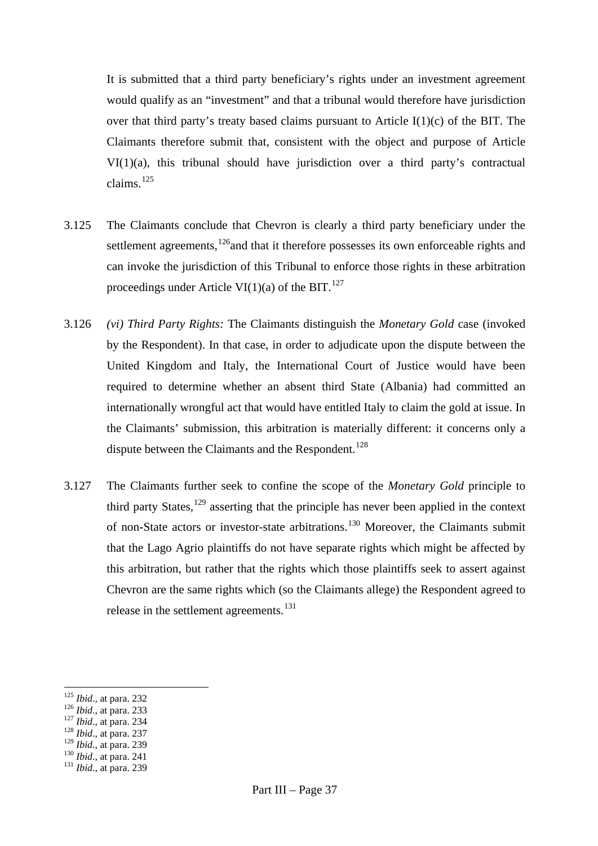It is submitted that a third party beneficiary's rights under an investment agreement would qualify as an "investment" and that a tribunal would therefore have jurisdiction over that third party's treaty based claims pursuant to Article  $I(1)(c)$  of the BIT. The Claimants therefore submit that, consistent with the object and purpose of Article VI(1)(a), this tribunal should have jurisdiction over a third party's contractual claims.[125](#page-64-0)

- 3.125 The Claimants conclude that Chevron is clearly a third party beneficiary under the settlement agreements,<sup>[126](#page-64-1)</sup>and that it therefore possesses its own enforceable rights and can invoke the jurisdiction of this Tribunal to enforce those rights in these arbitration proceedings under Article VI $(1)(a)$  of the BIT.<sup>[127](#page-64-2)</sup>
- 3.126 *(vi) Third Party Rights:* The Claimants distinguish the *Monetary Gold* case (invoked by the Respondent). In that case, in order to adjudicate upon the dispute between the United Kingdom and Italy, the International Court of Justice would have been required to determine whether an absent third State (Albania) had committed an internationally wrongful act that would have entitled Italy to claim the gold at issue. In the Claimants' submission, this arbitration is materially different: it concerns only a dispute between the Claimants and the Respondent.<sup>[128](#page-64-3)</sup>
- 3.127 The Claimants further seek to confine the scope of the *Monetary Gold* principle to third party States, $129$  asserting that the principle has never been applied in the context of non-State actors or investor-state arbitrations. [130](#page-64-5) Moreover, the Claimants submit that the Lago Agrio plaintiffs do not have separate rights which might be affected by this arbitration, but rather that the rights which those plaintiffs seek to assert against Chevron are the same rights which (so the Claimants allege) the Respondent agreed to release in the settlement agreements.<sup>[131](#page-64-6)</sup>

- <span id="page-64-0"></span>125 *Ibid.*, at para. 232<br><sup>126</sup> *Ibid.*, at para. 233<br><sup>127</sup> *Ibid.*, at para. 234<br><sup>128</sup> *Ibid.*, at para. 239<br>*Ibid.*, at para. 239
- <span id="page-64-2"></span>
- <span id="page-64-3"></span>
- 
- <span id="page-64-5"></span><span id="page-64-4"></span><sup>129</sup> *Ibid*., at para. 239 <sup>130</sup> *Ibid*., at para. 241 <sup>131</sup> *Ibid*., at para. 239

<span id="page-64-1"></span>

<span id="page-64-6"></span>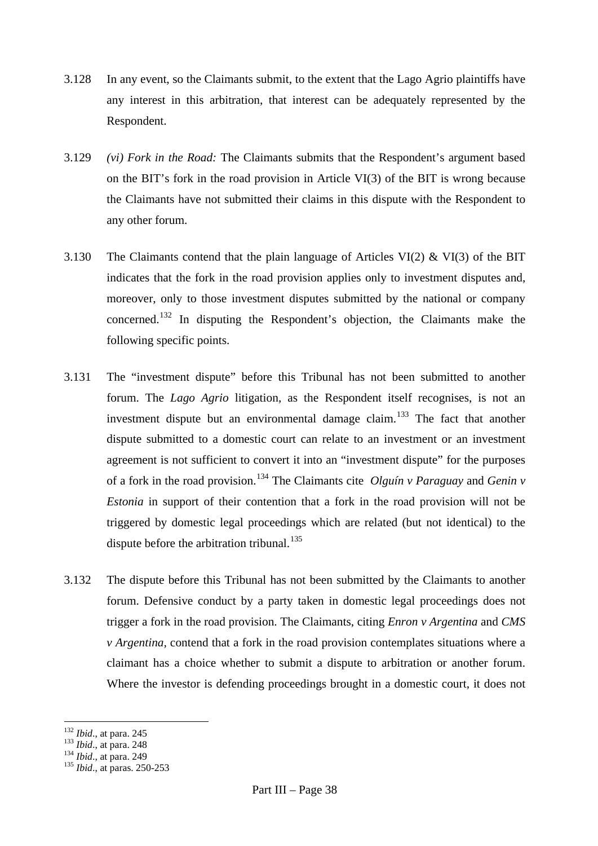- 3.128 In any event, so the Claimants submit, to the extent that the Lago Agrio plaintiffs have any interest in this arbitration, that interest can be adequately represented by the Respondent.
- 3.129 *(vi) Fork in the Road:* The Claimants submits that the Respondent's argument based on the BIT's fork in the road provision in Article VI(3) of the BIT is wrong because the Claimants have not submitted their claims in this dispute with the Respondent to any other forum.
- 3.130 The Claimants contend that the plain language of Articles VI(2) & VI(3) of the BIT indicates that the fork in the road provision applies only to investment disputes and, moreover, only to those investment disputes submitted by the national or company concerned.[132](#page-65-0) In disputing the Respondent's objection, the Claimants make the following specific points.
- 3.131 The "investment dispute" before this Tribunal has not been submitted to another forum. The *Lago Agrio* litigation, as the Respondent itself recognises, is not an investment dispute but an environmental damage claim.<sup>[133](#page-65-1)</sup> The fact that another dispute submitted to a domestic court can relate to an investment or an investment agreement is not sufficient to convert it into an "investment dispute" for the purposes of a fork in the road provision.[134](#page-65-2) The Claimants cite *Olguín v Paraguay* and *Genin v Estonia* in support of their contention that a fork in the road provision will not be triggered by domestic legal proceedings which are related (but not identical) to the dispute before the arbitration tribunal. $135$
- 3.132 The dispute before this Tribunal has not been submitted by the Claimants to another forum. Defensive conduct by a party taken in domestic legal proceedings does not trigger a fork in the road provision. The Claimants, citing *Enron v Argentina* and *CMS v Argentina,* contend that a fork in the road provision contemplates situations where a claimant has a choice whether to submit a dispute to arbitration or another forum. Where the investor is defending proceedings brought in a domestic court, it does not

<span id="page-65-3"></span><span id="page-65-2"></span>

<span id="page-65-1"></span>

<span id="page-65-0"></span><sup>132</sup> *Ibid.*, at para. 245<br><sup>133</sup> *Ibid.*, at para. 248<br><sup>135</sup> *Ibid.*, at paras. 250-253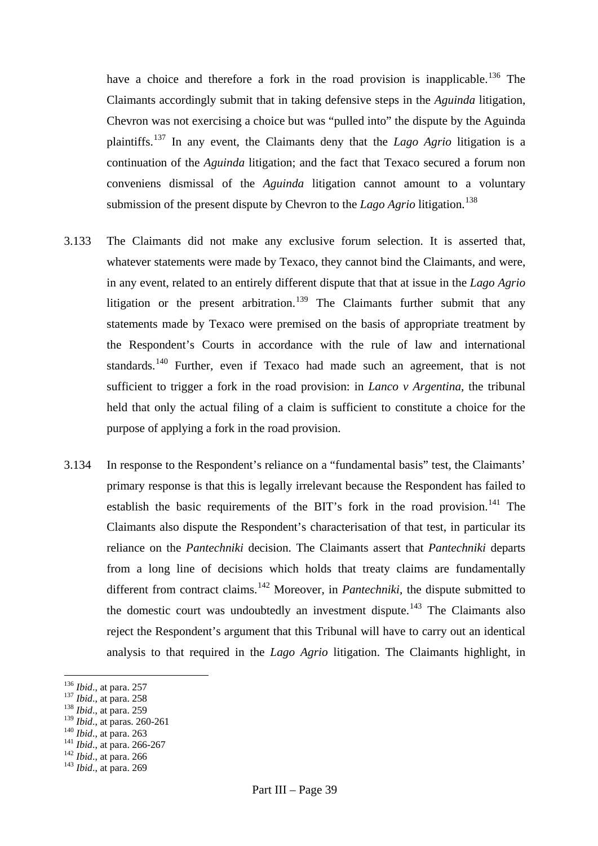have a choice and therefore a fork in the road provision is inapplicable.<sup>[136](#page-66-0)</sup> The Claimants accordingly submit that in taking defensive steps in the *Aguinda* litigation, Chevron was not exercising a choice but was "pulled into" the dispute by the Aguinda plaintiffs.[137](#page-66-1) In any event, the Claimants deny that the *Lago Agrio* litigation is a continuation of the *Aguinda* litigation; and the fact that Texaco secured a forum non conveniens dismissal of the *Aguinda* litigation cannot amount to a voluntary submission of the present dispute by Chevron to the *Lago Agrio* litigation. [138](#page-66-2)

- 3.133 The Claimants did not make any exclusive forum selection. It is asserted that, whatever statements were made by Texaco, they cannot bind the Claimants, and were, in any event, related to an entirely different dispute that that at issue in the *Lago Agrio* litigation or the present arbitration.<sup>[139](#page-66-3)</sup> The Claimants further submit that any statements made by Texaco were premised on the basis of appropriate treatment by the Respondent's Courts in accordance with the rule of law and international standards.<sup>[140](#page-66-4)</sup> Further, even if Texaco had made such an agreement, that is not sufficient to trigger a fork in the road provision: in *Lanco v Argentina*, the tribunal held that only the actual filing of a claim is sufficient to constitute a choice for the purpose of applying a fork in the road provision.
- 3.134 In response to the Respondent's reliance on a "fundamental basis" test, the Claimants' primary response is that this is legally irrelevant because the Respondent has failed to establish the basic requirements of the BIT's fork in the road provision.<sup>[141](#page-66-5)</sup> The Claimants also dispute the Respondent's characterisation of that test, in particular its reliance on the *Pantechniki* decision. The Claimants assert that *Pantechniki* departs from a long line of decisions which holds that treaty claims are fundamentally different from contract claims.<sup>[142](#page-66-6)</sup> Moreover, in *Pantechniki*, the dispute submitted to the domestic court was undoubtedly an investment dispute.<sup>[143](#page-66-7)</sup> The Claimants also reject the Respondent's argument that this Tribunal will have to carry out an identical analysis to that required in the *Lago Agrio* litigation. The Claimants highlight, in

<span id="page-66-0"></span><sup>&</sup>lt;sup>136</sup> *Ibid.*, at para. 257<br><sup>137</sup> *Ibid.*, at para. 258

<span id="page-66-2"></span><span id="page-66-1"></span><sup>137</sup> *Ibid*., at para. 258 <sup>138</sup> *Ibid*., at para. 259

<span id="page-66-5"></span><span id="page-66-4"></span><span id="page-66-3"></span><sup>&</sup>lt;sup>140</sup> *Ibid.*, at para. 263<br><sup>141</sup> *Ibid.*, at para. 266-267<br><sup>142</sup> *Ibid.*, at para. 266<br><sup>143</sup> *Ibid.*, at para. 269

<span id="page-66-6"></span>

<span id="page-66-7"></span>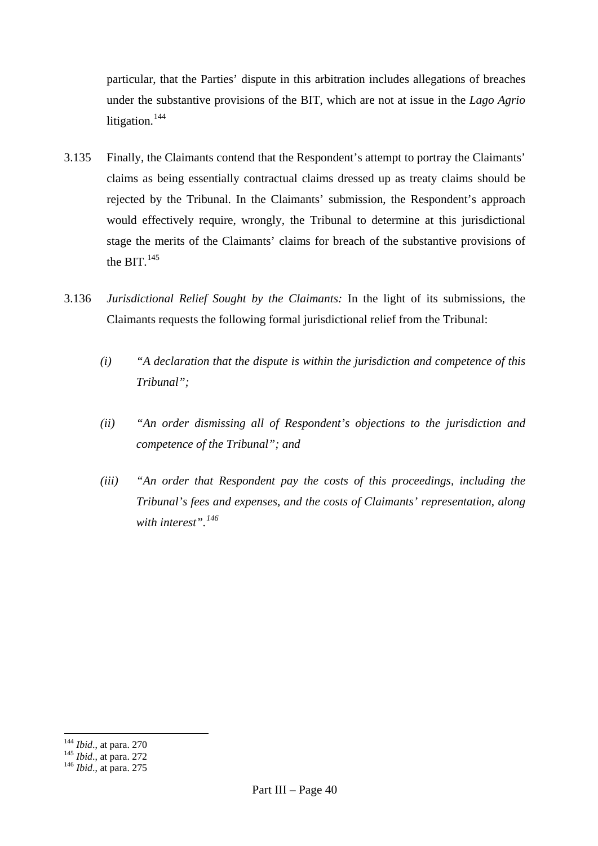particular, that the Parties' dispute in this arbitration includes allegations of breaches under the substantive provisions of the BIT, which are not at issue in the *Lago Agrio* litigation.<sup>[144](#page-67-0)</sup>

- 3.135 Finally, the Claimants contend that the Respondent's attempt to portray the Claimants' claims as being essentially contractual claims dressed up as treaty claims should be rejected by the Tribunal. In the Claimants' submission, the Respondent's approach would effectively require, wrongly, the Tribunal to determine at this jurisdictional stage the merits of the Claimants' claims for breach of the substantive provisions of the BIT. $^{145}$  $^{145}$  $^{145}$
- 3.136 *Jurisdictional Relief Sought by the Claimants:* In the light of its submissions, the Claimants requests the following formal jurisdictional relief from the Tribunal:
	- *(i) "A declaration that the dispute is within the jurisdiction and competence of this Tribunal";*
	- *(ii) "An order dismissing all of Respondent's objections to the jurisdiction and competence of the Tribunal"; and*
	- *(iii) "An order that Respondent pay the costs of this proceedings, including the Tribunal's fees and expenses, and the costs of Claimants' representation, along with interest". [146](#page-67-2)*

<span id="page-67-1"></span>

<span id="page-67-0"></span><sup>144</sup> *Ibid*., at para. 270 <sup>145</sup> *Ibid*., at para. 272 <sup>146</sup> *Ibid*., at para. 275

<span id="page-67-2"></span>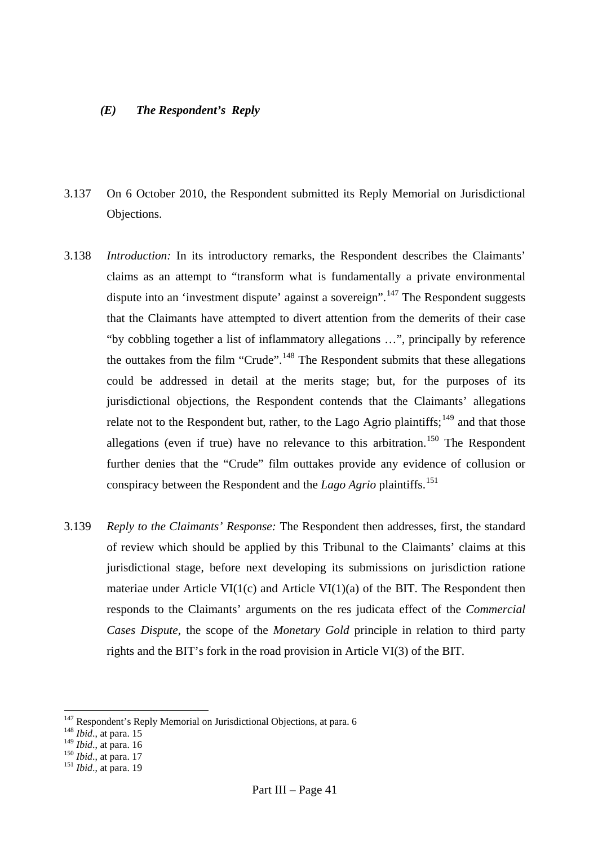## *(E) The Respondent's Reply*

- 3.137 On 6 October 2010, the Respondent submitted its Reply Memorial on Jurisdictional Objections.
- 3.138 *Introduction:* In its introductory remarks, the Respondent describes the Claimants' claims as an attempt to "transform what is fundamentally a private environmental dispute into an 'investment dispute' against a sovereign".<sup>[147](#page-68-0)</sup> The Respondent suggests that the Claimants have attempted to divert attention from the demerits of their case "by cobbling together a list of inflammatory allegations …", principally by reference the outtakes from the film "Crude".<sup>[148](#page-68-1)</sup> The Respondent submits that these allegations could be addressed in detail at the merits stage; but, for the purposes of its jurisdictional objections, the Respondent contends that the Claimants' allegations relate not to the Respondent but, rather, to the Lago Agrio plaintiffs;<sup>[149](#page-68-2)</sup> and that those allegations (even if true) have no relevance to this arbitration.<sup>[150](#page-68-3)</sup> The Respondent further denies that the "Crude" film outtakes provide any evidence of collusion or conspiracy between the Respondent and the *Lago Agrio* plaintiffs.[151](#page-68-4)
- 3.139 *Reply to the Claimants' Response:* The Respondent then addresses, first, the standard of review which should be applied by this Tribunal to the Claimants' claims at this jurisdictional stage, before next developing its submissions on jurisdiction ratione materiae under Article VI $(1)(c)$  and Article VI $(1)(a)$  of the BIT. The Respondent then responds to the Claimants' arguments on the res judicata effect of the *Commercial Cases Dispute*, the scope of the *Monetary Gold* principle in relation to third party rights and the BIT's fork in the road provision in Article VI(3) of the BIT.

<span id="page-68-0"></span><sup>&</sup>lt;sup>147</sup> Respondent's Reply Memorial on Jurisdictional Objections, at para. 6 <sup>148</sup> *Ibid.*, at para. 15 <sup>149</sup> *Ibid.*, at para. 16

<span id="page-68-1"></span>

<span id="page-68-4"></span>

<span id="page-68-3"></span><span id="page-68-2"></span><sup>159</sup> *Ibid.*, at para. 17<br><sup>151</sup> *Ibid.*, at para. 19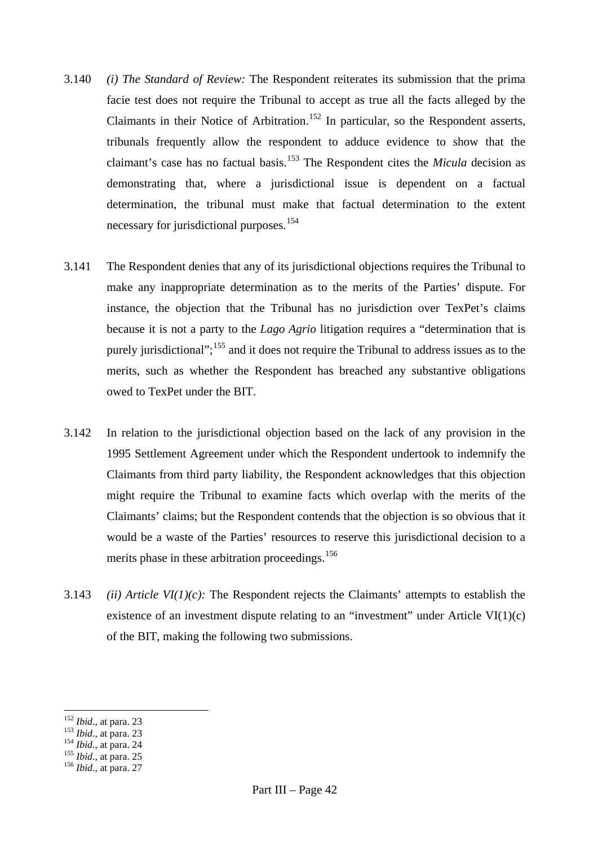- 3.140 *(i) The Standard of Review:* The Respondent reiterates its submission that the prima facie test does not require the Tribunal to accept as true all the facts alleged by the Claimants in their Notice of Arbitration.<sup>[152](#page-69-0)</sup> In particular, so the Respondent asserts, tribunals frequently allow the respondent to adduce evidence to show that the claimant's case has no factual basis.[153](#page-69-1) The Respondent cites the *Micula* decision as demonstrating that, where a jurisdictional issue is dependent on a factual determination, the tribunal must make that factual determination to the extent necessary for jurisdictional purposes.<sup>[154](#page-69-2)</sup>
- 3.141 The Respondent denies that any of its jurisdictional objections requires the Tribunal to make any inappropriate determination as to the merits of the Parties' dispute. For instance, the objection that the Tribunal has no jurisdiction over TexPet's claims because it is not a party to the *Lago Agrio* litigation requires a "determination that is purely jurisdictional";<sup>[155](#page-69-3)</sup> and it does not require the Tribunal to address issues as to the merits, such as whether the Respondent has breached any substantive obligations owed to TexPet under the BIT.
- 3.142 In relation to the jurisdictional objection based on the lack of any provision in the 1995 Settlement Agreement under which the Respondent undertook to indemnify the Claimants from third party liability, the Respondent acknowledges that this objection might require the Tribunal to examine facts which overlap with the merits of the Claimants' claims; but the Respondent contends that the objection is so obvious that it would be a waste of the Parties' resources to reserve this jurisdictional decision to a merits phase in these arbitration proceedings. [156](#page-69-4)
- 3.143 *(ii) Article VI(1)(c)*: The Respondent rejects the Claimants' attempts to establish the existence of an investment dispute relating to an "investment" under Article VI(1)(c) of the BIT, making the following two submissions.

<span id="page-69-1"></span><span id="page-69-0"></span><sup>152</sup> *Ibid*., at para. 23 <sup>153</sup> *Ibid*., at para. 23 <sup>154</sup> *Ibid*., at para. 24 <sup>155</sup> *Ibid*., at para. 25 <sup>156</sup> *Ibid*., at para. 27

<span id="page-69-2"></span>

<span id="page-69-3"></span>

<span id="page-69-4"></span>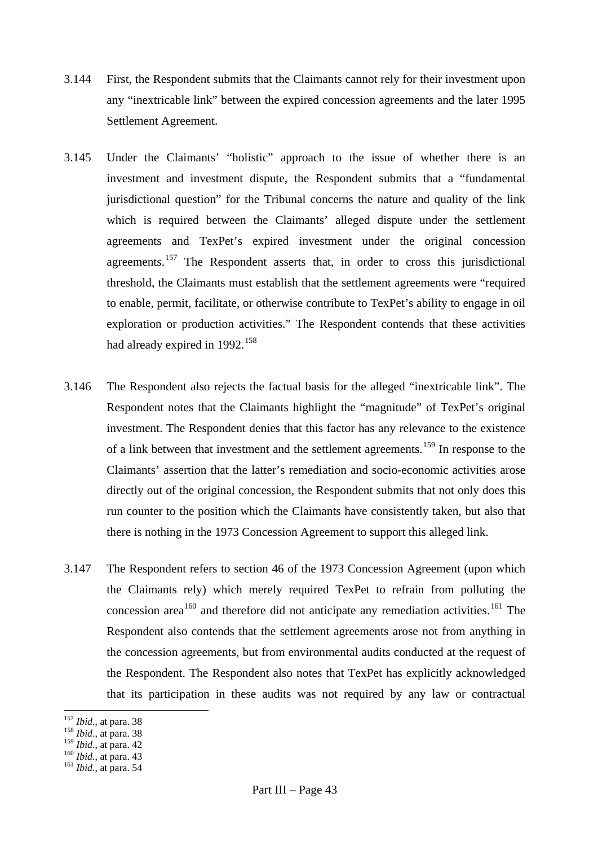- 3.144 First, the Respondent submits that the Claimants cannot rely for their investment upon any "inextricable link" between the expired concession agreements and the later 1995 Settlement Agreement.
- 3.145 Under the Claimants' "holistic" approach to the issue of whether there is an investment and investment dispute, the Respondent submits that a "fundamental jurisdictional question" for the Tribunal concerns the nature and quality of the link which is required between the Claimants' alleged dispute under the settlement agreements and TexPet's expired investment under the original concession agreements.<sup>[157](#page-70-0)</sup> The Respondent asserts that, in order to cross this jurisdictional threshold, the Claimants must establish that the settlement agreements were "required to enable, permit, facilitate, or otherwise contribute to TexPet's ability to engage in oil exploration or production activities." The Respondent contends that these activities had already expired in 1992.<sup>[158](#page-70-1)</sup>
- 3.146 The Respondent also rejects the factual basis for the alleged "inextricable link". The Respondent notes that the Claimants highlight the "magnitude" of TexPet's original investment. The Respondent denies that this factor has any relevance to the existence of a link between that investment and the settlement agreements.<sup>[159](#page-70-2)</sup> In response to the Claimants' assertion that the latter's remediation and socio-economic activities arose directly out of the original concession, the Respondent submits that not only does this run counter to the position which the Claimants have consistently taken, but also that there is nothing in the 1973 Concession Agreement to support this alleged link.
- 3.147 The Respondent refers to section 46 of the 1973 Concession Agreement (upon which the Claimants rely) which merely required TexPet to refrain from polluting the concession area<sup>[160](#page-70-3)</sup> and therefore did not anticipate any remediation activities.<sup>[161](#page-70-4)</sup> The Respondent also contends that the settlement agreements arose not from anything in the concession agreements, but from environmental audits conducted at the request of the Respondent. The Respondent also notes that TexPet has explicitly acknowledged that its participation in these audits was not required by any law or contractual
- <span id="page-70-0"></span>157 *Ibid*., at para. 38
- <span id="page-70-1"></span><sup>158</sup> *Ibid.*, at para. 38<br><sup>159</sup> *Ibid.*, at para. 42
- 
- <span id="page-70-3"></span><span id="page-70-2"></span><sup>159</sup> *Ibid*., at para. 42 <sup>160</sup> *Ibid*., at para. 43 <sup>161</sup> *Ibid*., at para. 54

<span id="page-70-4"></span>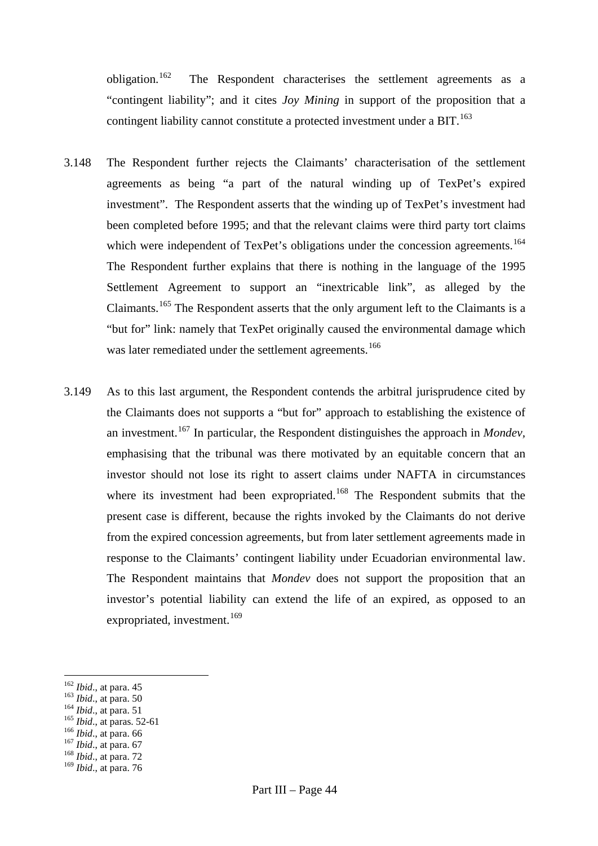obligation.[162](#page-71-0) The Respondent characterises the settlement agreements as a "contingent liability"; and it cites *Joy Mining* in support of the proposition that a contingent liability cannot constitute a protected investment under a BIT.<sup>[163](#page-71-1)</sup>

- 3.148 The Respondent further rejects the Claimants' characterisation of the settlement agreements as being "a part of the natural winding up of TexPet's expired investment". The Respondent asserts that the winding up of TexPet's investment had been completed before 1995; and that the relevant claims were third party tort claims which were independent of TexPet's obligations under the concession agreements.<sup>[164](#page-71-2)</sup> The Respondent further explains that there is nothing in the language of the 1995 Settlement Agreement to support an "inextricable link", as alleged by the Claimants.<sup>[165](#page-71-3)</sup> The Respondent asserts that the only argument left to the Claimants is a "but for" link: namely that TexPet originally caused the environmental damage which was later remediated under the settlement agreements.<sup>[166](#page-71-4)</sup>
- 3.149 As to this last argument, the Respondent contends the arbitral jurisprudence cited by the Claimants does not supports a "but for" approach to establishing the existence of an investment.[167](#page-71-5) In particular, the Respondent distinguishes the approach in *Mondev,*  emphasising that the tribunal was there motivated by an equitable concern that an investor should not lose its right to assert claims under NAFTA in circumstances where its investment had been expropriated.<sup>[168](#page-71-6)</sup> The Respondent submits that the present case is different, because the rights invoked by the Claimants do not derive from the expired concession agreements, but from later settlement agreements made in response to the Claimants' contingent liability under Ecuadorian environmental law. The Respondent maintains that *Mondev* does not support the proposition that an investor's potential liability can extend the life of an expired, as opposed to an expropriated, investment.<sup>[169](#page-71-7)</sup>

- <span id="page-71-2"></span><span id="page-71-1"></span>
- <span id="page-71-0"></span><sup>162</sup> *Ibid.*, at para. 45<br><sup>163</sup> *Ibid.*, at para. 51<br><sup>164</sup> *Ibid.*, at paras. 52-61<br><sup>166</sup> *Ibid.*, at para. 66<br><sup>167</sup> *Ibid.*, at para. 67<br><sup>168</sup> *Ibid.*. at para. 72
- <span id="page-71-3"></span>
- <span id="page-71-5"></span><span id="page-71-4"></span>
- 

<span id="page-71-7"></span><span id="page-71-6"></span><sup>169</sup> *Ibid*., at para. 76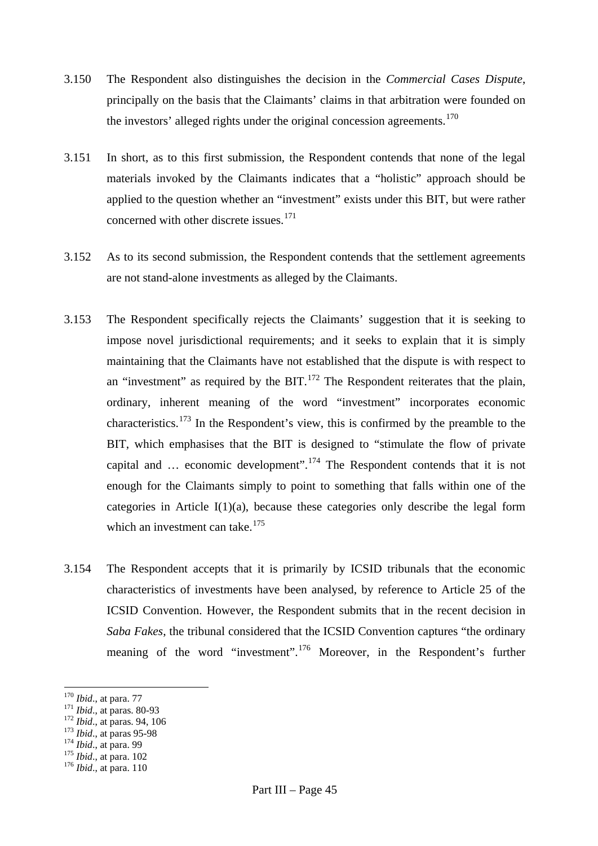- 3.150 The Respondent also distinguishes the decision in the *Commercial Cases Dispute*, principally on the basis that the Claimants' claims in that arbitration were founded on the investors' alleged rights under the original concession agreements.<sup>[170](#page-72-0)</sup>
- 3.151 In short, as to this first submission, the Respondent contends that none of the legal materials invoked by the Claimants indicates that a "holistic" approach should be applied to the question whether an "investment" exists under this BIT, but were rather concerned with other discrete issues.<sup>[171](#page-72-1)</sup>
- 3.152 As to its second submission, the Respondent contends that the settlement agreements are not stand-alone investments as alleged by the Claimants.
- 3.153 The Respondent specifically rejects the Claimants' suggestion that it is seeking to impose novel jurisdictional requirements; and it seeks to explain that it is simply maintaining that the Claimants have not established that the dispute is with respect to an "investment" as required by the  $BIT<sup>172</sup>$  $BIT<sup>172</sup>$  $BIT<sup>172</sup>$  The Respondent reiterates that the plain, ordinary, inherent meaning of the word "investment" incorporates economic characteristics.<sup>[173](#page-72-3)</sup> In the Respondent's view, this is confirmed by the preamble to the BIT, which emphasises that the BIT is designed to "stimulate the flow of private capital and … economic development".[174](#page-72-4) The Respondent contends that it is not enough for the Claimants simply to point to something that falls within one of the categories in Article  $I(1)(a)$ , because these categories only describe the legal form which an investment can take.<sup>[175](#page-72-5)</sup>
- 3.154 The Respondent accepts that it is primarily by ICSID tribunals that the economic characteristics of investments have been analysed, by reference to Article 25 of the ICSID Convention. However, the Respondent submits that in the recent decision in *Saba Fakes*, the tribunal considered that the ICSID Convention captures "the ordinary meaning of the word "investment".<sup>[176](#page-72-6)</sup> Moreover, in the Respondent's further

- <span id="page-72-4"></span>
- <span id="page-72-5"></span>

<span id="page-72-0"></span><sup>&</sup>lt;sup>170</sup> *Ibid.*, at para. 77<br><sup>171</sup> *Ibid.*, at paras. 80-93

<span id="page-72-2"></span><span id="page-72-1"></span><sup>172</sup> *Ibid.*, at paras. 94, 106<br><sup>173</sup> *Ibid.*, at paras 95-98<br><sup>174</sup> *Ibid.*, at para. 99<br><sup>175</sup> *Ibid.*, at para. 102<br><sup>176</sup> *Ibid.*, at para. 110

<span id="page-72-3"></span>

<span id="page-72-6"></span>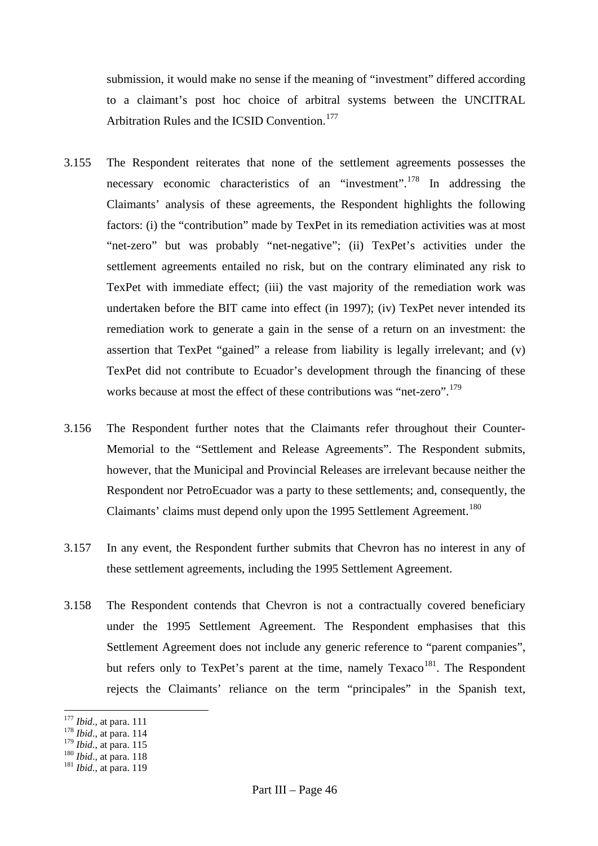submission, it would make no sense if the meaning of "investment" differed according to a claimant's post hoc choice of arbitral systems between the UNCITRAL Arbitration Rules and the ICSID Convention.<sup>[177](#page-73-0)</sup>

- 3.155 The Respondent reiterates that none of the settlement agreements possesses the necessary economic characteristics of an "investment".<sup>[178](#page-73-1)</sup> In addressing the Claimants' analysis of these agreements, the Respondent highlights the following factors: (i) the "contribution" made by TexPet in its remediation activities was at most "net-zero" but was probably "net-negative"; (ii) TexPet's activities under the settlement agreements entailed no risk, but on the contrary eliminated any risk to TexPet with immediate effect; (iii) the vast majority of the remediation work was undertaken before the BIT came into effect (in 1997); (iv) TexPet never intended its remediation work to generate a gain in the sense of a return on an investment: the assertion that TexPet "gained" a release from liability is legally irrelevant; and (v) TexPet did not contribute to Ecuador's development through the financing of these works because at most the effect of these contributions was "net-zero".<sup>[179](#page-73-2)</sup>
- 3.156 The Respondent further notes that the Claimants refer throughout their Counter-Memorial to the "Settlement and Release Agreements". The Respondent submits, however, that the Municipal and Provincial Releases are irrelevant because neither the Respondent nor PetroEcuador was a party to these settlements; and, consequently, the Claimants' claims must depend only upon the 1995 Settlement Agreement.<sup>[180](#page-73-3)</sup>
- 3.157 In any event, the Respondent further submits that Chevron has no interest in any of these settlement agreements, including the 1995 Settlement Agreement.
- 3.158 The Respondent contends that Chevron is not a contractually covered beneficiary under the 1995 Settlement Agreement. The Respondent emphasises that this Settlement Agreement does not include any generic reference to "parent companies", but refers only to TexPet's parent at the time, namely Texaco<sup>[181](#page-73-4)</sup>. The Respondent rejects the Claimants' reliance on the term "principales" in the Spanish text,

<span id="page-73-0"></span> <sup>177</sup> *Ibid*., at para. 111

<span id="page-73-1"></span><sup>&</sup>lt;sup>178</sup> *Ibid.*, at para. 114<br><sup>179</sup> *Ibid.*, at para. 115

<span id="page-73-3"></span><span id="page-73-2"></span><sup>179</sup> *Ibid*., at para. 115 <sup>180</sup> *Ibid*., at para. 118 <sup>181</sup> *Ibid*., at para. 119

<span id="page-73-4"></span>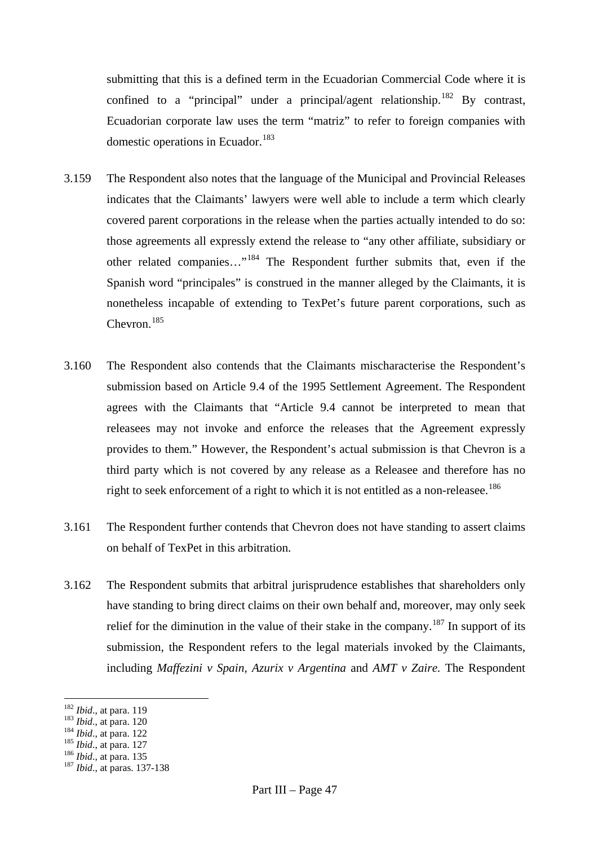submitting that this is a defined term in the Ecuadorian Commercial Code where it is confined to a "principal" under a principal/agent relationship.<sup>[182](#page-74-0)</sup> By contrast, Ecuadorian corporate law uses the term "matriz" to refer to foreign companies with domestic operations in Ecuador.<sup>[183](#page-74-1)</sup>

- 3.159 The Respondent also notes that the language of the Municipal and Provincial Releases indicates that the Claimants' lawyers were well able to include a term which clearly covered parent corporations in the release when the parties actually intended to do so: those agreements all expressly extend the release to "any other affiliate, subsidiary or other related companies…"[184](#page-74-2) The Respondent further submits that, even if the Spanish word "principales" is construed in the manner alleged by the Claimants, it is nonetheless incapable of extending to TexPet's future parent corporations, such as Chevron. [185](#page-74-3)
- 3.160 The Respondent also contends that the Claimants mischaracterise the Respondent's submission based on Article 9.4 of the 1995 Settlement Agreement. The Respondent agrees with the Claimants that "Article 9.4 cannot be interpreted to mean that releasees may not invoke and enforce the releases that the Agreement expressly provides to them." However, the Respondent's actual submission is that Chevron is a third party which is not covered by any release as a Releasee and therefore has no right to seek enforcement of a right to which it is not entitled as a non-releasee.<sup>[186](#page-74-4)</sup>
- 3.161 The Respondent further contends that Chevron does not have standing to assert claims on behalf of TexPet in this arbitration.
- 3.162 The Respondent submits that arbitral jurisprudence establishes that shareholders only have standing to bring direct claims on their own behalf and, moreover, may only seek relief for the diminution in the value of their stake in the company.<sup>[187](#page-74-5)</sup> In support of its submission, the Respondent refers to the legal materials invoked by the Claimants, including *Maffezini v Spain, Azurix v Argentina* and *AMT v Zaire.* The Respondent

<span id="page-74-5"></span><span id="page-74-4"></span>

<span id="page-74-0"></span><sup>&</sup>lt;sup>182</sup> *Ibid.*, at para. 119<br><sup>183</sup> *Ibid.*, at para. 120

<span id="page-74-3"></span>

<span id="page-74-2"></span><span id="page-74-1"></span><sup>184</sup> *Ibid.*, at para. 122<br><sup>185</sup> *Ibid.*, at para. 127<br><sup>186</sup> *Ibid.*, at para. 135<br>*I<sup>87</sup> Ibid.*, at paras. 137-138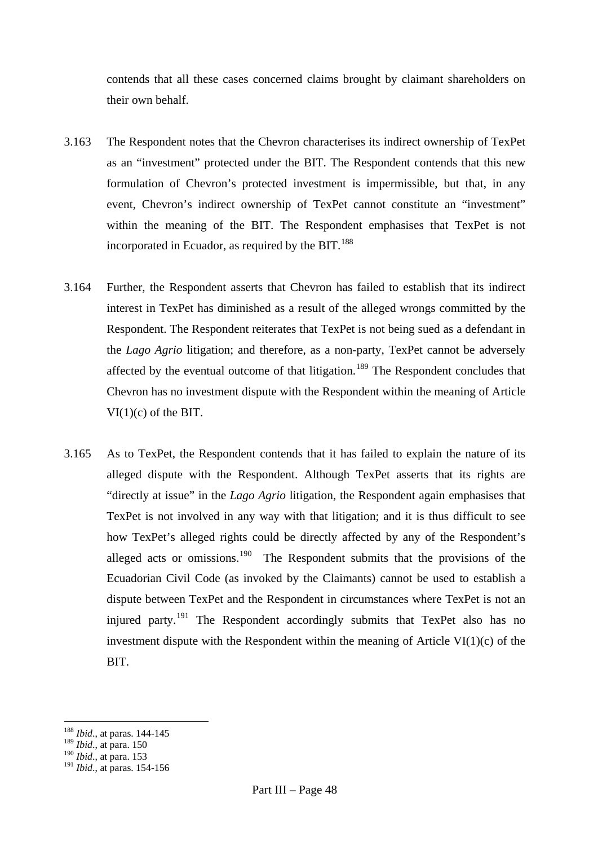contends that all these cases concerned claims brought by claimant shareholders on their own behalf.

- 3.163 The Respondent notes that the Chevron characterises its indirect ownership of TexPet as an "investment" protected under the BIT. The Respondent contends that this new formulation of Chevron's protected investment is impermissible, but that, in any event, Chevron's indirect ownership of TexPet cannot constitute an "investment" within the meaning of the BIT. The Respondent emphasises that TexPet is not incorporated in Ecuador, as required by the BIT.<sup>[188](#page-75-0)</sup>
- 3.164 Further, the Respondent asserts that Chevron has failed to establish that its indirect interest in TexPet has diminished as a result of the alleged wrongs committed by the Respondent. The Respondent reiterates that TexPet is not being sued as a defendant in the *Lago Agrio* litigation; and therefore, as a non-party, TexPet cannot be adversely affected by the eventual outcome of that litigation.<sup>[189](#page-75-1)</sup> The Respondent concludes that Chevron has no investment dispute with the Respondent within the meaning of Article VI(1)(c) of the BIT.
- 3.165 As to TexPet, the Respondent contends that it has failed to explain the nature of its alleged dispute with the Respondent. Although TexPet asserts that its rights are "directly at issue" in the *Lago Agrio* litigation, the Respondent again emphasises that TexPet is not involved in any way with that litigation; and it is thus difficult to see how TexPet's alleged rights could be directly affected by any of the Respondent's alleged acts or omissions.<sup>[190](#page-75-2)</sup> The Respondent submits that the provisions of the Ecuadorian Civil Code (as invoked by the Claimants) cannot be used to establish a dispute between TexPet and the Respondent in circumstances where TexPet is not an injured party.[191](#page-75-3) The Respondent accordingly submits that TexPet also has no investment dispute with the Respondent within the meaning of Article VI(1)(c) of the BIT.

<span id="page-75-0"></span> <sup>188</sup> *Ibid*., at paras. 144-145

<sup>189</sup> *Ibid*., at para. 150

<span id="page-75-2"></span><span id="page-75-1"></span><sup>190</sup> *Ibid.*, at para. 153

<span id="page-75-3"></span><sup>191</sup> *Ibid*., at paras. 154-156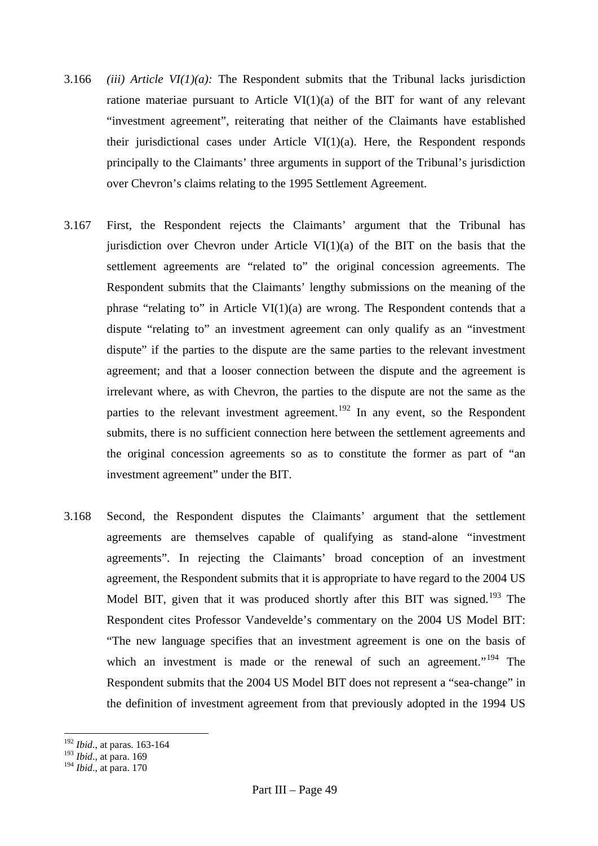- 3.166 *(iii) Article VI(1)(a)*: The Respondent submits that the Tribunal lacks jurisdiction ratione materiae pursuant to Article VI $(1)(a)$  of the BIT for want of any relevant "investment agreement", reiterating that neither of the Claimants have established their jurisdictional cases under Article VI $(1)(a)$ . Here, the Respondent responds principally to the Claimants' three arguments in support of the Tribunal's jurisdiction over Chevron's claims relating to the 1995 Settlement Agreement.
- 3.167 First, the Respondent rejects the Claimants' argument that the Tribunal has jurisdiction over Chevron under Article VI $(1)(a)$  of the BIT on the basis that the settlement agreements are "related to" the original concession agreements. The Respondent submits that the Claimants' lengthy submissions on the meaning of the phrase "relating to" in Article VI $(1)(a)$  are wrong. The Respondent contends that a dispute "relating to" an investment agreement can only qualify as an "investment dispute" if the parties to the dispute are the same parties to the relevant investment agreement; and that a looser connection between the dispute and the agreement is irrelevant where, as with Chevron, the parties to the dispute are not the same as the parties to the relevant investment agreement.<sup>[192](#page-76-0)</sup> In any event, so the Respondent submits, there is no sufficient connection here between the settlement agreements and the original concession agreements so as to constitute the former as part of "an investment agreement" under the BIT.
- 3.168 Second, the Respondent disputes the Claimants' argument that the settlement agreements are themselves capable of qualifying as stand-alone "investment agreements". In rejecting the Claimants' broad conception of an investment agreement, the Respondent submits that it is appropriate to have regard to the 2004 US Model BIT, given that it was produced shortly after this BIT was signed.<sup>[193](#page-76-1)</sup> The Respondent cites Professor Vandevelde's commentary on the 2004 US Model BIT: "The new language specifies that an investment agreement is one on the basis of which an investment is made or the renewal of such an agreement."<sup>[194](#page-76-2)</sup> The Respondent submits that the 2004 US Model BIT does not represent a "sea-change" in the definition of investment agreement from that previously adopted in the 1994 US

 <sup>192</sup> *Ibid*., at paras. 163-164

<span id="page-76-0"></span><sup>193</sup> *Ibid*., at para. 169

<span id="page-76-2"></span><span id="page-76-1"></span><sup>194</sup> *Ibid*., at para. 170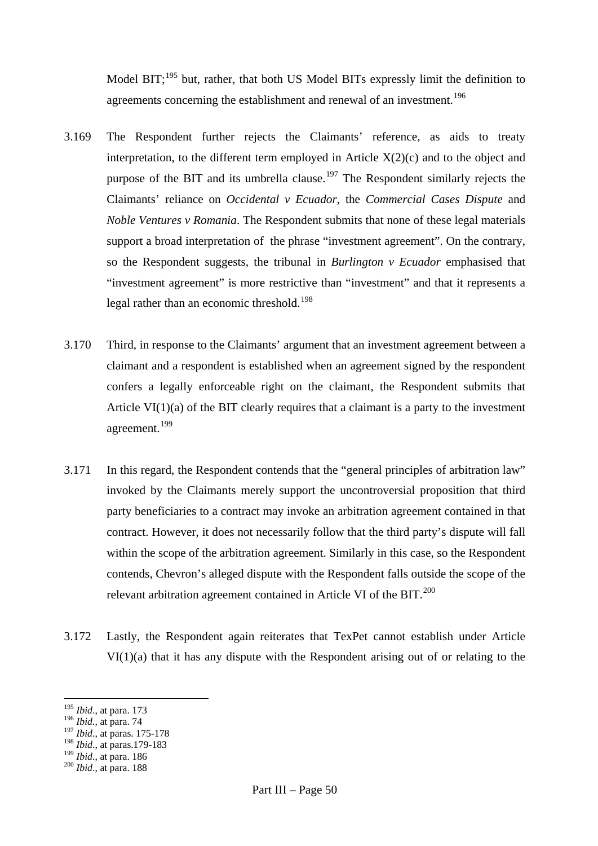Model BIT;<sup>[195](#page-77-0)</sup> but, rather, that both US Model BITs expressly limit the definition to agreements concerning the establishment and renewal of an investment.<sup>[196](#page-77-1)</sup>

- 3.169 The Respondent further rejects the Claimants' reference, as aids to treaty interpretation, to the different term employed in Article  $X(2)(c)$  and to the object and purpose of the BIT and its umbrella clause.<sup>[197](#page-77-2)</sup> The Respondent similarly rejects the Claimants' reliance on *Occidental v Ecuador,* the *Commercial Cases Dispute* and *Noble Ventures v Romania*. The Respondent submits that none of these legal materials support a broad interpretation of the phrase "investment agreement". On the contrary, so the Respondent suggests, the tribunal in *Burlington v Ecuador* emphasised that "investment agreement" is more restrictive than "investment" and that it represents a legal rather than an economic threshold.<sup>[198](#page-77-3)</sup>
- 3.170 Third, in response to the Claimants' argument that an investment agreement between a claimant and a respondent is established when an agreement signed by the respondent confers a legally enforceable right on the claimant, the Respondent submits that Article  $VI(1)(a)$  of the BIT clearly requires that a claimant is a party to the investment agreement.[199](#page-77-4)
- 3.171 In this regard, the Respondent contends that the "general principles of arbitration law" invoked by the Claimants merely support the uncontroversial proposition that third party beneficiaries to a contract may invoke an arbitration agreement contained in that contract. However, it does not necessarily follow that the third party's dispute will fall within the scope of the arbitration agreement. Similarly in this case, so the Respondent contends, Chevron's alleged dispute with the Respondent falls outside the scope of the relevant arbitration agreement contained in Article VI of the BIT.<sup>[200](#page-77-5)</sup>
- 3.172 Lastly, the Respondent again reiterates that TexPet cannot establish under Article VI(1)(a) that it has any dispute with the Respondent arising out of or relating to the

<span id="page-77-0"></span> <sup>195</sup> *Ibid*., at para. 173

<span id="page-77-1"></span><sup>196</sup> *Ibid.,* at para. 74

<sup>197</sup> *Ibid*., at paras. 175-178

<span id="page-77-3"></span><span id="page-77-2"></span><sup>198</sup> *Ibid.*, at paras.179-183<br><sup>199</sup> *Ibid.*. at para. 186

<span id="page-77-5"></span><span id="page-77-4"></span><sup>&</sup>lt;sup>200</sup> *Ibid.*, at para. 188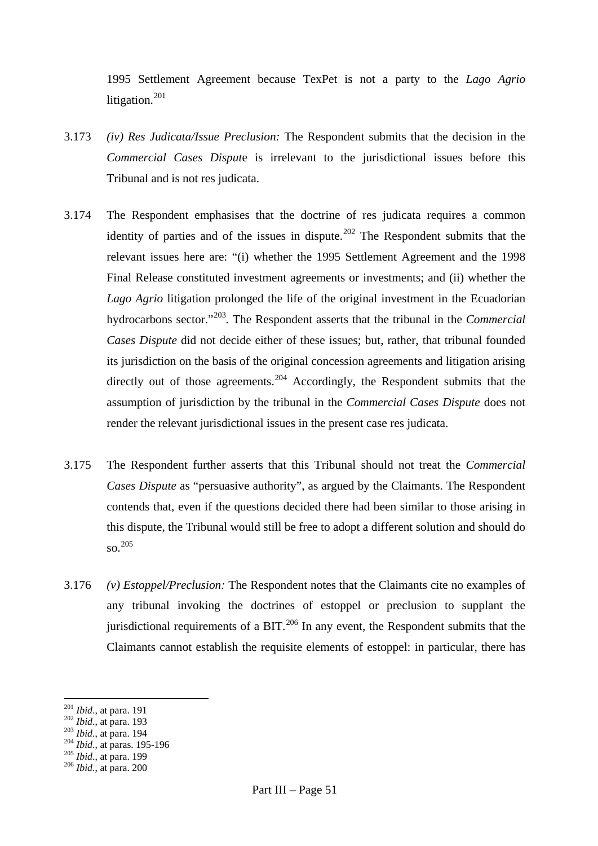1995 Settlement Agreement because TexPet is not a party to the *Lago Agrio* litigation. [201](#page-78-0)

- 3.173 *(iv) Res Judicata/Issue Preclusion:* The Respondent submits that the decision in the *Commercial Cases Disput*e is irrelevant to the jurisdictional issues before this Tribunal and is not res judicata.
- 3.174 The Respondent emphasises that the doctrine of res judicata requires a common identity of parties and of the issues in dispute.<sup>[202](#page-78-1)</sup> The Respondent submits that the relevant issues here are: "(i) whether the 1995 Settlement Agreement and the 1998 Final Release constituted investment agreements or investments; and (ii) whether the *Lago Agrio* litigation prolonged the life of the original investment in the Ecuadorian hydrocarbons sector."[203](#page-78-2)*.* The Respondent asserts that the tribunal in the *Commercial Cases Dispute* did not decide either of these issues; but, rather, that tribunal founded its jurisdiction on the basis of the original concession agreements and litigation arising directly out of those agreements.<sup>[204](#page-78-3)</sup> Accordingly, the Respondent submits that the assumption of jurisdiction by the tribunal in the *Commercial Cases Dispute* does not render the relevant jurisdictional issues in the present case res judicata.
- 3.175 The Respondent further asserts that this Tribunal should not treat the *Commercial Cases Dispute* as "persuasive authority", as argued by the Claimants. The Respondent contends that, even if the questions decided there had been similar to those arising in this dispute, the Tribunal would still be free to adopt a different solution and should do so. [205](#page-78-4)
- 3.176 *(v) Estoppel/Preclusion:* The Respondent notes that the Claimants cite no examples of any tribunal invoking the doctrines of estoppel or preclusion to supplant the jurisdictional requirements of a BIT.<sup>[206](#page-78-5)</sup> In any event, the Respondent submits that the Claimants cannot establish the requisite elements of estoppel: in particular, there has

<span id="page-78-3"></span><span id="page-78-2"></span><span id="page-78-1"></span><sup>202</sup> *Ibid*., at para. 193 <sup>203</sup> *Ibid*., at para. 194 <sup>204</sup> *Ibid*., at paras. 195-196 <sup>205</sup> *Ibid*., at para. 199 <sup>206</sup> *Ibid*., at para. 200

<span id="page-78-0"></span><sup>&</sup>lt;sup>201</sup> *Ibid.*, at para. 191<br><sup>202</sup> *Ibid.*, at para. 193

<span id="page-78-5"></span><span id="page-78-4"></span>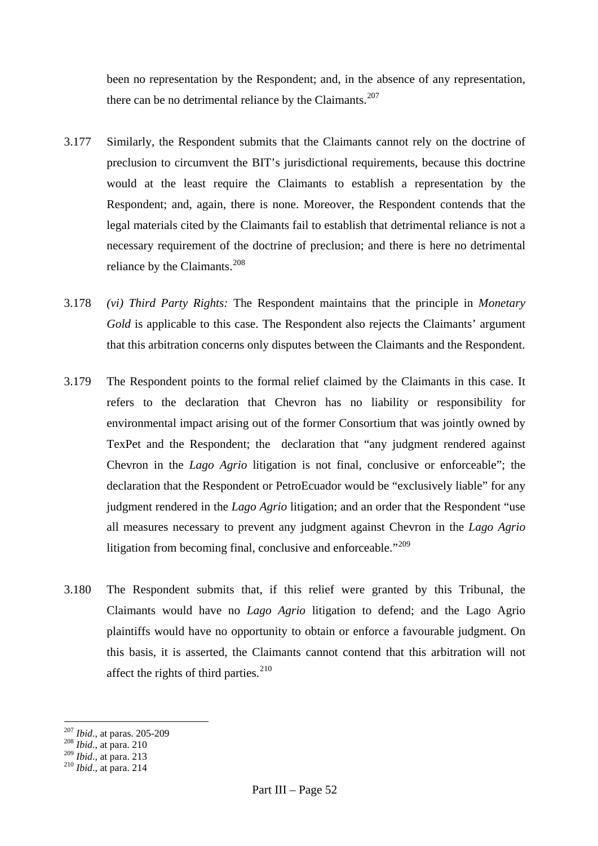been no representation by the Respondent; and, in the absence of any representation, there can be no detrimental reliance by the Claimants.<sup>[207](#page-79-0)</sup>

- 3.177 Similarly, the Respondent submits that the Claimants cannot rely on the doctrine of preclusion to circumvent the BIT's jurisdictional requirements, because this doctrine would at the least require the Claimants to establish a representation by the Respondent; and, again, there is none. Moreover, the Respondent contends that the legal materials cited by the Claimants fail to establish that detrimental reliance is not a necessary requirement of the doctrine of preclusion; and there is here no detrimental reliance by the Claimants.<sup>[208](#page-79-1)</sup>
- 3.178 *(vi) Third Party Rights:* The Respondent maintains that the principle in *Monetary Gold* is applicable to this case. The Respondent also rejects the Claimants' argument that this arbitration concerns only disputes between the Claimants and the Respondent.
- 3.179 The Respondent points to the formal relief claimed by the Claimants in this case. It refers to the declaration that Chevron has no liability or responsibility for environmental impact arising out of the former Consortium that was jointly owned by TexPet and the Respondent; the declaration that "any judgment rendered against Chevron in the *Lago Agrio* litigation is not final, conclusive or enforceable"; the declaration that the Respondent or PetroEcuador would be "exclusively liable" for any judgment rendered in the *Lago Agrio* litigation; and an order that the Respondent "use all measures necessary to prevent any judgment against Chevron in the *Lago Agrio*  litigation from becoming final, conclusive and enforceable."<sup>[209](#page-79-2)</sup>
- 3.180 The Respondent submits that, if this relief were granted by this Tribunal, the Claimants would have no *Lago Agrio* litigation to defend; and the Lago Agrio plaintiffs would have no opportunity to obtain or enforce a favourable judgment. On this basis, it is asserted, the Claimants cannot contend that this arbitration will not affect the rights of third parties. $210$

<span id="page-79-0"></span><sup>207</sup> *Ibid*., at paras. 205-209 <sup>208</sup> *Ibid*., at para. 210

<span id="page-79-1"></span>

<span id="page-79-2"></span>

<span id="page-79-3"></span><sup>&</sup>lt;sup>210</sup> *Ibid.*, at para. 214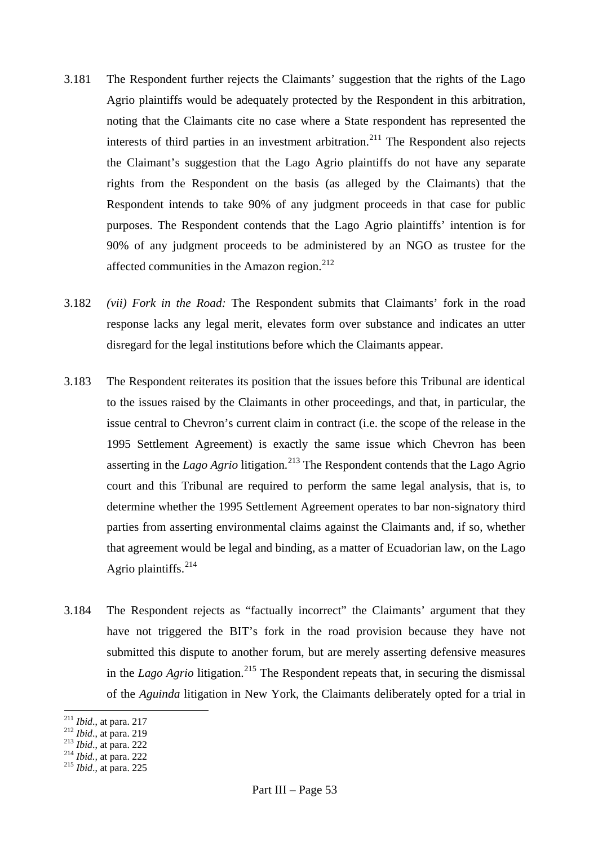- 3.181 The Respondent further rejects the Claimants' suggestion that the rights of the Lago Agrio plaintiffs would be adequately protected by the Respondent in this arbitration, noting that the Claimants cite no case where a State respondent has represented the interests of third parties in an investment arbitration.<sup>[211](#page-80-0)</sup> The Respondent also rejects the Claimant's suggestion that the Lago Agrio plaintiffs do not have any separate rights from the Respondent on the basis (as alleged by the Claimants) that the Respondent intends to take 90% of any judgment proceeds in that case for public purposes. The Respondent contends that the Lago Agrio plaintiffs' intention is for 90% of any judgment proceeds to be administered by an NGO as trustee for the affected communities in the Amazon region.<sup>[212](#page-80-1)</sup>
- 3.182 *(vii) Fork in the Road:* The Respondent submits that Claimants' fork in the road response lacks any legal merit, elevates form over substance and indicates an utter disregard for the legal institutions before which the Claimants appear.
- 3.183 The Respondent reiterates its position that the issues before this Tribunal are identical to the issues raised by the Claimants in other proceedings, and that, in particular, the issue central to Chevron's current claim in contract (i.e. the scope of the release in the 1995 Settlement Agreement) is exactly the same issue which Chevron has been asserting in the *Lago Agrio* litigation.<sup>[213](#page-80-2)</sup> The Respondent contends that the Lago Agrio court and this Tribunal are required to perform the same legal analysis, that is, to determine whether the 1995 Settlement Agreement operates to bar non-signatory third parties from asserting environmental claims against the Claimants and, if so, whether that agreement would be legal and binding, as a matter of Ecuadorian law, on the Lago Agrio plaintiffs.[214](#page-80-3)
- 3.184 The Respondent rejects as "factually incorrect" the Claimants' argument that they have not triggered the BIT's fork in the road provision because they have not submitted this dispute to another forum, but are merely asserting defensive measures in the *Lago Agrio* litigation.<sup>[215](#page-80-4)</sup> The Respondent repeats that, in securing the dismissal of the *Aguinda* litigation in New York, the Claimants deliberately opted for a trial in
- 
- <span id="page-80-0"></span><sup>211</sup> *Ibid.*, at para. 217<br><sup>212</sup> *Ibid.*, at para. 219
- 
- <span id="page-80-3"></span><span id="page-80-2"></span><span id="page-80-1"></span><sup>212</sup> *Ibid*., at para. 219 <sup>213</sup> *Ibid*., at para. 222 <sup>214</sup> *Ibid.,* at para. 222 <sup>215</sup> *Ibid*., at para. 225

<span id="page-80-4"></span>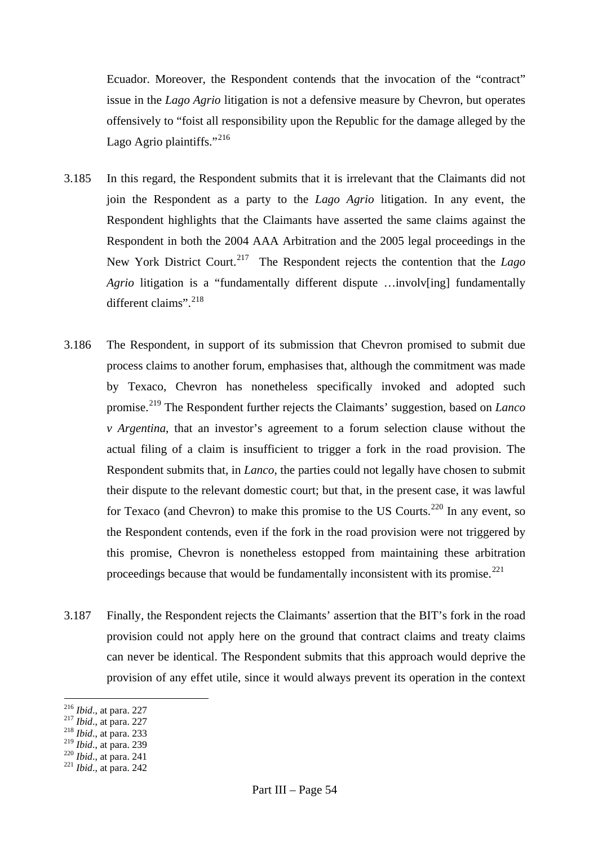Ecuador. Moreover, the Respondent contends that the invocation of the "contract" issue in the *Lago Agrio* litigation is not a defensive measure by Chevron, but operates offensively to "foist all responsibility upon the Republic for the damage alleged by the Lago Agrio plaintiffs."[216](#page-81-0)

- 3.185 In this regard, the Respondent submits that it is irrelevant that the Claimants did not join the Respondent as a party to the *Lago Agrio* litigation. In any event, the Respondent highlights that the Claimants have asserted the same claims against the Respondent in both the 2004 AAA Arbitration and the 2005 legal proceedings in the New York District Court.<sup>[217](#page-81-1)</sup> The Respondent rejects the contention that the *Lago Agrio* litigation is a "fundamentally different dispute ...involv[ing] fundamentally different claims".  $^{218}$  $^{218}$  $^{218}$
- 3.186 The Respondent, in support of its submission that Chevron promised to submit due process claims to another forum, emphasises that, although the commitment was made by Texaco, Chevron has nonetheless specifically invoked and adopted such promise. [219](#page-81-3) The Respondent further rejects the Claimants' suggestion, based on *Lanco v Argentina*, that an investor's agreement to a forum selection clause without the actual filing of a claim is insufficient to trigger a fork in the road provision. The Respondent submits that, in *Lanco*, the parties could not legally have chosen to submit their dispute to the relevant domestic court; but that, in the present case, it was lawful for Texaco (and Chevron) to make this promise to the US Courts.<sup>[220](#page-81-4)</sup> In any event, so the Respondent contends, even if the fork in the road provision were not triggered by this promise, Chevron is nonetheless estopped from maintaining these arbitration proceedings because that would be fundamentally inconsistent with its promise.<sup>[221](#page-81-5)</sup>
- 3.187 Finally, the Respondent rejects the Claimants' assertion that the BIT's fork in the road provision could not apply here on the ground that contract claims and treaty claims can never be identical. The Respondent submits that this approach would deprive the provision of any effet utile, since it would always prevent its operation in the context

<span id="page-81-1"></span>

<span id="page-81-2"></span>

<span id="page-81-0"></span><sup>216</sup> *Ibid*., at para. 227 <sup>217</sup> *Ibid*., at para. 227 <sup>218</sup> *Ibid*., at para. 233

<span id="page-81-4"></span><span id="page-81-3"></span><sup>219</sup> *Ibid*., at para. 239 <sup>220</sup> *Ibid*., at para. 241 <sup>221</sup> *Ibid*., at para. 242

<span id="page-81-5"></span>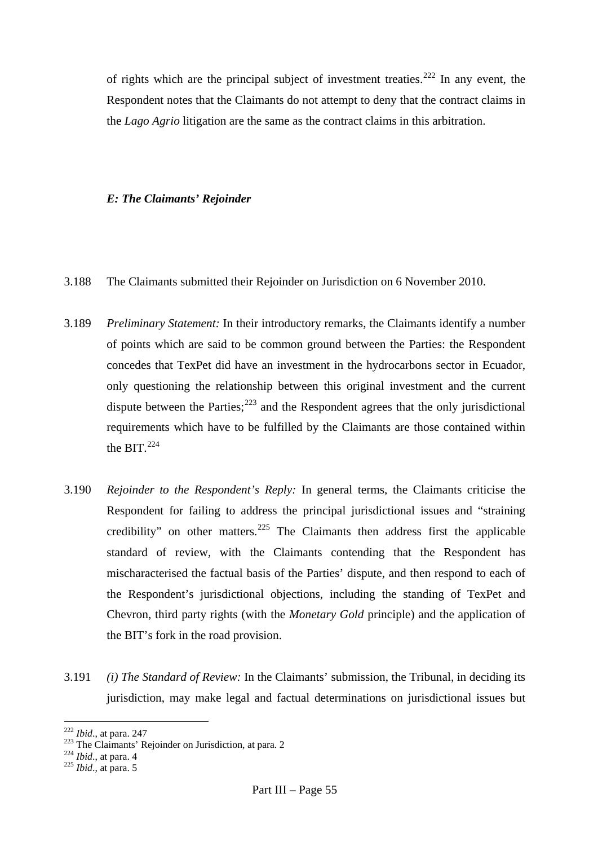of rights which are the principal subject of investment treaties.<sup>[222](#page-82-0)</sup> In any event, the Respondent notes that the Claimants do not attempt to deny that the contract claims in the *Lago Agrio* litigation are the same as the contract claims in this arbitration.

#### *E: The Claimants' Rejoinder*

- 3.188 The Claimants submitted their Rejoinder on Jurisdiction on 6 November 2010.
- 3.189 *Preliminary Statement:* In their introductory remarks, the Claimants identify a number of points which are said to be common ground between the Parties: the Respondent concedes that TexPet did have an investment in the hydrocarbons sector in Ecuador, only questioning the relationship between this original investment and the current dispute between the Parties; $^{223}$  $^{223}$  $^{223}$  and the Respondent agrees that the only jurisdictional requirements which have to be fulfilled by the Claimants are those contained within the BIT. $^{224}$  $^{224}$  $^{224}$
- 3.190 *Rejoinder to the Respondent's Reply:* In general terms, the Claimants criticise the Respondent for failing to address the principal jurisdictional issues and "straining credibility" on other matters.<sup>[225](#page-82-3)</sup> The Claimants then address first the applicable standard of review, with the Claimants contending that the Respondent has mischaracterised the factual basis of the Parties' dispute, and then respond to each of the Respondent's jurisdictional objections, including the standing of TexPet and Chevron, third party rights (with the *Monetary Gold* principle) and the application of the BIT's fork in the road provision.
- 3.191 *(i) The Standard of Review:* In the Claimants' submission, the Tribunal, in deciding its jurisdiction, may make legal and factual determinations on jurisdictional issues but

<span id="page-82-1"></span><span id="page-82-0"></span><sup>&</sup>lt;sup>222</sup> *Ibid.*, at para. 247<br><sup>223</sup> The Claimants' Rejoinder on Jurisdiction, at para. 2<br><sup>224</sup> *Ibid.*, at para. 4<br><sup>225</sup> *Ibid.*, at para. 5

<span id="page-82-2"></span>

<span id="page-82-3"></span>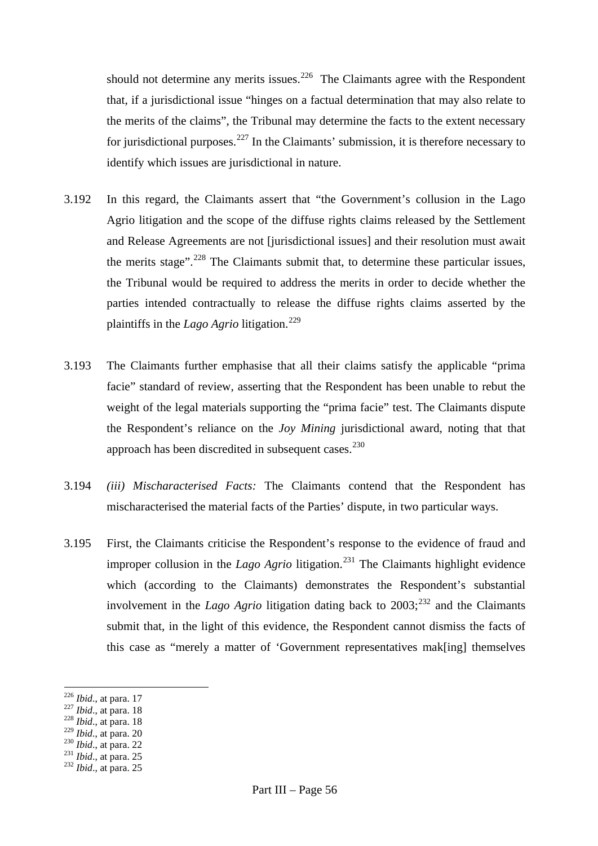should not determine any merits issues.<sup>[226](#page-83-0)</sup> The Claimants agree with the Respondent that, if a jurisdictional issue "hinges on a factual determination that may also relate to the merits of the claims", the Tribunal may determine the facts to the extent necessary for jurisdictional purposes.<sup>[227](#page-83-1)</sup> In the Claimants' submission, it is therefore necessary to identify which issues are jurisdictional in nature.

- 3.192 In this regard, the Claimants assert that "the Government's collusion in the Lago Agrio litigation and the scope of the diffuse rights claims released by the Settlement and Release Agreements are not [jurisdictional issues] and their resolution must await the merits stage".<sup>[228](#page-83-2)</sup> The Claimants submit that, to determine these particular issues, the Tribunal would be required to address the merits in order to decide whether the parties intended contractually to release the diffuse rights claims asserted by the plaintiffs in the *Lago Agrio* litigation.<sup>[229](#page-83-3)</sup>
- 3.193 The Claimants further emphasise that all their claims satisfy the applicable "prima facie" standard of review, asserting that the Respondent has been unable to rebut the weight of the legal materials supporting the "prima facie" test. The Claimants dispute the Respondent's reliance on the *Joy Mining* jurisdictional award, noting that that approach has been discredited in subsequent cases. $^{230}$  $^{230}$  $^{230}$
- 3.194 *(iii) Mischaracterised Facts:* The Claimants contend that the Respondent has mischaracterised the material facts of the Parties' dispute, in two particular ways.
- 3.195 First, the Claimants criticise the Respondent's response to the evidence of fraud and improper collusion in the *Lago Agrio* litigation.<sup>[231](#page-83-5)</sup> The Claimants highlight evidence which (according to the Claimants) demonstrates the Respondent's substantial involvement in the *Lago Agrio* litigation dating back to  $2003$ ;  $232$  and the Claimants submit that, in the light of this evidence, the Respondent cannot dismiss the facts of this case as "merely a matter of 'Government representatives mak[ing] themselves

- <span id="page-83-0"></span><sup>226</sup> *Ibid.*, at para. 17<br><sup>227</sup> *Ibid.*, at para. 18
- <span id="page-83-2"></span><span id="page-83-1"></span><sup>227</sup> *Ibid*., at para. 18 <sup>228</sup> *Ibid*., at para. 18
- <span id="page-83-3"></span>
- <span id="page-83-4"></span><sup>229</sup> *Ibid*., at para. 20 <sup>230</sup> *Ibid*., at para. 22 <sup>231</sup> *Ibid*., at para. 25 <sup>232</sup> *Ibid*., at para. 25
- <span id="page-83-5"></span>
- <span id="page-83-6"></span>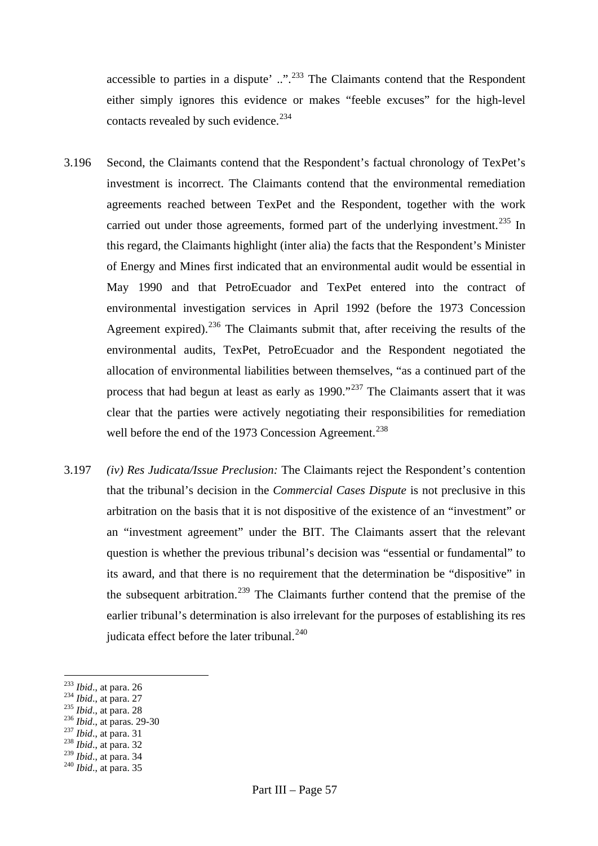accessible to parties in a dispute'  $\ldots$ <sup>[233](#page-84-0)</sup>. The Claimants contend that the Respondent either simply ignores this evidence or makes "feeble excuses" for the high-level contacts revealed by such evidence.<sup>[234](#page-84-1)</sup>

- 3.196 Second, the Claimants contend that the Respondent's factual chronology of TexPet's investment is incorrect. The Claimants contend that the environmental remediation agreements reached between TexPet and the Respondent, together with the work carried out under those agreements, formed part of the underlying investment.<sup>[235](#page-84-2)</sup> In this regard, the Claimants highlight (inter alia) the facts that the Respondent's Minister of Energy and Mines first indicated that an environmental audit would be essential in May 1990 and that PetroEcuador and TexPet entered into the contract of environmental investigation services in April 1992 (before the 1973 Concession Agreement expired).<sup>[236](#page-84-3)</sup> The Claimants submit that, after receiving the results of the environmental audits, TexPet, PetroEcuador and the Respondent negotiated the allocation of environmental liabilities between themselves, "as a continued part of the process that had begun at least as early as 1990."<sup>[237](#page-84-4)</sup> The Claimants assert that it was clear that the parties were actively negotiating their responsibilities for remediation well before the end of the 1973 Concession Agreement.<sup>[238](#page-84-5)</sup>
- 3.197 *(iv) Res Judicata/Issue Preclusion:* The Claimants reject the Respondent's contention that the tribunal's decision in the *Commercial Cases Dispute* is not preclusive in this arbitration on the basis that it is not dispositive of the existence of an "investment" or an "investment agreement" under the BIT. The Claimants assert that the relevant question is whether the previous tribunal's decision was "essential or fundamental" to its award, and that there is no requirement that the determination be "dispositive" in the subsequent arbitration.<sup>[239](#page-84-6)</sup> The Claimants further contend that the premise of the earlier tribunal's determination is also irrelevant for the purposes of establishing its res judicata effect before the later tribunal.<sup>[240](#page-84-7)</sup>

<span id="page-84-1"></span>

<span id="page-84-5"></span>

<span id="page-84-2"></span>

<span id="page-84-0"></span><sup>&</sup>lt;sup>233</sup> *Ibid.*, at para. 26<br><sup>234</sup> *Ibid.*, at para. 27<br><sup>235</sup> *Ibid.*, at para. 28<br><sup>236</sup> *Ibid.*, at para. 31<br><sup>238</sup> *Ibid.*, at para. 32<br><sup>239</sup> *Ibid.*, at para. 34

<span id="page-84-4"></span><span id="page-84-3"></span>

<span id="page-84-6"></span>

<span id="page-84-7"></span><sup>&</sup>lt;sup>240</sup> *Ibid.*, at para. 35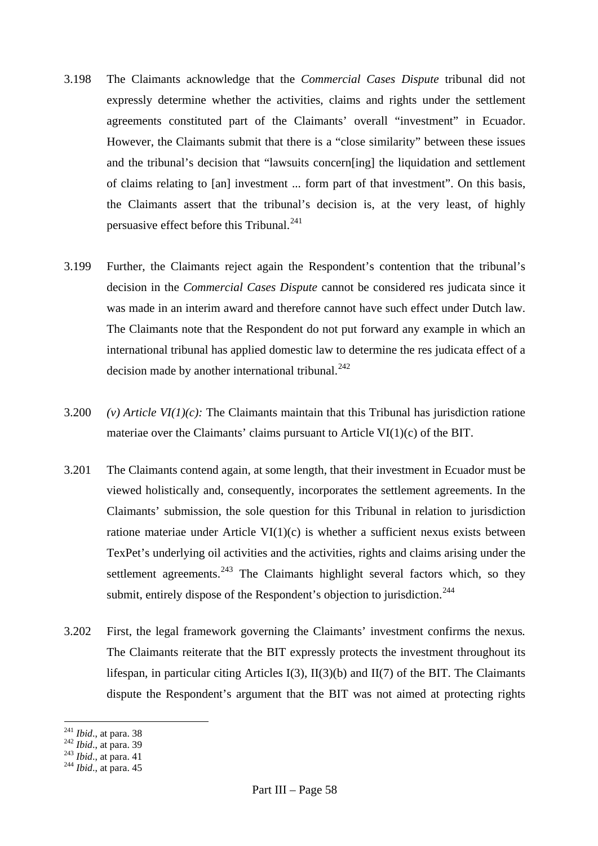- 3.198 The Claimants acknowledge that the *Commercial Cases Dispute* tribunal did not expressly determine whether the activities, claims and rights under the settlement agreements constituted part of the Claimants' overall "investment" in Ecuador. However, the Claimants submit that there is a "close similarity" between these issues and the tribunal's decision that "lawsuits concern[ing] the liquidation and settlement of claims relating to [an] investment ... form part of that investment". On this basis, the Claimants assert that the tribunal's decision is, at the very least, of highly persuasive effect before this Tribunal.<sup>[241](#page-85-0)</sup>
- 3.199 Further, the Claimants reject again the Respondent's contention that the tribunal's decision in the *Commercial Cases Dispute* cannot be considered res judicata since it was made in an interim award and therefore cannot have such effect under Dutch law. The Claimants note that the Respondent do not put forward any example in which an international tribunal has applied domestic law to determine the res judicata effect of a decision made by another international tribunal. $^{242}$  $^{242}$  $^{242}$
- 3.200 *(v) Article VI(1)(c):* The Claimants maintain that this Tribunal has jurisdiction ratione materiae over the Claimants' claims pursuant to Article VI(1)(c) of the BIT.
- 3.201 The Claimants contend again, at some length, that their investment in Ecuador must be viewed holistically and, consequently, incorporates the settlement agreements. In the Claimants' submission, the sole question for this Tribunal in relation to jurisdiction ratione materiae under Article VI $(1)(c)$  is whether a sufficient nexus exists between TexPet's underlying oil activities and the activities, rights and claims arising under the settlement agreements.<sup>[243](#page-85-2)</sup> The Claimants highlight several factors which, so they submit, entirely dispose of the Respondent's objection to jurisdiction.<sup>[244](#page-85-3)</sup>
- 3.202 First, the legal framework governing the Claimants' investment confirms the nexus*.* The Claimants reiterate that the BIT expressly protects the investment throughout its lifespan, in particular citing Articles I(3),  $\text{II}(3)$ (b) and II(7) of the BIT. The Claimants dispute the Respondent's argument that the BIT was not aimed at protecting rights

<span id="page-85-1"></span><span id="page-85-0"></span><sup>241</sup> *Ibid*., at para. 38 <sup>242</sup> *Ibid*., at para. 39 <sup>243</sup> *Ibid*., at para. 41 <sup>244</sup> *Ibid*., at para. 45

<span id="page-85-2"></span>

<span id="page-85-3"></span>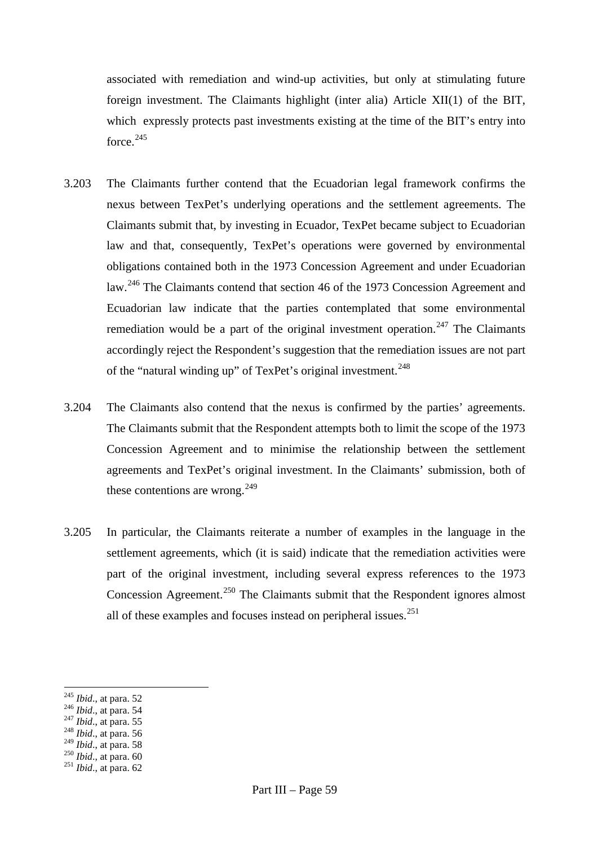associated with remediation and wind-up activities, but only at stimulating future foreign investment. The Claimants highlight (inter alia) Article XII(1) of the BIT, which expressly protects past investments existing at the time of the BIT's entry into force. $245$ 

- 3.203 The Claimants further contend that the Ecuadorian legal framework confirms the nexus between TexPet's underlying operations and the settlement agreements. The Claimants submit that, by investing in Ecuador, TexPet became subject to Ecuadorian law and that, consequently, TexPet's operations were governed by environmental obligations contained both in the 1973 Concession Agreement and under Ecuadorian law.<sup>[246](#page-86-1)</sup> The Claimants contend that section 46 of the 1973 Concession Agreement and Ecuadorian law indicate that the parties contemplated that some environmental remediation would be a part of the original investment operation.<sup>[247](#page-86-2)</sup> The Claimants accordingly reject the Respondent's suggestion that the remediation issues are not part of the "natural winding up" of TexPet's original investment.<sup>[248](#page-86-3)</sup>
- 3.204 The Claimants also contend that the nexus is confirmed by the parties' agreements. The Claimants submit that the Respondent attempts both to limit the scope of the 1973 Concession Agreement and to minimise the relationship between the settlement agreements and TexPet's original investment. In the Claimants' submission, both of these contentions are wrong.<sup>[249](#page-86-4)</sup>
- 3.205 In particular, the Claimants reiterate a number of examples in the language in the settlement agreements, which (it is said) indicate that the remediation activities were part of the original investment, including several express references to the 1973 Concession Agreement.<sup>[250](#page-86-5)</sup> The Claimants submit that the Respondent ignores almost all of these examples and focuses instead on peripheral issues.<sup>[251](#page-86-6)</sup>

- <span id="page-86-0"></span><sup>245</sup> *Ibid*., at para. 52 <sup>246</sup> *Ibid*., at para. 54 <sup>247</sup> *Ibid*., at para. 55 <sup>248</sup> *Ibid*., at para. 56
- <span id="page-86-2"></span><span id="page-86-1"></span>
- <span id="page-86-3"></span>
- <span id="page-86-4"></span>
- <span id="page-86-5"></span><sup>249</sup> *Ibid*., at para. 58 <sup>250</sup> *Ibid*., at para. 60 <sup>251</sup> *Ibid*., at para. 62

<span id="page-86-6"></span>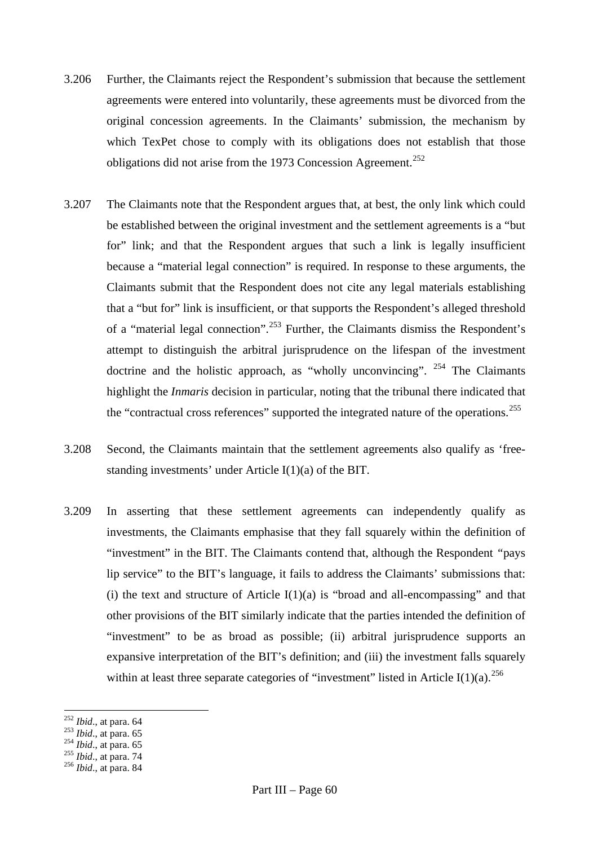- 3.206 Further, the Claimants reject the Respondent's submission that because the settlement agreements were entered into voluntarily, these agreements must be divorced from the original concession agreements. In the Claimants' submission, the mechanism by which TexPet chose to comply with its obligations does not establish that those obligations did not arise from the 1973 Concession Agreement.<sup>[252](#page-87-0)</sup>
- 3.207 The Claimants note that the Respondent argues that, at best, the only link which could be established between the original investment and the settlement agreements is a "but for" link; and that the Respondent argues that such a link is legally insufficient because a "material legal connection" is required. In response to these arguments, the Claimants submit that the Respondent does not cite any legal materials establishing that a "but for" link is insufficient, or that supports the Respondent's alleged threshold of a "material legal connection".<sup>[253](#page-87-1)</sup> Further, the Claimants dismiss the Respondent's attempt to distinguish the arbitral jurisprudence on the lifespan of the investment doctrine and the holistic approach, as "wholly unconvincing".  $254$  The Claimants highlight the *Inmaris* decision in particular, noting that the tribunal there indicated that the "contractual cross references" supported the integrated nature of the operations.<sup>[255](#page-87-3)</sup>
- 3.208 Second, the Claimants maintain that the settlement agreements also qualify as 'freestanding investments' under Article I(1)(a) of the BIT.
- 3.209 In asserting that these settlement agreements can independently qualify as investments, the Claimants emphasise that they fall squarely within the definition of "investment" in the BIT. The Claimants contend that, although the Respondent *"*pays lip service" to the BIT's language, it fails to address the Claimants' submissions that: (i) the text and structure of Article  $I(1)(a)$  is "broad and all-encompassing" and that other provisions of the BIT similarly indicate that the parties intended the definition of "investment" to be as broad as possible; (ii) arbitral jurisprudence supports an expansive interpretation of the BIT's definition; and (iii) the investment falls squarely within at least three separate categories of "investment" listed in Article I(1)(a).<sup>[256](#page-87-4)</sup>

<span id="page-87-0"></span><sup>252</sup> *Ibid*., at para. 64 <sup>253</sup> *Ibid*., at para. 65 <sup>254</sup> *Ibid*., at para. 65 <sup>255</sup> *Ibid*., at para. 74 <sup>256</sup> *Ibid*., at para. 84

<span id="page-87-1"></span>

<span id="page-87-2"></span>

<span id="page-87-3"></span>

<span id="page-87-4"></span>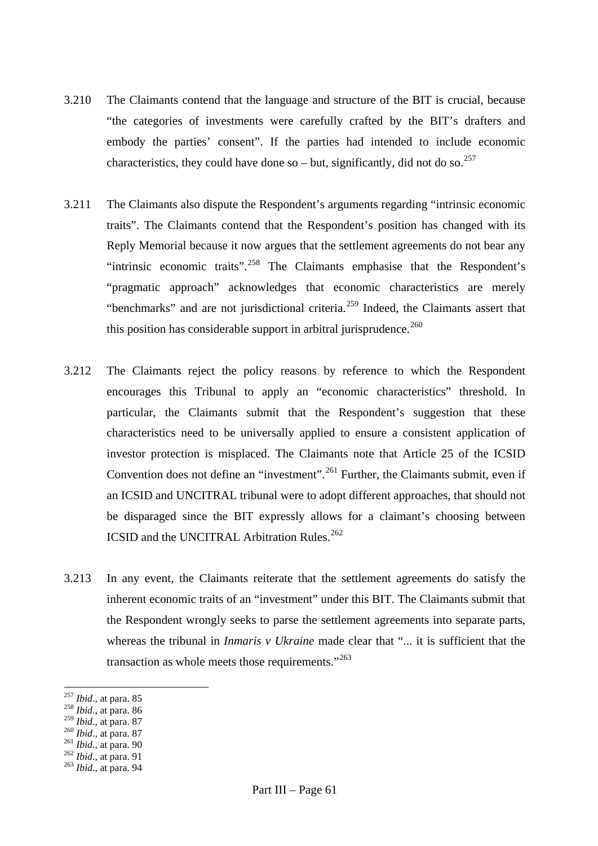- 3.210 The Claimants contend that the language and structure of the BIT is crucial, because "the categories of investments were carefully crafted by the BIT's drafters and embody the parties' consent". If the parties had intended to include economic characteristics, they could have done so  $-$  but, significantly, did not do so.<sup>[257](#page-88-0)</sup>
- 3.211 The Claimants also dispute the Respondent's arguments regarding "intrinsic economic traits". The Claimants contend that the Respondent's position has changed with its Reply Memorial because it now argues that the settlement agreements do not bear any "intrinsic economic traits". <sup>[258](#page-88-1)</sup> The Claimants emphasise that the Respondent's "pragmatic approach" acknowledges that economic characteristics are merely "benchmarks" and are not jurisdictional criteria.<sup>[259](#page-88-2)</sup> Indeed, the Claimants assert that this position has considerable support in arbitral jurisprudence.<sup>[260](#page-88-3)</sup>
- 3.212 The Claimants reject the policy reasons by reference to which the Respondent encourages this Tribunal to apply an "economic characteristics" threshold. In particular, the Claimants submit that the Respondent's suggestion that these characteristics need to be universally applied to ensure a consistent application of investor protection is misplaced. The Claimants note that Article 25 of the ICSID Convention does not define an "investment".[261](#page-88-4) Further, the Claimants submit, even if an ICSID and UNCITRAL tribunal were to adopt different approaches, that should not be disparaged since the BIT expressly allows for a claimant's choosing between ICSID and the UNCITRAL Arbitration Rules.<sup>[262](#page-88-5)</sup>
- 3.213 In any event, the Claimants reiterate that the settlement agreements do satisfy the inherent economic traits of an "investment" under this BIT. The Claimants submit that the Respondent wrongly seeks to parse the settlement agreements into separate parts, whereas the tribunal in *Inmaris v Ukraine* made clear that "... it is sufficient that the transaction as whole meets those requirements."<sup>[263](#page-88-6)</sup>

- <span id="page-88-0"></span><sup>257</sup> *Ibid*., at para. 85 <sup>258</sup> *Ibid*., at para. 86
- <span id="page-88-2"></span>
- <span id="page-88-3"></span>
- <span id="page-88-5"></span><span id="page-88-4"></span>
- <sup>259</sup> *Ibid*., at para. 87 <sup>260</sup> *Ibid*., at para. 87 <sup>261</sup> *Ibid*., at para. 90 <sup>262</sup> *Ibid*., at para. 91 <sup>263</sup> *Ibid*., at para. 94

<span id="page-88-1"></span>

<span id="page-88-6"></span>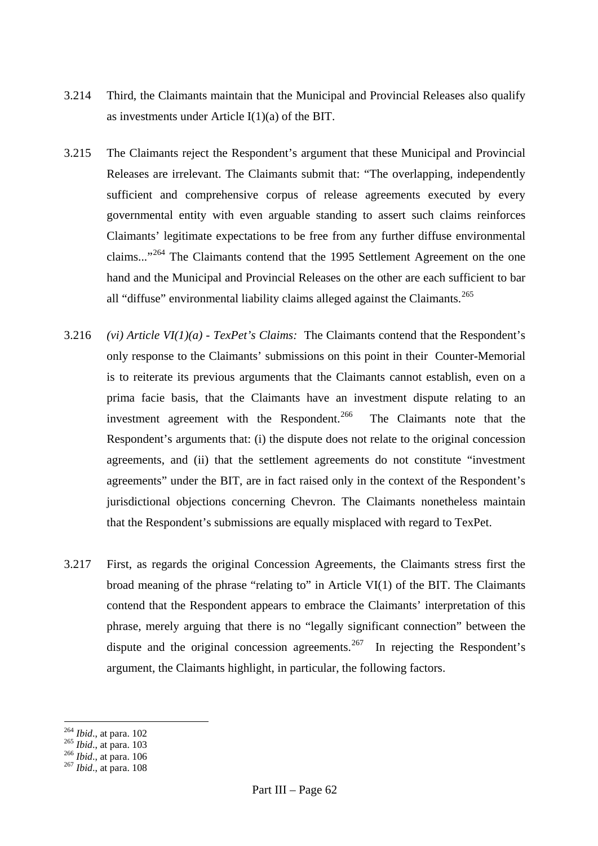- 3.214 Third, the Claimants maintain that the Municipal and Provincial Releases also qualify as investments under Article I(1)(a) of the BIT.
- 3.215 The Claimants reject the Respondent's argument that these Municipal and Provincial Releases are irrelevant. The Claimants submit that: "The overlapping, independently sufficient and comprehensive corpus of release agreements executed by every governmental entity with even arguable standing to assert such claims reinforces Claimants' legitimate expectations to be free from any further diffuse environmental claims..."[264](#page-89-0) The Claimants contend that the 1995 Settlement Agreement on the one hand and the Municipal and Provincial Releases on the other are each sufficient to bar all "diffuse" environmental liability claims alleged against the Claimants.<sup>[265](#page-89-1)</sup>
- 3.216 *(vi) Article VI(1)(a) - TexPet's Claims:* The Claimants contend that the Respondent's only response to the Claimants' submissions on this point in their Counter-Memorial is to reiterate its previous arguments that the Claimants cannot establish, even on a prima facie basis, that the Claimants have an investment dispute relating to an investment agreement with the Respondent. The Claimants note that the Respondent's arguments that: (i) the dispute does not relate to the original concession agreements, and (ii) that the settlement agreements do not constitute "investment agreements" under the BIT, are in fact raised only in the context of the Respondent's jurisdictional objections concerning Chevron. The Claimants nonetheless maintain that the Respondent's submissions are equally misplaced with regard to TexPet.
- 3.217 First, as regards the original Concession Agreements, the Claimants stress first the broad meaning of the phrase "relating to" in Article VI(1) of the BIT. The Claimants contend that the Respondent appears to embrace the Claimants' interpretation of this phrase, merely arguing that there is no "legally significant connection" between the dispute and the original concession agreements.<sup>[267](#page-89-3)</sup> In rejecting the Respondent's argument, the Claimants highlight, in particular, the following factors.

<span id="page-89-1"></span>

<span id="page-89-3"></span><span id="page-89-2"></span>

<span id="page-89-0"></span><sup>264</sup> *Ibid*., at para. 102 <sup>265</sup> *Ibid*., at para. 103 <sup>266</sup> *Ibid*., at para. 106 <sup>267</sup> *Ibid*., at para. 108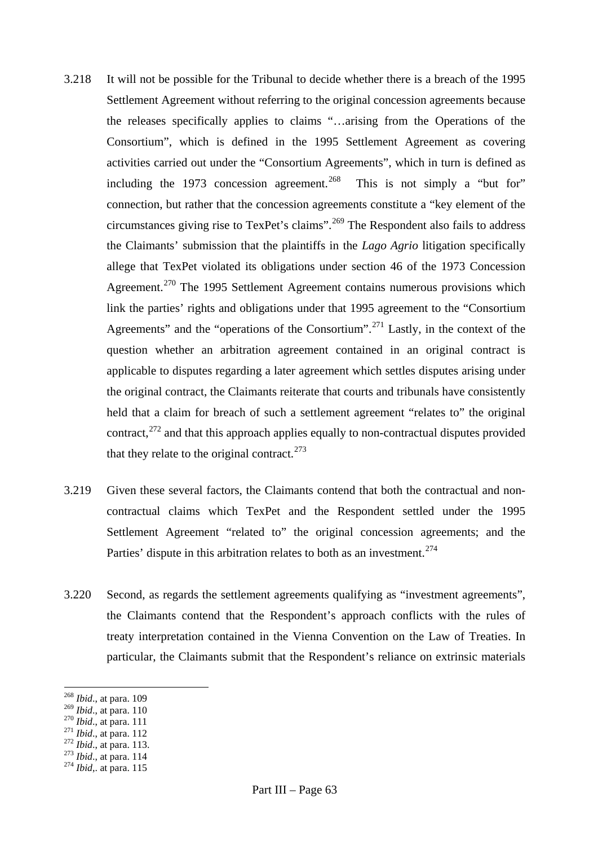- 3.218 It will not be possible for the Tribunal to decide whether there is a breach of the 1995 Settlement Agreement without referring to the original concession agreements because the releases specifically applies to claims "…arising from the Operations of the Consortium", which is defined in the 1995 Settlement Agreement as covering activities carried out under the "Consortium Agreements", which in turn is defined as including the 1973 concession agreement.<sup>[268](#page-90-0)</sup> This is not simply a "but for" connection, but rather that the concession agreements constitute a "key element of the circumstances giving rise to TexPet's claims". <sup>[269](#page-90-1)</sup> The Respondent also fails to address the Claimants' submission that the plaintiffs in the *Lago Agrio* litigation specifically allege that TexPet violated its obligations under section 46 of the 1973 Concession Agreement.<sup>[270](#page-90-2)</sup> The 1995 Settlement Agreement contains numerous provisions which link the parties' rights and obligations under that 1995 agreement to the "Consortium Agreements" and the "operations of the Consortium".<sup>[271](#page-90-3)</sup> Lastly, in the context of the question whether an arbitration agreement contained in an original contract is applicable to disputes regarding a later agreement which settles disputes arising under the original contract, the Claimants reiterate that courts and tribunals have consistently held that a claim for breach of such a settlement agreement "relates to" the original contract, $2^{72}$  and that this approach applies equally to non-contractual disputes provided that they relate to the original contract.<sup>[273](#page-90-5)</sup>
- 3.219 Given these several factors, the Claimants contend that both the contractual and noncontractual claims which TexPet and the Respondent settled under the 1995 Settlement Agreement "related to" the original concession agreements; and the Parties' dispute in this arbitration relates to both as an investment.<sup>[274](#page-90-6)</sup>
- 3.220 Second, as regards the settlement agreements qualifying as "investment agreements", the Claimants contend that the Respondent's approach conflicts with the rules of treaty interpretation contained in the Vienna Convention on the Law of Treaties. In particular, the Claimants submit that the Respondent's reliance on extrinsic materials

- <span id="page-90-0"></span><sup>268</sup> *Ibid.*, at para. 109<br><sup>269</sup> *Ibid.*, at para. 110
- 
- <span id="page-90-3"></span>
- <span id="page-90-5"></span><span id="page-90-4"></span>
- <span id="page-90-2"></span><span id="page-90-1"></span><sup>269</sup> *Ibid*., at para. 110 <sup>270</sup> *Ibid*., at para. 111 <sup>271</sup> *Ibid*., at para. 112 <sup>272</sup> *Ibid*., at para. 113. <sup>273</sup> *Ibid*., at para. 114 <sup>274</sup> *Ibid*,. at para. 115

<span id="page-90-6"></span>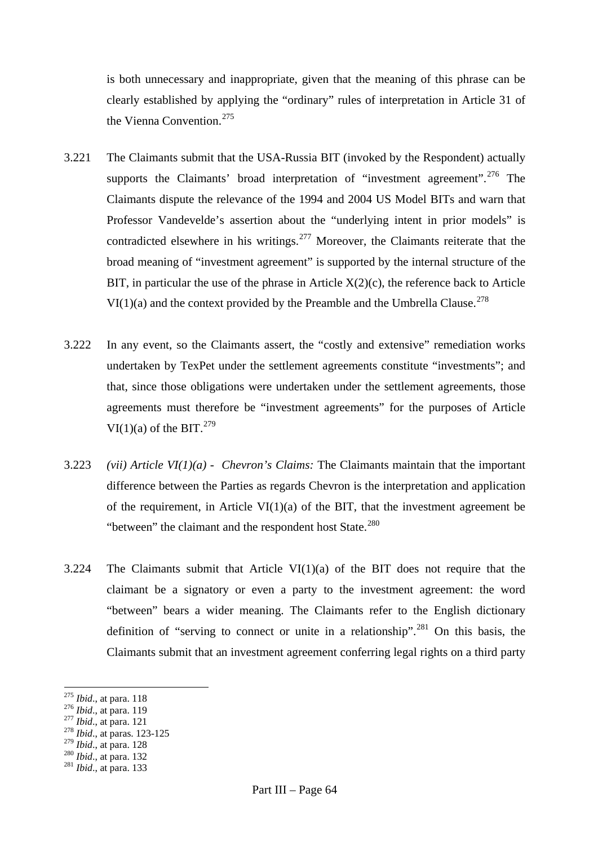is both unnecessary and inappropriate, given that the meaning of this phrase can be clearly established by applying the "ordinary" rules of interpretation in Article 31 of the Vienna Convention. [275](#page-91-0)

- 3.221 The Claimants submit that the USA-Russia BIT (invoked by the Respondent) actually supports the Claimants' broad interpretation of "investment agreement". <sup>[276](#page-91-1)</sup> The Claimants dispute the relevance of the 1994 and 2004 US Model BITs and warn that Professor Vandevelde's assertion about the "underlying intent in prior models" is contradicted elsewhere in his writings.<sup>[277](#page-91-2)</sup> Moreover, the Claimants reiterate that the broad meaning of "investment agreement" is supported by the internal structure of the BIT, in particular the use of the phrase in Article  $X(2)(c)$ , the reference back to Article  $VI(1)(a)$  and the context provided by the Preamble and the Umbrella Clause.<sup>[278](#page-91-3)</sup>
- 3.222 In any event, so the Claimants assert, the "costly and extensive" remediation works undertaken by TexPet under the settlement agreements constitute "investments"; and that, since those obligations were undertaken under the settlement agreements, those agreements must therefore be "investment agreements" for the purposes of Article VI(1)(a) of the BIT.<sup>[279](#page-91-4)</sup>
- 3.223 *(vii) Article VI(1)(a) - Chevron's Claims:* The Claimants maintain that the important difference between the Parties as regards Chevron is the interpretation and application of the requirement, in Article VI $(1)(a)$  of the BIT, that the investment agreement be "between" the claimant and the respondent host State. $280$
- 3.224 The Claimants submit that Article VI(1)(a) of the BIT does not require that the claimant be a signatory or even a party to the investment agreement: the word "between" bears a wider meaning. The Claimants refer to the English dictionary definition of "serving to connect or unite in a relationship".<sup>[281](#page-91-6)</sup> On this basis, the Claimants submit that an investment agreement conferring legal rights on a third party

- <span id="page-91-3"></span><span id="page-91-2"></span><span id="page-91-1"></span>277 *Ibid.*, at para. 121<br><sup>278</sup> *Ibid.*, at paras. 123-125<br><sup>279</sup> *Ibid.*, at para. 128
- 
- <span id="page-91-5"></span><span id="page-91-4"></span><sup>279</sup> *Ibid*., at para. 128 <sup>280</sup> *Ibid*., at para. 132 <sup>281</sup> *Ibid*., at para. 133

<span id="page-91-0"></span><sup>&</sup>lt;sup>275</sup> *Ibid.*, at para. 118<br><sup>276</sup> *Ibid.*, at para. 119

<span id="page-91-6"></span>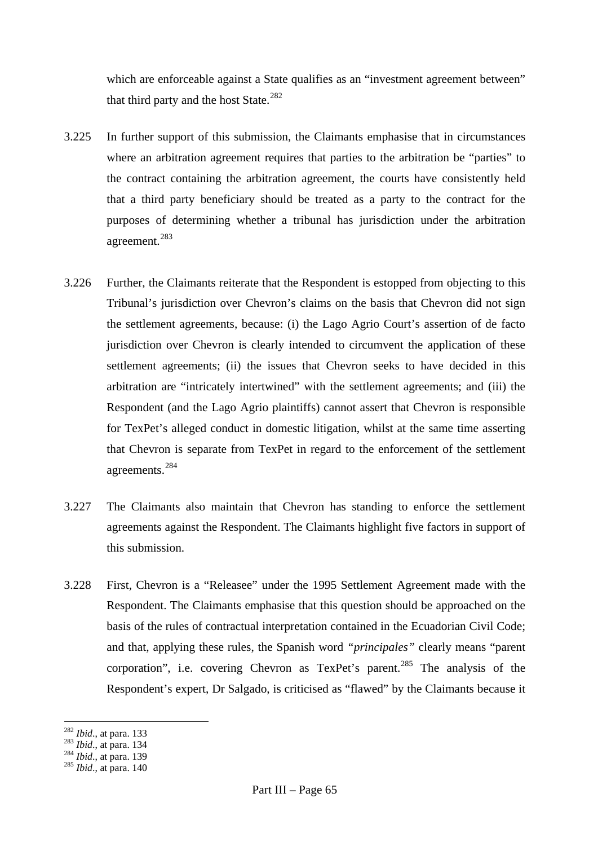which are enforceable against a State qualifies as an "investment agreement between" that third party and the host State. $^{282}$  $^{282}$  $^{282}$ 

- 3.225 In further support of this submission, the Claimants emphasise that in circumstances where an arbitration agreement requires that parties to the arbitration be "parties" to the contract containing the arbitration agreement, the courts have consistently held that a third party beneficiary should be treated as a party to the contract for the purposes of determining whether a tribunal has jurisdiction under the arbitration agreement.[283](#page-92-1)
- 3.226 Further, the Claimants reiterate that the Respondent is estopped from objecting to this Tribunal's jurisdiction over Chevron's claims on the basis that Chevron did not sign the settlement agreements, because: (i) the Lago Agrio Court's assertion of de facto jurisdiction over Chevron is clearly intended to circumvent the application of these settlement agreements; (ii) the issues that Chevron seeks to have decided in this arbitration are "intricately intertwined" with the settlement agreements; and (iii) the Respondent (and the Lago Agrio plaintiffs) cannot assert that Chevron is responsible for TexPet's alleged conduct in domestic litigation, whilst at the same time asserting that Chevron is separate from TexPet in regard to the enforcement of the settlement agreements.[284](#page-92-2)
- 3.227 The Claimants also maintain that Chevron has standing to enforce the settlement agreements against the Respondent. The Claimants highlight five factors in support of this submission.
- 3.228 First, Chevron is a "Releasee" under the 1995 Settlement Agreement made with the Respondent. The Claimants emphasise that this question should be approached on the basis of the rules of contractual interpretation contained in the Ecuadorian Civil Code; and that, applying these rules, the Spanish word *"principales"* clearly means "parent corporation", i.e. covering Chevron as TexPet's parent.<sup>[285](#page-92-3)</sup> The analysis of the Respondent's expert, Dr Salgado, is criticised as "flawed" by the Claimants because it

<span id="page-92-0"></span><sup>&</sup>lt;sup>282</sup> *Ibid.*, at para. 133<br><sup>283</sup> *Ibid.*, at para. 134

<span id="page-92-2"></span><span id="page-92-1"></span><sup>283</sup> *Ibid*., at para. 134 <sup>284</sup> *Ibid*., at para. 139 <sup>285</sup> *Ibid*., at para. 140

<span id="page-92-3"></span>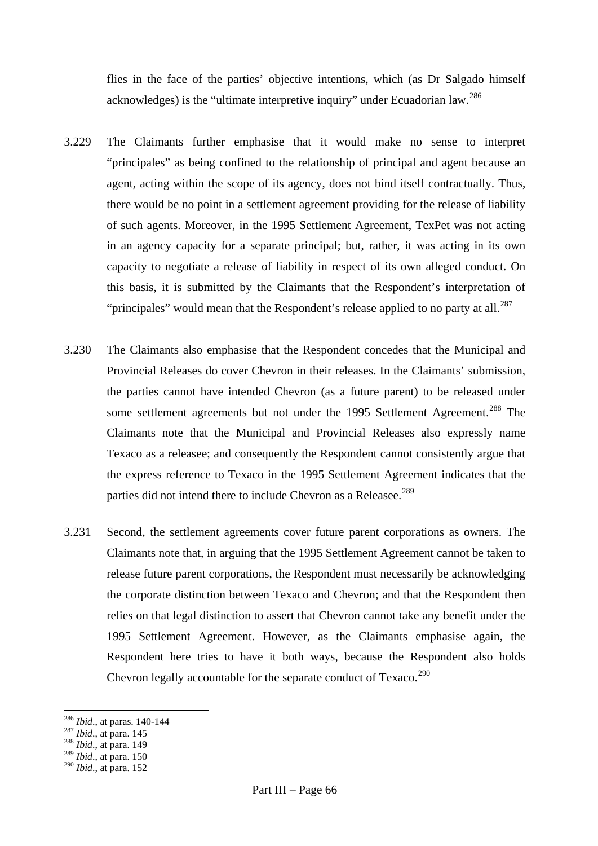flies in the face of the parties' objective intentions, which (as Dr Salgado himself acknowledges) is the "ultimate interpretive inquiry" under Ecuadorian law.<sup>[286](#page-93-0)</sup>

- 3.229 The Claimants further emphasise that it would make no sense to interpret "principales" as being confined to the relationship of principal and agent because an agent, acting within the scope of its agency, does not bind itself contractually. Thus, there would be no point in a settlement agreement providing for the release of liability of such agents. Moreover, in the 1995 Settlement Agreement, TexPet was not acting in an agency capacity for a separate principal; but, rather, it was acting in its own capacity to negotiate a release of liability in respect of its own alleged conduct. On this basis, it is submitted by the Claimants that the Respondent's interpretation of "principales" would mean that the Respondent's release applied to no party at all. $^{287}$  $^{287}$  $^{287}$
- 3.230 The Claimants also emphasise that the Respondent concedes that the Municipal and Provincial Releases do cover Chevron in their releases. In the Claimants' submission, the parties cannot have intended Chevron (as a future parent) to be released under some settlement agreements but not under the 1995 Settlement Agreement.<sup>[288](#page-93-2)</sup> The Claimants note that the Municipal and Provincial Releases also expressly name Texaco as a releasee; and consequently the Respondent cannot consistently argue that the express reference to Texaco in the 1995 Settlement Agreement indicates that the parties did not intend there to include Chevron as a Releasee.<sup>[289](#page-93-3)</sup>
- 3.231 Second, the settlement agreements cover future parent corporations as owners. The Claimants note that, in arguing that the 1995 Settlement Agreement cannot be taken to release future parent corporations, the Respondent must necessarily be acknowledging the corporate distinction between Texaco and Chevron; and that the Respondent then relies on that legal distinction to assert that Chevron cannot take any benefit under the 1995 Settlement Agreement. However, as the Claimants emphasise again, the Respondent here tries to have it both ways, because the Respondent also holds Chevron legally accountable for the separate conduct of Texaco.<sup>[290](#page-93-4)</sup>

<span id="page-93-0"></span><sup>286</sup> *Ibid*., at paras. 140-144 <sup>287</sup> *Ibid*., at para. 145 <sup>288</sup> *Ibid*., at para. 149

<span id="page-93-1"></span>

<span id="page-93-3"></span><span id="page-93-2"></span><sup>289</sup> *Ibid*., at para. 150

<span id="page-93-4"></span><sup>290</sup> *Ibid*., at para. 152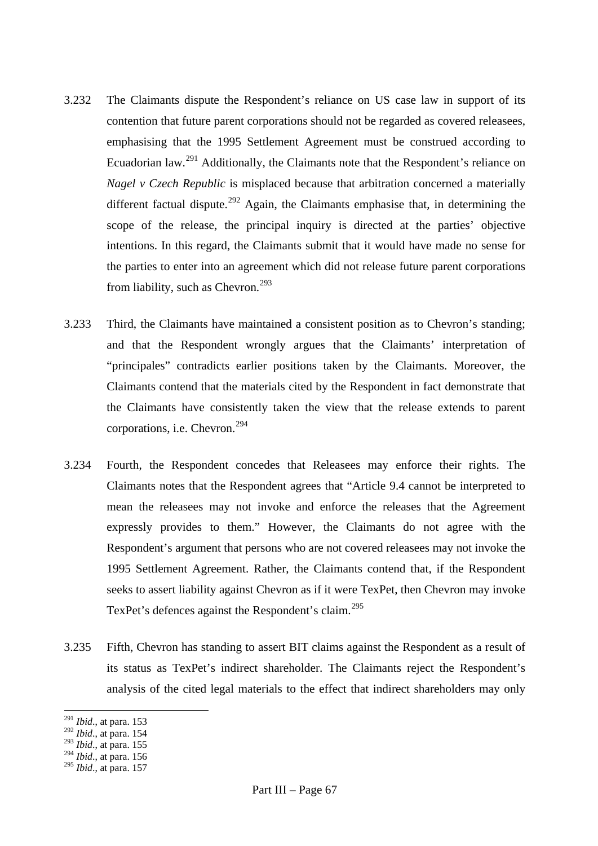- 3.232 The Claimants dispute the Respondent's reliance on US case law in support of its contention that future parent corporations should not be regarded as covered releasees, emphasising that the 1995 Settlement Agreement must be construed according to Ecuadorian law.[291](#page-94-0) Additionally, the Claimants note that the Respondent's reliance on *Nagel v Czech Republic* is misplaced because that arbitration concerned a materially different factual dispute.<sup>[292](#page-94-1)</sup> Again, the Claimants emphasise that, in determining the scope of the release, the principal inquiry is directed at the parties' objective intentions. In this regard, the Claimants submit that it would have made no sense for the parties to enter into an agreement which did not release future parent corporations from liability, such as Chevron.<sup>[293](#page-94-2)</sup>
- 3.233 Third, the Claimants have maintained a consistent position as to Chevron's standing; and that the Respondent wrongly argues that the Claimants' interpretation of "principales" contradicts earlier positions taken by the Claimants. Moreover, the Claimants contend that the materials cited by the Respondent in fact demonstrate that the Claimants have consistently taken the view that the release extends to parent corporations, i.e. Chevron. [294](#page-94-3)
- 3.234 Fourth, the Respondent concedes that Releasees may enforce their rights. The Claimants notes that the Respondent agrees that "Article 9.4 cannot be interpreted to mean the releasees may not invoke and enforce the releases that the Agreement expressly provides to them." However, the Claimants do not agree with the Respondent's argument that persons who are not covered releasees may not invoke the 1995 Settlement Agreement. Rather, the Claimants contend that, if the Respondent seeks to assert liability against Chevron as if it were TexPet, then Chevron may invoke TexPet's defences against the Respondent's claim.<sup>[295](#page-94-4)</sup>
- 3.235 Fifth, Chevron has standing to assert BIT claims against the Respondent as a result of its status as TexPet's indirect shareholder. The Claimants reject the Respondent's analysis of the cited legal materials to the effect that indirect shareholders may only
- <span id="page-94-0"></span>291 *Ibid*., at para. 153
- <span id="page-94-1"></span><sup>292</sup> *Ibid*., at para. 154
- <span id="page-94-2"></span><sup>293</sup> *Ibid*., at para. 155
- <span id="page-94-3"></span><sup>294</sup> *Ibid*., at para. 156

<span id="page-94-4"></span><sup>295</sup> *Ibid*., at para. 157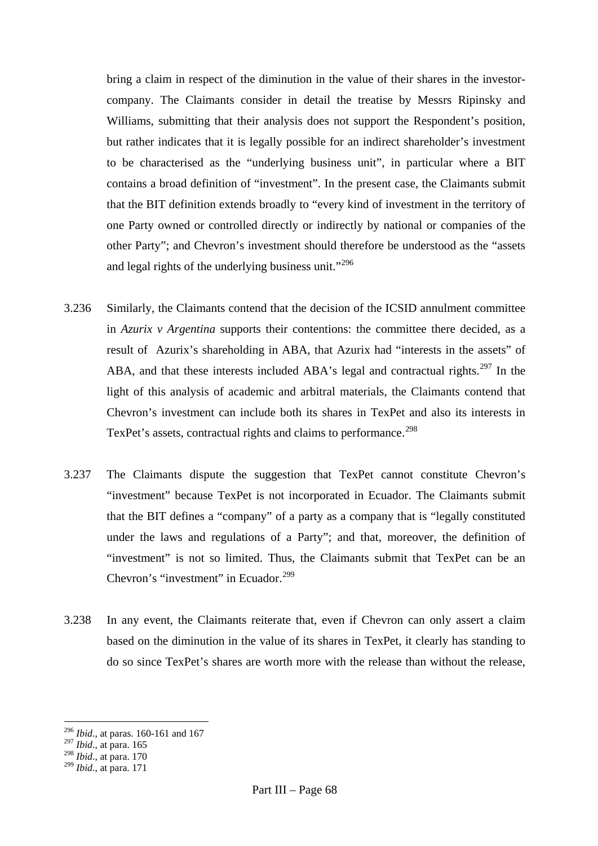bring a claim in respect of the diminution in the value of their shares in the investorcompany. The Claimants consider in detail the treatise by Messrs Ripinsky and Williams, submitting that their analysis does not support the Respondent's position, but rather indicates that it is legally possible for an indirect shareholder's investment to be characterised as the "underlying business unit", in particular where a BIT contains a broad definition of "investment". In the present case, the Claimants submit that the BIT definition extends broadly to "every kind of investment in the territory of one Party owned or controlled directly or indirectly by national or companies of the other Party"; and Chevron's investment should therefore be understood as the "assets and legal rights of the underlying business unit."<sup>[296](#page-95-0)</sup>

- 3.236 Similarly, the Claimants contend that the decision of the ICSID annulment committee in *Azurix v Argentina* supports their contentions: the committee there decided, as a result of Azurix's shareholding in ABA, that Azurix had "interests in the assets" of ABA, and that these interests included ABA's legal and contractual rights.<sup>[297](#page-95-1)</sup> In the light of this analysis of academic and arbitral materials, the Claimants contend that Chevron's investment can include both its shares in TexPet and also its interests in TexPet's assets, contractual rights and claims to performance.<sup>[298](#page-95-2)</sup>
- 3.237 The Claimants dispute the suggestion that TexPet cannot constitute Chevron's "investment" because TexPet is not incorporated in Ecuador. The Claimants submit that the BIT defines a "company" of a party as a company that is "legally constituted under the laws and regulations of a Party"; and that, moreover, the definition of "investment" is not so limited. Thus, the Claimants submit that TexPet can be an Chevron's "investment" in Ecuador.<sup>[299](#page-95-3)</sup>
- 3.238 In any event, the Claimants reiterate that, even if Chevron can only assert a claim based on the diminution in the value of its shares in TexPet, it clearly has standing to do so since TexPet's shares are worth more with the release than without the release,

<span id="page-95-0"></span> <sup>296</sup> *Ibid*., at paras. 160-161 and 167

<span id="page-95-1"></span><sup>297</sup> *Ibid*., at para. 165

<sup>298</sup> *Ibid*., at para. 170

<span id="page-95-3"></span><span id="page-95-2"></span><sup>299</sup> *Ibid*., at para. 171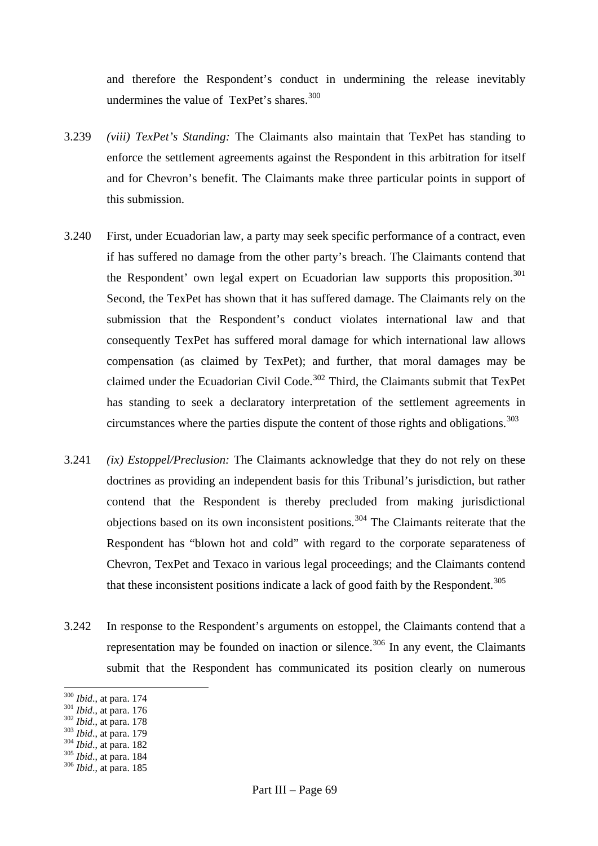and therefore the Respondent's conduct in undermining the release inevitably undermines the value of  $TexPet's shares.<sup>300</sup>$  $TexPet's shares.<sup>300</sup>$  $TexPet's shares.<sup>300</sup>$ 

- 3.239 *(viii) TexPet's Standing:* The Claimants also maintain that TexPet has standing to enforce the settlement agreements against the Respondent in this arbitration for itself and for Chevron's benefit. The Claimants make three particular points in support of this submission.
- 3.240 First, under Ecuadorian law, a party may seek specific performance of a contract, even if has suffered no damage from the other party's breach. The Claimants contend that the Respondent' own legal expert on Ecuadorian law supports this proposition.<sup>[301](#page-96-1)</sup> Second, the TexPet has shown that it has suffered damage. The Claimants rely on the submission that the Respondent's conduct violates international law and that consequently TexPet has suffered moral damage for which international law allows compensation (as claimed by TexPet); and further, that moral damages may be claimed under the Ecuadorian Civil Code.<sup>[302](#page-96-2)</sup> Third, the Claimants submit that TexPet has standing to seek a declaratory interpretation of the settlement agreements in circumstances where the parties dispute the content of those rights and obligations.<sup>[303](#page-96-3)</sup>
- 3.241 *(ix) Estoppel/Preclusion:* The Claimants acknowledge that they do not rely on these doctrines as providing an independent basis for this Tribunal's jurisdiction, but rather contend that the Respondent is thereby precluded from making jurisdictional objections based on its own inconsistent positions.[304](#page-96-4) The Claimants reiterate that the Respondent has "blown hot and cold" with regard to the corporate separateness of Chevron, TexPet and Texaco in various legal proceedings; and the Claimants contend that these inconsistent positions indicate a lack of good faith by the Respondent. [305](#page-96-5)
- 3.242 In response to the Respondent's arguments on estoppel, the Claimants contend that a representation may be founded on inaction or silence.<sup>[306](#page-96-6)</sup> In any event, the Claimants submit that the Respondent has communicated its position clearly on numerous

- <span id="page-96-2"></span><span id="page-96-1"></span><sup>301</sup> *Ibid*., at para. 176 <sup>302</sup> *Ibid*., at para. 178 <sup>303</sup> *Ibid*., at para. 179 <sup>304</sup> *Ibid*., at para. 182 <sup>305</sup> *Ibid*., at para. 184 <sup>306</sup> *Ibid*., at para. 185
- <span id="page-96-5"></span>

<span id="page-96-0"></span><sup>&</sup>lt;sup>300</sup> *Ibid.*, at para. 174<br><sup>301</sup> *Ibid.*, at para. 176

<span id="page-96-4"></span><span id="page-96-3"></span>

<span id="page-96-6"></span>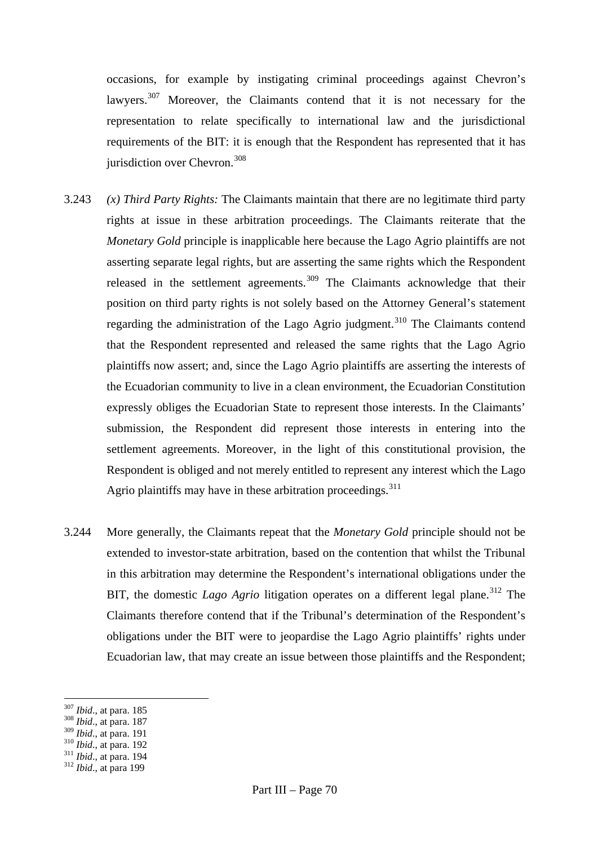occasions, for example by instigating criminal proceedings against Chevron's lawyers.<sup>[307](#page-97-0)</sup> Moreover, the Claimants contend that it is not necessary for the representation to relate specifically to international law and the jurisdictional requirements of the BIT: it is enough that the Respondent has represented that it has jurisdiction over Chevron.<sup>[308](#page-97-1)</sup>

- 3.243 *(x) Third Party Rights:* The Claimants maintain that there are no legitimate third party rights at issue in these arbitration proceedings. The Claimants reiterate that the *Monetary Gold* principle is inapplicable here because the Lago Agrio plaintiffs are not asserting separate legal rights, but are asserting the same rights which the Respondent released in the settlement agreements.<sup>[309](#page-97-2)</sup> The Claimants acknowledge that their position on third party rights is not solely based on the Attorney General's statement regarding the administration of the Lago Agrio judgment.<sup>[310](#page-97-3)</sup> The Claimants contend that the Respondent represented and released the same rights that the Lago Agrio plaintiffs now assert; and, since the Lago Agrio plaintiffs are asserting the interests of the Ecuadorian community to live in a clean environment, the Ecuadorian Constitution expressly obliges the Ecuadorian State to represent those interests. In the Claimants' submission, the Respondent did represent those interests in entering into the settlement agreements. Moreover, in the light of this constitutional provision, the Respondent is obliged and not merely entitled to represent any interest which the Lago Agrio plaintiffs may have in these arbitration proceedings.<sup>[311](#page-97-4)</sup>
- 3.244 More generally, the Claimants repeat that the *Monetary Gold* principle should not be extended to investor-state arbitration, based on the contention that whilst the Tribunal in this arbitration may determine the Respondent's international obligations under the BIT, the domestic *Lago Agrio* litigation operates on a different legal plane.<sup>[312](#page-97-5)</sup> The Claimants therefore contend that if the Tribunal's determination of the Respondent's obligations under the BIT were to jeopardise the Lago Agrio plaintiffs' rights under Ecuadorian law, that may create an issue between those plaintiffs and the Respondent;

<span id="page-97-4"></span>

<span id="page-97-0"></span> <sup>307</sup> *Ibid*., at para. 185

<span id="page-97-1"></span><sup>&</sup>lt;sup>308</sup> *Ibid.*, at para. 187<br><sup>309</sup> *Ibid.*, at para. 191

<span id="page-97-3"></span><span id="page-97-2"></span><sup>309</sup> *Ibid*., at para. 191 <sup>310</sup> *Ibid*., at para. 192 <sup>311</sup> *Ibid*., at para. 194 <sup>312</sup> *Ibid*., at para 199

<span id="page-97-5"></span>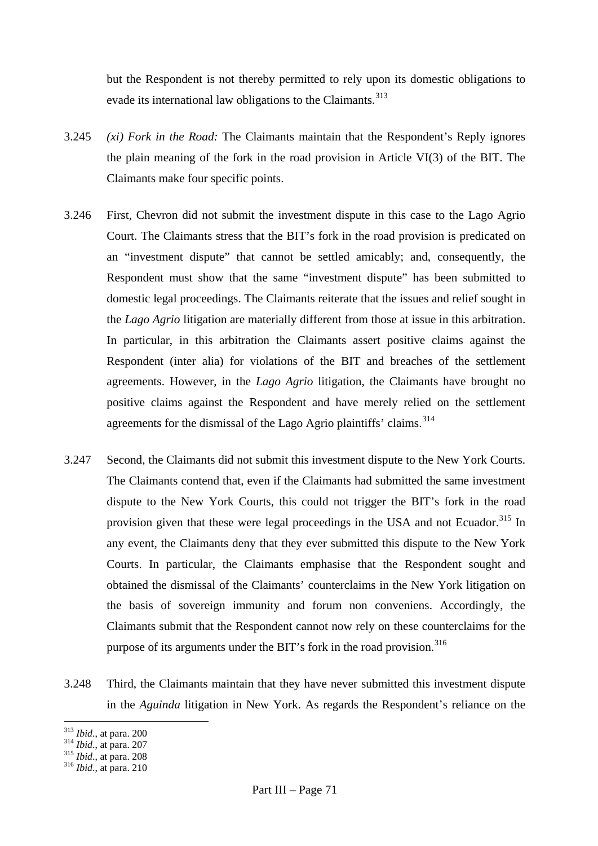but the Respondent is not thereby permitted to rely upon its domestic obligations to evade its international law obligations to the Claimants.<sup>[313](#page-98-0)</sup>

- 3.245 *(xi) Fork in the Road:* The Claimants maintain that the Respondent's Reply ignores the plain meaning of the fork in the road provision in Article VI(3) of the BIT. The Claimants make four specific points.
- 3.246 First, Chevron did not submit the investment dispute in this case to the Lago Agrio Court. The Claimants stress that the BIT's fork in the road provision is predicated on an "investment dispute" that cannot be settled amicably; and, consequently, the Respondent must show that the same "investment dispute" has been submitted to domestic legal proceedings. The Claimants reiterate that the issues and relief sought in the *Lago Agrio* litigation are materially different from those at issue in this arbitration. In particular, in this arbitration the Claimants assert positive claims against the Respondent (inter alia) for violations of the BIT and breaches of the settlement agreements. However, in the *Lago Agrio* litigation, the Claimants have brought no positive claims against the Respondent and have merely relied on the settlement agreements for the dismissal of the Lago Agrio plaintiffs' claims.<sup>[314](#page-98-1)</sup>
- 3.247 Second, the Claimants did not submit this investment dispute to the New York Courts. The Claimants contend that, even if the Claimants had submitted the same investment dispute to the New York Courts, this could not trigger the BIT's fork in the road provision given that these were legal proceedings in the USA and not Ecuador.<sup>[315](#page-98-2)</sup> In any event, the Claimants deny that they ever submitted this dispute to the New York Courts. In particular, the Claimants emphasise that the Respondent sought and obtained the dismissal of the Claimants' counterclaims in the New York litigation on the basis of sovereign immunity and forum non conveniens. Accordingly, the Claimants submit that the Respondent cannot now rely on these counterclaims for the purpose of its arguments under the BIT's fork in the road provision.<sup>[316](#page-98-3)</sup>
- 3.248 Third, the Claimants maintain that they have never submitted this investment dispute in the *Aguinda* litigation in New York. As regards the Respondent's reliance on the

<span id="page-98-1"></span><span id="page-98-0"></span><sup>313</sup> *Ibid*., at para. 200 <sup>314</sup> *Ibid*., at para. 207 <sup>315</sup> *Ibid*., at para. 208 <sup>316</sup> *Ibid*., at para. 210

<span id="page-98-2"></span>

<span id="page-98-3"></span>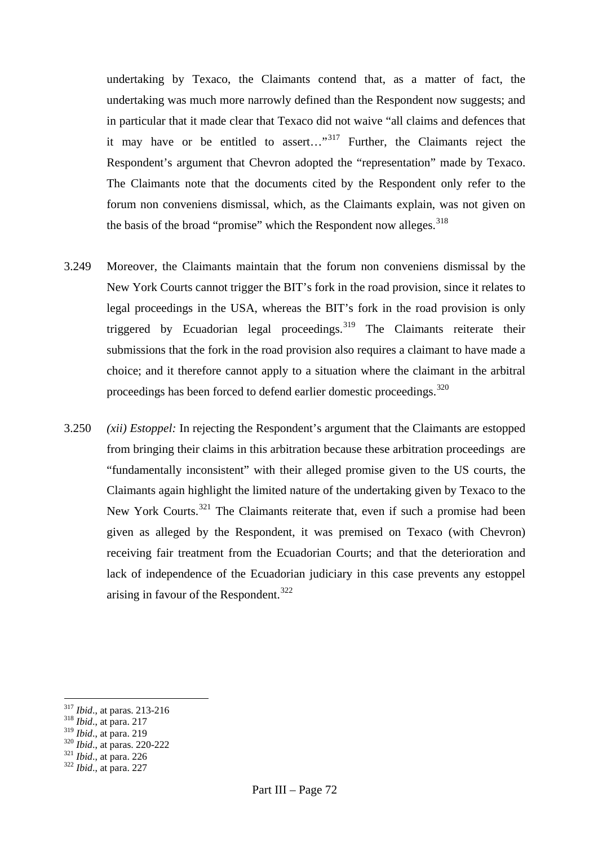undertaking by Texaco, the Claimants contend that, as a matter of fact, the undertaking was much more narrowly defined than the Respondent now suggests; and in particular that it made clear that Texaco did not waive "all claims and defences that it may have or be entitled to assert..."<sup>[317](#page-99-0)</sup> Further, the Claimants reject the Respondent's argument that Chevron adopted the "representation" made by Texaco. The Claimants note that the documents cited by the Respondent only refer to the forum non conveniens dismissal, which, as the Claimants explain, was not given on the basis of the broad "promise" which the Respondent now alleges.<sup>[318](#page-99-1)</sup>

- 3.249 Moreover, the Claimants maintain that the forum non conveniens dismissal by the New York Courts cannot trigger the BIT's fork in the road provision, since it relates to legal proceedings in the USA, whereas the BIT's fork in the road provision is only triggered by Ecuadorian legal proceedings.<sup>[319](#page-99-2)</sup> The Claimants reiterate their submissions that the fork in the road provision also requires a claimant to have made a choice; and it therefore cannot apply to a situation where the claimant in the arbitral proceedings has been forced to defend earlier domestic proceedings.<sup>[320](#page-99-3)</sup>
- 3.250 *(xii) Estoppel:* In rejecting the Respondent's argument that the Claimants are estopped from bringing their claims in this arbitration because these arbitration proceedings are "fundamentally inconsistent" with their alleged promise given to the US courts, the Claimants again highlight the limited nature of the undertaking given by Texaco to the New York Courts.<sup>[321](#page-99-4)</sup> The Claimants reiterate that, even if such a promise had been given as alleged by the Respondent, it was premised on Texaco (with Chevron) receiving fair treatment from the Ecuadorian Courts; and that the deterioration and lack of independence of the Ecuadorian judiciary in this case prevents any estoppel arising in favour of the Respondent.<sup>[322](#page-99-5)</sup>

<span id="page-99-1"></span><span id="page-99-0"></span><sup>317</sup> *Ibid*., at paras. 213-216 <sup>318</sup> *Ibid*., at para. 217

<span id="page-99-3"></span><span id="page-99-2"></span><sup>319</sup> *Ibid*., at para. 219 <sup>320</sup> *Ibid*., at paras. 220-222 <sup>321</sup> *Ibid*., at para. 226 <sup>322</sup> *Ibid*., at para. 227

<span id="page-99-5"></span><span id="page-99-4"></span>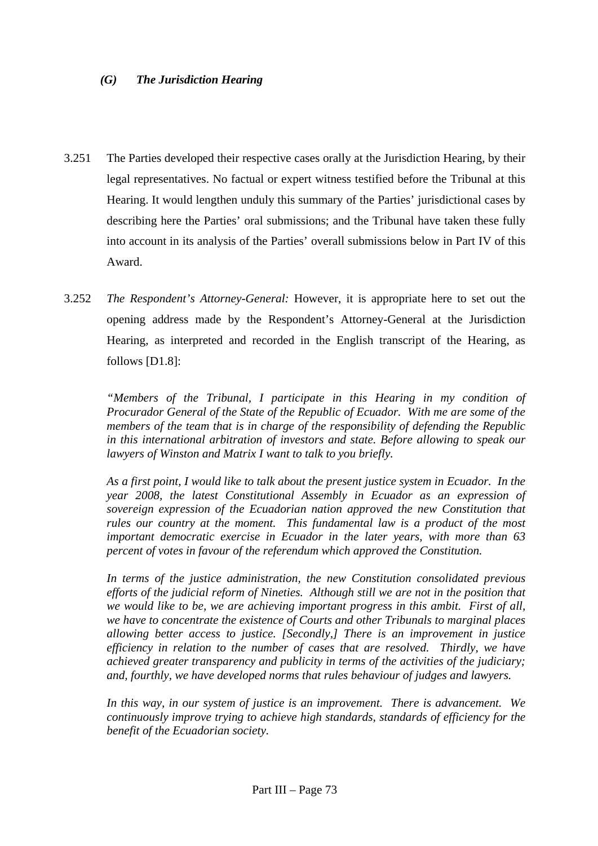# *(G) The Jurisdiction Hearing*

- 3.251 The Parties developed their respective cases orally at the Jurisdiction Hearing, by their legal representatives. No factual or expert witness testified before the Tribunal at this Hearing. It would lengthen unduly this summary of the Parties' jurisdictional cases by describing here the Parties' oral submissions; and the Tribunal have taken these fully into account in its analysis of the Parties' overall submissions below in Part IV of this Award.
- 3.252 *The Respondent's Attorney-General:* However, it is appropriate here to set out the opening address made by the Respondent's Attorney-General at the Jurisdiction Hearing, as interpreted and recorded in the English transcript of the Hearing, as follows [D1.8]:

*"Members of the Tribunal, I participate in this Hearing in my condition of Procurador General of the State of the Republic of Ecuador. With me are some of the members of the team that is in charge of the responsibility of defending the Republic in this international arbitration of investors and state. Before allowing to speak our lawyers of Winston and Matrix I want to talk to you briefly.*

*As a first point, I would like to talk about the present justice system in Ecuador. In the year 2008, the latest Constitutional Assembly in Ecuador as an expression of sovereign expression of the Ecuadorian nation approved the new Constitution that rules our country at the moment. This fundamental law is a product of the most important democratic exercise in Ecuador in the later years, with more than 63 percent of votes in favour of the referendum which approved the Constitution.*

*In terms of the justice administration, the new Constitution consolidated previous efforts of the judicial reform of Nineties. Although still we are not in the position that we would like to be, we are achieving important progress in this ambit. First of all, we have to concentrate the existence of Courts and other Tribunals to marginal places allowing better access to justice. [Secondly,] There is an improvement in justice efficiency in relation to the number of cases that are resolved. Thirdly, we have achieved greater transparency and publicity in terms of the activities of the judiciary; and, fourthly, we have developed norms that rules behaviour of judges and lawyers.* 

*In this way, in our system of justice is an improvement. There is advancement. We continuously improve trying to achieve high standards, standards of efficiency for the benefit of the Ecuadorian society.*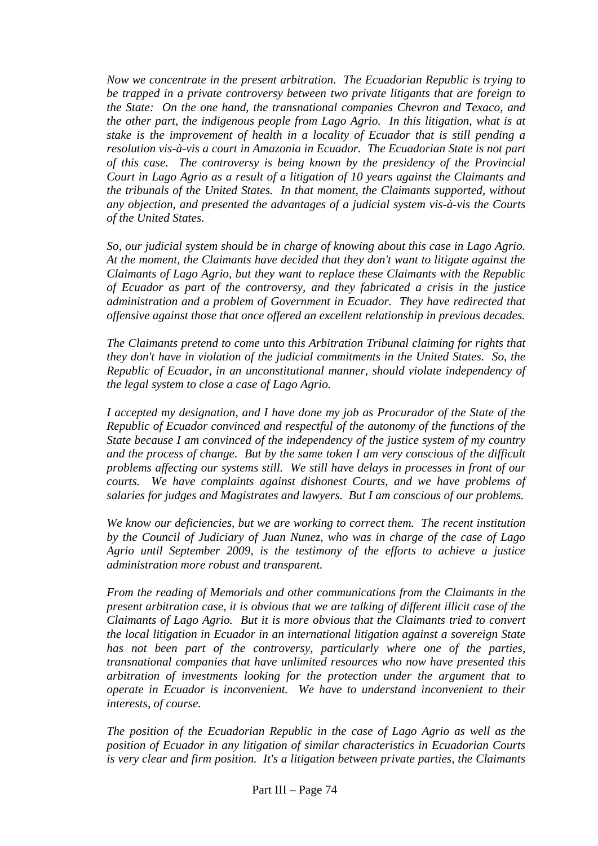*Now we concentrate in the present arbitration. The Ecuadorian Republic is trying to be trapped in a private controversy between two private litigants that are foreign to the State: On the one hand, the transnational companies Chevron and Texaco, and the other part, the indigenous people from Lago Agrio. In this litigation, what is at stake is the improvement of health in a locality of Ecuador that is still pending a resolution vis-à-vis a court in Amazonia in Ecuador. The Ecuadorian State is not part of this case. The controversy is being known by the presidency of the Provincial Court in Lago Agrio as a result of a litigation of 10 years against the Claimants and the tribunals of the United States. In that moment, the Claimants supported, without any objection, and presented the advantages of a judicial system vis-à-vis the Courts of the United States.* 

*So, our judicial system should be in charge of knowing about this case in Lago Agrio. At the moment, the Claimants have decided that they don't want to litigate against the Claimants of Lago Agrio, but they want to replace these Claimants with the Republic of Ecuador as part of the controversy, and they fabricated a crisis in the justice administration and a problem of Government in Ecuador. They have redirected that offensive against those that once offered an excellent relationship in previous decades.*

*The Claimants pretend to come unto this Arbitration Tribunal claiming for rights that they don't have in violation of the judicial commitments in the United States. So, the Republic of Ecuador, in an unconstitutional manner, should violate independency of the legal system to close a case of Lago Agrio.* 

*I* accepted my designation, and *I* have done my job as Procurador of the State of the *Republic of Ecuador convinced and respectful of the autonomy of the functions of the State because I am convinced of the independency of the justice system of my country and the process of change. But by the same token I am very conscious of the difficult problems affecting our systems still. We still have delays in processes in front of our courts. We have complaints against dishonest Courts, and we have problems of salaries for judges and Magistrates and lawyers. But I am conscious of our problems.* 

*We know our deficiencies, but we are working to correct them. The recent institution by the Council of Judiciary of Juan Nunez, who was in charge of the case of Lago Agrio until September 2009, is the testimony of the efforts to achieve a justice administration more robust and transparent.* 

*From the reading of Memorials and other communications from the Claimants in the present arbitration case, it is obvious that we are talking of different illicit case of the Claimants of Lago Agrio. But it is more obvious that the Claimants tried to convert the local litigation in Ecuador in an international litigation against a sovereign State has not been part of the controversy, particularly where one of the parties, transnational companies that have unlimited resources who now have presented this arbitration of investments looking for the protection under the argument that to operate in Ecuador is inconvenient. We have to understand inconvenient to their interests, of course.* 

*The position of the Ecuadorian Republic in the case of Lago Agrio as well as the position of Ecuador in any litigation of similar characteristics in Ecuadorian Courts is very clear and firm position. It's a litigation between private parties, the Claimants*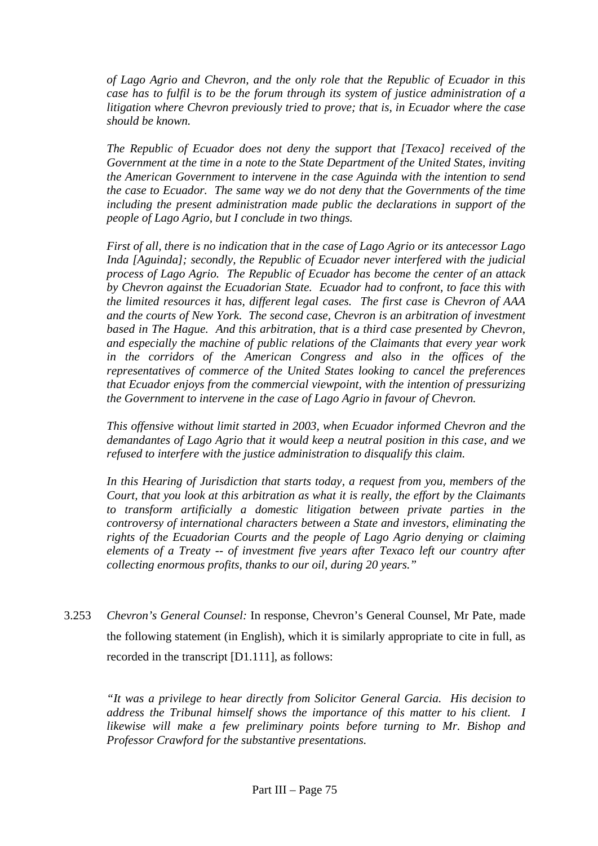*of Lago Agrio and Chevron, and the only role that the Republic of Ecuador in this case has to fulfil is to be the forum through its system of justice administration of a litigation where Chevron previously tried to prove; that is, in Ecuador where the case should be known.* 

*The Republic of Ecuador does not deny the support that [Texaco] received of the Government at the time in a note to the State Department of the United States, inviting the American Government to intervene in the case Aguinda with the intention to send the case to Ecuador. The same way we do not deny that the Governments of the time including the present administration made public the declarations in support of the people of Lago Agrio, but I conclude in two things.*

*First of all, there is no indication that in the case of Lago Agrio or its antecessor Lago Inda [Aguinda]; secondly, the Republic of Ecuador never interfered with the judicial process of Lago Agrio. The Republic of Ecuador has become the center of an attack by Chevron against the Ecuadorian State. Ecuador had to confront, to face this with the limited resources it has, different legal cases. The first case is Chevron of AAA and the courts of New York. The second case, Chevron is an arbitration of investment based in The Hague. And this arbitration, that is a third case presented by Chevron, and especially the machine of public relations of the Claimants that every year work in the corridors of the American Congress and also in the offices of the representatives of commerce of the United States looking to cancel the preferences that Ecuador enjoys from the commercial viewpoint, with the intention of pressurizing the Government to intervene in the case of Lago Agrio in favour of Chevron.* 

*This offensive without limit started in 2003, when Ecuador informed Chevron and the demandantes of Lago Agrio that it would keep a neutral position in this case, and we refused to interfere with the justice administration to disqualify this claim.* 

*In this Hearing of Jurisdiction that starts today, a request from you, members of the Court, that you look at this arbitration as what it is really, the effort by the Claimants to transform artificially a domestic litigation between private parties in the controversy of international characters between a State and investors, eliminating the rights of the Ecuadorian Courts and the people of Lago Agrio denying or claiming elements of a Treaty -- of investment five years after Texaco left our country after collecting enormous profits, thanks to our oil, during 20 years."*

3.253 *Chevron's General Counsel:* In response, Chevron's General Counsel, Mr Pate, made the following statement (in English), which it is similarly appropriate to cite in full, as recorded in the transcript [D1.111], as follows:

*"It was a privilege to hear directly from Solicitor General Garcia. His decision to address the Tribunal himself shows the importance of this matter to his client. I likewise will make a few preliminary points before turning to Mr. Bishop and Professor Crawford for the substantive presentations.*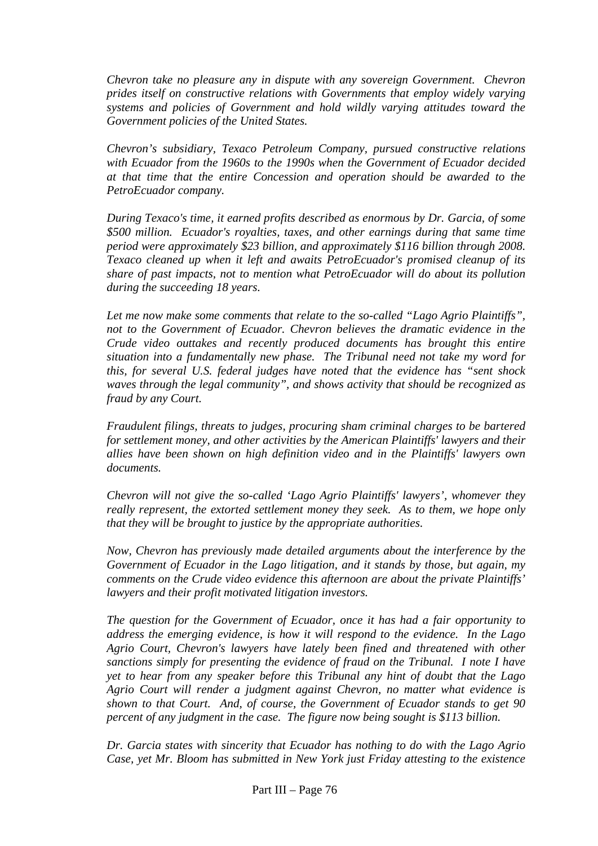*Chevron take no pleasure any in dispute with any sovereign Government. Chevron prides itself on constructive relations with Governments that employ widely varying systems and policies of Government and hold wildly varying attitudes toward the Government policies of the United States.*

*Chevron's subsidiary, Texaco Petroleum Company, pursued constructive relations with Ecuador from the 1960s to the 1990s when the Government of Ecuador decided at that time that the entire Concession and operation should be awarded to the PetroEcuador company.* 

*During Texaco's time, it earned profits described as enormous by Dr. Garcia, of some \$500 million. Ecuador's royalties, taxes, and other earnings during that same time period were approximately \$23 billion, and approximately \$116 billion through 2008. Texaco cleaned up when it left and awaits PetroEcuador's promised cleanup of its share of past impacts, not to mention what PetroEcuador will do about its pollution during the succeeding 18 years.*

*Let me now make some comments that relate to the so-called "Lago Agrio Plaintiffs", not to the Government of Ecuador. Chevron believes the dramatic evidence in the Crude video outtakes and recently produced documents has brought this entire situation into a fundamentally new phase. The Tribunal need not take my word for this, for several U.S. federal judges have noted that the evidence has "sent shock waves through the legal community", and shows activity that should be recognized as fraud by any Court.*

*Fraudulent filings, threats to judges, procuring sham criminal charges to be bartered for settlement money, and other activities by the American Plaintiffs' lawyers and their allies have been shown on high definition video and in the Plaintiffs' lawyers own documents.*

*Chevron will not give the so-called 'Lago Agrio Plaintiffs' lawyers', whomever they really represent, the extorted settlement money they seek. As to them, we hope only that they will be brought to justice by the appropriate authorities.*

*Now, Chevron has previously made detailed arguments about the interference by the Government of Ecuador in the Lago litigation, and it stands by those, but again, my comments on the Crude video evidence this afternoon are about the private Plaintiffs' lawyers and their profit motivated litigation investors.*

*The question for the Government of Ecuador, once it has had a fair opportunity to address the emerging evidence, is how it will respond to the evidence. In the Lago Agrio Court, Chevron's lawyers have lately been fined and threatened with other sanctions simply for presenting the evidence of fraud on the Tribunal. I note I have yet to hear from any speaker before this Tribunal any hint of doubt that the Lago Agrio Court will render a judgment against Chevron, no matter what evidence is shown to that Court. And, of course, the Government of Ecuador stands to get 90 percent of any judgment in the case. The figure now being sought is \$113 billion.*

*Dr. Garcia states with sincerity that Ecuador has nothing to do with the Lago Agrio Case, yet Mr. Bloom has submitted in New York just Friday attesting to the existence*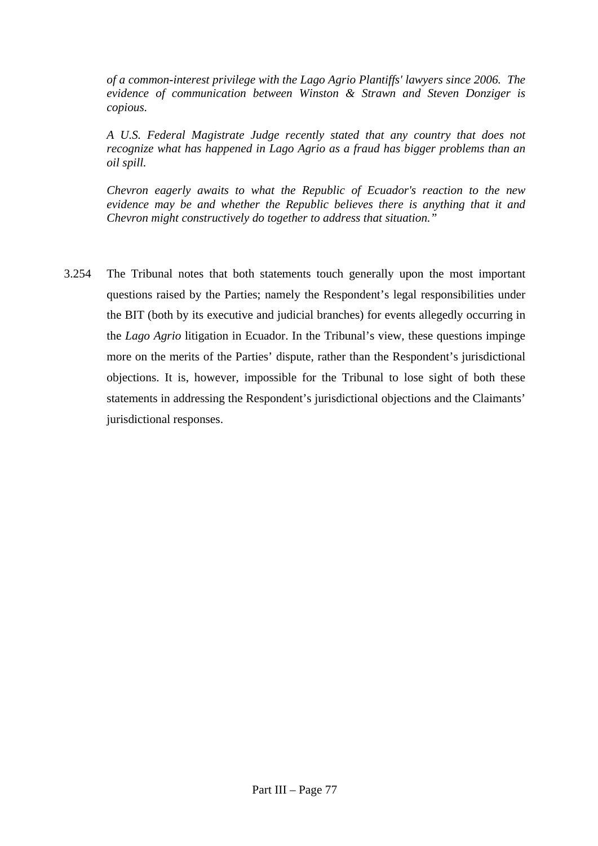*of a common-interest privilege with the Lago Agrio Plantiffs' lawyers since 2006. The evidence of communication between Winston & Strawn and Steven Donziger is copious.*

*A U.S. Federal Magistrate Judge recently stated that any country that does not recognize what has happened in Lago Agrio as a fraud has bigger problems than an oil spill.*

*Chevron eagerly awaits to what the Republic of Ecuador's reaction to the new evidence may be and whether the Republic believes there is anything that it and Chevron might constructively do together to address that situation."*

3.254 The Tribunal notes that both statements touch generally upon the most important questions raised by the Parties; namely the Respondent's legal responsibilities under the BIT (both by its executive and judicial branches) for events allegedly occurring in the *Lago Agrio* litigation in Ecuador. In the Tribunal's view, these questions impinge more on the merits of the Parties' dispute, rather than the Respondent's jurisdictional objections. It is, however, impossible for the Tribunal to lose sight of both these statements in addressing the Respondent's jurisdictional objections and the Claimants' jurisdictional responses.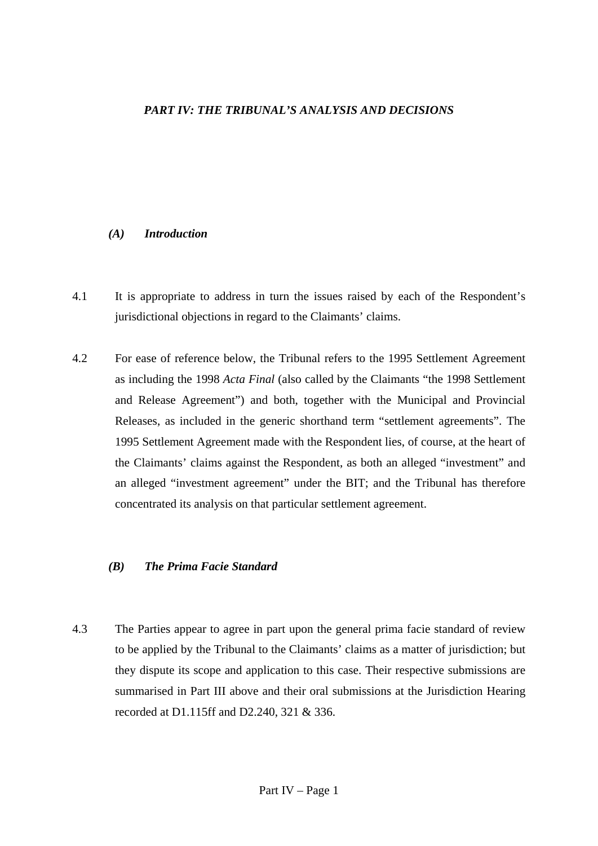## *PART IV: THE TRIBUNAL'S ANALYSIS AND DECISIONS*

#### *(A) Introduction*

- 4.1 It is appropriate to address in turn the issues raised by each of the Respondent's jurisdictional objections in regard to the Claimants' claims.
- 4.2 For ease of reference below, the Tribunal refers to the 1995 Settlement Agreement as including the 1998 *Acta Final* (also called by the Claimants "the 1998 Settlement and Release Agreement") and both, together with the Municipal and Provincial Releases, as included in the generic shorthand term "settlement agreements". The 1995 Settlement Agreement made with the Respondent lies, of course, at the heart of the Claimants' claims against the Respondent, as both an alleged "investment" and an alleged "investment agreement" under the BIT; and the Tribunal has therefore concentrated its analysis on that particular settlement agreement.

## *(B) The Prima Facie Standard*

4.3 The Parties appear to agree in part upon the general prima facie standard of review to be applied by the Tribunal to the Claimants' claims as a matter of jurisdiction; but they dispute its scope and application to this case. Their respective submissions are summarised in Part III above and their oral submissions at the Jurisdiction Hearing recorded at D1.115ff and D2.240, 321 & 336.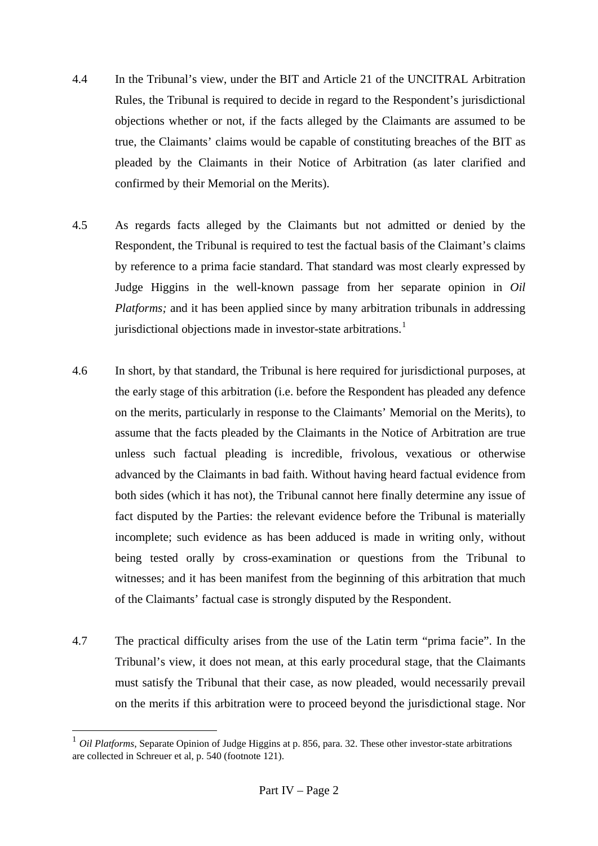- 4.4 In the Tribunal's view, under the BIT and Article 21 of the UNCITRAL Arbitration Rules, the Tribunal is required to decide in regard to the Respondent's jurisdictional objections whether or not, if the facts alleged by the Claimants are assumed to be true, the Claimants' claims would be capable of constituting breaches of the BIT as pleaded by the Claimants in their Notice of Arbitration (as later clarified and confirmed by their Memorial on the Merits).
- 4.5 As regards facts alleged by the Claimants but not admitted or denied by the Respondent, the Tribunal is required to test the factual basis of the Claimant's claims by reference to a prima facie standard. That standard was most clearly expressed by Judge Higgins in the well-known passage from her separate opinion in *Oil Platforms;* and it has been applied since by many arbitration tribunals in addressing jurisdictional objections made in investor-state arbitrations.<sup>[1](#page-106-0)</sup>
- 4.6 In short, by that standard, the Tribunal is here required for jurisdictional purposes, at the early stage of this arbitration (i.e. before the Respondent has pleaded any defence on the merits, particularly in response to the Claimants' Memorial on the Merits), to assume that the facts pleaded by the Claimants in the Notice of Arbitration are true unless such factual pleading is incredible, frivolous, vexatious or otherwise advanced by the Claimants in bad faith. Without having heard factual evidence from both sides (which it has not), the Tribunal cannot here finally determine any issue of fact disputed by the Parties: the relevant evidence before the Tribunal is materially incomplete; such evidence as has been adduced is made in writing only, without being tested orally by cross-examination or questions from the Tribunal to witnesses; and it has been manifest from the beginning of this arbitration that much of the Claimants' factual case is strongly disputed by the Respondent.
- 4.7 The practical difficulty arises from the use of the Latin term "prima facie". In the Tribunal's view, it does not mean, at this early procedural stage, that the Claimants must satisfy the Tribunal that their case, as now pleaded, would necessarily prevail on the merits if this arbitration were to proceed beyond the jurisdictional stage. Nor

<span id="page-106-0"></span><sup>&</sup>lt;sup>1</sup> *Oil Platforms*, Separate Opinion of Judge Higgins at p. 856, para. 32. These other investor-state arbitrations are collected in Schreuer et al, p. 540 (footnote 121).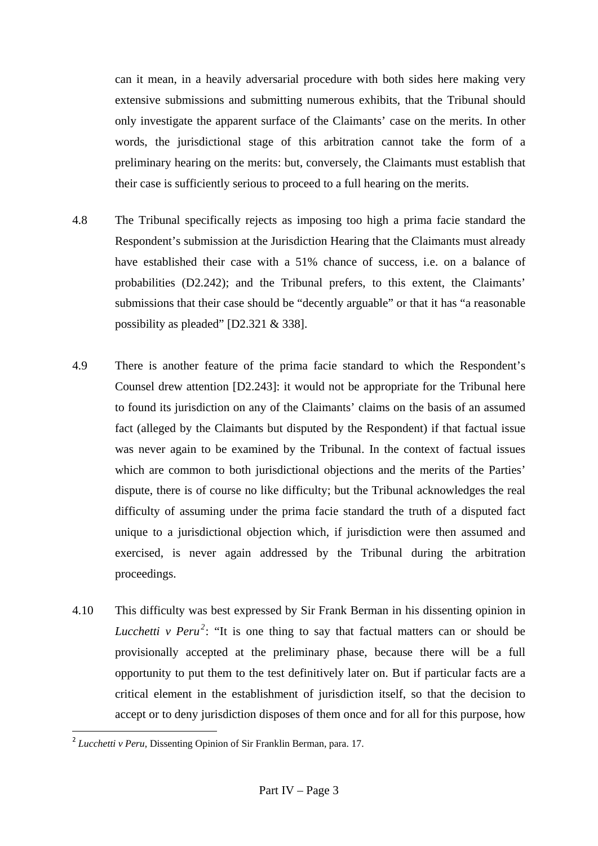can it mean, in a heavily adversarial procedure with both sides here making very extensive submissions and submitting numerous exhibits, that the Tribunal should only investigate the apparent surface of the Claimants' case on the merits. In other words, the jurisdictional stage of this arbitration cannot take the form of a preliminary hearing on the merits: but, conversely, the Claimants must establish that their case is sufficiently serious to proceed to a full hearing on the merits.

- 4.8 The Tribunal specifically rejects as imposing too high a prima facie standard the Respondent's submission at the Jurisdiction Hearing that the Claimants must already have established their case with a 51% chance of success, i.e. on a balance of probabilities (D2.242); and the Tribunal prefers, to this extent, the Claimants' submissions that their case should be "decently arguable" or that it has "a reasonable possibility as pleaded" [D2.321 & 338].
- 4.9 There is another feature of the prima facie standard to which the Respondent's Counsel drew attention [D2.243]: it would not be appropriate for the Tribunal here to found its jurisdiction on any of the Claimants' claims on the basis of an assumed fact (alleged by the Claimants but disputed by the Respondent) if that factual issue was never again to be examined by the Tribunal. In the context of factual issues which are common to both jurisdictional objections and the merits of the Parties' dispute, there is of course no like difficulty; but the Tribunal acknowledges the real difficulty of assuming under the prima facie standard the truth of a disputed fact unique to a jurisdictional objection which, if jurisdiction were then assumed and exercised, is never again addressed by the Tribunal during the arbitration proceedings.
- 4.10 This difficulty was best expressed by Sir Frank Berman in his dissenting opinion in *Lucchetti v Peru*<sup>[2](#page-107-0)</sup>: "It is one thing to say that factual matters can or should be provisionally accepted at the preliminary phase, because there will be a full opportunity to put them to the test definitively later on. But if particular facts are a critical element in the establishment of jurisdiction itself, so that the decision to accept or to deny jurisdiction disposes of them once and for all for this purpose, how

<span id="page-107-0"></span> <sup>2</sup> *Lucchetti v Peru*, Dissenting Opinion of Sir Franklin Berman, para. 17.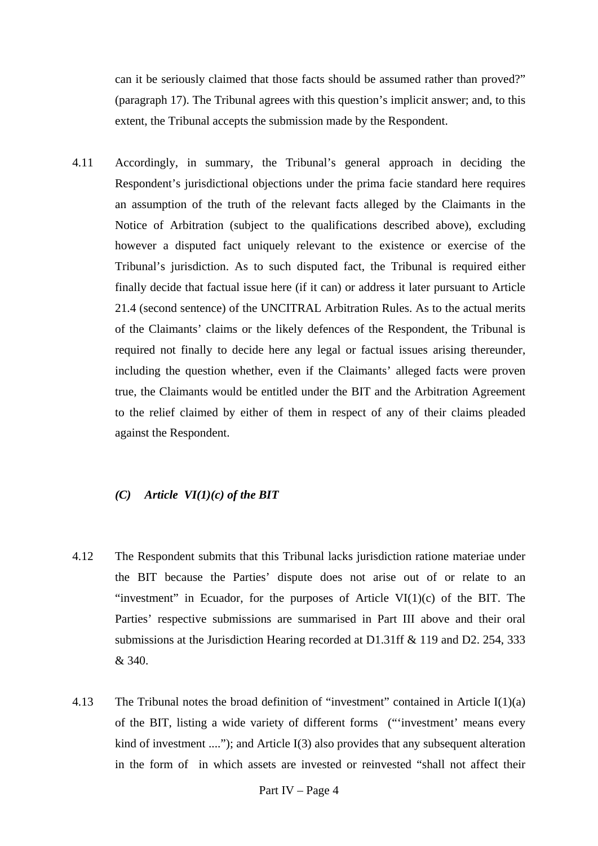can it be seriously claimed that those facts should be assumed rather than proved?" (paragraph 17). The Tribunal agrees with this question's implicit answer; and, to this extent, the Tribunal accepts the submission made by the Respondent.

4.11 Accordingly, in summary, the Tribunal's general approach in deciding the Respondent's jurisdictional objections under the prima facie standard here requires an assumption of the truth of the relevant facts alleged by the Claimants in the Notice of Arbitration (subject to the qualifications described above), excluding however a disputed fact uniquely relevant to the existence or exercise of the Tribunal's jurisdiction. As to such disputed fact, the Tribunal is required either finally decide that factual issue here (if it can) or address it later pursuant to Article 21.4 (second sentence) of the UNCITRAL Arbitration Rules. As to the actual merits of the Claimants' claims or the likely defences of the Respondent, the Tribunal is required not finally to decide here any legal or factual issues arising thereunder, including the question whether, even if the Claimants' alleged facts were proven true, the Claimants would be entitled under the BIT and the Arbitration Agreement to the relief claimed by either of them in respect of any of their claims pleaded against the Respondent.

#### *(C) Article VI(1)(c) of the BIT*

- 4.12 The Respondent submits that this Tribunal lacks jurisdiction ratione materiae under the BIT because the Parties' dispute does not arise out of or relate to an "investment" in Ecuador, for the purposes of Article VI $(1)(c)$  of the BIT. The Parties' respective submissions are summarised in Part III above and their oral submissions at the Jurisdiction Hearing recorded at D1.31ff & 119 and D2. 254, 333  $& 340.$
- 4.13 The Tribunal notes the broad definition of "investment" contained in Article I(1)(a) of the BIT, listing a wide variety of different forms ("'investment' means every kind of investment ...."); and Article I(3) also provides that any subsequent alteration in the form of in which assets are invested or reinvested "shall not affect their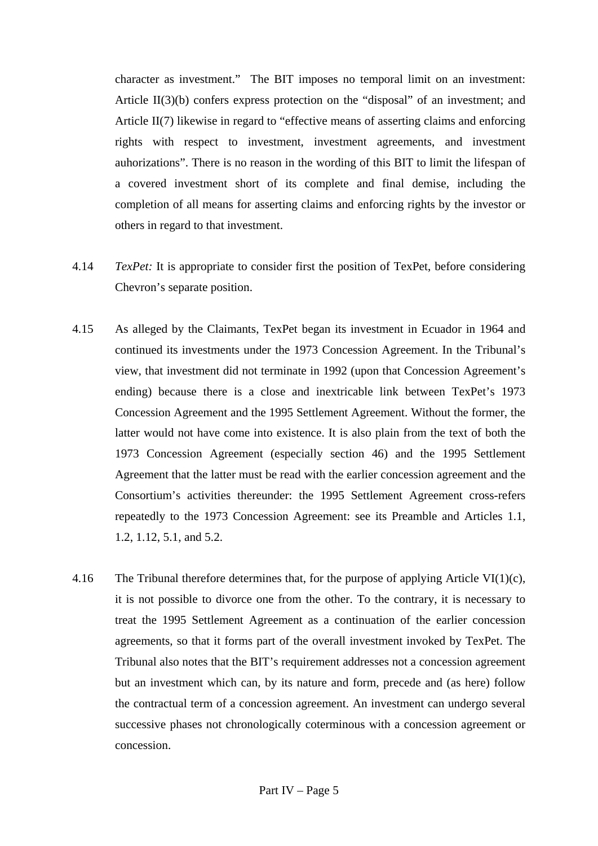character as investment." The BIT imposes no temporal limit on an investment: Article II(3)(b) confers express protection on the "disposal" of an investment; and Article II(7) likewise in regard to "effective means of asserting claims and enforcing rights with respect to investment, investment agreements, and investment auhorizations". There is no reason in the wording of this BIT to limit the lifespan of a covered investment short of its complete and final demise, including the completion of all means for asserting claims and enforcing rights by the investor or others in regard to that investment.

- 4.14 *TexPet:* It is appropriate to consider first the position of TexPet, before considering Chevron's separate position.
- 4.15 As alleged by the Claimants, TexPet began its investment in Ecuador in 1964 and continued its investments under the 1973 Concession Agreement. In the Tribunal's view, that investment did not terminate in 1992 (upon that Concession Agreement's ending) because there is a close and inextricable link between TexPet's 1973 Concession Agreement and the 1995 Settlement Agreement. Without the former, the latter would not have come into existence. It is also plain from the text of both the 1973 Concession Agreement (especially section 46) and the 1995 Settlement Agreement that the latter must be read with the earlier concession agreement and the Consortium's activities thereunder: the 1995 Settlement Agreement cross-refers repeatedly to the 1973 Concession Agreement: see its Preamble and Articles 1.1, 1.2, 1.12, 5.1, and 5.2.
- 4.16 The Tribunal therefore determines that, for the purpose of applying Article VI $(1)(c)$ , it is not possible to divorce one from the other. To the contrary, it is necessary to treat the 1995 Settlement Agreement as a continuation of the earlier concession agreements, so that it forms part of the overall investment invoked by TexPet. The Tribunal also notes that the BIT's requirement addresses not a concession agreement but an investment which can, by its nature and form, precede and (as here) follow the contractual term of a concession agreement. An investment can undergo several successive phases not chronologically coterminous with a concession agreement or concession.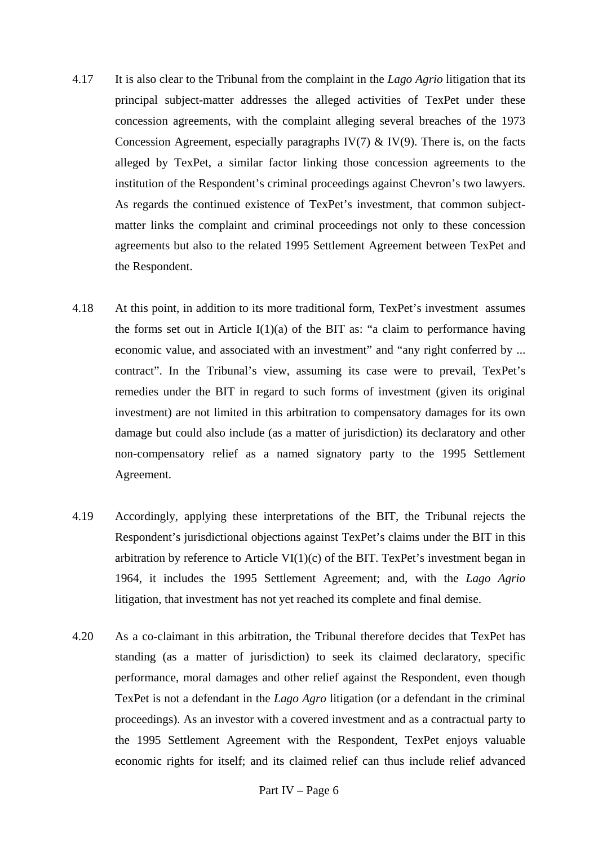- 4.17 It is also clear to the Tribunal from the complaint in the *Lago Agrio* litigation that its principal subject-matter addresses the alleged activities of TexPet under these concession agreements, with the complaint alleging several breaches of the 1973 Concession Agreement, especially paragraphs  $IV(7) \& IV(9)$ . There is, on the facts alleged by TexPet, a similar factor linking those concession agreements to the institution of the Respondent's criminal proceedings against Chevron's two lawyers. As regards the continued existence of TexPet's investment, that common subjectmatter links the complaint and criminal proceedings not only to these concession agreements but also to the related 1995 Settlement Agreement between TexPet and the Respondent.
- 4.18 At this point, in addition to its more traditional form, TexPet's investment assumes the forms set out in Article  $I(1)(a)$  of the BIT as: "a claim to performance having economic value, and associated with an investment" and "any right conferred by ... contract". In the Tribunal's view, assuming its case were to prevail, TexPet's remedies under the BIT in regard to such forms of investment (given its original investment) are not limited in this arbitration to compensatory damages for its own damage but could also include (as a matter of jurisdiction) its declaratory and other non-compensatory relief as a named signatory party to the 1995 Settlement Agreement.
- 4.19 Accordingly, applying these interpretations of the BIT, the Tribunal rejects the Respondent's jurisdictional objections against TexPet's claims under the BIT in this arbitration by reference to Article VI $(1)(c)$  of the BIT. TexPet's investment began in 1964, it includes the 1995 Settlement Agreement; and, with the *Lago Agrio* litigation, that investment has not yet reached its complete and final demise.
- 4.20 As a co-claimant in this arbitration, the Tribunal therefore decides that TexPet has standing (as a matter of jurisdiction) to seek its claimed declaratory, specific performance, moral damages and other relief against the Respondent, even though TexPet is not a defendant in the *Lago Agro* litigation (or a defendant in the criminal proceedings). As an investor with a covered investment and as a contractual party to the 1995 Settlement Agreement with the Respondent, TexPet enjoys valuable economic rights for itself; and its claimed relief can thus include relief advanced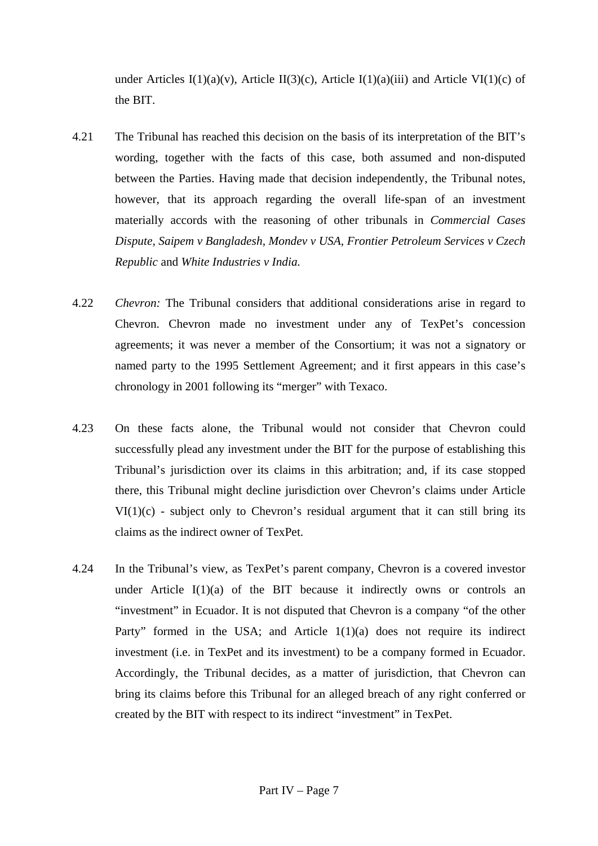under Articles I(1)(a)(v), Article II(3)(c), Article I(1)(a)(iii) and Article VI(1)(c) of the BIT.

- 4.21 The Tribunal has reached this decision on the basis of its interpretation of the BIT's wording, together with the facts of this case, both assumed and non-disputed between the Parties. Having made that decision independently, the Tribunal notes, however, that its approach regarding the overall life-span of an investment materially accords with the reasoning of other tribunals in *Commercial Cases Dispute, Saipem v Bangladesh, Mondev v USA, Frontier Petroleum Services v Czech Republic* and *White Industries v India.*
- 4.22 *Chevron:* The Tribunal considers that additional considerations arise in regard to Chevron. Chevron made no investment under any of TexPet's concession agreements; it was never a member of the Consortium; it was not a signatory or named party to the 1995 Settlement Agreement; and it first appears in this case's chronology in 2001 following its "merger" with Texaco.
- 4.23 On these facts alone, the Tribunal would not consider that Chevron could successfully plead any investment under the BIT for the purpose of establishing this Tribunal's jurisdiction over its claims in this arbitration; and, if its case stopped there, this Tribunal might decline jurisdiction over Chevron's claims under Article  $VI(1)(c)$  - subject only to Chevron's residual argument that it can still bring its claims as the indirect owner of TexPet.
- 4.24 In the Tribunal's view, as TexPet's parent company, Chevron is a covered investor under Article  $I(1)(a)$  of the BIT because it indirectly owns or controls an "investment" in Ecuador. It is not disputed that Chevron is a company "of the other Party" formed in the USA; and Article  $1(1)(a)$  does not require its indirect investment (i.e. in TexPet and its investment) to be a company formed in Ecuador. Accordingly, the Tribunal decides, as a matter of jurisdiction, that Chevron can bring its claims before this Tribunal for an alleged breach of any right conferred or created by the BIT with respect to its indirect "investment" in TexPet.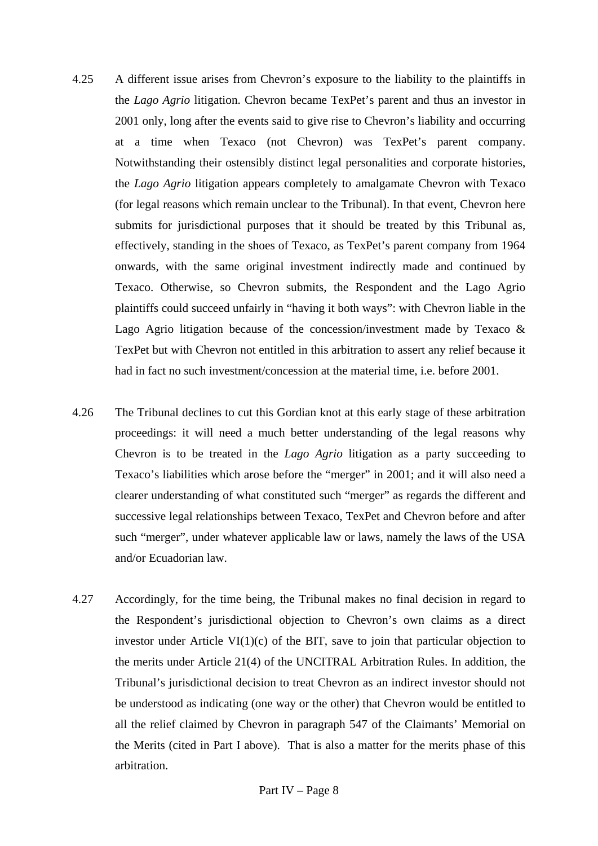- 4.25 A different issue arises from Chevron's exposure to the liability to the plaintiffs in the *Lago Agrio* litigation. Chevron became TexPet's parent and thus an investor in 2001 only, long after the events said to give rise to Chevron's liability and occurring at a time when Texaco (not Chevron) was TexPet's parent company. Notwithstanding their ostensibly distinct legal personalities and corporate histories, the *Lago Agrio* litigation appears completely to amalgamate Chevron with Texaco (for legal reasons which remain unclear to the Tribunal). In that event, Chevron here submits for jurisdictional purposes that it should be treated by this Tribunal as, effectively, standing in the shoes of Texaco, as TexPet's parent company from 1964 onwards, with the same original investment indirectly made and continued by Texaco. Otherwise, so Chevron submits, the Respondent and the Lago Agrio plaintiffs could succeed unfairly in "having it both ways": with Chevron liable in the Lago Agrio litigation because of the concession/investment made by Texaco & TexPet but with Chevron not entitled in this arbitration to assert any relief because it had in fact no such investment/concession at the material time, i.e. before 2001.
- 4.26 The Tribunal declines to cut this Gordian knot at this early stage of these arbitration proceedings: it will need a much better understanding of the legal reasons why Chevron is to be treated in the *Lago Agrio* litigation as a party succeeding to Texaco's liabilities which arose before the "merger" in 2001; and it will also need a clearer understanding of what constituted such "merger" as regards the different and successive legal relationships between Texaco, TexPet and Chevron before and after such "merger", under whatever applicable law or laws, namely the laws of the USA and/or Ecuadorian law.
- 4.27 Accordingly, for the time being, the Tribunal makes no final decision in regard to the Respondent's jurisdictional objection to Chevron's own claims as a direct investor under Article VI $(1)(c)$  of the BIT, save to join that particular objection to the merits under Article 21(4) of the UNCITRAL Arbitration Rules. In addition, the Tribunal's jurisdictional decision to treat Chevron as an indirect investor should not be understood as indicating (one way or the other) that Chevron would be entitled to all the relief claimed by Chevron in paragraph 547 of the Claimants' Memorial on the Merits (cited in Part I above). That is also a matter for the merits phase of this arbitration.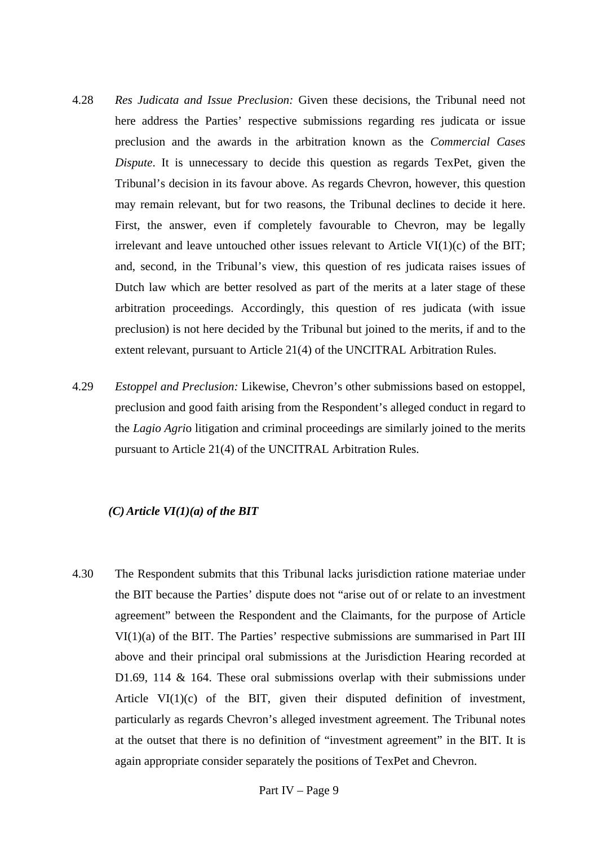- 4.28 *Res Judicata and Issue Preclusion:* Given these decisions, the Tribunal need not here address the Parties' respective submissions regarding res judicata or issue preclusion and the awards in the arbitration known as the *Commercial Cases Dispute*. It is unnecessary to decide this question as regards TexPet, given the Tribunal's decision in its favour above. As regards Chevron, however, this question may remain relevant, but for two reasons, the Tribunal declines to decide it here. First, the answer, even if completely favourable to Chevron, may be legally irrelevant and leave untouched other issues relevant to Article VI $(1)(c)$  of the BIT; and, second, in the Tribunal's view, this question of res judicata raises issues of Dutch law which are better resolved as part of the merits at a later stage of these arbitration proceedings. Accordingly, this question of res judicata (with issue preclusion) is not here decided by the Tribunal but joined to the merits, if and to the extent relevant, pursuant to Article 21(4) of the UNCITRAL Arbitration Rules.
- 4.29 *Estoppel and Preclusion:* Likewise, Chevron's other submissions based on estoppel, preclusion and good faith arising from the Respondent's alleged conduct in regard to the *Lagio Agri*o litigation and criminal proceedings are similarly joined to the merits pursuant to Article 21(4) of the UNCITRAL Arbitration Rules.

### *(C) Article VI(1)(a) of the BIT*

4.30 The Respondent submits that this Tribunal lacks jurisdiction ratione materiae under the BIT because the Parties' dispute does not "arise out of or relate to an investment agreement" between the Respondent and the Claimants, for the purpose of Article VI(1)(a) of the BIT. The Parties' respective submissions are summarised in Part III above and their principal oral submissions at the Jurisdiction Hearing recorded at D1.69, 114 & 164. These oral submissions overlap with their submissions under Article  $VI(1)(c)$  of the BIT, given their disputed definition of investment, particularly as regards Chevron's alleged investment agreement. The Tribunal notes at the outset that there is no definition of "investment agreement" in the BIT. It is again appropriate consider separately the positions of TexPet and Chevron.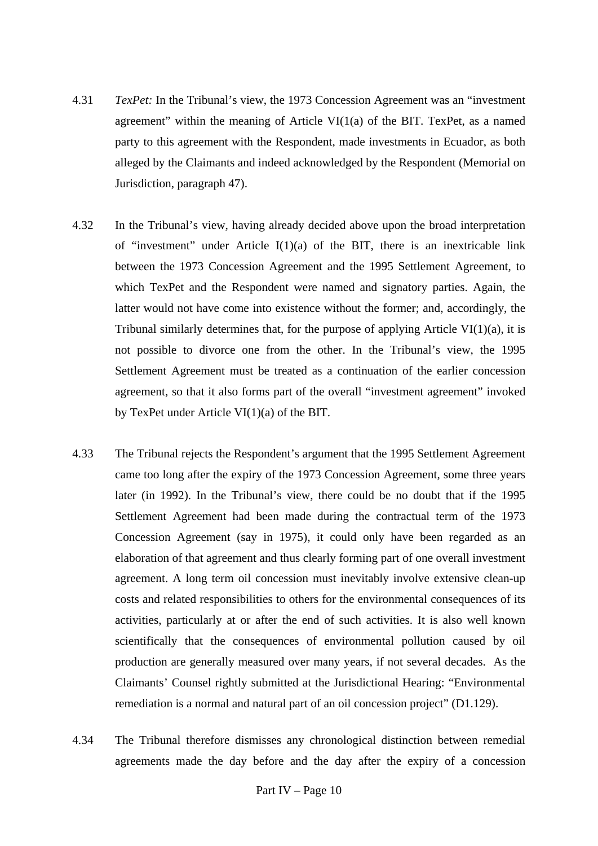- 4.31 *TexPet:* In the Tribunal's view, the 1973 Concession Agreement was an "investment agreement" within the meaning of Article VI $(1(a)$  of the BIT. TexPet, as a named party to this agreement with the Respondent, made investments in Ecuador, as both alleged by the Claimants and indeed acknowledged by the Respondent (Memorial on Jurisdiction, paragraph 47).
- 4.32 In the Tribunal's view, having already decided above upon the broad interpretation of "investment" under Article  $I(1)(a)$  of the BIT, there is an inextricable link between the 1973 Concession Agreement and the 1995 Settlement Agreement, to which TexPet and the Respondent were named and signatory parties. Again, the latter would not have come into existence without the former; and, accordingly, the Tribunal similarly determines that, for the purpose of applying Article VI $(1)(a)$ , it is not possible to divorce one from the other. In the Tribunal's view, the 1995 Settlement Agreement must be treated as a continuation of the earlier concession agreement, so that it also forms part of the overall "investment agreement" invoked by TexPet under Article VI(1)(a) of the BIT.
- 4.33 The Tribunal rejects the Respondent's argument that the 1995 Settlement Agreement came too long after the expiry of the 1973 Concession Agreement, some three years later (in 1992). In the Tribunal's view, there could be no doubt that if the 1995 Settlement Agreement had been made during the contractual term of the 1973 Concession Agreement (say in 1975), it could only have been regarded as an elaboration of that agreement and thus clearly forming part of one overall investment agreement. A long term oil concession must inevitably involve extensive clean-up costs and related responsibilities to others for the environmental consequences of its activities, particularly at or after the end of such activities. It is also well known scientifically that the consequences of environmental pollution caused by oil production are generally measured over many years, if not several decades. As the Claimants' Counsel rightly submitted at the Jurisdictional Hearing: "Environmental remediation is a normal and natural part of an oil concession project" (D1.129).
- 4.34 The Tribunal therefore dismisses any chronological distinction between remedial agreements made the day before and the day after the expiry of a concession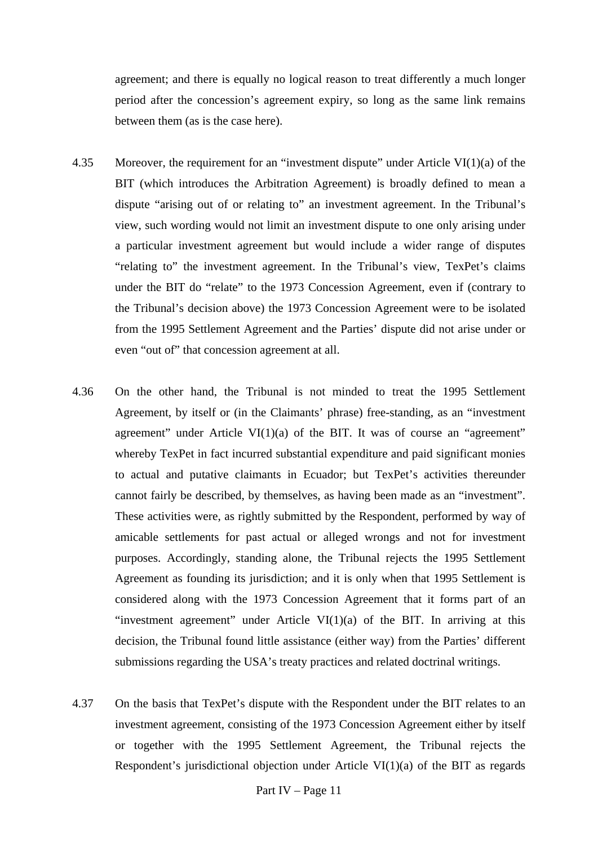agreement; and there is equally no logical reason to treat differently a much longer period after the concession's agreement expiry, so long as the same link remains between them (as is the case here).

- 4.35 Moreover, the requirement for an "investment dispute" under Article VI(1)(a) of the BIT (which introduces the Arbitration Agreement) is broadly defined to mean a dispute "arising out of or relating to" an investment agreement. In the Tribunal's view, such wording would not limit an investment dispute to one only arising under a particular investment agreement but would include a wider range of disputes "relating to" the investment agreement. In the Tribunal's view, TexPet's claims under the BIT do "relate" to the 1973 Concession Agreement, even if (contrary to the Tribunal's decision above) the 1973 Concession Agreement were to be isolated from the 1995 Settlement Agreement and the Parties' dispute did not arise under or even "out of" that concession agreement at all.
- 4.36 On the other hand, the Tribunal is not minded to treat the 1995 Settlement Agreement, by itself or (in the Claimants' phrase) free-standing, as an "investment agreement" under Article VI $(1)(a)$  of the BIT. It was of course an "agreement" whereby TexPet in fact incurred substantial expenditure and paid significant monies to actual and putative claimants in Ecuador; but TexPet's activities thereunder cannot fairly be described, by themselves, as having been made as an "investment". These activities were, as rightly submitted by the Respondent, performed by way of amicable settlements for past actual or alleged wrongs and not for investment purposes. Accordingly, standing alone, the Tribunal rejects the 1995 Settlement Agreement as founding its jurisdiction; and it is only when that 1995 Settlement is considered along with the 1973 Concession Agreement that it forms part of an "investment agreement" under Article VI $(1)(a)$  of the BIT. In arriving at this decision, the Tribunal found little assistance (either way) from the Parties' different submissions regarding the USA's treaty practices and related doctrinal writings.
- 4.37 On the basis that TexPet's dispute with the Respondent under the BIT relates to an investment agreement, consisting of the 1973 Concession Agreement either by itself or together with the 1995 Settlement Agreement, the Tribunal rejects the Respondent's jurisdictional objection under Article VI(1)(a) of the BIT as regards

Part IV – Page 11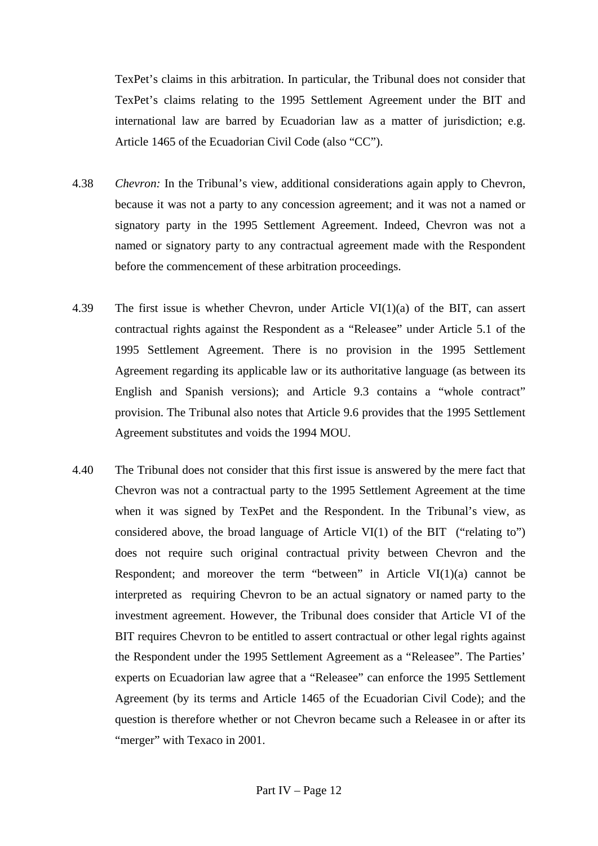TexPet's claims in this arbitration. In particular, the Tribunal does not consider that TexPet's claims relating to the 1995 Settlement Agreement under the BIT and international law are barred by Ecuadorian law as a matter of jurisdiction; e.g. Article 1465 of the Ecuadorian Civil Code (also "CC").

- 4.38 *Chevron:* In the Tribunal's view, additional considerations again apply to Chevron, because it was not a party to any concession agreement; and it was not a named or signatory party in the 1995 Settlement Agreement. Indeed, Chevron was not a named or signatory party to any contractual agreement made with the Respondent before the commencement of these arbitration proceedings.
- 4.39 The first issue is whether Chevron, under Article VI(1)(a) of the BIT, can assert contractual rights against the Respondent as a "Releasee" under Article 5.1 of the 1995 Settlement Agreement. There is no provision in the 1995 Settlement Agreement regarding its applicable law or its authoritative language (as between its English and Spanish versions); and Article 9.3 contains a "whole contract" provision. The Tribunal also notes that Article 9.6 provides that the 1995 Settlement Agreement substitutes and voids the 1994 MOU.
- 4.40 The Tribunal does not consider that this first issue is answered by the mere fact that Chevron was not a contractual party to the 1995 Settlement Agreement at the time when it was signed by TexPet and the Respondent. In the Tribunal's view, as considered above, the broad language of Article VI(1) of the BIT ("relating to") does not require such original contractual privity between Chevron and the Respondent; and moreover the term "between" in Article  $VI(1)(a)$  cannot be interpreted as requiring Chevron to be an actual signatory or named party to the investment agreement. However, the Tribunal does consider that Article VI of the BIT requires Chevron to be entitled to assert contractual or other legal rights against the Respondent under the 1995 Settlement Agreement as a "Releasee". The Parties' experts on Ecuadorian law agree that a "Releasee" can enforce the 1995 Settlement Agreement (by its terms and Article 1465 of the Ecuadorian Civil Code); and the question is therefore whether or not Chevron became such a Releasee in or after its "merger" with Texaco in 2001.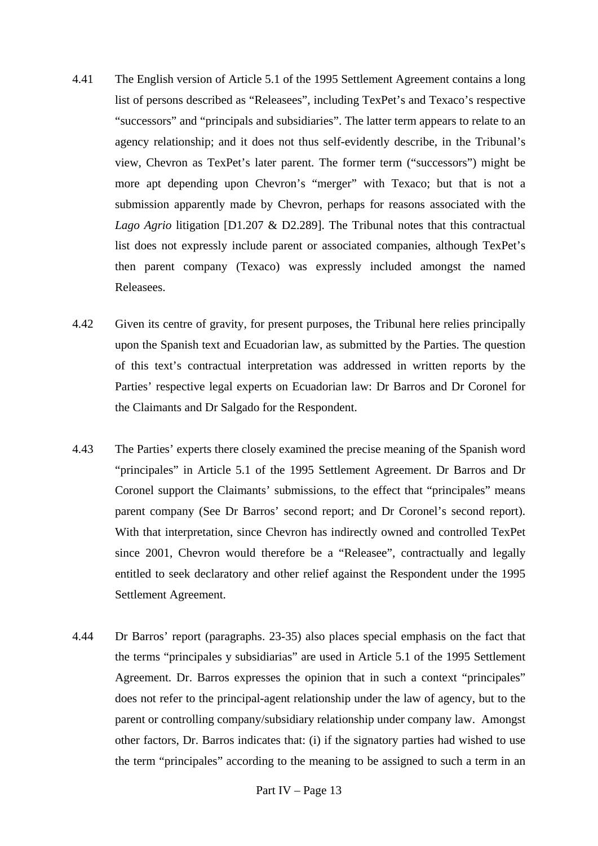- 4.41 The English version of Article 5.1 of the 1995 Settlement Agreement contains a long list of persons described as "Releasees", including TexPet's and Texaco's respective "successors" and "principals and subsidiaries". The latter term appears to relate to an agency relationship; and it does not thus self-evidently describe, in the Tribunal's view, Chevron as TexPet's later parent. The former term ("successors") might be more apt depending upon Chevron's "merger" with Texaco; but that is not a submission apparently made by Chevron, perhaps for reasons associated with the *Lago Agrio* litigation [D1.207 & D2.289]. The Tribunal notes that this contractual list does not expressly include parent or associated companies, although TexPet's then parent company (Texaco) was expressly included amongst the named Releasees.
- 4.42 Given its centre of gravity, for present purposes, the Tribunal here relies principally upon the Spanish text and Ecuadorian law, as submitted by the Parties. The question of this text's contractual interpretation was addressed in written reports by the Parties' respective legal experts on Ecuadorian law: Dr Barros and Dr Coronel for the Claimants and Dr Salgado for the Respondent.
- 4.43 The Parties' experts there closely examined the precise meaning of the Spanish word "principales" in Article 5.1 of the 1995 Settlement Agreement. Dr Barros and Dr Coronel support the Claimants' submissions, to the effect that "principales" means parent company (See Dr Barros' second report; and Dr Coronel's second report). With that interpretation, since Chevron has indirectly owned and controlled TexPet since 2001, Chevron would therefore be a "Releasee", contractually and legally entitled to seek declaratory and other relief against the Respondent under the 1995 Settlement Agreement.
- 4.44 Dr Barros' report (paragraphs. 23-35) also places special emphasis on the fact that the terms "principales y subsidiarias" are used in Article 5.1 of the 1995 Settlement Agreement. Dr. Barros expresses the opinion that in such a context "principales" does not refer to the principal-agent relationship under the law of agency, but to the parent or controlling company/subsidiary relationship under company law. Amongst other factors, Dr. Barros indicates that: (i) if the signatory parties had wished to use the term "principales" according to the meaning to be assigned to such a term in an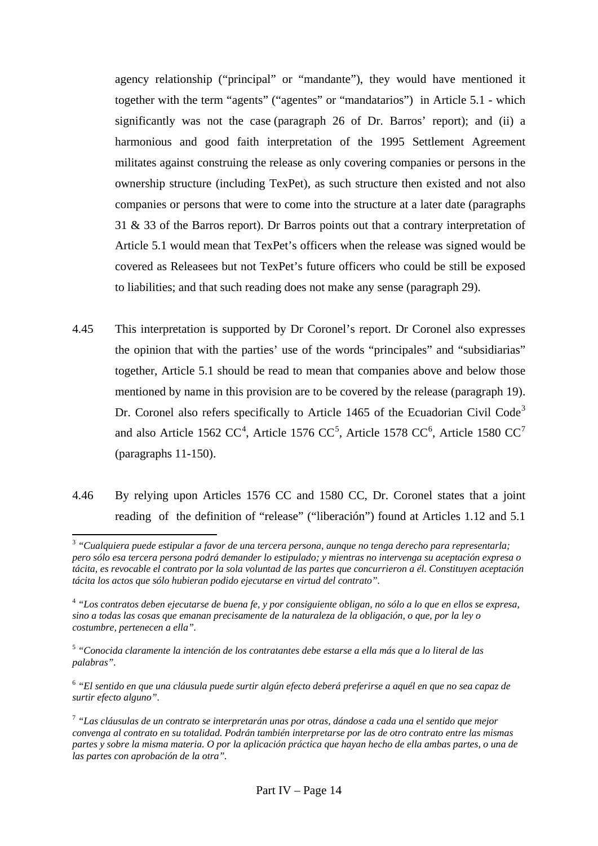agency relationship ("principal" or "mandante"), they would have mentioned it together with the term "agents" ("agentes" or "mandatarios") in Article 5.1 - which significantly was not the case (paragraph 26 of Dr. Barros' report); and (ii) a harmonious and good faith interpretation of the 1995 Settlement Agreement militates against construing the release as only covering companies or persons in the ownership structure (including TexPet), as such structure then existed and not also companies or persons that were to come into the structure at a later date (paragraphs 31 & 33 of the Barros report). Dr Barros points out that a contrary interpretation of Article 5.1 would mean that TexPet's officers when the release was signed would be covered as Releasees but not TexPet's future officers who could be still be exposed to liabilities; and that such reading does not make any sense (paragraph 29).

- 4.45 This interpretation is supported by Dr Coronel's report. Dr Coronel also expresses the opinion that with the parties' use of the words "principales" and "subsidiarias" together, Article 5.1 should be read to mean that companies above and below those mentioned by name in this provision are to be covered by the release (paragraph 19). Dr. Coronel also refers specifically to Article 1465 of the Ecuadorian Civil Code<sup>[3](#page-118-0)</sup> and also Article 1562 CC<sup>[4](#page-118-1)</sup>, Article 1[5](#page-118-2)7[6](#page-118-3) CC<sup>5</sup>, Article 15[7](#page-118-4)8 CC<sup>6</sup>, Article 1580 CC<sup>7</sup> (paragraphs 11-150).
- 4.46 By relying upon Articles 1576 CC and 1580 CC, Dr. Coronel states that a joint reading of the definition of "release" ("liberación") found at Articles 1.12 and 5.1

**.** 

<span id="page-118-0"></span><sup>3</sup> *"Cualquiera puede estipular a favor de una tercera persona, aunque no tenga derecho para representarla; pero sólo esa tercera persona podrá demander lo estipulado; y mientras no intervenga su aceptación expresa o tácita, es revocable el contrato por la sola voluntad de las partes que concurrieron a él. Constituyen aceptación tácita los actos que sólo hubieran podido ejecutarse en virtud del contrato".*

<span id="page-118-1"></span><sup>4</sup> *"Los contratos deben ejecutarse de buena fe, y por consiguiente obligan, no sólo a lo que en ellos se expresa, sino a todas las cosas que emanan precisamente de la naturaleza de la obligación, o que, por la ley o costumbre, pertenecen a ella".*

<span id="page-118-2"></span><sup>5</sup> *"Conocida claramente la intención de los contratantes debe estarse a ella más que a lo literal de las palabras".*

<span id="page-118-3"></span><sup>6</sup> *"El sentido en que una cláusula puede surtir algún efecto deberá preferirse a aquél en que no sea capaz de surtir efecto alguno".*

<span id="page-118-4"></span><sup>7</sup> *"Las cláusulas de un contrato se interpretarán unas por otras, dándose a cada una el sentido que mejor convenga al contrato en su totalidad. Podrán también interpretarse por las de otro contrato entre las mismas partes y sobre la misma materia. O por la aplicación práctica que hayan hecho de ella ambas partes, o una de las partes con aprobación de la otra".*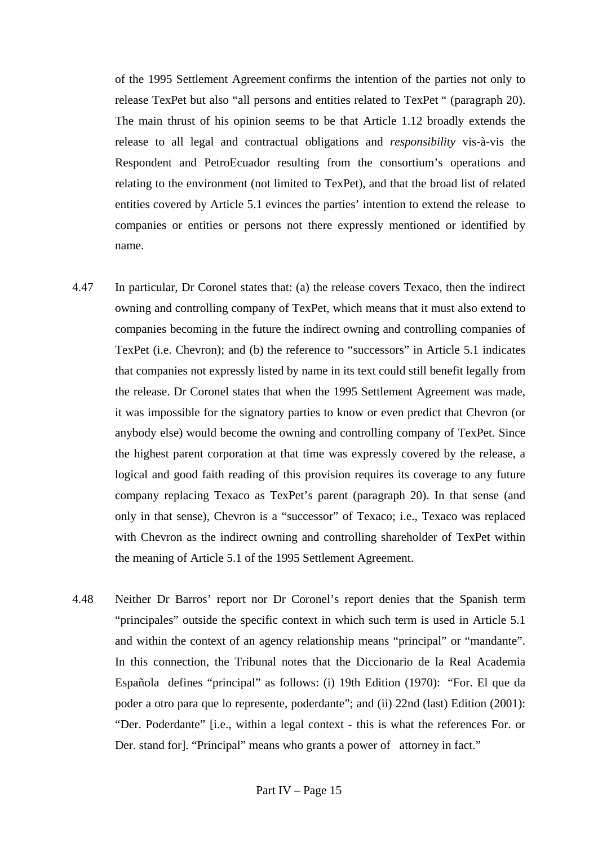of the 1995 Settlement Agreement confirms the intention of the parties not only to release TexPet but also "all persons and entities related to TexPet " (paragraph 20). The main thrust of his opinion seems to be that Article 1.12 broadly extends the release to all legal and contractual obligations and *responsibility* vis-à-vis the Respondent and PetroEcuador resulting from the consortium's operations and relating to the environment (not limited to TexPet), and that the broad list of related entities covered by Article 5.1 evinces the parties' intention to extend the release to companies or entities or persons not there expressly mentioned or identified by name.

- 4.47 In particular, Dr Coronel states that: (a) the release covers Texaco, then the indirect owning and controlling company of TexPet, which means that it must also extend to companies becoming in the future the indirect owning and controlling companies of TexPet (i.e. Chevron); and (b) the reference to "successors" in Article 5.1 indicates that companies not expressly listed by name in its text could still benefit legally from the release. Dr Coronel states that when the 1995 Settlement Agreement was made, it was impossible for the signatory parties to know or even predict that Chevron (or anybody else) would become the owning and controlling company of TexPet. Since the highest parent corporation at that time was expressly covered by the release, a logical and good faith reading of this provision requires its coverage to any future company replacing Texaco as TexPet's parent (paragraph 20). In that sense (and only in that sense), Chevron is a "successor" of Texaco; i.e., Texaco was replaced with Chevron as the indirect owning and controlling shareholder of TexPet within the meaning of Article 5.1 of the 1995 Settlement Agreement.
- 4.48 Neither Dr Barros' report nor Dr Coronel's report denies that the Spanish term "principales" outside the specific context in which such term is used in Article 5.1 and within the context of an agency relationship means "principal" or "mandante". In this connection, the Tribunal notes that the Diccionario de la Real Academia Española defines "principal" as follows: (i) 19th Edition (1970): "For. El que da poder a otro para que lo represente, poderdante"; and (ii) 22nd (last) Edition (2001): "Der. Poderdante" [i.e., within a legal context - this is what the references For. or Der. stand for]. "Principal" means who grants a power of attorney in fact."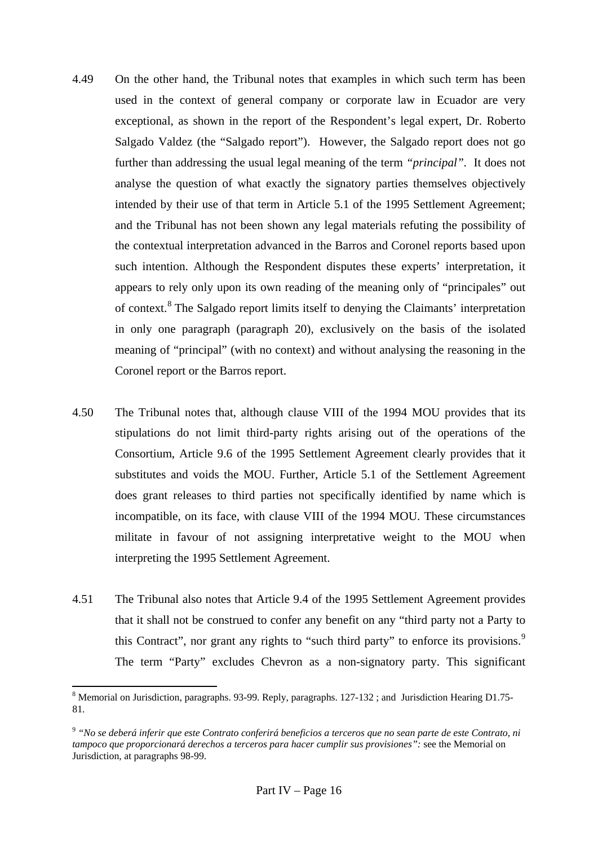- 4.49 On the other hand, the Tribunal notes that examples in which such term has been used in the context of general company or corporate law in Ecuador are very exceptional, as shown in the report of the Respondent's legal expert, Dr. Roberto Salgado Valdez (the "Salgado report"). However, the Salgado report does not go further than addressing the usual legal meaning of the term *"principal".* It does not analyse the question of what exactly the signatory parties themselves objectively intended by their use of that term in Article 5.1 of the 1995 Settlement Agreement; and the Tribunal has not been shown any legal materials refuting the possibility of the contextual interpretation advanced in the Barros and Coronel reports based upon such intention. Although the Respondent disputes these experts' interpretation, it appears to rely only upon its own reading of the meaning only of "principales" out of context.<sup>[8](#page-120-0)</sup> The Salgado report limits itself to denying the Claimants' interpretation in only one paragraph (paragraph 20), exclusively on the basis of the isolated meaning of "principal" (with no context) and without analysing the reasoning in the Coronel report or the Barros report.
- 4.50 The Tribunal notes that, although clause VIII of the 1994 MOU provides that its stipulations do not limit third-party rights arising out of the operations of the Consortium, Article 9.6 of the 1995 Settlement Agreement clearly provides that it substitutes and voids the MOU. Further, Article 5.1 of the Settlement Agreement does grant releases to third parties not specifically identified by name which is incompatible, on its face, with clause VIII of the 1994 MOU. These circumstances militate in favour of not assigning interpretative weight to the MOU when interpreting the 1995 Settlement Agreement.
- 4.51 The Tribunal also notes that Article 9.4 of the 1995 Settlement Agreement provides that it shall not be construed to confer any benefit on any "third party not a Party to this Contract", nor grant any rights to "such third party" to enforce its provisions.<sup>[9](#page-121-0)</sup> The term "Party" excludes Chevron as a non-signatory party. This significant

**.** 

<span id="page-120-0"></span><sup>8</sup> Memorial on Jurisdiction, paragraphs. 93-99. Reply, paragraphs. 127-132 ; and Jurisdiction Hearing D1.75- 81.

<sup>9</sup> *"No se deberá inferir que este Contrato conferirá beneficios a terceros que no sean parte de este Contrato, ni tampoco que proporcionará derechos a terceros para hacer cumplir sus provisiones":* see the Memorial on Jurisdiction, at paragraphs 98-99.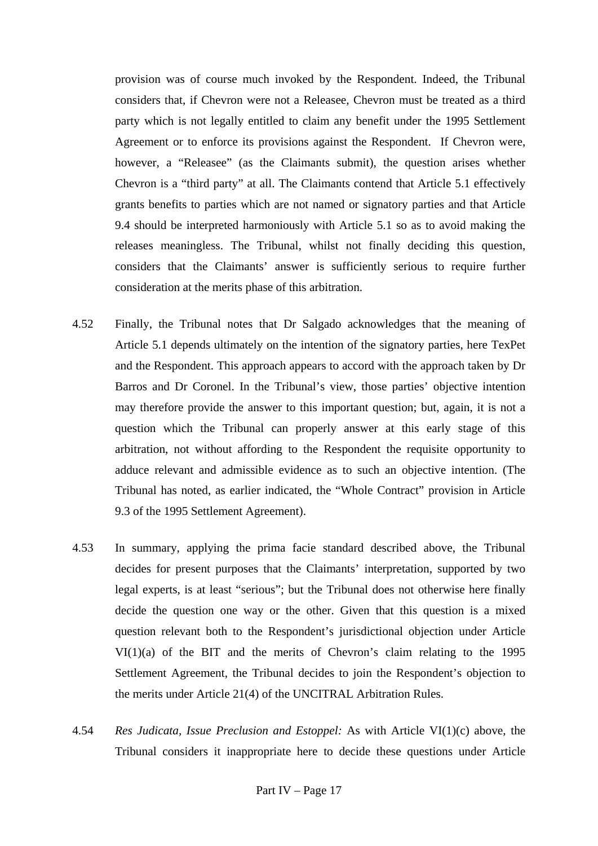provision was of course much invoked by the Respondent. Indeed, the Tribunal considers that, if Chevron were not a Releasee, Chevron must be treated as a third party which is not legally entitled to claim any benefit under the 1995 Settlement Agreement or to enforce its provisions against the Respondent. If Chevron were, however, a "Releasee" (as the Claimants submit), the question arises whether Chevron is a "third party" at all. The Claimants contend that Article 5.1 effectively grants benefits to parties which are not named or signatory parties and that Article 9.4 should be interpreted harmoniously with Article 5.1 so as to avoid making the releases meaningless. The Tribunal, whilst not finally deciding this question, considers that the Claimants' answer is sufficiently serious to require further consideration at the merits phase of this arbitration.

- 4.52 Finally, the Tribunal notes that Dr Salgado acknowledges that the meaning of Article 5.1 depends ultimately on the intention of the signatory parties, here TexPet and the Respondent. This approach appears to accord with the approach taken by Dr Barros and Dr Coronel. In the Tribunal's view, those parties' objective intention may therefore provide the answer to this important question; but, again, it is not a question which the Tribunal can properly answer at this early stage of this arbitration, not without affording to the Respondent the requisite opportunity to adduce relevant and admissible evidence as to such an objective intention. (The Tribunal has noted, as earlier indicated, the "Whole Contract" provision in Article 9.3 of the 1995 Settlement Agreement).
- 4.53 In summary, applying the prima facie standard described above, the Tribunal decides for present purposes that the Claimants' interpretation, supported by two legal experts, is at least "serious"; but the Tribunal does not otherwise here finally decide the question one way or the other. Given that this question is a mixed question relevant both to the Respondent's jurisdictional objection under Article  $VI(1)(a)$  of the BIT and the merits of Chevron's claim relating to the 1995 Settlement Agreement, the Tribunal decides to join the Respondent's objection to the merits under Article 21(4) of the UNCITRAL Arbitration Rules.
- <span id="page-121-0"></span>4.54 *Res Judicata, Issue Preclusion and Estoppel:* As with Article VI(1)(c) above, the Tribunal considers it inappropriate here to decide these questions under Article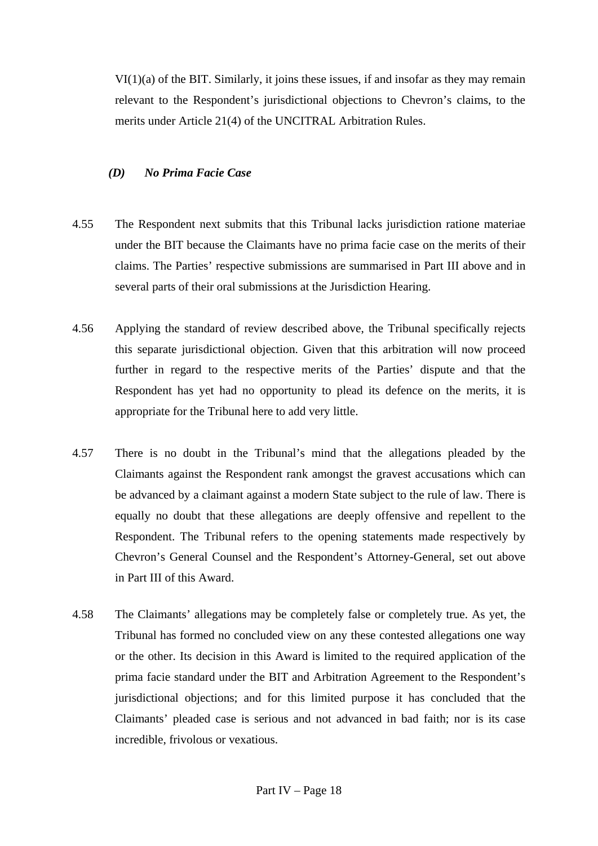VI(1)(a) of the BIT. Similarly, it joins these issues, if and insofar as they may remain relevant to the Respondent's jurisdictional objections to Chevron's claims, to the merits under Article 21(4) of the UNCITRAL Arbitration Rules.

## *(D) No Prima Facie Case*

- 4.55 The Respondent next submits that this Tribunal lacks jurisdiction ratione materiae under the BIT because the Claimants have no prima facie case on the merits of their claims. The Parties' respective submissions are summarised in Part III above and in several parts of their oral submissions at the Jurisdiction Hearing.
- 4.56 Applying the standard of review described above, the Tribunal specifically rejects this separate jurisdictional objection. Given that this arbitration will now proceed further in regard to the respective merits of the Parties' dispute and that the Respondent has yet had no opportunity to plead its defence on the merits, it is appropriate for the Tribunal here to add very little.
- 4.57 There is no doubt in the Tribunal's mind that the allegations pleaded by the Claimants against the Respondent rank amongst the gravest accusations which can be advanced by a claimant against a modern State subject to the rule of law. There is equally no doubt that these allegations are deeply offensive and repellent to the Respondent. The Tribunal refers to the opening statements made respectively by Chevron's General Counsel and the Respondent's Attorney-General, set out above in Part III of this Award.
- 4.58 The Claimants' allegations may be completely false or completely true. As yet, the Tribunal has formed no concluded view on any these contested allegations one way or the other. Its decision in this Award is limited to the required application of the prima facie standard under the BIT and Arbitration Agreement to the Respondent's jurisdictional objections; and for this limited purpose it has concluded that the Claimants' pleaded case is serious and not advanced in bad faith; nor is its case incredible, frivolous or vexatious.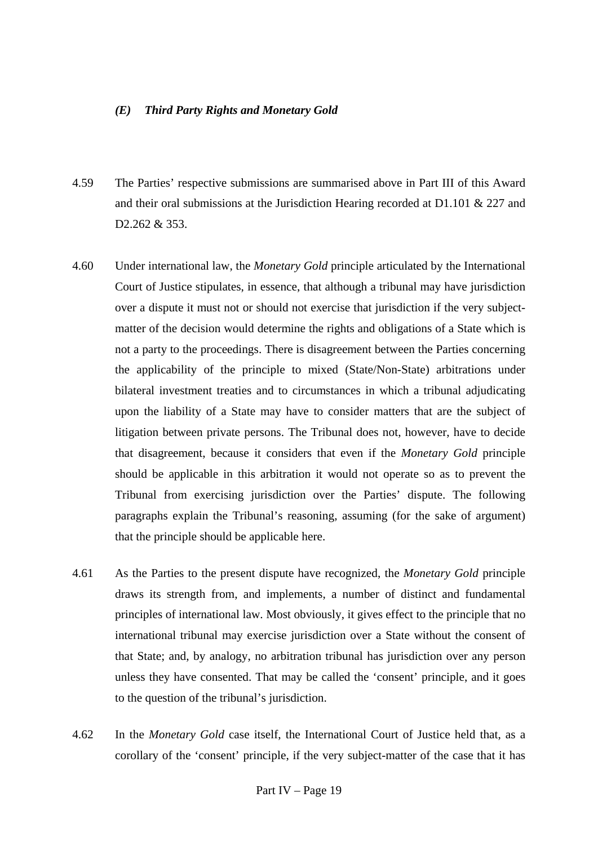#### *(E) Third Party Rights and Monetary Gold*

- 4.59 The Parties' respective submissions are summarised above in Part III of this Award and their oral submissions at the Jurisdiction Hearing recorded at D1.101 & 227 and D<sub>2</sub>.262 & 353.
- 4.60 Under international law, the *Monetary Gold* principle articulated by the International Court of Justice stipulates, in essence, that although a tribunal may have jurisdiction over a dispute it must not or should not exercise that jurisdiction if the very subjectmatter of the decision would determine the rights and obligations of a State which is not a party to the proceedings. There is disagreement between the Parties concerning the applicability of the principle to mixed (State/Non-State) arbitrations under bilateral investment treaties and to circumstances in which a tribunal adjudicating upon the liability of a State may have to consider matters that are the subject of litigation between private persons. The Tribunal does not, however, have to decide that disagreement, because it considers that even if the *Monetary Gold* principle should be applicable in this arbitration it would not operate so as to prevent the Tribunal from exercising jurisdiction over the Parties' dispute. The following paragraphs explain the Tribunal's reasoning, assuming (for the sake of argument) that the principle should be applicable here.
- 4.61 As the Parties to the present dispute have recognized, the *Monetary Gold* principle draws its strength from, and implements, a number of distinct and fundamental principles of international law. Most obviously, it gives effect to the principle that no international tribunal may exercise jurisdiction over a State without the consent of that State; and, by analogy, no arbitration tribunal has jurisdiction over any person unless they have consented. That may be called the 'consent' principle, and it goes to the question of the tribunal's jurisdiction.
- 4.62 In the *Monetary Gold* case itself, the International Court of Justice held that, as a corollary of the 'consent' principle, if the very subject-matter of the case that it has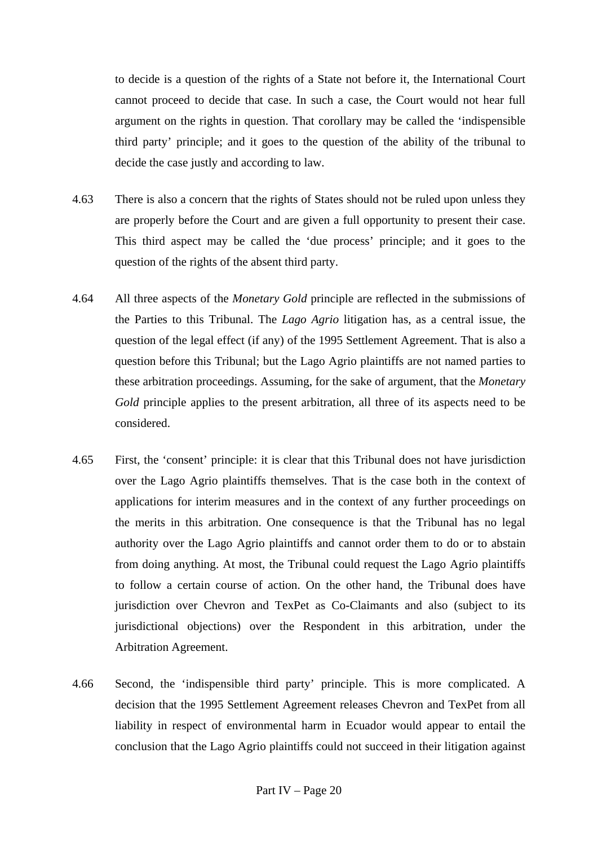to decide is a question of the rights of a State not before it, the International Court cannot proceed to decide that case. In such a case, the Court would not hear full argument on the rights in question. That corollary may be called the 'indispensible third party' principle; and it goes to the question of the ability of the tribunal to decide the case justly and according to law.

- 4.63 There is also a concern that the rights of States should not be ruled upon unless they are properly before the Court and are given a full opportunity to present their case. This third aspect may be called the 'due process' principle; and it goes to the question of the rights of the absent third party.
- 4.64 All three aspects of the *Monetary Gold* principle are reflected in the submissions of the Parties to this Tribunal. The *Lago Agrio* litigation has, as a central issue, the question of the legal effect (if any) of the 1995 Settlement Agreement. That is also a question before this Tribunal; but the Lago Agrio plaintiffs are not named parties to these arbitration proceedings. Assuming, for the sake of argument, that the *Monetary Gold* principle applies to the present arbitration, all three of its aspects need to be considered.
- 4.65 First, the 'consent' principle: it is clear that this Tribunal does not have jurisdiction over the Lago Agrio plaintiffs themselves. That is the case both in the context of applications for interim measures and in the context of any further proceedings on the merits in this arbitration. One consequence is that the Tribunal has no legal authority over the Lago Agrio plaintiffs and cannot order them to do or to abstain from doing anything. At most, the Tribunal could request the Lago Agrio plaintiffs to follow a certain course of action. On the other hand, the Tribunal does have jurisdiction over Chevron and TexPet as Co-Claimants and also (subject to its jurisdictional objections) over the Respondent in this arbitration, under the Arbitration Agreement.
- 4.66 Second, the 'indispensible third party' principle. This is more complicated. A decision that the 1995 Settlement Agreement releases Chevron and TexPet from all liability in respect of environmental harm in Ecuador would appear to entail the conclusion that the Lago Agrio plaintiffs could not succeed in their litigation against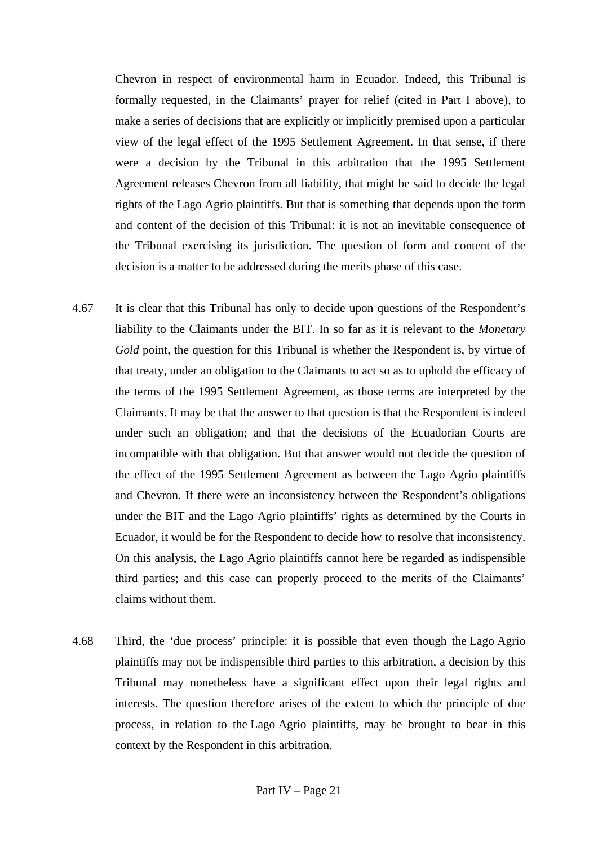Chevron in respect of environmental harm in Ecuador. Indeed, this Tribunal is formally requested, in the Claimants' prayer for relief (cited in Part I above), to make a series of decisions that are explicitly or implicitly premised upon a particular view of the legal effect of the 1995 Settlement Agreement. In that sense, if there were a decision by the Tribunal in this arbitration that the 1995 Settlement Agreement releases Chevron from all liability, that might be said to decide the legal rights of the Lago Agrio plaintiffs. But that is something that depends upon the form and content of the decision of this Tribunal: it is not an inevitable consequence of the Tribunal exercising its jurisdiction. The question of form and content of the decision is a matter to be addressed during the merits phase of this case.

- 4.67 It is clear that this Tribunal has only to decide upon questions of the Respondent's liability to the Claimants under the BIT. In so far as it is relevant to the *Monetary Gold* point, the question for this Tribunal is whether the Respondent is, by virtue of that treaty, under an obligation to the Claimants to act so as to uphold the efficacy of the terms of the 1995 Settlement Agreement, as those terms are interpreted by the Claimants. It may be that the answer to that question is that the Respondent is indeed under such an obligation; and that the decisions of the Ecuadorian Courts are incompatible with that obligation. But that answer would not decide the question of the effect of the 1995 Settlement Agreement as between the Lago Agrio plaintiffs and Chevron. If there were an inconsistency between the Respondent's obligations under the BIT and the Lago Agrio plaintiffs' rights as determined by the Courts in Ecuador, it would be for the Respondent to decide how to resolve that inconsistency. On this analysis, the Lago Agrio plaintiffs cannot here be regarded as indispensible third parties; and this case can properly proceed to the merits of the Claimants' claims without them.
- 4.68 Third, the 'due process' principle: it is possible that even though the Lago Agrio plaintiffs may not be indispensible third parties to this arbitration, a decision by this Tribunal may nonetheless have a significant effect upon their legal rights and interests. The question therefore arises of the extent to which the principle of due process, in relation to the Lago Agrio plaintiffs, may be brought to bear in this context by the Respondent in this arbitration.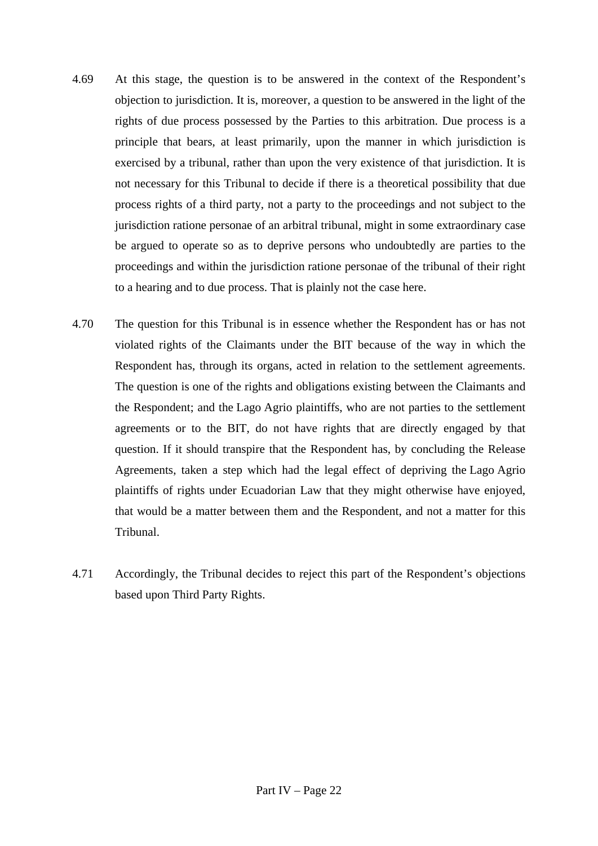- 4.69 At this stage, the question is to be answered in the context of the Respondent's objection to jurisdiction. It is, moreover, a question to be answered in the light of the rights of due process possessed by the Parties to this arbitration. Due process is a principle that bears, at least primarily, upon the manner in which jurisdiction is exercised by a tribunal, rather than upon the very existence of that jurisdiction. It is not necessary for this Tribunal to decide if there is a theoretical possibility that due process rights of a third party, not a party to the proceedings and not subject to the jurisdiction ratione personae of an arbitral tribunal, might in some extraordinary case be argued to operate so as to deprive persons who undoubtedly are parties to the proceedings and within the jurisdiction ratione personae of the tribunal of their right to a hearing and to due process. That is plainly not the case here.
- 4.70 The question for this Tribunal is in essence whether the Respondent has or has not violated rights of the Claimants under the BIT because of the way in which the Respondent has, through its organs, acted in relation to the settlement agreements. The question is one of the rights and obligations existing between the Claimants and the Respondent; and the Lago Agrio plaintiffs, who are not parties to the settlement agreements or to the BIT, do not have rights that are directly engaged by that question. If it should transpire that the Respondent has, by concluding the Release Agreements, taken a step which had the legal effect of depriving the Lago Agrio plaintiffs of rights under Ecuadorian Law that they might otherwise have enjoyed, that would be a matter between them and the Respondent, and not a matter for this Tribunal.
- 4.71 Accordingly, the Tribunal decides to reject this part of the Respondent's objections based upon Third Party Rights.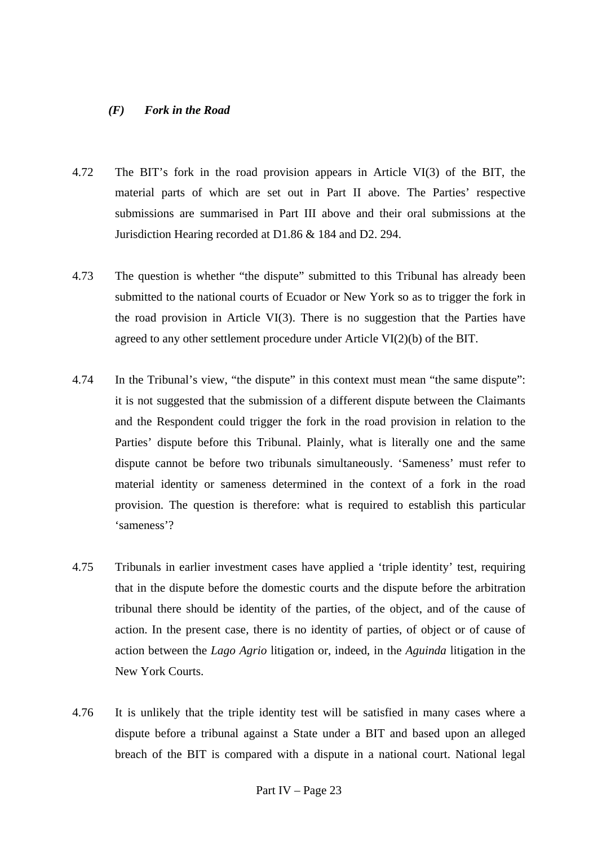#### *(F) Fork in the Road*

- 4.72 The BIT's fork in the road provision appears in Article VI(3) of the BIT, the material parts of which are set out in Part II above. The Parties' respective submissions are summarised in Part III above and their oral submissions at the Jurisdiction Hearing recorded at D1.86 & 184 and D2. 294.
- 4.73 The question is whether "the dispute" submitted to this Tribunal has already been submitted to the national courts of Ecuador or New York so as to trigger the fork in the road provision in Article VI(3). There is no suggestion that the Parties have agreed to any other settlement procedure under Article VI(2)(b) of the BIT.
- 4.74 In the Tribunal's view, "the dispute" in this context must mean "the same dispute": it is not suggested that the submission of a different dispute between the Claimants and the Respondent could trigger the fork in the road provision in relation to the Parties' dispute before this Tribunal. Plainly, what is literally one and the same dispute cannot be before two tribunals simultaneously. 'Sameness' must refer to material identity or sameness determined in the context of a fork in the road provision. The question is therefore: what is required to establish this particular 'sameness'?
- 4.75 Tribunals in earlier investment cases have applied a 'triple identity' test, requiring that in the dispute before the domestic courts and the dispute before the arbitration tribunal there should be identity of the parties, of the object, and of the cause of action. In the present case, there is no identity of parties, of object or of cause of action between the *Lago Agrio* litigation or, indeed, in the *Aguinda* litigation in the New York Courts.
- 4.76 It is unlikely that the triple identity test will be satisfied in many cases where a dispute before a tribunal against a State under a BIT and based upon an alleged breach of the BIT is compared with a dispute in a national court. National legal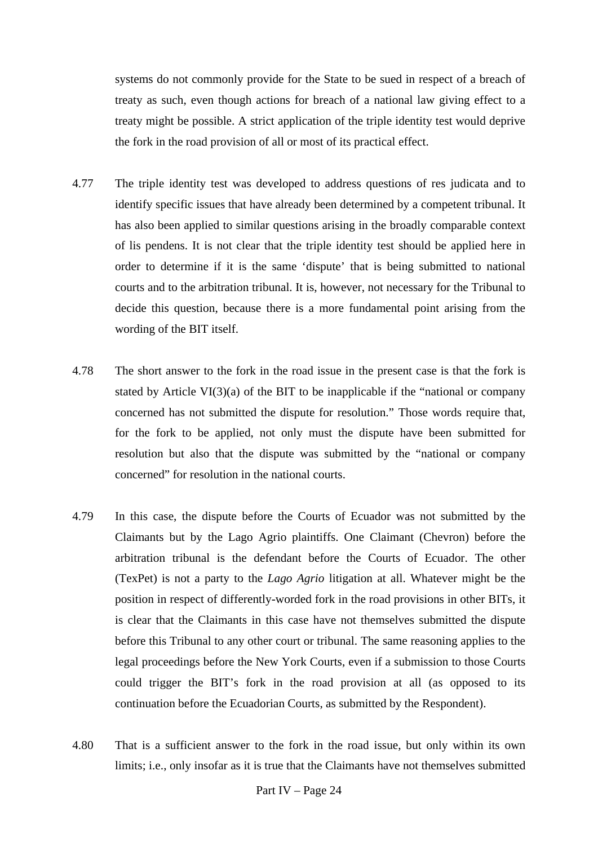systems do not commonly provide for the State to be sued in respect of a breach of treaty as such, even though actions for breach of a national law giving effect to a treaty might be possible. A strict application of the triple identity test would deprive the fork in the road provision of all or most of its practical effect.

- 4.77 The triple identity test was developed to address questions of res judicata and to identify specific issues that have already been determined by a competent tribunal. It has also been applied to similar questions arising in the broadly comparable context of lis pendens. It is not clear that the triple identity test should be applied here in order to determine if it is the same 'dispute' that is being submitted to national courts and to the arbitration tribunal. It is, however, not necessary for the Tribunal to decide this question, because there is a more fundamental point arising from the wording of the BIT itself.
- 4.78 The short answer to the fork in the road issue in the present case is that the fork is stated by Article VI(3)(a) of the BIT to be inapplicable if the "national or company concerned has not submitted the dispute for resolution." Those words require that, for the fork to be applied, not only must the dispute have been submitted for resolution but also that the dispute was submitted by the "national or company concerned" for resolution in the national courts.
- 4.79 In this case, the dispute before the Courts of Ecuador was not submitted by the Claimants but by the Lago Agrio plaintiffs. One Claimant (Chevron) before the arbitration tribunal is the defendant before the Courts of Ecuador. The other (TexPet) is not a party to the *Lago Agrio* litigation at all. Whatever might be the position in respect of differently-worded fork in the road provisions in other BITs, it is clear that the Claimants in this case have not themselves submitted the dispute before this Tribunal to any other court or tribunal. The same reasoning applies to the legal proceedings before the New York Courts, even if a submission to those Courts could trigger the BIT's fork in the road provision at all (as opposed to its continuation before the Ecuadorian Courts, as submitted by the Respondent).
- 4.80 That is a sufficient answer to the fork in the road issue, but only within its own limits; i.e., only insofar as it is true that the Claimants have not themselves submitted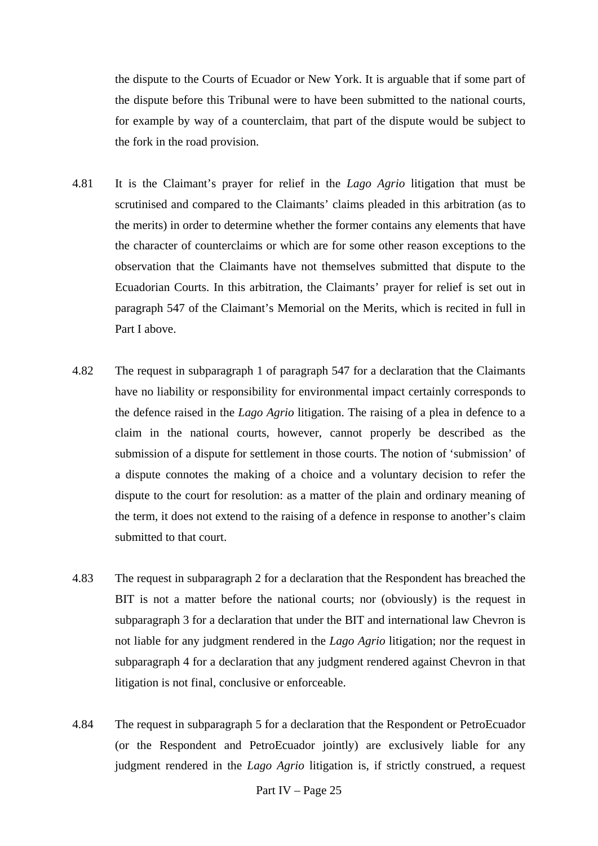the dispute to the Courts of Ecuador or New York. It is arguable that if some part of the dispute before this Tribunal were to have been submitted to the national courts, for example by way of a counterclaim, that part of the dispute would be subject to the fork in the road provision.

- 4.81 It is the Claimant's prayer for relief in the *Lago Agrio* litigation that must be scrutinised and compared to the Claimants' claims pleaded in this arbitration (as to the merits) in order to determine whether the former contains any elements that have the character of counterclaims or which are for some other reason exceptions to the observation that the Claimants have not themselves submitted that dispute to the Ecuadorian Courts. In this arbitration, the Claimants' prayer for relief is set out in paragraph 547 of the Claimant's Memorial on the Merits, which is recited in full in Part I above.
- 4.82 The request in subparagraph 1 of paragraph 547 for a declaration that the Claimants have no liability or responsibility for environmental impact certainly corresponds to the defence raised in the *Lago Agrio* litigation. The raising of a plea in defence to a claim in the national courts, however, cannot properly be described as the submission of a dispute for settlement in those courts. The notion of 'submission' of a dispute connotes the making of a choice and a voluntary decision to refer the dispute to the court for resolution: as a matter of the plain and ordinary meaning of the term, it does not extend to the raising of a defence in response to another's claim submitted to that court.
- 4.83 The request in subparagraph 2 for a declaration that the Respondent has breached the BIT is not a matter before the national courts; nor (obviously) is the request in subparagraph 3 for a declaration that under the BIT and international law Chevron is not liable for any judgment rendered in the *Lago Agrio* litigation; nor the request in subparagraph 4 for a declaration that any judgment rendered against Chevron in that litigation is not final, conclusive or enforceable.
- 4.84 The request in subparagraph 5 for a declaration that the Respondent or PetroEcuador (or the Respondent and PetroEcuador jointly) are exclusively liable for any judgment rendered in the *Lago Agrio* litigation is, if strictly construed, a request

Part IV – Page 25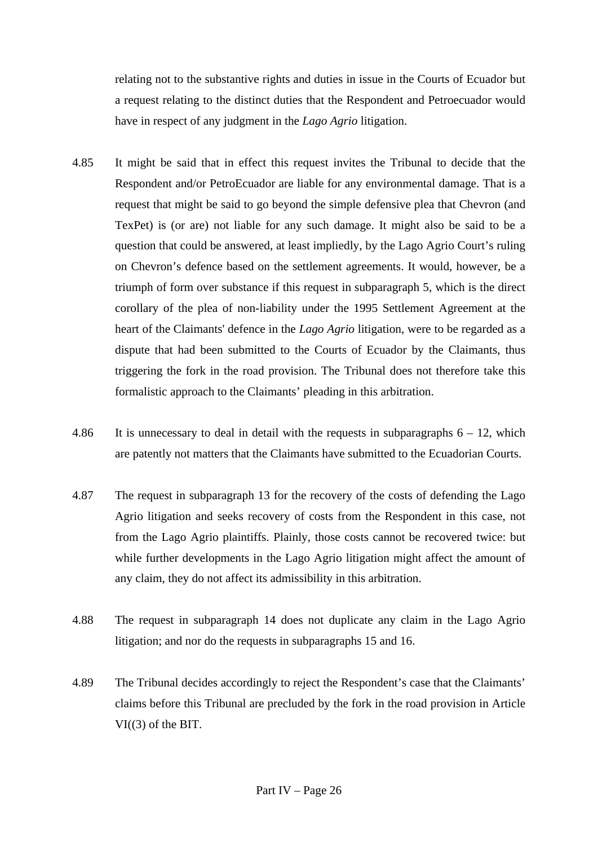relating not to the substantive rights and duties in issue in the Courts of Ecuador but a request relating to the distinct duties that the Respondent and Petroecuador would have in respect of any judgment in the *Lago Agrio* litigation.

- 4.85 It might be said that in effect this request invites the Tribunal to decide that the Respondent and/or PetroEcuador are liable for any environmental damage. That is a request that might be said to go beyond the simple defensive plea that Chevron (and TexPet) is (or are) not liable for any such damage. It might also be said to be a question that could be answered, at least impliedly, by the Lago Agrio Court's ruling on Chevron's defence based on the settlement agreements. It would, however, be a triumph of form over substance if this request in subparagraph 5, which is the direct corollary of the plea of non-liability under the 1995 Settlement Agreement at the heart of the Claimants' defence in the *Lago Agrio* litigation, were to be regarded as a dispute that had been submitted to the Courts of Ecuador by the Claimants, thus triggering the fork in the road provision. The Tribunal does not therefore take this formalistic approach to the Claimants' pleading in this arbitration.
- 4.86 It is unnecessary to deal in detail with the requests in subparagraphs  $6 12$ , which are patently not matters that the Claimants have submitted to the Ecuadorian Courts.
- 4.87 The request in subparagraph 13 for the recovery of the costs of defending the Lago Agrio litigation and seeks recovery of costs from the Respondent in this case, not from the Lago Agrio plaintiffs. Plainly, those costs cannot be recovered twice: but while further developments in the Lago Agrio litigation might affect the amount of any claim, they do not affect its admissibility in this arbitration.
- 4.88 The request in subparagraph 14 does not duplicate any claim in the Lago Agrio litigation; and nor do the requests in subparagraphs 15 and 16.
- 4.89 The Tribunal decides accordingly to reject the Respondent's case that the Claimants' claims before this Tribunal are precluded by the fork in the road provision in Article  $VI((3)$  of the BIT.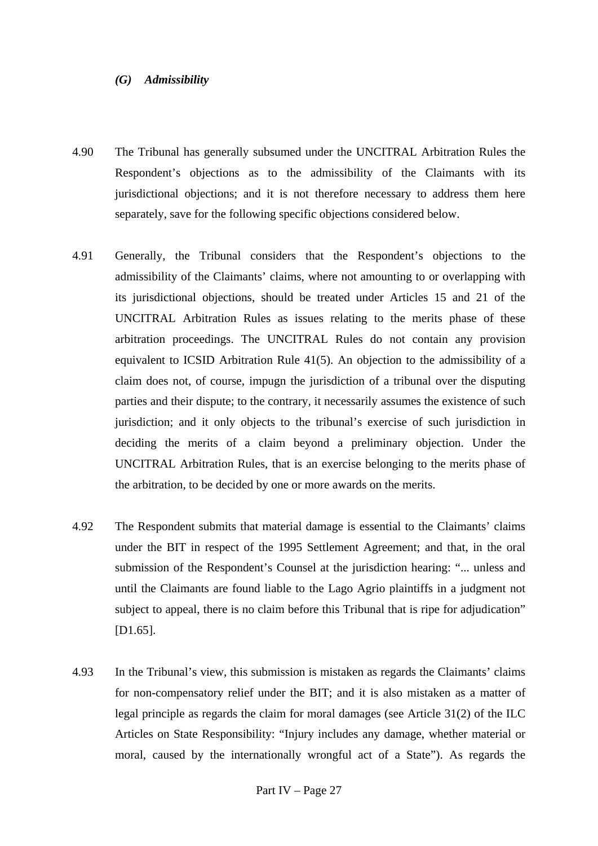#### *(G) Admissibility*

- 4.90 The Tribunal has generally subsumed under the UNCITRAL Arbitration Rules the Respondent's objections as to the admissibility of the Claimants with its jurisdictional objections; and it is not therefore necessary to address them here separately, save for the following specific objections considered below.
- 4.91 Generally, the Tribunal considers that the Respondent's objections to the admissibility of the Claimants' claims, where not amounting to or overlapping with its jurisdictional objections, should be treated under Articles 15 and 21 of the UNCITRAL Arbitration Rules as issues relating to the merits phase of these arbitration proceedings. The UNCITRAL Rules do not contain any provision equivalent to ICSID Arbitration Rule 41(5). An objection to the admissibility of a claim does not, of course, impugn the jurisdiction of a tribunal over the disputing parties and their dispute; to the contrary, it necessarily assumes the existence of such jurisdiction; and it only objects to the tribunal's exercise of such jurisdiction in deciding the merits of a claim beyond a preliminary objection. Under the UNCITRAL Arbitration Rules, that is an exercise belonging to the merits phase of the arbitration, to be decided by one or more awards on the merits.
- 4.92 The Respondent submits that material damage is essential to the Claimants' claims under the BIT in respect of the 1995 Settlement Agreement; and that, in the oral submission of the Respondent's Counsel at the jurisdiction hearing: "... unless and until the Claimants are found liable to the Lago Agrio plaintiffs in a judgment not subject to appeal, there is no claim before this Tribunal that is ripe for adjudication" [D1.65].
- 4.93 In the Tribunal's view, this submission is mistaken as regards the Claimants' claims for non-compensatory relief under the BIT; and it is also mistaken as a matter of legal principle as regards the claim for moral damages (see Article 31(2) of the ILC Articles on State Responsibility: "Injury includes any damage, whether material or moral, caused by the internationally wrongful act of a State"). As regards the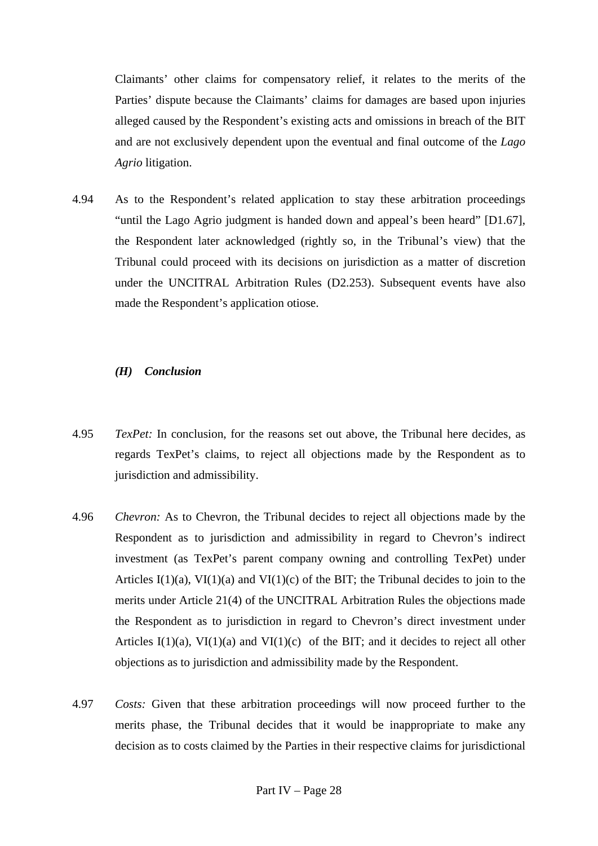Claimants' other claims for compensatory relief, it relates to the merits of the Parties' dispute because the Claimants' claims for damages are based upon injuries alleged caused by the Respondent's existing acts and omissions in breach of the BIT and are not exclusively dependent upon the eventual and final outcome of the *Lago Agrio* litigation.

4.94 As to the Respondent's related application to stay these arbitration proceedings "until the Lago Agrio judgment is handed down and appeal's been heard" [D1.67], the Respondent later acknowledged (rightly so, in the Tribunal's view) that the Tribunal could proceed with its decisions on jurisdiction as a matter of discretion under the UNCITRAL Arbitration Rules (D2.253). Subsequent events have also made the Respondent's application otiose.

### *(H) Conclusion*

- 4.95 *TexPet:* In conclusion, for the reasons set out above, the Tribunal here decides, as regards TexPet's claims, to reject all objections made by the Respondent as to jurisdiction and admissibility.
- 4.96 *Chevron:* As to Chevron, the Tribunal decides to reject all objections made by the Respondent as to jurisdiction and admissibility in regard to Chevron's indirect investment (as TexPet's parent company owning and controlling TexPet) under Articles  $I(1)(a)$ ,  $VI(1)(a)$  and  $VI(1)(c)$  of the BIT; the Tribunal decides to join to the merits under Article 21(4) of the UNCITRAL Arbitration Rules the objections made the Respondent as to jurisdiction in regard to Chevron's direct investment under Articles  $I(1)(a)$ ,  $VI(1)(a)$  and  $VI(1)(c)$  of the BIT; and it decides to reject all other objections as to jurisdiction and admissibility made by the Respondent.
- 4.97 *Costs:* Given that these arbitration proceedings will now proceed further to the merits phase, the Tribunal decides that it would be inappropriate to make any decision as to costs claimed by the Parties in their respective claims for jurisdictional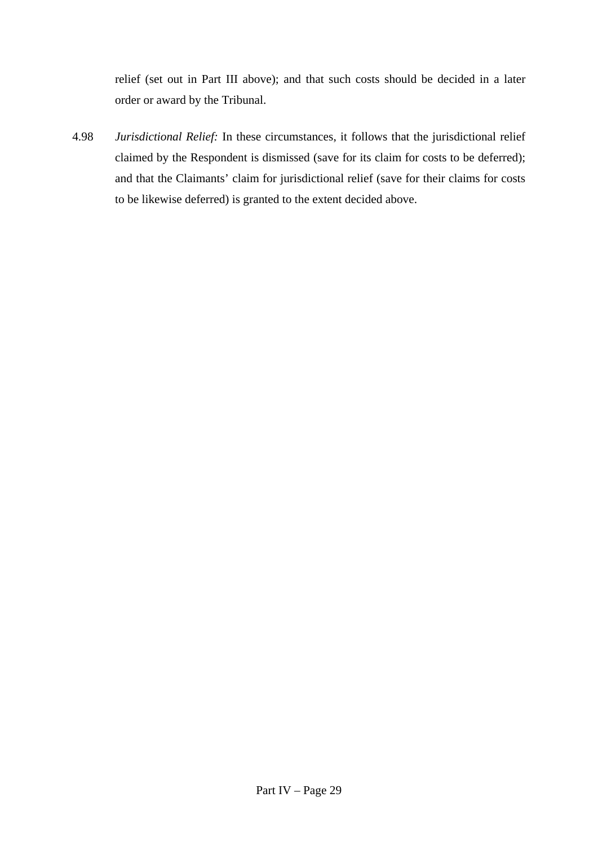relief (set out in Part III above); and that such costs should be decided in a later order or award by the Tribunal.

4.98 *Jurisdictional Relief:* In these circumstances, it follows that the jurisdictional relief claimed by the Respondent is dismissed (save for its claim for costs to be deferred); and that the Claimants' claim for jurisdictional relief (save for their claims for costs to be likewise deferred) is granted to the extent decided above.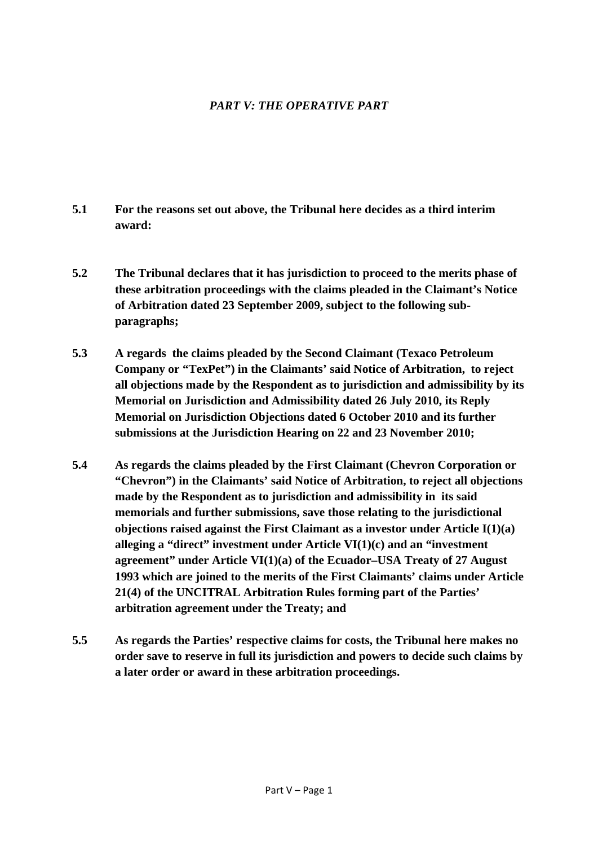### *PART V: THE OPERATIVE PART*

- **5.1 For the reasons set out above, the Tribunal here decides as a third interim award:**
- **5.2 The Tribunal declares that it has jurisdiction to proceed to the merits phase of these arbitration proceedings with the claims pleaded in the Claimant's Notice of Arbitration dated 23 September 2009, subject to the following subparagraphs;**
- **5.3 A regards the claims pleaded by the Second Claimant (Texaco Petroleum Company or "TexPet") in the Claimants' said Notice of Arbitration, to reject all objections made by the Respondent as to jurisdiction and admissibility by its Memorial on Jurisdiction and Admissibility dated 26 July 2010, its Reply Memorial on Jurisdiction Objections dated 6 October 2010 and its further submissions at the Jurisdiction Hearing on 22 and 23 November 2010;**
- **5.4 As regards the claims pleaded by the First Claimant (Chevron Corporation or "Chevron") in the Claimants' said Notice of Arbitration, to reject all objections made by the Respondent as to jurisdiction and admissibility in its said memorials and further submissions, save those relating to the jurisdictional objections raised against the First Claimant as a investor under Article I(1)(a) alleging a "direct" investment under Article VI(1)(c) and an "investment agreement" under Article VI(1)(a) of the Ecuador–USA Treaty of 27 August 1993 which are joined to the merits of the First Claimants' claims under Article 21(4) of the UNCITRAL Arbitration Rules forming part of the Parties' arbitration agreement under the Treaty; and**
- **5.5 As regards the Parties' respective claims for costs, the Tribunal here makes no order save to reserve in full its jurisdiction and powers to decide such claims by a later order or award in these arbitration proceedings.**